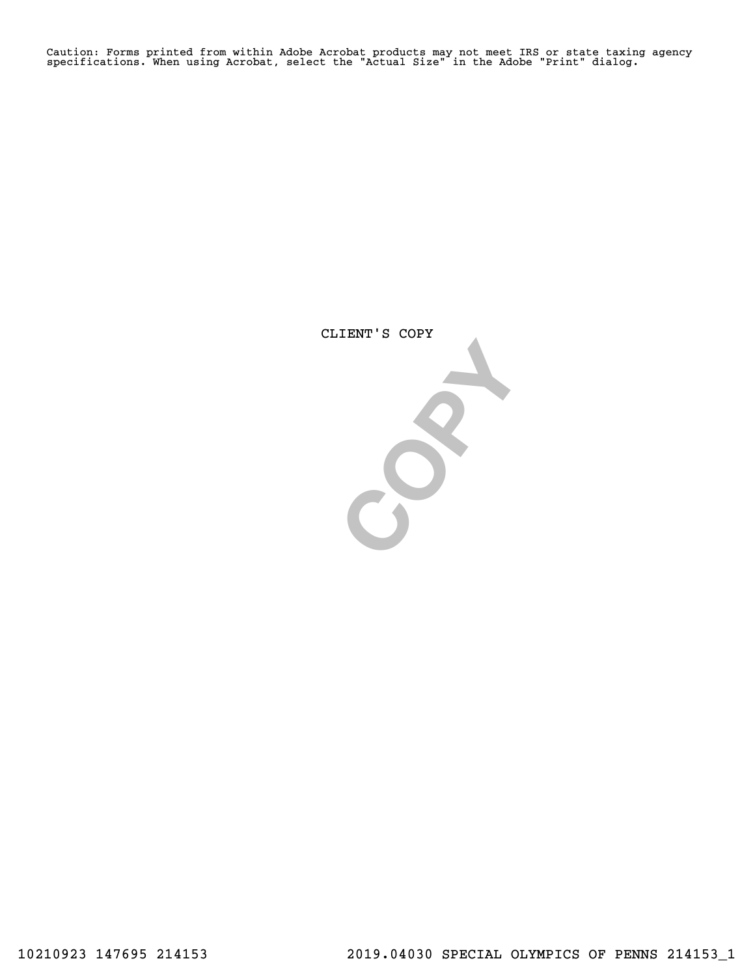Caution: Forms printed from within Adobe Acrobat products may not meet IRS or state taxing agency specifications. When using Acrobat, select the "Actual Size" in the Adobe "Print" dialog.

CLIENT'S COPY

 $S^2$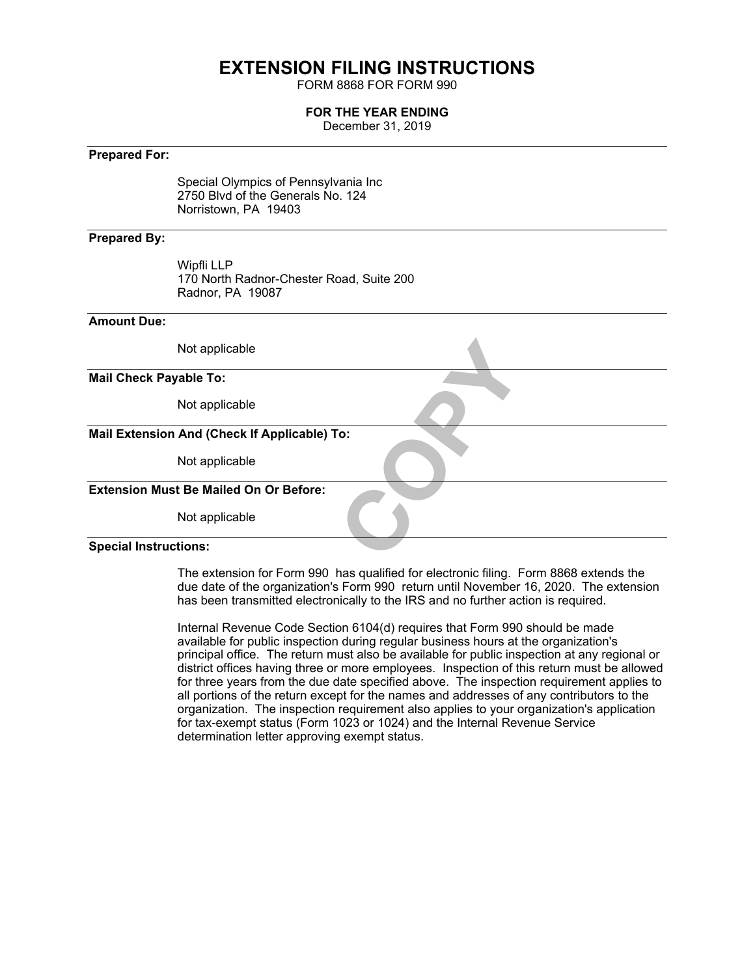# **EXTENSION FILING INSTRUCTIONS**

FORM 8868 FOR FORM 990

### **FOR THE YEAR ENDING**

December 31, 2019

## **Prepared For:**

Special Olympics of Pennsylvania Inc 2750 Blvd of the Generals No. 124 Norristown, PA 19403

## **Prepared By:**

Wipfli LLP 170 North Radnor-Chester Road, Suite 200 Radnor, PA 19087

## **Amount Due:**

| Not applicable                                |  |
|-----------------------------------------------|--|
| <b>Mail Check Payable To:</b>                 |  |
| Not applicable                                |  |
| Mail Extension And (Check If Applicable) To:  |  |
| Not applicable                                |  |
| <b>Extension Must Be Mailed On Or Before:</b> |  |
| Not applicable                                |  |
| <b>Special Instructions:</b>                  |  |

### **Special Instructions:**

The extension for Form 990 has qualified for electronic filing. Form 8868 extends the due date of the organization's Form 990 return until November 16, 2020. The extension has been transmitted electronically to the IRS and no further action is required.

Internal Revenue Code Section 6104(d) requires that Form 990 should be made available for public inspection during regular business hours at the organization's principal office. The return must also be available for public inspection at any regional or district offices having three or more employees. Inspection of this return must be allowed for three years from the due date specified above. The inspection requirement applies to all portions of the return except for the names and addresses of any contributors to the organization. The inspection requirement also applies to your organization's application for tax-exempt status (Form 1023 or 1024) and the Internal Revenue Service determination letter approving exempt status.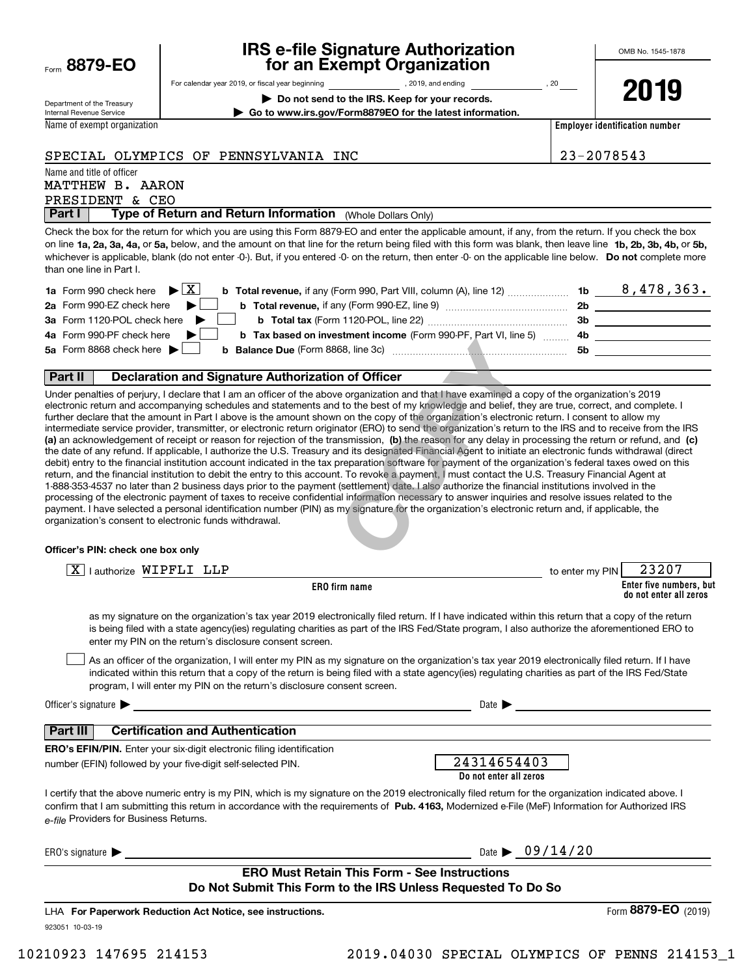| Form 8879-EO |  |  |
|--------------|--|--|
|              |  |  |

## **IRS e-file Signature Authorization for an Exempt Organization**

**| Do not send to the IRS. Keep for your records. | Go to www.irs.gov/Form8879EO for the latest information.**

For calendar year 2019, or fiscal year beginning and the state of the state of 2019, and ending calendary permu

Department of the Treasury Internal Revenue Service

Name of exempt organization

**2019**

**Employer identification number**

#### SPECIAL OLYMPICS OF PENNSYLVANIA INC 23-2078543

Name and title of officer

PRESIDENT & CEO MATTHEW B. AARON

**Part I** | Type of Return and Return Information (Whole Dollars Only)

on line **1a, 2a, 3a, 4a,** or **5a,** below, and the amount on that line for the return being filed with this form was blank, then leave line **1b, 2b, 3b, 4b,** or **5b,** whichever is applicable, blank (do not enter -0-). But, if you entered -0- on the return, then enter -0- on the applicable line below. **Do not** complete more Check the box for the return for which you are using this Form 8879-EO and enter the applicable amount, if any, from the return. If you check the box than one line in Part I.

| <b>1a</b> Form 990 check here $\blacktriangleright$ $\boxed{\text{X}}$<br><b>b Total revenue,</b> if any (Form 990, Part VIII, column (A), line 12) | 1b | 8,478,363. |
|-----------------------------------------------------------------------------------------------------------------------------------------------------|----|------------|
| 2a Form 990-EZ check here $\blacktriangleright$<br><b>b</b> Total revenue, if any (Form 990-EZ, line 9) $\ldots$ $\ldots$ $\ldots$ $\ldots$         | 2b |            |
| 3a Form 1120-POL check here                                                                                                                         | 3b |            |
| 4a Form 990-PF check here $\blacktriangleright$<br><b>b</b> Tax based on investment income (Form 990-PF, Part VI, line 5) 4b                        |    |            |
| 5a Form 8868 check here $\blacktriangleright$                                                                                                       | 5b |            |
|                                                                                                                                                     |    |            |

#### **Part II Declaration and Signature Authorization of Officer**

**(a)** an acknowledgement of receipt or reason for rejection of the transmission, (b) the reason for any delay in processing the return or refund, and (c) Under penalties of perjury, I declare that I am an officer of the above organization and that I have examined a copy of the organization's 2019 electronic return and accompanying schedules and statements and to the best of my knowledge and belief, they are true, correct, and complete. I further declare that the amount in Part I above is the amount shown on the copy of the organization's electronic return. I consent to allow my intermediate service provider, transmitter, or electronic return originator (ERO) to send the organization's return to the IRS and to receive from the IRS the date of any refund. If applicable, I authorize the U.S. Treasury and its designated Financial Agent to initiate an electronic funds withdrawal (direct debit) entry to the financial institution account indicated in the tax preparation software for payment of the organization's federal taxes owed on this return, and the financial institution to debit the entry to this account. To revoke a payment, I must contact the U.S. Treasury Financial Agent at 1-888-353-4537 no later than 2 business days prior to the payment (settlement) date. I also authorize the financial institutions involved in the processing of the electronic payment of taxes to receive confidential information necessary to answer inquiries and resolve issues related to the payment. I have selected a personal identification number (PIN) as my signature for the organization's electronic return and, if applicable, the organization's consent to electronic funds withdrawal. **COPY AND THE CONSUMER CONSUMED THE CONSUMED CONSUMED CONSUMED CONSUMIDED**<br> **COPY** COPY AND COPY AND COPY AND CONSUMED A CONSUMED A CONSUMED TO SAFET A CONSUMED TO SET A CONSUMED TO SET A COPY AND THAT A COPY AND INTERPRET

#### **Officer's PIN: check one box only**

| lauthorize WIPFLI LLP<br>$\vert$ X $\vert$                                                                                                                                                                                                                                                                                                             | 23207<br>to enter my PIN                                                                                                                                                                                                                                                                              |
|--------------------------------------------------------------------------------------------------------------------------------------------------------------------------------------------------------------------------------------------------------------------------------------------------------------------------------------------------------|-------------------------------------------------------------------------------------------------------------------------------------------------------------------------------------------------------------------------------------------------------------------------------------------------------|
| <b>ERO</b> firm name                                                                                                                                                                                                                                                                                                                                   | Enter five numbers, but<br>do not enter all zeros                                                                                                                                                                                                                                                     |
| enter my PIN on the return's disclosure consent screen.                                                                                                                                                                                                                                                                                                | as my signature on the organization's tax year 2019 electronically filed return. If I have indicated within this return that a copy of the return<br>is being filed with a state agency(ies) regulating charities as part of the IRS Fed/State program, I also authorize the aforementioned ERO to    |
| program, I will enter my PIN on the return's disclosure consent screen.                                                                                                                                                                                                                                                                                | As an officer of the organization, I will enter my PIN as my signature on the organization's tax year 2019 electronically filed return. If I have<br>indicated within this return that a copy of the return is being filed with a state agency(ies) regulating charities as part of the IRS Fed/State |
| Officer's signature $\blacktriangleright$                                                                                                                                                                                                                                                                                                              | Date $\blacktriangleright$                                                                                                                                                                                                                                                                            |
| <b>Certification and Authentication</b><br>Part III                                                                                                                                                                                                                                                                                                    |                                                                                                                                                                                                                                                                                                       |
| <b>ERO's EFIN/PIN.</b> Enter your six-digit electronic filing identification                                                                                                                                                                                                                                                                           |                                                                                                                                                                                                                                                                                                       |
| number (EFIN) followed by your five-digit self-selected PIN.                                                                                                                                                                                                                                                                                           | 24314654403<br>Do not enter all zeros                                                                                                                                                                                                                                                                 |
| I certify that the above numeric entry is my PIN, which is my signature on the 2019 electronically filed return for the organization indicated above. I<br>confirm that I am submitting this return in accordance with the requirements of Pub. 4163. Modernized e-File (MeF) Information for Authorized IRS<br>e-file Providers for Business Returns. |                                                                                                                                                                                                                                                                                                       |
| ERO's signature $\blacktriangleright$                                                                                                                                                                                                                                                                                                                  | Date $\triangleright$ 09/14/20                                                                                                                                                                                                                                                                        |
| <b>ERO Must Retain This Form - See Instructions</b>                                                                                                                                                                                                                                                                                                    |                                                                                                                                                                                                                                                                                                       |
| Do Not Submit This Form to the IRS Unless Requested To Do So                                                                                                                                                                                                                                                                                           |                                                                                                                                                                                                                                                                                                       |
| LHA For Paperwork Reduction Act Notice, see instructions.                                                                                                                                                                                                                                                                                              | Form 8879-EO (2019)                                                                                                                                                                                                                                                                                   |
| 923051 10-03-19                                                                                                                                                                                                                                                                                                                                        |                                                                                                                                                                                                                                                                                                       |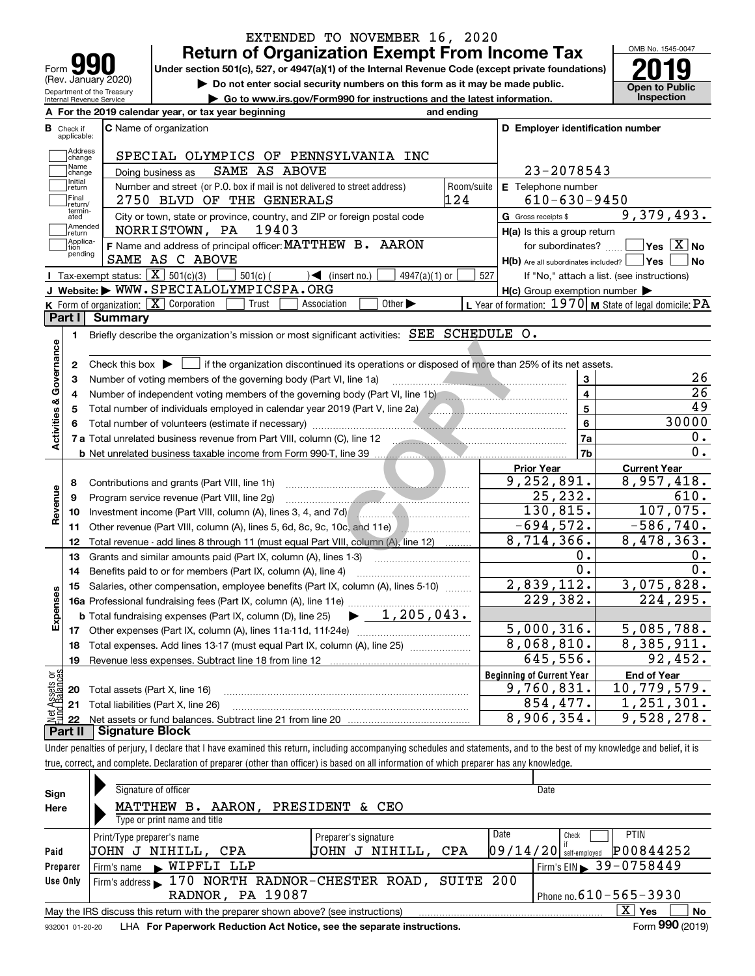|                                                        | EXTENDED TO NOVEMBER 16, 2020<br><b>Return of Organization Exempt From Income Tax</b>                                                                                |                             |            |                                                                                                                  | OMB No. 1545-0047                          |
|--------------------------------------------------------|----------------------------------------------------------------------------------------------------------------------------------------------------------------------|-----------------------------|------------|------------------------------------------------------------------------------------------------------------------|--------------------------------------------|
| Form                                                   | Under section 501(c), 527, or 4947(a)(1) of the Internal Revenue Code (except private foundations)                                                                   |                             |            |                                                                                                                  |                                            |
| (Rev. January 2020)                                    | Do not enter social security numbers on this form as it may be made public.                                                                                          |                             |            |                                                                                                                  | <b>Open to Public</b>                      |
| Department of the Treasury<br>Internal Revenue Service | Go to www.irs.gov/Form990 for instructions and the latest information.                                                                                               |                             |            |                                                                                                                  | Inspection                                 |
|                                                        | A For the 2019 calendar year, or tax year beginning                                                                                                                  |                             | and ending |                                                                                                                  |                                            |
| Check if<br>applicable:                                | C Name of organization                                                                                                                                               |                             |            | D Employer identification number                                                                                 |                                            |
| Address                                                |                                                                                                                                                                      |                             |            |                                                                                                                  |                                            |
| change<br>Name                                         | SPECIAL OLYMPICS OF PENNSYLVANIA INC                                                                                                                                 |                             |            |                                                                                                                  |                                            |
| change<br>Initial                                      | SAME AS ABOVE<br>Doing business as                                                                                                                                   |                             |            | 23-2078543                                                                                                       |                                            |
| return<br>Final                                        | Number and street (or P.O. box if mail is not delivered to street address)                                                                                           |                             | Room/suite | E Telephone number                                                                                               |                                            |
| return/<br>termin-                                     | 2750 BLVD OF THE GENERALS                                                                                                                                            |                             | 124        | $610 - 630 - 9450$                                                                                               |                                            |
| ated<br>Amended                                        | City or town, state or province, country, and ZIP or foreign postal code                                                                                             |                             |            | G Gross receipts \$                                                                                              | 9,379,493.                                 |
| return<br>Applica-                                     | NORRISTOWN, PA 19403                                                                                                                                                 |                             |            | H(a) Is this a group return                                                                                      | $\sqrt{}$ Yes $\sqrt{}$ X $\sqrt{}$ No     |
| tion<br>pending                                        | F Name and address of principal officer: MATTHEW B. AARON<br>SAME AS C ABOVE                                                                                         |                             |            | for subordinates?                                                                                                |                                            |
|                                                        | Tax-exempt status: $\boxed{\mathbf{X}}$ 501(c)(3)                                                                                                                    |                             |            | $H(b)$ Are all subordinates included? $\Box$ Yes                                                                 |                                            |
|                                                        | $501(c)$ (<br>$\sqrt{\frac{1}{1}}$ (insert no.)<br>J Website: WWW.SPECIALOLYMPICSPA.ORG                                                                              | $4947(a)(1)$ or             | 527        |                                                                                                                  | If "No," attach a list. (see instructions) |
|                                                        | K Form of organization: $\boxed{\mathbf{X}}$ Corporation<br>Trust<br>Association                                                                                     | Other $\blacktriangleright$ |            | $H(c)$ Group exemption number $\blacktriangleright$<br>L Year of formation: 1970   M State of legal domicile: PA |                                            |
| Part I                                                 | <b>Summary</b>                                                                                                                                                       |                             |            |                                                                                                                  |                                            |
|                                                        | Briefly describe the organization's mission or most significant activities: SEE SCHEDULE O.                                                                          |                             |            |                                                                                                                  |                                            |
| 1.                                                     |                                                                                                                                                                      |                             |            |                                                                                                                  |                                            |
|                                                        |                                                                                                                                                                      |                             |            |                                                                                                                  |                                            |
| 2                                                      | Check this box $\blacktriangleright$ $\Box$ if the organization discontinued its operations or disposed of more than 25% of its net assets.                          |                             |            | 3                                                                                                                |                                            |
| з                                                      | Number of voting members of the governing body (Part VI, line 1a)                                                                                                    |                             |            | $\overline{\mathbf{4}}$                                                                                          |                                            |
|                                                        | Number of independent voting members of the governing body (Part VI, line 1b)<br>Total number of individuals employed in calendar year 2019 (Part V, line 2a) [2010] |                             |            | 5                                                                                                                |                                            |
|                                                        |                                                                                                                                                                      |                             |            | 6                                                                                                                | 30000                                      |
| Activities & Governance                                | 7 a Total unrelated business revenue from Part VIII, column (C), line 12                                                                                             |                             |            | 7a                                                                                                               |                                            |
|                                                        |                                                                                                                                                                      |                             |            | 7b                                                                                                               |                                            |
|                                                        |                                                                                                                                                                      |                             |            | <b>Prior Year</b>                                                                                                | <b>Current Year</b>                        |
| 8                                                      | Contributions and grants (Part VIII, line 1h)                                                                                                                        |                             |            | 9, 252, 891.                                                                                                     | 8,957,418.                                 |
| Revenue<br>9                                           | Program service revenue (Part VIII, line 2g)                                                                                                                         |                             |            | 25,232.                                                                                                          | 610.                                       |
| 10                                                     | Investment income (Part VIII, column (A), lines 3, 4, and 7d)                                                                                                        |                             |            | 130,815.                                                                                                         | 107,075.                                   |
| 11                                                     | Other revenue (Part VIII, column (A), lines 5, 6d, 8c, 9c, 10c, and 11e) <i>[[[[[[[[[[[[[[[]]]]</i>                                                                  |                             |            | $-694,572.$                                                                                                      | $-586,740.$                                |
| 12                                                     | Total revenue - add lines 8 through 11 (must equal Part VIII, column (A), line 12)                                                                                   |                             |            | 8,714,366.                                                                                                       | 8,478,363.                                 |
| 13                                                     | Grants and similar amounts paid (Part IX, column (A), lines 1-3)                                                                                                     |                             |            | $0$ .                                                                                                            |                                            |
|                                                        | Benefits paid to or for members (Part IX, column (A), line 4)                                                                                                        |                             |            | $\overline{0}$ .                                                                                                 |                                            |
|                                                        | 15 Salaries, other compensation, employee benefits (Part IX, column (A), lines 5-10)                                                                                 |                             |            | 2,839,112.                                                                                                       | 3,075,828.                                 |
| 14                                                     |                                                                                                                                                                      |                             |            |                                                                                                                  |                                            |
|                                                        |                                                                                                                                                                      |                             |            |                                                                                                                  |                                            |
|                                                        |                                                                                                                                                                      |                             |            | 229,382.                                                                                                         |                                            |
| Expenses                                               |                                                                                                                                                                      |                             |            |                                                                                                                  | 224, 295.                                  |
|                                                        |                                                                                                                                                                      |                             |            | 5,000,316.                                                                                                       |                                            |
| 18                                                     | Total expenses. Add lines 13-17 (must equal Part IX, column (A), line 25)                                                                                            |                             |            | 8,068,810.                                                                                                       |                                            |
| 19                                                     | Revenue less expenses. Subtract line 18 from line 12                                                                                                                 |                             |            | 645,556.                                                                                                         | 5,085,788.<br>8,385,911.<br>92,452.        |
|                                                        |                                                                                                                                                                      |                             |            | <b>Beginning of Current Year</b>                                                                                 | <b>End of Year</b>                         |
| 20                                                     | Total assets (Part X, line 16)                                                                                                                                       |                             |            | $\overline{9,760,831}$ .                                                                                         | 10,779,579.                                |
| Net Assets or<br>Fund Balances<br>21<br>22             | Total liabilities (Part X, line 26)                                                                                                                                  |                             |            | 854,477.<br>8,906,354.                                                                                           | 1,251,301.<br>9,528,278.                   |

| Sign<br>Here | Signature of officer<br>AARON, PRESIDENT & CEO<br>MATTHEW<br>в.<br>Type or print name and title |                                                  | Date                                                                  |
|--------------|-------------------------------------------------------------------------------------------------|--------------------------------------------------|-----------------------------------------------------------------------|
| Paid         | Print/Type preparer's name<br>UOHN J NIHILL, CPA                                                | Preparer's signature<br>J NIHILL.<br>CPA<br>UOHN | Date<br><b>PTIN</b><br>Check<br>P00844252<br>$09/14/20$ self-employed |
| Preparer     | NIPFLI LLP<br>Firm's name                                                                       |                                                  | $1$ Firm's EIN $\triangleright$ 39 - 0758449                          |
| Use Only     | Firm's address 170 NORTH RADNOR-CHESTER ROAD, SUITE 200<br><b>RADNOR, PA 19087</b>              |                                                  | Phone no. $610 - 565 - 3930$                                          |
|              | May the IRS discuss this return with the preparer shown above? (see instructions)               |                                                  | x<br><b>Yes</b><br>No<br>$000 \times 10^{1}$<br>-                     |

932001 01-20-20 **For Paperwork Reduction Act Notice, see the separate instructions.** LHA Form (2019)

**990**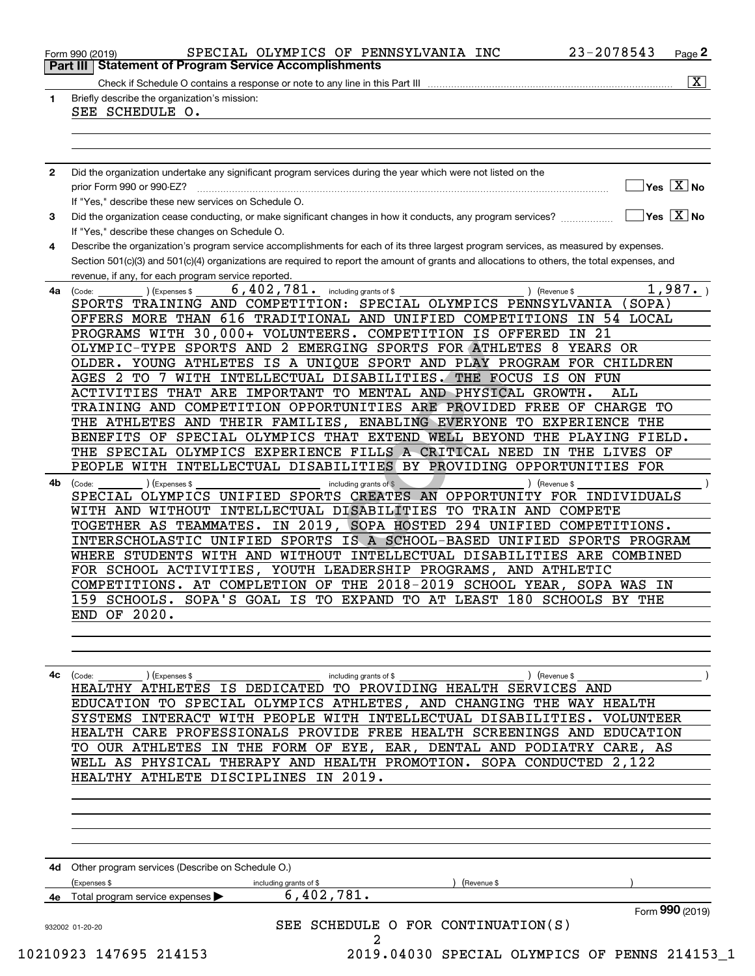| 1  | $\overline{\mathbf{X}}$<br>Briefly describe the organization's mission:                                                                                         |
|----|-----------------------------------------------------------------------------------------------------------------------------------------------------------------|
|    | SEE SCHEDULE O.                                                                                                                                                 |
|    |                                                                                                                                                                 |
|    |                                                                                                                                                                 |
|    |                                                                                                                                                                 |
| 2  | Did the organization undertake any significant program services during the year which were not listed on the                                                    |
|    | $\sqrt{}$ Yes $\sqrt{X}$ No                                                                                                                                     |
|    | If "Yes," describe these new services on Schedule O.<br>$\overline{\mathsf{Yes} \mathrel{\overline{X}}$ No                                                      |
| 3  | Did the organization cease conducting, or make significant changes in how it conducts, any program services?<br>If "Yes," describe these changes on Schedule O. |
| 4  | Describe the organization's program service accomplishments for each of its three largest program services, as measured by expenses.                            |
|    | Section 501(c)(3) and 501(c)(4) organizations are required to report the amount of grants and allocations to others, the total expenses, and                    |
|    | revenue, if any, for each program service reported.                                                                                                             |
| 4a | 6,402,781. including grants of \$<br>1,987.<br>) (Expenses \$<br>) (Revenue \$<br>(Code:                                                                        |
|    | SPORTS TRAINING AND COMPETITION: SPECIAL OLYMPICS PENNSYLVANIA<br>(SOPA)                                                                                        |
|    | OFFERS MORE THAN 616 TRADITIONAL AND UNIFIED COMPETITIONS IN 54 LOCAL                                                                                           |
|    | PROGRAMS WITH 30,000+ VOLUNTEERS. COMPETITION IS OFFERED IN 21<br>OLYMPIC-TYPE SPORTS AND 2 EMERGING SPORTS FOR ATHLETES 8 YEARS OR                             |
|    | OLDER. YOUNG ATHLETES IS A UNIQUE SPORT AND PLAY PROGRAM FOR CHILDREN                                                                                           |
|    | AGES 2 TO 7 WITH INTELLECTUAL DISABILITIES. THE FOCUS IS ON FUN                                                                                                 |
|    | ACTIVITIES THAT ARE IMPORTANT TO MENTAL AND PHYSICAL GROWTH.<br>ALL                                                                                             |
|    | TRAINING AND COMPETITION OPPORTUNITIES ARE PROVIDED FREE OF CHARGE TO                                                                                           |
|    | THE ATHLETES AND THEIR FAMILIES, ENABLING EVERYONE TO EXPERIENCE THE                                                                                            |
|    | BENEFITS OF SPECIAL OLYMPICS THAT EXTEND WELL BEYOND THE PLAYING FIELD.                                                                                         |
|    | THE SPECIAL OLYMPICS EXPERIENCE FILLS A CRITICAL NEED IN THE LIVES OF                                                                                           |
|    | PEOPLE WITH INTELLECTUAL DISABILITIES BY PROVIDING OPPORTUNITIES FOR                                                                                            |
| 4b | ) (Expenses \$<br>) (Revenue \$<br>including grants of \$<br>(Code:                                                                                             |
|    | SPECIAL OLYMPICS UNIFIED SPORTS CREATES AN OPPORTUNITY FOR INDIVIDUALS<br>WITH AND WITHOUT INTELLECTUAL DISABILITIES TO TRAIN AND COMPETE                       |
|    | TOGETHER AS TEAMMATES. IN 2019, SOPA HOSTED 294 UNIFIED COMPETITIONS.                                                                                           |
|    | INTERSCHOLASTIC UNIFIED SPORTS IS A SCHOOL-BASED UNIFIED SPORTS PROGRAM                                                                                         |
|    | WHERE STUDENTS WITH AND WITHOUT INTELLECTUAL DISABILITIES ARE COMBINED                                                                                          |
|    | FOR SCHOOL ACTIVITIES, YOUTH LEADERSHIP PROGRAMS, AND ATHLETIC                                                                                                  |
|    | COMPETITIONS. AT COMPLETION OF THE 2018-2019 SCHOOL YEAR, SOPA WAS IN                                                                                           |
|    | SOPA'S GOAL IS TO EXPAND TO AT LEAST 180 SCHOOLS BY THE<br>159 SCHOOLS.                                                                                         |
|    | END OF 2020.                                                                                                                                                    |
|    |                                                                                                                                                                 |
|    |                                                                                                                                                                 |
| 4c | ) (Expenses \$<br>) (Revenue \$<br>(Code:<br>including grants of \$                                                                                             |
|    | HEALTHY ATHLETES IS DEDICATED TO PROVIDING HEALTH SERVICES AND                                                                                                  |
|    | EDUCATION TO SPECIAL OLYMPICS ATHLETES, AND CHANGING THE WAY HEALTH                                                                                             |
|    | SYSTEMS INTERACT WITH PEOPLE WITH INTELLECTUAL DISABILITIES. VOLUNTEER                                                                                          |
|    | HEALTH CARE PROFESSIONALS PROVIDE FREE HEALTH SCREENINGS AND EDUCATION                                                                                          |
|    | TO OUR ATHLETES IN THE FORM OF EYE, EAR, DENTAL AND PODIATRY CARE, AS                                                                                           |
|    | WELL AS PHYSICAL THERAPY AND HEALTH PROMOTION. SOPA CONDUCTED 2,122<br>HEALTHY ATHLETE DISCIPLINES IN 2019.                                                     |
|    |                                                                                                                                                                 |
|    |                                                                                                                                                                 |
|    |                                                                                                                                                                 |
|    |                                                                                                                                                                 |
|    |                                                                                                                                                                 |
|    | 4d Other program services (Describe on Schedule O.)                                                                                                             |
|    | (Expenses \$<br>including grants of \$<br>(Revenue \$                                                                                                           |
|    | 6,402,781.<br>4e Total program service expenses                                                                                                                 |
|    | Form 990 (2019)                                                                                                                                                 |
|    | SEE SCHEDULE O FOR CONTINUATION(S)<br>932002 01-20-20                                                                                                           |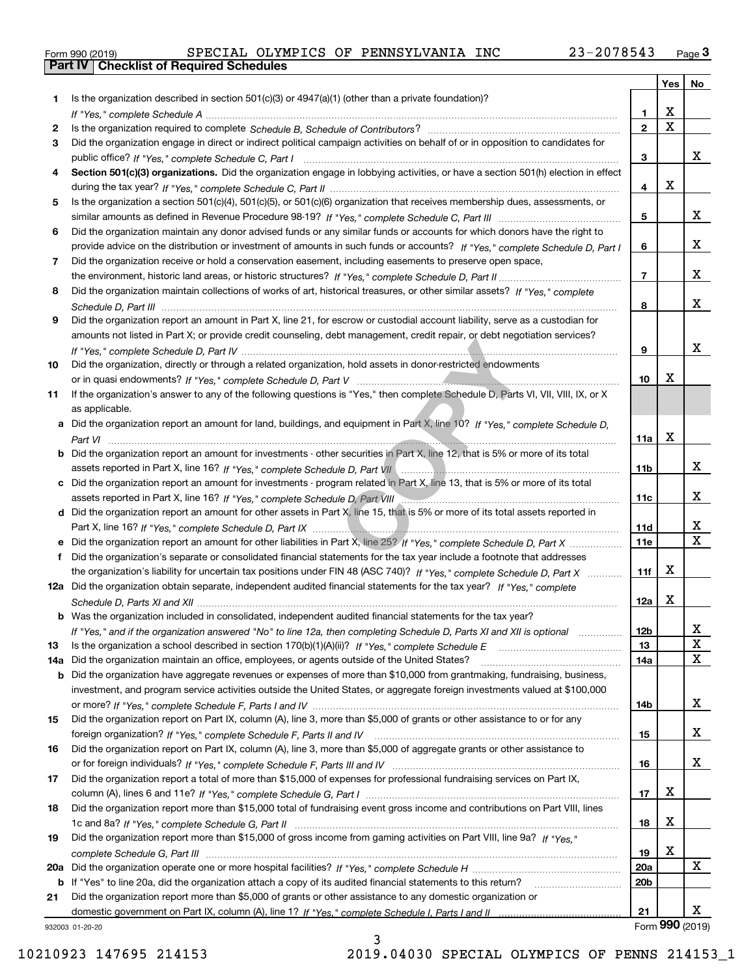|  | Form 990 (2019) |  |
|--|-----------------|--|

|     |                                                                                                                                  |                 | Yes         | No              |
|-----|----------------------------------------------------------------------------------------------------------------------------------|-----------------|-------------|-----------------|
| 1   | Is the organization described in section $501(c)(3)$ or $4947(a)(1)$ (other than a private foundation)?                          |                 |             |                 |
|     |                                                                                                                                  | 1.              | X           |                 |
| 2   |                                                                                                                                  | $\mathbf{2}$    | $\mathbf X$ |                 |
| 3   | Did the organization engage in direct or indirect political campaign activities on behalf of or in opposition to candidates for  |                 |             |                 |
|     |                                                                                                                                  | 3               |             | x               |
| 4   | Section 501(c)(3) organizations. Did the organization engage in lobbying activities, or have a section 501(h) election in effect |                 |             |                 |
|     |                                                                                                                                  | 4               | X           |                 |
| 5.  | Is the organization a section 501(c)(4), 501(c)(5), or 501(c)(6) organization that receives membership dues, assessments, or     |                 |             |                 |
|     |                                                                                                                                  | 5               |             | x               |
| 6   | Did the organization maintain any donor advised funds or any similar funds or accounts for which donors have the right to        |                 |             |                 |
|     | provide advice on the distribution or investment of amounts in such funds or accounts? If "Yes," complete Schedule D, Part I     | 6               |             | x               |
| 7   | Did the organization receive or hold a conservation easement, including easements to preserve open space,                        |                 |             |                 |
|     |                                                                                                                                  | $\overline{7}$  |             | x               |
| 8   | Did the organization maintain collections of works of art, historical treasures, or other similar assets? If "Yes," complete     |                 |             |                 |
|     |                                                                                                                                  | 8               |             | x               |
| 9   | Did the organization report an amount in Part X, line 21, for escrow or custodial account liability, serve as a custodian for    |                 |             |                 |
|     | amounts not listed in Part X; or provide credit counseling, debt management, credit repair, or debt negotiation services?        |                 |             |                 |
|     |                                                                                                                                  | 9               |             | x               |
| 10  | Did the organization, directly or through a related organization, hold assets in donor-restricted endowments                     |                 |             |                 |
|     |                                                                                                                                  | 10              | X           |                 |
| 11  | If the organization's answer to any of the following questions is "Yes," then complete Schedule D, Parts VI, VII, VIII, IX, or X |                 |             |                 |
|     | as applicable.                                                                                                                   |                 |             |                 |
| a   | Did the organization report an amount for land, buildings, and equipment in Part X, line 10? If "Yes," complete Schedule D.      |                 | X           |                 |
|     | Did the organization report an amount for investments - other securities in Part X, line 12, that is 5% or more of its total     | 11a             |             |                 |
| b   |                                                                                                                                  | 11 <sub>b</sub> |             | x               |
| c   | Did the organization report an amount for investments - program related in Part X, line 13, that is 5% or more of its total      |                 |             |                 |
|     | assets reported in Part X, line 16? If "Yes," complete Schedule D, Part VIII [[[[[[[[[[[[[[[[[[[[[[[[[[[[]]]]]                   | 11c             |             | x               |
|     | d Did the organization report an amount for other assets in Part X, line 15, that is 5% or more of its total assets reported in  |                 |             |                 |
|     |                                                                                                                                  | 11d             |             | x               |
|     | Did the organization report an amount for other liabilities in Part X, line 25? If "Yes," complete Schedule D, Part X            | <b>11e</b>      |             | $\mathbf X$     |
| f   | Did the organization's separate or consolidated financial statements for the tax year include a footnote that addresses          |                 |             |                 |
|     | the organization's liability for uncertain tax positions under FIN 48 (ASC 740)? If "Yes," complete Schedule D, Part X           | 11f             | X           |                 |
|     | 12a Did the organization obtain separate, independent audited financial statements for the tax year? If "Yes," complete          |                 |             |                 |
|     |                                                                                                                                  | 12a             | X           |                 |
|     | <b>b</b> Was the organization included in consolidated, independent audited financial statements for the tax year?               |                 |             |                 |
|     | If "Yes," and if the organization answered "No" to line 12a, then completing Schedule D, Parts XI and XII is optional            | 12 <sub>b</sub> |             | ▵               |
| 13  |                                                                                                                                  | 13              |             | X               |
| 14a | Did the organization maintain an office, employees, or agents outside of the United States?                                      | 14a             |             | X               |
| b   | Did the organization have aggregate revenues or expenses of more than \$10,000 from grantmaking, fundraising, business,          |                 |             |                 |
|     | investment, and program service activities outside the United States, or aggregate foreign investments valued at \$100,000       |                 |             |                 |
|     |                                                                                                                                  | 14b             |             | x               |
| 15  | Did the organization report on Part IX, column (A), line 3, more than \$5,000 of grants or other assistance to or for any        |                 |             |                 |
|     |                                                                                                                                  | 15              |             | x               |
| 16  | Did the organization report on Part IX, column (A), line 3, more than \$5,000 of aggregate grants or other assistance to         |                 |             |                 |
|     |                                                                                                                                  | 16              |             | x               |
| 17  | Did the organization report a total of more than \$15,000 of expenses for professional fundraising services on Part IX,          |                 |             |                 |
|     |                                                                                                                                  | 17              | х           |                 |
| 18  | Did the organization report more than \$15,000 total of fundraising event gross income and contributions on Part VIII, lines     |                 |             |                 |
|     |                                                                                                                                  | 18              | х           |                 |
| 19  | Did the organization report more than \$15,000 of gross income from gaming activities on Part VIII, line 9a? If "Yes."           |                 |             |                 |
|     |                                                                                                                                  | 19              | х           |                 |
| 20a |                                                                                                                                  | <b>20a</b>      |             | X               |
|     | b If "Yes" to line 20a, did the organization attach a copy of its audited financial statements to this return?                   | 20 <sub>b</sub> |             |                 |
| 21  | Did the organization report more than \$5,000 of grants or other assistance to any domestic organization or                      |                 |             |                 |
|     |                                                                                                                                  | 21              |             | x               |
|     | 932003 01-20-20                                                                                                                  |                 |             | Form 990 (2019) |

932003 01-20-20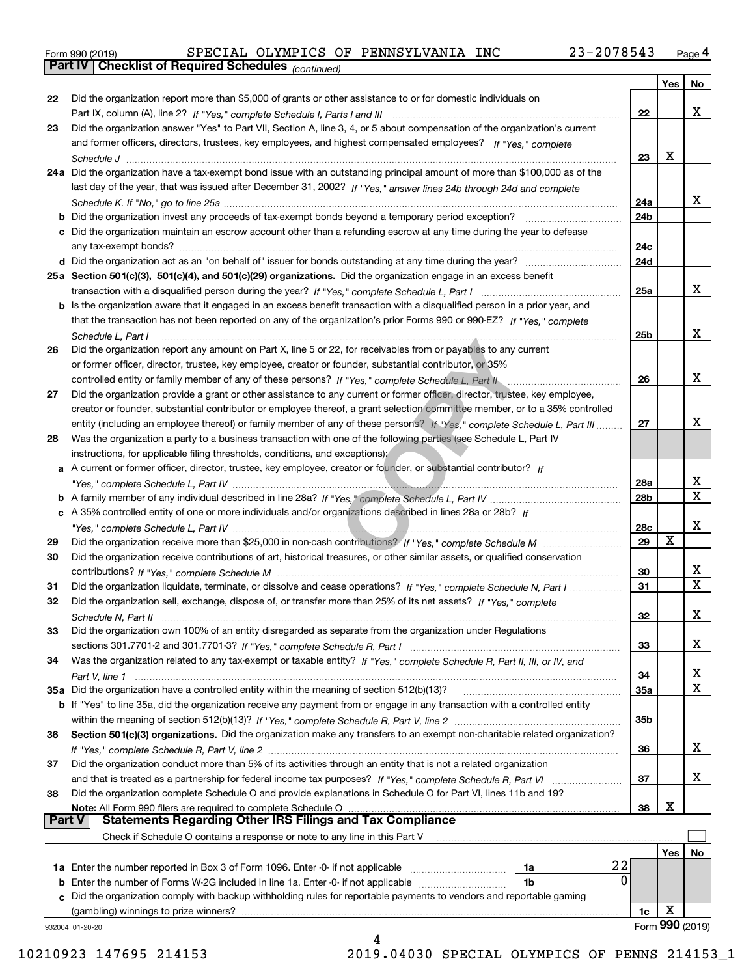|  | Form 990 (2019) |  |
|--|-----------------|--|
|  |                 |  |

*(continued)*

|               |                                                                                                                                                                                                 |                 | Yes | No              |
|---------------|-------------------------------------------------------------------------------------------------------------------------------------------------------------------------------------------------|-----------------|-----|-----------------|
| 22            | Did the organization report more than \$5,000 of grants or other assistance to or for domestic individuals on                                                                                   |                 |     |                 |
|               |                                                                                                                                                                                                 | 22              |     | x               |
| 23            | Did the organization answer "Yes" to Part VII, Section A, line 3, 4, or 5 about compensation of the organization's current                                                                      |                 |     |                 |
|               | and former officers, directors, trustees, key employees, and highest compensated employees? If "Yes," complete                                                                                  |                 |     |                 |
|               |                                                                                                                                                                                                 | 23              | X   |                 |
|               | 24a Did the organization have a tax-exempt bond issue with an outstanding principal amount of more than \$100,000 as of the                                                                     |                 |     |                 |
|               | last day of the year, that was issued after December 31, 2002? If "Yes," answer lines 24b through 24d and complete                                                                              |                 |     |                 |
|               |                                                                                                                                                                                                 | 24a             |     | x               |
|               |                                                                                                                                                                                                 |                 |     |                 |
|               | b Did the organization invest any proceeds of tax-exempt bonds beyond a temporary period exception?                                                                                             | 24b             |     |                 |
|               | c Did the organization maintain an escrow account other than a refunding escrow at any time during the year to defease                                                                          |                 |     |                 |
|               | any tax-exempt bonds?                                                                                                                                                                           | 24c             |     |                 |
|               |                                                                                                                                                                                                 | 24d             |     |                 |
|               | 25a Section 501(c)(3), 501(c)(4), and 501(c)(29) organizations. Did the organization engage in an excess benefit                                                                                |                 |     |                 |
|               |                                                                                                                                                                                                 | 25a             |     | x               |
|               | b Is the organization aware that it engaged in an excess benefit transaction with a disqualified person in a prior year, and                                                                    |                 |     |                 |
|               | that the transaction has not been reported on any of the organization's prior Forms 990 or 990-EZ? If "Yes." complete                                                                           |                 |     |                 |
|               | Schedule L. Part I                                                                                                                                                                              | 25b             |     | x               |
| 26            | Did the organization report any amount on Part X, line 5 or 22, for receivables from or payables to any current                                                                                 |                 |     |                 |
|               | or former officer, director, trustee, key employee, creator or founder, substantial contributor, or 35%                                                                                         |                 |     |                 |
|               | controlled entity or family member of any of these persons? If "Yes," complete Schedule L, Part II multimarrow multimarrow multimarrow of these persons? If "Yes," complete Schedule L, Part II | 26              |     | x               |
| 27            | Did the organization provide a grant or other assistance to any current or former officer, director, trustee, key employee,                                                                     |                 |     |                 |
|               |                                                                                                                                                                                                 |                 |     |                 |
|               | creator or founder, substantial contributor or employee thereof, a grant selection committee member, or to a 35% controlled                                                                     |                 |     | x               |
|               | entity (including an employee thereof) or family member of any of these persons? If "Yes," complete Schedule L, Part III                                                                        | 27              |     |                 |
| 28            | Was the organization a party to a business transaction with one of the following parties (see Schedule L, Part IV                                                                               |                 |     |                 |
|               | instructions, for applicable filing thresholds, conditions, and exceptions):                                                                                                                    |                 |     |                 |
|               | a A current or former officer, director, trustee, key employee, creator or founder, or substantial contributor? If                                                                              |                 |     |                 |
|               |                                                                                                                                                                                                 | 28a             |     | х               |
|               |                                                                                                                                                                                                 | 28 <sub>b</sub> |     | X               |
|               | c A 35% controlled entity of one or more individuals and/or organizations described in lines 28a or 28b? If                                                                                     |                 |     |                 |
|               |                                                                                                                                                                                                 | 28c             |     | х               |
| 29            |                                                                                                                                                                                                 | 29              | X   |                 |
| 30            | Did the organization receive contributions of art, historical treasures, or other similar assets, or qualified conservation                                                                     |                 |     |                 |
|               |                                                                                                                                                                                                 | 30              |     | x               |
| 31            | Did the organization liquidate, terminate, or dissolve and cease operations? If "Yes," complete Schedule N, Part I                                                                              | 31              |     | $\mathbf x$     |
| 32            | Did the organization sell, exchange, dispose of, or transfer more than 25% of its net assets? If "Yes," complete                                                                                |                 |     |                 |
|               |                                                                                                                                                                                                 | 32              |     | х               |
|               | Schedule N. Part II                                                                                                                                                                             |                 |     |                 |
| 33            | Did the organization own 100% of an entity disregarded as separate from the organization under Regulations                                                                                      |                 |     |                 |
|               |                                                                                                                                                                                                 | 33              |     | х               |
| 34            | Was the organization related to any tax-exempt or taxable entity? If "Yes," complete Schedule R, Part II, III, or IV, and                                                                       |                 |     |                 |
|               |                                                                                                                                                                                                 | 34              |     | X               |
|               | 35a Did the organization have a controlled entity within the meaning of section 512(b)(13)?                                                                                                     | 35a             |     | х               |
|               | b If "Yes" to line 35a, did the organization receive any payment from or engage in any transaction with a controlled entity                                                                     |                 |     |                 |
|               |                                                                                                                                                                                                 | 35 <sub>b</sub> |     |                 |
| 36            | Section 501(c)(3) organizations. Did the organization make any transfers to an exempt non-charitable related organization?                                                                      |                 |     |                 |
|               |                                                                                                                                                                                                 | 36              |     | x               |
| 37            | Did the organization conduct more than 5% of its activities through an entity that is not a related organization                                                                                |                 |     |                 |
|               |                                                                                                                                                                                                 | 37              |     | x               |
| 38            | Did the organization complete Schedule O and provide explanations in Schedule O for Part VI, lines 11b and 19?                                                                                  |                 |     |                 |
|               | Note: All Form 990 filers are required to complete Schedule O                                                                                                                                   | 38              | х   |                 |
| <b>Part V</b> | <b>Statements Regarding Other IRS Filings and Tax Compliance</b>                                                                                                                                |                 |     |                 |
|               | Check if Schedule O contains a response or note to any line in this Part V                                                                                                                      |                 |     |                 |
|               |                                                                                                                                                                                                 |                 |     |                 |
|               |                                                                                                                                                                                                 |                 | Yes | No              |
|               | 22<br>1a Enter the number reported in Box 3 of Form 1096. Enter -0- if not applicable<br>1a                                                                                                     |                 |     |                 |
|               | 0<br><b>b</b> Enter the number of Forms W-2G included in line 1a. Enter -0- if not applicable <i>manumumumum</i><br>1b                                                                          |                 |     |                 |
|               | c Did the organization comply with backup withholding rules for reportable payments to vendors and reportable gaming                                                                            |                 |     |                 |
|               | (gambling) winnings to prize winners?                                                                                                                                                           | 1c              | х   |                 |
|               | 932004 01-20-20                                                                                                                                                                                 |                 |     | Form 990 (2019) |
|               |                                                                                                                                                                                                 |                 |     |                 |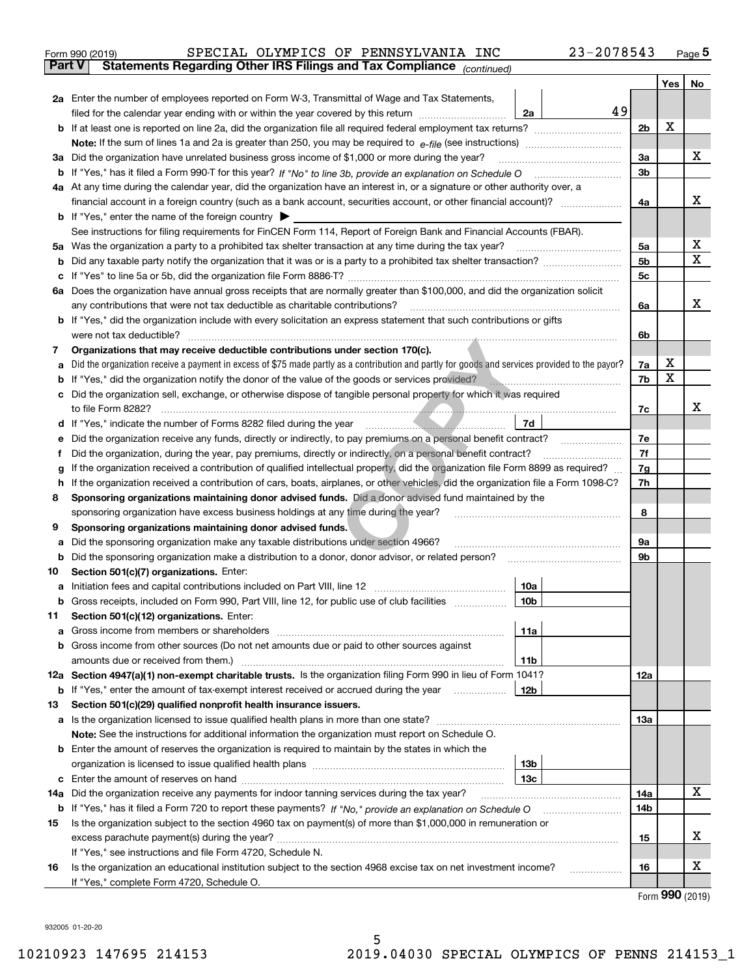|               | 23-2078543<br>SPECIAL OLYMPICS OF PENNSYLVANIA INC<br>Form 990 (2019)                                                                                                      |     |     | $_{\text{Page}}$ 5 |
|---------------|----------------------------------------------------------------------------------------------------------------------------------------------------------------------------|-----|-----|--------------------|
| <b>Part V</b> | Statements Regarding Other IRS Filings and Tax Compliance (continued)                                                                                                      |     |     |                    |
|               |                                                                                                                                                                            |     | Yes | No                 |
|               | 2a Enter the number of employees reported on Form W-3, Transmittal of Wage and Tax Statements,                                                                             |     |     |                    |
|               | 49<br>filed for the calendar year ending with or within the year covered by this return<br>2a                                                                              |     |     |                    |
|               |                                                                                                                                                                            | 2b  | х   |                    |
|               |                                                                                                                                                                            |     |     |                    |
|               | 3a Did the organization have unrelated business gross income of \$1,000 or more during the year?                                                                           | 3a  |     | x                  |
|               |                                                                                                                                                                            | 3b  |     |                    |
|               | 4a At any time during the calendar year, did the organization have an interest in, or a signature or other authority over, a                                               |     |     |                    |
|               |                                                                                                                                                                            | 4a  |     | x                  |
|               | <b>b</b> If "Yes," enter the name of the foreign country $\blacktriangleright$                                                                                             |     |     |                    |
|               | See instructions for filing requirements for FinCEN Form 114, Report of Foreign Bank and Financial Accounts (FBAR).                                                        |     |     |                    |
|               |                                                                                                                                                                            | 5a  |     | х                  |
| b             |                                                                                                                                                                            | 5b  |     | X                  |
| c             |                                                                                                                                                                            | 5c  |     |                    |
|               | 6a Does the organization have annual gross receipts that are normally greater than \$100,000, and did the organization solicit                                             |     |     |                    |
|               |                                                                                                                                                                            | 6a  |     | х                  |
|               | <b>b</b> If "Yes," did the organization include with every solicitation an express statement that such contributions or gifts                                              |     |     |                    |
|               | were not tax deductible?                                                                                                                                                   | 6b  |     |                    |
| 7             | Organizations that may receive deductible contributions under section 170(c).                                                                                              |     |     |                    |
| а             | Did the organization receive a payment in excess of \$75 made partly as a contribution and partly for goods and services provided to the payor?                            | 7a  | х   |                    |
| b             | If "Yes," did the organization notify the donor of the value of the goods or services provided?                                                                            | 7b  | х   |                    |
|               | c Did the organization sell, exchange, or otherwise dispose of tangible personal property for which it was required                                                        |     |     |                    |
|               |                                                                                                                                                                            | 7c  |     | х                  |
|               | 7d  <br>d If "Yes," indicate the number of Forms 8282 filed during the year [11] [11] Manuscription of the New York of                                                     |     |     |                    |
| е             |                                                                                                                                                                            | 7e  |     |                    |
| f             | Did the organization, during the year, pay premiums, directly or indirectly, on a personal benefit contract?                                                               | 7f  |     |                    |
| g             | If the organization received a contribution of qualified intellectual property, did the organization file Form 8899 as required?                                           | 7g  |     |                    |
| h.            | If the organization received a contribution of cars, boats, airplanes, or other vehicles, did the organization file a Form 1098-C?                                         | 7h  |     |                    |
| 8             | Sponsoring organizations maintaining donor advised funds. Did a donor advised fund maintained by the                                                                       |     |     |                    |
|               | sponsoring organization have excess business holdings at any time during the year?                                                                                         | 8   |     |                    |
| 9             | Sponsoring organizations maintaining donor advised funds.                                                                                                                  |     |     |                    |
| а             | Did the sponsoring organization make any taxable distributions under section 4966?                                                                                         | 9а  |     |                    |
| b             | Did the sponsoring organization make a distribution to a donor, donor advisor, or related person?                                                                          | 9b  |     |                    |
| 10            | Section 501(c)(7) organizations. Enter:                                                                                                                                    |     |     |                    |
|               | 10a<br>a Initiation fees and capital contributions included on Part VIII, line 12 [111] [11] [11] Initiation fees and capital contributions included on Part VIII, line 12 |     |     |                    |
|               | 10 <sub>b</sub>  <br>Gross receipts, included on Form 990, Part VIII, line 12, for public use of club facilities                                                           |     |     |                    |
| 11            | Section 501(c)(12) organizations. Enter:                                                                                                                                   |     |     |                    |
| a             | 11a                                                                                                                                                                        |     |     |                    |
|               | b Gross income from other sources (Do not net amounts due or paid to other sources against                                                                                 |     |     |                    |
|               | <b>11b</b>                                                                                                                                                                 |     |     |                    |
|               | 12a Section 4947(a)(1) non-exempt charitable trusts. Is the organization filing Form 990 in lieu of Form 1041?                                                             | 12a |     |                    |
|               | 12b<br><b>b</b> If "Yes," enter the amount of tax-exempt interest received or accrued during the year <i>manument</i>                                                      |     |     |                    |
| 13            | Section 501(c)(29) qualified nonprofit health insurance issuers.                                                                                                           |     |     |                    |
|               | a Is the organization licensed to issue qualified health plans in more than one state?                                                                                     | 13a |     |                    |
|               | Note: See the instructions for additional information the organization must report on Schedule O.                                                                          |     |     |                    |
|               | <b>b</b> Enter the amount of reserves the organization is required to maintain by the states in which the                                                                  |     |     |                    |
|               | 13b                                                                                                                                                                        |     |     |                    |
|               | 13с                                                                                                                                                                        |     |     |                    |
| 14a           | Did the organization receive any payments for indoor tanning services during the tax year?                                                                                 | 14a |     | х                  |
|               | <b>b</b> If "Yes," has it filed a Form 720 to report these payments? If "No," provide an explanation on Schedule O                                                         | 14b |     |                    |
| 15            | Is the organization subject to the section 4960 tax on payment(s) of more than \$1,000,000 in remuneration or                                                              |     |     |                    |
|               |                                                                                                                                                                            | 15  |     | x                  |
|               | If "Yes," see instructions and file Form 4720, Schedule N.                                                                                                                 |     |     |                    |
| 16            | Is the organization an educational institution subject to the section 4968 excise tax on net investment income?                                                            | 16  |     | х                  |
|               | If "Yes," complete Form 4720, Schedule O.                                                                                                                                  |     |     |                    |

Form (2019) **990**

932005 01-20-20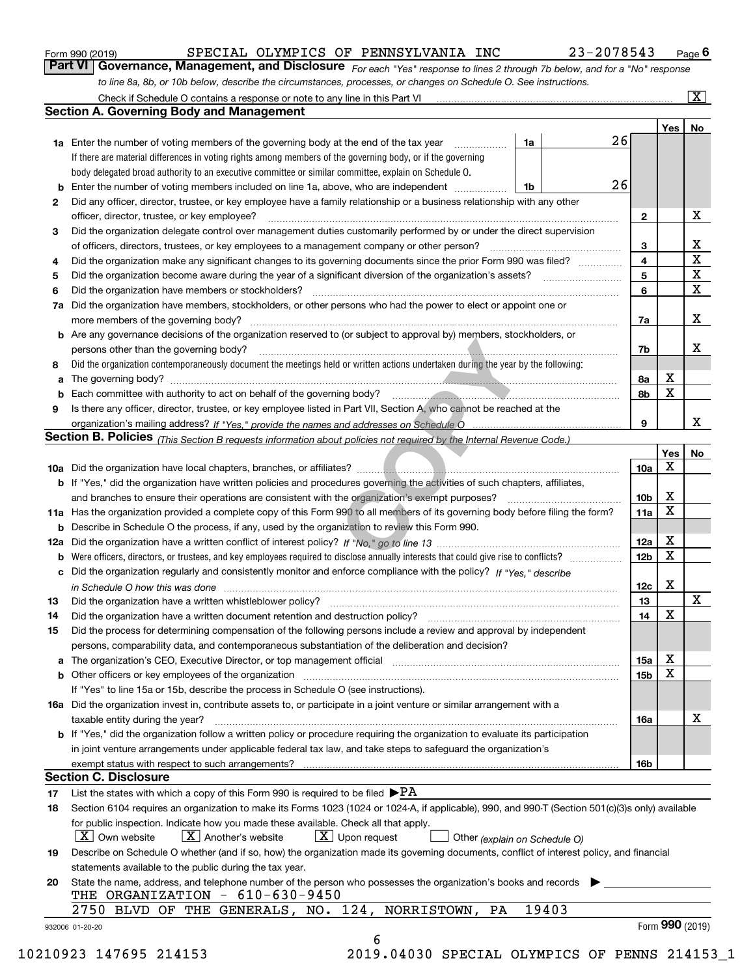|  | Form 990 (2019) |  |
|--|-----------------|--|
|  |                 |  |

*For each "Yes" response to lines 2 through 7b below, and for a "No" response to line 8a, 8b, or 10b below, describe the circumstances, processes, or changes on Schedule O. See instructions.* Form 990 (2019) **CONTERN SEPECIAL OLYMPICS OF PENNSYLVANIA INC** 23-2078543 Page 6<br>**Part VI Governance, Management, and Disclosure** For each "Yes" response to lines 2 through 7b below, and for a "No" response

|              |                                                                                                                                                                            |    |       |    |                 | Yes   No    |                 |
|--------------|----------------------------------------------------------------------------------------------------------------------------------------------------------------------------|----|-------|----|-----------------|-------------|-----------------|
|              | <b>1a</b> Enter the number of voting members of the governing body at the end of the tax year <i>manumum</i>                                                               | 1a |       | 26 |                 |             |                 |
|              | If there are material differences in voting rights among members of the governing body, or if the governing                                                                |    |       |    |                 |             |                 |
|              | body delegated broad authority to an executive committee or similar committee, explain on Schedule O.                                                                      |    |       |    |                 |             |                 |
|              |                                                                                                                                                                            | 1b |       | 26 |                 |             |                 |
| $\mathbf{2}$ | Did any officer, director, trustee, or key employee have a family relationship or a business relationship with any other                                                   |    |       |    |                 |             |                 |
|              | officer, director, trustee, or key employee?                                                                                                                               |    |       |    | $\mathbf{2}$    |             | X               |
| 3            | Did the organization delegate control over management duties customarily performed by or under the direct supervision                                                      |    |       |    |                 |             |                 |
|              |                                                                                                                                                                            |    |       |    | 3               |             | X               |
| 4            | Did the organization make any significant changes to its governing documents since the prior Form 990 was filed?                                                           |    |       |    | 4               |             | $\mathbf X$     |
| 5            |                                                                                                                                                                            |    |       |    | 5               |             | $\mathbf X$     |
| 6            | Did the organization have members or stockholders?                                                                                                                         |    |       |    | 6               |             | X               |
|              | 7a Did the organization have members, stockholders, or other persons who had the power to elect or appoint one or                                                          |    |       |    |                 |             |                 |
|              |                                                                                                                                                                            |    |       |    | 7a              |             | X               |
|              | <b>b</b> Are any governance decisions of the organization reserved to (or subject to approval by) members, stockholders, or                                                |    |       |    |                 |             |                 |
|              | persons other than the governing body?                                                                                                                                     |    |       |    | 7b              |             | Х               |
| 8            | Did the organization contemporaneously document the meetings held or written actions undertaken during the year by the following:                                          |    |       |    |                 |             |                 |
| a            |                                                                                                                                                                            |    |       |    | 8а              | X           |                 |
|              |                                                                                                                                                                            |    |       |    | 8b              | $\mathbf X$ |                 |
| 9            | Is there any officer, director, trustee, or key employee listed in Part VII, Section A, who cannot be reached at the                                                       |    |       |    |                 |             |                 |
|              |                                                                                                                                                                            |    |       |    | 9               |             | X               |
|              | Section B. Policies (This Section B requests information about policies not required by the Internal Revenue Code.)                                                        |    |       |    |                 |             |                 |
|              |                                                                                                                                                                            |    |       |    |                 | Yes         | No              |
|              |                                                                                                                                                                            |    |       |    | 10a             | $\mathbf X$ |                 |
|              | b If "Yes," did the organization have written policies and procedures governing the activities of such chapters, affiliates,                                               |    |       |    |                 |             |                 |
|              |                                                                                                                                                                            |    |       |    | 10 <sub>b</sub> | X           |                 |
|              | 11a Has the organization provided a complete copy of this Form 990 to all members of its governing body before filing the form?                                            |    |       |    | 11a             | $\mathbf X$ |                 |
|              | <b>b</b> Describe in Schedule O the process, if any, used by the organization to review this Form 990.                                                                     |    |       |    |                 |             |                 |
|              |                                                                                                                                                                            |    |       |    | 12a             | X           |                 |
| b            |                                                                                                                                                                            |    |       |    | 12 <sub>b</sub> | X           |                 |
|              | c Did the organization regularly and consistently monitor and enforce compliance with the policy? If "Yes," describe                                                       |    |       |    |                 |             |                 |
|              | in Schedule O how this was done www.communication.com/www.communications.com/www.communications.com/                                                                       |    |       |    | 12c             | X           |                 |
| 13           |                                                                                                                                                                            |    |       |    | 13              |             | X               |
| 14           | Did the organization have a written document retention and destruction policy? manufactured and the organization have a written document retention and destruction policy? |    |       |    | 14              | $\mathbf X$ |                 |
| 15           | Did the process for determining compensation of the following persons include a review and approval by independent                                                         |    |       |    |                 |             |                 |
|              | persons, comparability data, and contemporaneous substantiation of the deliberation and decision?                                                                          |    |       |    |                 |             |                 |
|              |                                                                                                                                                                            |    |       |    | 15a             | X           |                 |
|              | <b>b</b> Other officers or key employees of the organization                                                                                                               |    |       |    | 15b             | X           |                 |
|              | If "Yes" to line 15a or 15b, describe the process in Schedule O (see instructions).                                                                                        |    |       |    |                 |             |                 |
|              | 16a Did the organization invest in, contribute assets to, or participate in a joint venture or similar arrangement with a                                                  |    |       |    |                 |             |                 |
|              | taxable entity during the year?                                                                                                                                            |    |       |    | 16a             |             | X               |
|              | b If "Yes," did the organization follow a written policy or procedure requiring the organization to evaluate its participation                                             |    |       |    |                 |             |                 |
|              | in joint venture arrangements under applicable federal tax law, and take steps to safeguard the organization's                                                             |    |       |    |                 |             |                 |
|              | exempt status with respect to such arrangements?                                                                                                                           |    |       |    | <b>16b</b>      |             |                 |
|              | <b>Section C. Disclosure</b>                                                                                                                                               |    |       |    |                 |             |                 |
| 17           | List the states with which a copy of this Form 990 is required to be filed $\blacktriangleright$ PA                                                                        |    |       |    |                 |             |                 |
| 18           | Section 6104 requires an organization to make its Forms 1023 (1024 or 1024-A, if applicable), 990, and 990-T (Section 501(c)(3)s only) available                           |    |       |    |                 |             |                 |
|              | for public inspection. Indicate how you made these available. Check all that apply.                                                                                        |    |       |    |                 |             |                 |
|              | $X$ Upon request<br>$ X $ Own website<br>$X$ Another's website<br>Other (explain on Schedule O)                                                                            |    |       |    |                 |             |                 |
| 19           | Describe on Schedule O whether (and if so, how) the organization made its governing documents, conflict of interest policy, and financial                                  |    |       |    |                 |             |                 |
|              | statements available to the public during the tax year.                                                                                                                    |    |       |    |                 |             |                 |
| 20           | State the name, address, and telephone number of the person who possesses the organization's books and records                                                             |    |       |    |                 |             |                 |
|              | THE ORGANIZATION - 610-630-9450                                                                                                                                            |    |       |    |                 |             |                 |
|              | 2750 BLVD OF THE GENERALS, NO. 124, NORRISTOWN, PA                                                                                                                         |    | 19403 |    |                 |             |                 |
|              |                                                                                                                                                                            |    |       |    |                 |             | Form 990 (2019) |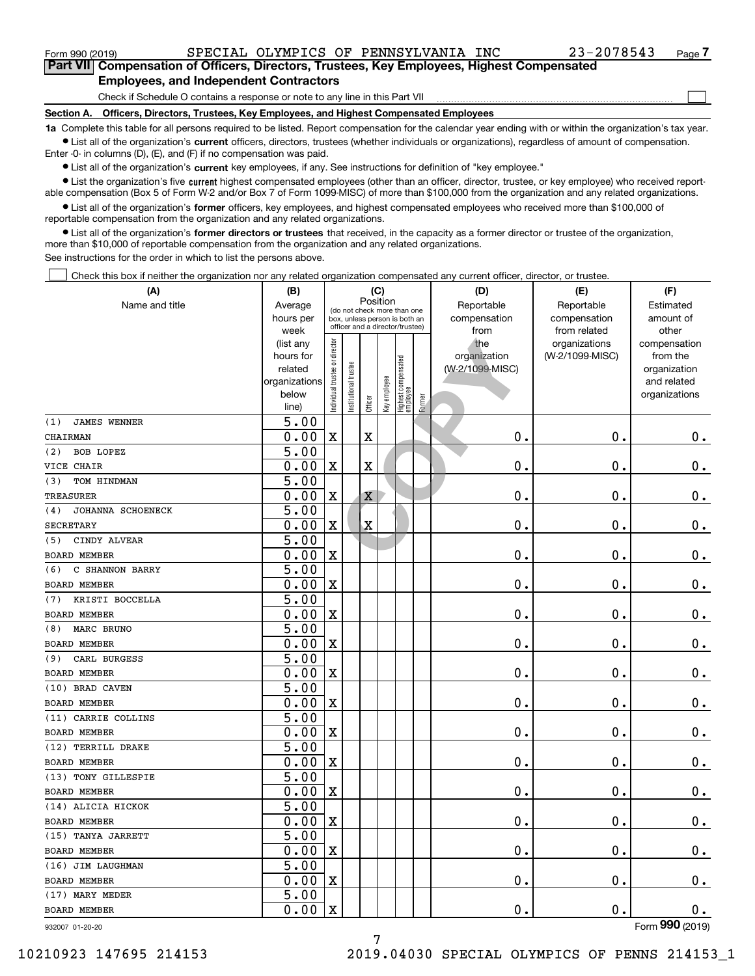$\mathcal{L}^{\text{max}}$ 

| Form 990 (2019) |                                                                                            | SPECIAL OLYMPICS OF PENNSYLVANIA INC |  | 23-2078543 | Page $7$ |
|-----------------|--------------------------------------------------------------------------------------------|--------------------------------------|--|------------|----------|
|                 | Part VII Compensation of Officers, Directors, Trustees, Key Employees, Highest Compensated |                                      |  |            |          |
|                 | <b>Employees, and Independent Contractors</b>                                              |                                      |  |            |          |

Check if Schedule O contains a response or note to any line in this Part VII

**Section A. Officers, Directors, Trustees, Key Employees, and Highest Compensated Employees**

**1a**  Complete this table for all persons required to be listed. Report compensation for the calendar year ending with or within the organization's tax year. **•** List all of the organization's current officers, directors, trustees (whether individuals or organizations), regardless of amount of compensation.

Enter -0- in columns (D), (E), and (F) if no compensation was paid.

 $\bullet$  List all of the organization's  $\,$ current key employees, if any. See instructions for definition of "key employee."

**•** List the organization's five current highest compensated employees (other than an officer, director, trustee, or key employee) who received reportable compensation (Box 5 of Form W-2 and/or Box 7 of Form 1099-MISC) of more than \$100,000 from the organization and any related organizations.

**•** List all of the organization's former officers, key employees, and highest compensated employees who received more than \$100,000 of reportable compensation from the organization and any related organizations.

**former directors or trustees**  ¥ List all of the organization's that received, in the capacity as a former director or trustee of the organization, more than \$10,000 of reportable compensation from the organization and any related organizations.

See instructions for the order in which to list the persons above.

Check this box if neither the organization nor any related organization compensated any current officer, director, or trustee.  $\mathcal{L}^{\text{max}}$ 

| (A)                        | (B)                                                                  |                               |                      | (C)                     |              |                                                                                                 |        | (D)                                    | (E)                                        | (F)                                                                      |
|----------------------------|----------------------------------------------------------------------|-------------------------------|----------------------|-------------------------|--------------|-------------------------------------------------------------------------------------------------|--------|----------------------------------------|--------------------------------------------|--------------------------------------------------------------------------|
| Name and title             | Average<br>hours per<br>week                                         |                               |                      | Position                |              | (do not check more than one<br>box, unless person is both an<br>officer and a director/trustee) |        | Reportable<br>compensation<br>from     | Reportable<br>compensation<br>from related | Estimated<br>amount of<br>other                                          |
|                            | (list any<br>hours for<br>related<br>organizations<br>below<br>line) | ndividual trustee or director | nstitutional trustee | Officer                 | Key employee | Highest compensated<br>employee                                                                 | Former | the<br>organization<br>(W-2/1099-MISC) | organizations<br>(W-2/1099-MISC)           | compensation<br>from the<br>organization<br>and related<br>organizations |
| (1)<br><b>JAMES WENNER</b> | $\overline{5.00}$                                                    |                               |                      |                         |              |                                                                                                 |        |                                        |                                            |                                                                          |
| CHAIRMAN                   | 0.00                                                                 | $\mathbf X$                   |                      | $\mathbf X$             |              |                                                                                                 |        | 0.                                     | 0.                                         | $0_{.}$                                                                  |
| (2)<br><b>BOB LOPEZ</b>    | 5.00                                                                 |                               |                      |                         |              |                                                                                                 |        |                                        |                                            |                                                                          |
| VICE CHAIR                 | 0.00                                                                 | $\overline{\textbf{X}}$       |                      | $\overline{\textbf{X}}$ |              |                                                                                                 |        | 0.                                     | 0.                                         | $\mathbf 0$ .                                                            |
| (3)<br>TOM HINDMAN         | $\overline{5.00}$                                                    |                               |                      |                         |              |                                                                                                 |        |                                        |                                            |                                                                          |
| <b>TREASURER</b>           | 0.00                                                                 | $\mathbf X$                   |                      | X                       |              |                                                                                                 |        | $\mathbf 0$ .                          | 0.                                         | $\mathbf 0$ .                                                            |
| JOHANNA SCHOENECK<br>(4)   | 5.00                                                                 |                               |                      |                         |              |                                                                                                 |        |                                        |                                            |                                                                          |
| <b>SECRETARY</b>           | 0.00                                                                 | $\overline{\mathbf{X}}$       |                      | $\rm X$                 |              |                                                                                                 |        | 0.                                     | $\mathbf 0$ .                              | $\mathbf 0$ .                                                            |
| CINDY ALVEAR<br>(5)        | $\overline{5.00}$                                                    |                               |                      |                         |              |                                                                                                 |        |                                        |                                            |                                                                          |
| <b>BOARD MEMBER</b>        | 0.00                                                                 | $\overline{\mathbf{X}}$       |                      |                         |              |                                                                                                 |        | 0.                                     | $\mathbf 0$ .                              | $\mathbf 0$ .                                                            |
| C SHANNON BARRY<br>(6)     | 5.00                                                                 |                               |                      |                         |              |                                                                                                 |        |                                        |                                            |                                                                          |
| BOARD MEMBER               | 0.00                                                                 | $\overline{\textbf{X}}$       |                      |                         |              |                                                                                                 |        | 0.                                     | 0.                                         | $\mathbf 0$ .                                                            |
| KRISTI BOCCELLA<br>(7)     | 5.00                                                                 |                               |                      |                         |              |                                                                                                 |        |                                        |                                            |                                                                          |
| <b>BOARD MEMBER</b>        | 0.00                                                                 | $\overline{\textbf{X}}$       |                      |                         |              |                                                                                                 |        | 0.                                     | $\mathbf 0$ .                              | $\mathbf 0$ .                                                            |
| MARC BRUNO<br>(8)          | 5.00                                                                 |                               |                      |                         |              |                                                                                                 |        |                                        |                                            |                                                                          |
| BOARD MEMBER               | 0.00                                                                 | $\overline{\textbf{X}}$       |                      |                         |              |                                                                                                 |        | 0.                                     | 0.                                         | $\mathbf 0$ .                                                            |
| CARL BURGESS<br>(9)        | 5.00                                                                 |                               |                      |                         |              |                                                                                                 |        |                                        |                                            |                                                                          |
| <b>BOARD MEMBER</b>        | 0.00                                                                 | $\overline{\textbf{X}}$       |                      |                         |              |                                                                                                 |        | 0.                                     | 0.                                         | $\boldsymbol{0}$ .                                                       |
| (10) BRAD CAVEN            | 5.00                                                                 |                               |                      |                         |              |                                                                                                 |        |                                        |                                            |                                                                          |
| <b>BOARD MEMBER</b>        | 0.00                                                                 | $\bar{X}$                     |                      |                         |              |                                                                                                 |        | $\mathbf{0}$ .                         | $\mathbf{0}$ .                             | $\mathbf 0$ .                                                            |
| (11) CARRIE COLLINS        | 5.00                                                                 |                               |                      |                         |              |                                                                                                 |        |                                        |                                            |                                                                          |
| <b>BOARD MEMBER</b>        | 0.00                                                                 | $\overline{\textbf{X}}$       |                      |                         |              |                                                                                                 |        | 0.                                     | 0.                                         | $\mathbf 0$ .                                                            |
| (12) TERRILL DRAKE         | 5.00                                                                 |                               |                      |                         |              |                                                                                                 |        |                                        |                                            |                                                                          |
| <b>BOARD MEMBER</b>        | 0.00                                                                 | $\overline{\textbf{X}}$       |                      |                         |              |                                                                                                 |        | 0.                                     | 0.                                         | 0.                                                                       |
| (13) TONY GILLESPIE        | 5.00                                                                 |                               |                      |                         |              |                                                                                                 |        |                                        |                                            |                                                                          |
| BOARD MEMBER               | 0.00                                                                 | $\overline{\textbf{X}}$       |                      |                         |              |                                                                                                 |        | 0.                                     | 0.                                         | $\mathbf 0$ .                                                            |
| (14) ALICIA HICKOK         | 5.00                                                                 |                               |                      |                         |              |                                                                                                 |        |                                        |                                            |                                                                          |
| <b>BOARD MEMBER</b>        | 0.00                                                                 | $\overline{\text{X}}$         |                      |                         |              |                                                                                                 |        | 0.                                     | 0.                                         | 0.                                                                       |
| (15) TANYA JARRETT         | 5.00                                                                 |                               |                      |                         |              |                                                                                                 |        |                                        |                                            |                                                                          |
| <b>BOARD MEMBER</b>        | 0.00                                                                 | $\overline{\textbf{X}}$       |                      |                         |              |                                                                                                 |        | 0.                                     | 0.                                         | $\mathbf 0$ .                                                            |
| (16) JIM LAUGHMAN          | 5.00                                                                 |                               |                      |                         |              |                                                                                                 |        |                                        |                                            |                                                                          |
| <b>BOARD MEMBER</b>        | 0.00                                                                 | $\overline{\textbf{X}}$       |                      |                         |              |                                                                                                 |        | 0.                                     | 0.                                         | $\mathbf 0$ .                                                            |
| (17) MARY MEDER            | 5.00                                                                 |                               |                      |                         |              |                                                                                                 |        |                                        |                                            |                                                                          |
| <b>BOARD MEMBER</b>        | 0.00                                                                 | $\overline{\mathbf{X}}$       |                      |                         |              |                                                                                                 |        | 0.                                     | 0.                                         | $\mathbf 0$ .                                                            |

932007 01-20-20

Form (2019) **990**

7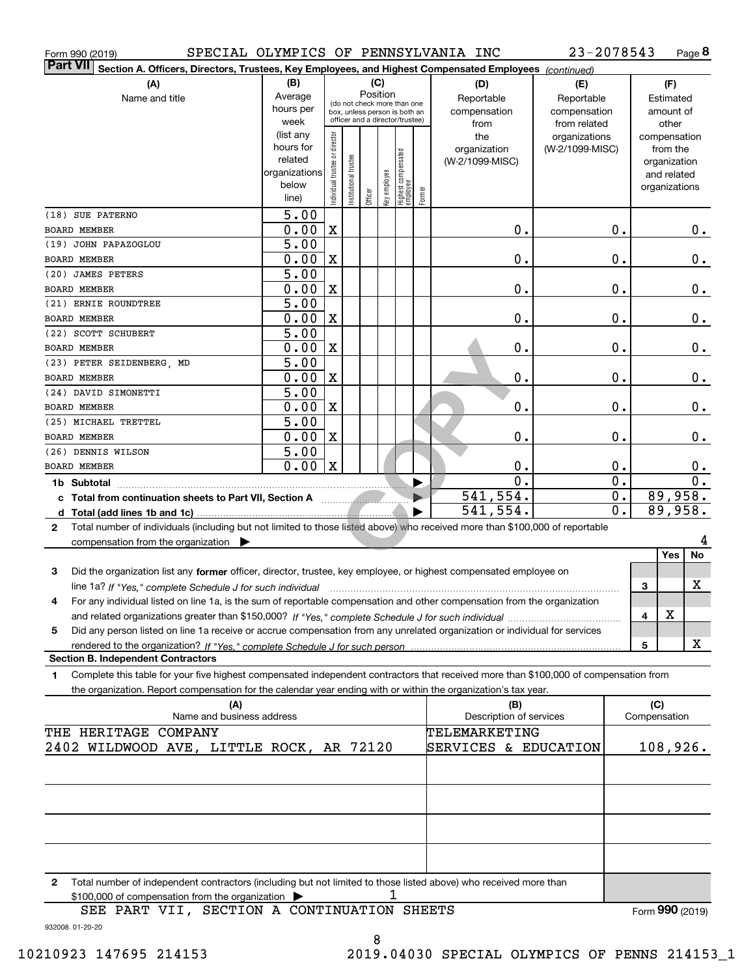| Form 990 (2019) |  | SPECIAL OLYMPICS OF PENNSYLVANIA INC | 23-2078543 | Page 8 |
|-----------------|--|--------------------------------------|------------|--------|
|                 |  |                                      |            |        |

| Part VII  <br>Section A. Officers, Directors, Trustees, Key Employees, and Highest Compensated Employees (continued)                         |                           |                                |                       |          |              |                                  |        |                         |                 |                  |                             |                  |
|----------------------------------------------------------------------------------------------------------------------------------------------|---------------------------|--------------------------------|-----------------------|----------|--------------|----------------------------------|--------|-------------------------|-----------------|------------------|-----------------------------|------------------|
| (A)                                                                                                                                          | (B)                       |                                |                       |          | (C)          |                                  |        | (D)                     | (E)             |                  | (F)                         |                  |
| Name and title                                                                                                                               | Average                   |                                |                       | Position |              | (do not check more than one      |        | Reportable              | Reportable      |                  | Estimated                   |                  |
|                                                                                                                                              | hours per                 |                                |                       |          |              | box, unless person is both an    |        | compensation            | compensation    |                  | amount of                   |                  |
|                                                                                                                                              | week                      |                                |                       |          |              | officer and a director/trustee)  |        | from                    | from related    |                  | other                       |                  |
|                                                                                                                                              | (list any<br>hours for    |                                |                       |          |              |                                  |        | the                     | organizations   |                  | compensation                |                  |
|                                                                                                                                              | related                   |                                |                       |          |              |                                  |        | organization            | (W-2/1099-MISC) |                  | from the                    |                  |
|                                                                                                                                              | organizations             |                                |                       |          |              |                                  |        | (W-2/1099-MISC)         |                 |                  | organization<br>and related |                  |
|                                                                                                                                              | below                     | Individual trustee or director | Institutional trustee |          |              |                                  |        |                         |                 |                  | organizations               |                  |
|                                                                                                                                              | line)                     |                                |                       | Officer  | Key employee | Highest compensated<br> employee | Former |                         |                 |                  |                             |                  |
| (18) SUE PATERNO                                                                                                                             | 5.00                      |                                |                       |          |              |                                  |        |                         |                 |                  |                             |                  |
| <b>BOARD MEMBER</b>                                                                                                                          | 0.00                      | $\mathbf X$                    |                       |          |              |                                  |        | 0.                      |                 | 0.               |                             | 0.               |
| (19) JOHN PAPAZOGLOU                                                                                                                         | 5.00                      |                                |                       |          |              |                                  |        |                         |                 |                  |                             |                  |
| BOARD MEMBER                                                                                                                                 | 0.00                      | $\mathbf X$                    |                       |          |              |                                  |        | 0.                      |                 | 0.               |                             | 0.               |
| (20) JAMES PETERS                                                                                                                            | $\overline{5.00}$         |                                |                       |          |              |                                  |        |                         |                 |                  |                             |                  |
| BOARD MEMBER                                                                                                                                 | 0.00                      | $\mathbf X$                    |                       |          |              |                                  |        | 0.                      |                 | 0.               |                             | 0.               |
| (21) ERNIE ROUNDTREE                                                                                                                         | $\overline{5.00}$         |                                |                       |          |              |                                  |        |                         |                 |                  |                             |                  |
| BOARD MEMBER                                                                                                                                 | 0.00<br>$\overline{5.00}$ | $\mathbf X$                    |                       |          |              |                                  |        | 0.                      |                 | 0.               |                             | 0.               |
| (22) SCOTT SCHUBERT<br>BOARD MEMBER                                                                                                          | 0.00                      | X                              |                       |          |              |                                  |        | 0.                      |                 | 0.               |                             | 0.               |
| (23) PETER SEIDENBERG, MD                                                                                                                    | $\overline{5.00}$         |                                |                       |          |              |                                  |        |                         |                 |                  |                             |                  |
| <b>BOARD MEMBER</b>                                                                                                                          | 0.00                      | X                              |                       |          |              |                                  |        | 0.                      |                 | 0.               |                             | 0.               |
| (24) DAVID SIMONETTI                                                                                                                         | $\overline{5.00}$         |                                |                       |          |              |                                  |        |                         |                 |                  |                             |                  |
| BOARD MEMBER                                                                                                                                 | 0.00                      | X                              |                       |          |              |                                  |        | 0.                      |                 | 0.               |                             | 0.               |
| (25) MICHAEL TRETTEL                                                                                                                         | 5.00                      |                                |                       |          |              |                                  |        |                         |                 |                  |                             |                  |
| BOARD MEMBER                                                                                                                                 | 0.00                      | X                              |                       |          |              |                                  |        | 0.                      |                 | 0.               |                             | 0.               |
| (26) DENNIS WILSON                                                                                                                           | 5.00                      |                                |                       |          |              |                                  |        |                         |                 |                  |                             |                  |
| BOARD MEMBER                                                                                                                                 | 0.00                      | $\mathbf X$                    |                       |          |              |                                  |        | 0.                      |                 | 0.               |                             | 0.               |
| 1b Subtotal                                                                                                                                  |                           |                                |                       |          |              |                                  |        | 0.                      |                 | $\overline{0}$ . |                             | $\overline{0}$ . |
|                                                                                                                                              |                           |                                |                       |          |              |                                  |        | 541,554.                |                 | $0$ .            | 89,958.                     |                  |
|                                                                                                                                              |                           |                                |                       |          |              |                                  |        | 541,554.                |                 | $\overline{0}$ . | 89,958.                     |                  |
| Total number of individuals (including but not limited to those listed above) who received more than \$100,000 of reportable<br>$\mathbf{2}$ |                           |                                |                       |          |              |                                  |        |                         |                 |                  |                             |                  |
| compensation from the organization $\blacktriangleright$                                                                                     |                           |                                |                       |          |              |                                  |        |                         |                 |                  |                             | 4                |
|                                                                                                                                              |                           |                                |                       |          |              |                                  |        |                         |                 |                  | Yes                         | No               |
| Did the organization list any former officer, director, trustee, key employee, or highest compensated employee on<br>3                       |                           |                                |                       |          |              |                                  |        |                         |                 |                  |                             | $\mathbf X$      |
| line 1a? If "Yes," complete Schedule J for such individual                                                                                   |                           |                                |                       |          |              |                                  |        |                         |                 |                  | 3                           |                  |
| For any individual listed on line 1a, is the sum of reportable compensation and other compensation from the organization<br>4                |                           |                                |                       |          |              |                                  |        |                         |                 |                  | X<br>4                      |                  |
| Did any person listed on line 1a receive or accrue compensation from any unrelated organization or individual for services<br>5              |                           |                                |                       |          |              |                                  |        |                         |                 |                  |                             |                  |
|                                                                                                                                              |                           |                                |                       |          |              |                                  |        |                         |                 |                  | 5                           | X                |
| <b>Section B. Independent Contractors</b>                                                                                                    |                           |                                |                       |          |              |                                  |        |                         |                 |                  |                             |                  |
| Complete this table for your five highest compensated independent contractors that received more than \$100,000 of compensation from<br>1.   |                           |                                |                       |          |              |                                  |        |                         |                 |                  |                             |                  |
| the organization. Report compensation for the calendar year ending with or within the organization's tax year.                               |                           |                                |                       |          |              |                                  |        |                         |                 |                  |                             |                  |
| (A)                                                                                                                                          |                           |                                |                       |          |              |                                  |        | (B)                     |                 |                  | (C)                         |                  |
| Name and business address                                                                                                                    |                           |                                |                       |          |              |                                  |        | Description of services |                 |                  | Compensation                |                  |
| THE HERITAGE COMPANY                                                                                                                         |                           |                                |                       |          |              |                                  |        | TELEMARKETING           |                 |                  |                             |                  |
| 2402 WILDWOOD AVE, LITTLE ROCK, AR 72120                                                                                                     |                           |                                |                       |          |              |                                  |        | SERVICES & EDUCATION    |                 |                  | 108,926.                    |                  |
|                                                                                                                                              |                           |                                |                       |          |              |                                  |        |                         |                 |                  |                             |                  |
|                                                                                                                                              |                           |                                |                       |          |              |                                  |        |                         |                 |                  |                             |                  |
|                                                                                                                                              |                           |                                |                       |          |              |                                  |        |                         |                 |                  |                             |                  |
|                                                                                                                                              |                           |                                |                       |          |              |                                  |        |                         |                 |                  |                             |                  |
|                                                                                                                                              |                           |                                |                       |          |              |                                  |        |                         |                 |                  |                             |                  |
|                                                                                                                                              |                           |                                |                       |          |              |                                  |        |                         |                 |                  |                             |                  |
|                                                                                                                                              |                           |                                |                       |          |              |                                  |        |                         |                 |                  |                             |                  |
| Total number of independent contractors (including but not limited to those listed above) who received more than<br>2                        |                           |                                |                       |          |              |                                  |        |                         |                 |                  |                             |                  |
| \$100,000 of compensation from the organization                                                                                              |                           |                                |                       |          |              |                                  |        |                         |                 |                  |                             |                  |
| SEE PART VII, SECTION A CONTINUATION SHEETS                                                                                                  |                           |                                |                       |          |              |                                  |        |                         |                 |                  | Form 990 (2019)             |                  |

932008 01-20-20

8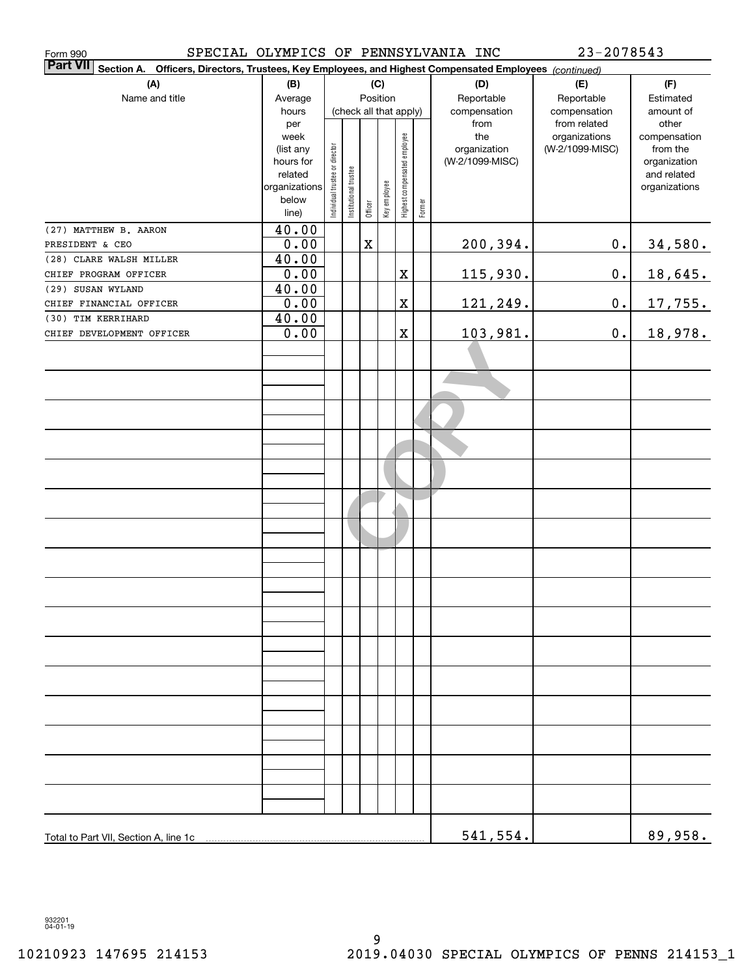| SPECIAL OLYMPICS OF PENNSYLVANIA INC<br>Form 990                                                                             |                        |                                |                       |         |              |                              |        |                 | 23-2078543                    |                       |
|------------------------------------------------------------------------------------------------------------------------------|------------------------|--------------------------------|-----------------------|---------|--------------|------------------------------|--------|-----------------|-------------------------------|-----------------------|
| <b>Part VII</b><br>Officers, Directors, Trustees, Key Employees, and Highest Compensated Employees (continued)<br>Section A. |                        |                                |                       |         |              |                              |        |                 |                               |                       |
| (A)                                                                                                                          | (B)                    |                                |                       |         | (C)          |                              |        | (D)             | (E)                           | (F)                   |
| Name and title                                                                                                               | Average                |                                |                       |         | Position     |                              |        | Reportable      | Reportable                    | Estimated             |
|                                                                                                                              | hours                  |                                |                       |         |              | (check all that apply)       |        | compensation    | compensation                  | amount of             |
|                                                                                                                              | per<br>week            |                                |                       |         |              |                              |        | from<br>the     | from related<br>organizations | other<br>compensation |
|                                                                                                                              | (list any              |                                |                       |         |              |                              |        | organization    | (W-2/1099-MISC)               | from the              |
|                                                                                                                              | hours for              |                                |                       |         |              |                              |        | (W-2/1099-MISC) |                               | organization          |
|                                                                                                                              | related                |                                |                       |         |              |                              |        |                 |                               | and related           |
|                                                                                                                              | organizations<br>below |                                |                       |         |              |                              |        |                 |                               | organizations         |
|                                                                                                                              | line)                  | Individual trustee or director | Institutional trustee | Officer | Key employee | Highest compensated employee | Former |                 |                               |                       |
| (27) MATTHEW B. AARON                                                                                                        | 40.00                  |                                |                       |         |              |                              |        |                 |                               |                       |
| PRESIDENT & CEO                                                                                                              | 0.00                   |                                |                       | X       |              |                              |        | 200,394.        | $0$ .                         | 34,580.               |
| (28) CLARE WALSH MILLER                                                                                                      | 40.00                  |                                |                       |         |              |                              |        |                 |                               |                       |
| CHIEF PROGRAM OFFICER                                                                                                        | 0.00                   |                                |                       |         |              | X                            |        | 115,930.        | $0$ .                         | 18,645.               |
| (29) SUSAN WYLAND                                                                                                            | 40.00                  |                                |                       |         |              |                              |        |                 |                               |                       |
| CHIEF FINANCIAL OFFICER                                                                                                      | 0.00                   |                                |                       |         |              | $\mathbf X$                  |        | 121,249.        | 0.                            | 17,755.               |
| (30) TIM KERRIHARD                                                                                                           | 40.00                  |                                |                       |         |              |                              |        |                 |                               |                       |
| CHIEF DEVELOPMENT OFFICER                                                                                                    | 0.00                   |                                |                       |         |              | $\mathbf X$                  |        | 103,981.        | $\mathbf 0$ .                 | 18,978.               |
|                                                                                                                              |                        |                                |                       |         |              |                              |        |                 |                               |                       |
|                                                                                                                              |                        |                                |                       |         |              |                              |        |                 |                               |                       |
|                                                                                                                              |                        |                                |                       |         |              |                              |        |                 |                               |                       |
|                                                                                                                              |                        |                                |                       |         |              |                              |        |                 |                               |                       |
|                                                                                                                              |                        |                                |                       |         |              |                              |        |                 |                               |                       |
|                                                                                                                              |                        |                                |                       |         |              |                              |        |                 |                               |                       |
|                                                                                                                              |                        |                                |                       |         |              |                              |        |                 |                               |                       |
|                                                                                                                              |                        |                                |                       |         |              |                              |        |                 |                               |                       |
|                                                                                                                              |                        |                                |                       |         |              |                              |        |                 |                               |                       |
|                                                                                                                              |                        |                                |                       |         |              |                              |        |                 |                               |                       |
|                                                                                                                              |                        |                                |                       |         |              |                              |        |                 |                               |                       |
|                                                                                                                              |                        |                                |                       |         |              |                              |        |                 |                               |                       |
|                                                                                                                              |                        |                                |                       |         |              |                              |        |                 |                               |                       |
|                                                                                                                              |                        |                                |                       |         |              |                              |        |                 |                               |                       |
|                                                                                                                              |                        |                                |                       |         |              |                              |        |                 |                               |                       |
|                                                                                                                              |                        |                                |                       |         |              |                              |        |                 |                               |                       |
|                                                                                                                              |                        |                                |                       |         |              |                              |        |                 |                               |                       |
|                                                                                                                              |                        |                                |                       |         |              |                              |        |                 |                               |                       |
|                                                                                                                              |                        |                                |                       |         |              |                              |        |                 |                               |                       |
|                                                                                                                              |                        |                                |                       |         |              |                              |        |                 |                               |                       |
|                                                                                                                              |                        |                                |                       |         |              |                              |        |                 |                               |                       |
|                                                                                                                              |                        |                                |                       |         |              |                              |        |                 |                               |                       |
|                                                                                                                              |                        |                                |                       |         |              |                              |        |                 |                               |                       |
|                                                                                                                              |                        |                                |                       |         |              |                              |        |                 |                               |                       |
| Total to Part VII, Section A, line 1c                                                                                        |                        |                                |                       |         |              |                              |        | 541,554.        |                               | 89,958.               |

932201 04-01-19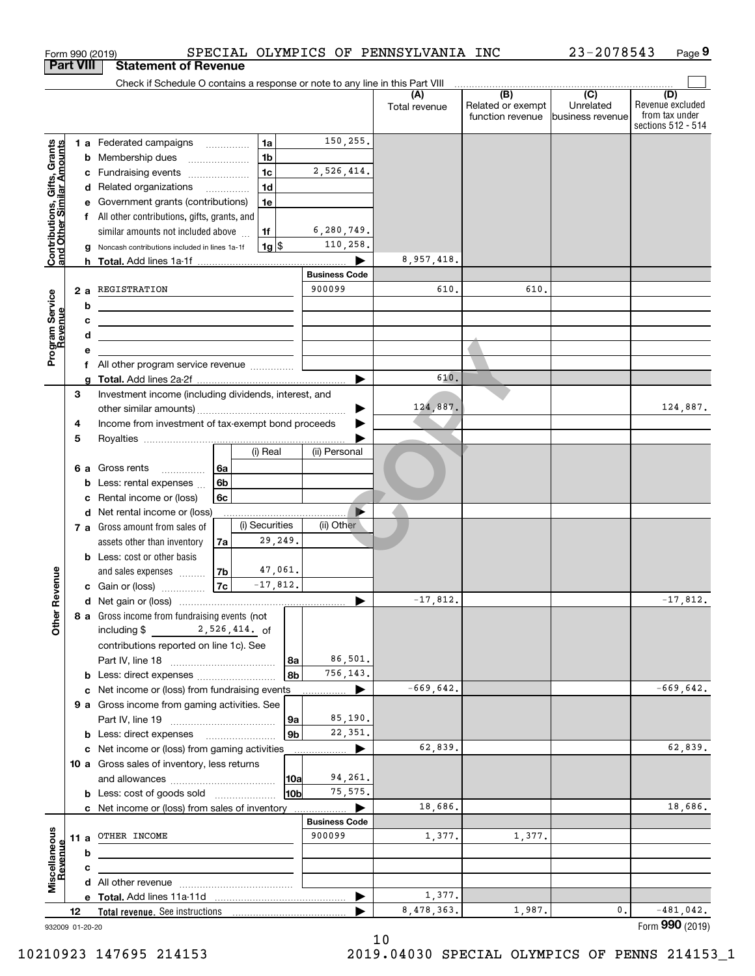| <b>Part VIII</b><br>Contributions, Gifts, Grants<br>and Other Similar Amounts<br>е<br>a<br>2 a<br>Program Service<br>Revenue<br>b<br>с<br>d<br>е<br>f<br>a<br>3<br>4<br>5<br>6а<br>c<br>evenue<br>Œ | <b>Statement of Revenue</b><br>Check if Schedule O contains a response or note to any line in this Part VIII<br>1a<br>1 a Federated campaigns<br>1 <sub>b</sub><br>Membership dues<br>b<br>1 <sub>c</sub><br>c Fundraising events<br>1 <sub>d</sub><br>d Related organizations<br>1e<br>Government grants (contributions)<br>All other contributions, gifts, grants, and<br>similar amounts not included above<br>1f<br>$1g$ \$<br>Noncash contributions included in lines 1a-1f<br>REGISTRATION<br><u> 1989 - Johann Stein, marwolaethau a bhann an t-Amhainn an t-Amhainn an t-Amhainn an t-Amhainn an t-Amhainn an</u><br>the contract of the contract of the contract of the contract of the contract of<br><u> 1989 - Johann Barn, amerikansk politiker (</u><br>All other program service revenue <i></i><br>Investment income (including dividends, interest, and<br>Income from investment of tax-exempt bond proceeds | 150,255.<br>2,526,414.<br>6,280,749.<br>110,258.<br><b>Business Code</b><br>900099 | (A)<br>Total revenue<br>8,957,418.<br>610.<br>610.<br>124,887. | $\begin{array}{c c c c c c c} \hline \text{ } & \text{(B)} & \text{ } & \text{(C)} & \text{ } \end{array}$<br>Related or exempt<br>function revenue<br>610. | Unrelated<br>lbusiness revenue | (D)<br>Revenue excluded<br>from tax under<br>sections 512 - 514 |
|-----------------------------------------------------------------------------------------------------------------------------------------------------------------------------------------------------|--------------------------------------------------------------------------------------------------------------------------------------------------------------------------------------------------------------------------------------------------------------------------------------------------------------------------------------------------------------------------------------------------------------------------------------------------------------------------------------------------------------------------------------------------------------------------------------------------------------------------------------------------------------------------------------------------------------------------------------------------------------------------------------------------------------------------------------------------------------------------------------------------------------------------------|------------------------------------------------------------------------------------|----------------------------------------------------------------|-------------------------------------------------------------------------------------------------------------------------------------------------------------|--------------------------------|-----------------------------------------------------------------|
|                                                                                                                                                                                                     |                                                                                                                                                                                                                                                                                                                                                                                                                                                                                                                                                                                                                                                                                                                                                                                                                                                                                                                                |                                                                                    |                                                                |                                                                                                                                                             |                                |                                                                 |
|                                                                                                                                                                                                     |                                                                                                                                                                                                                                                                                                                                                                                                                                                                                                                                                                                                                                                                                                                                                                                                                                                                                                                                |                                                                                    |                                                                |                                                                                                                                                             |                                |                                                                 |
|                                                                                                                                                                                                     |                                                                                                                                                                                                                                                                                                                                                                                                                                                                                                                                                                                                                                                                                                                                                                                                                                                                                                                                |                                                                                    |                                                                |                                                                                                                                                             |                                |                                                                 |
|                                                                                                                                                                                                     |                                                                                                                                                                                                                                                                                                                                                                                                                                                                                                                                                                                                                                                                                                                                                                                                                                                                                                                                |                                                                                    |                                                                |                                                                                                                                                             |                                |                                                                 |
|                                                                                                                                                                                                     |                                                                                                                                                                                                                                                                                                                                                                                                                                                                                                                                                                                                                                                                                                                                                                                                                                                                                                                                |                                                                                    |                                                                |                                                                                                                                                             |                                |                                                                 |
|                                                                                                                                                                                                     |                                                                                                                                                                                                                                                                                                                                                                                                                                                                                                                                                                                                                                                                                                                                                                                                                                                                                                                                |                                                                                    |                                                                |                                                                                                                                                             |                                |                                                                 |
|                                                                                                                                                                                                     |                                                                                                                                                                                                                                                                                                                                                                                                                                                                                                                                                                                                                                                                                                                                                                                                                                                                                                                                |                                                                                    |                                                                |                                                                                                                                                             |                                |                                                                 |
|                                                                                                                                                                                                     |                                                                                                                                                                                                                                                                                                                                                                                                                                                                                                                                                                                                                                                                                                                                                                                                                                                                                                                                |                                                                                    |                                                                |                                                                                                                                                             |                                |                                                                 |
|                                                                                                                                                                                                     |                                                                                                                                                                                                                                                                                                                                                                                                                                                                                                                                                                                                                                                                                                                                                                                                                                                                                                                                |                                                                                    |                                                                |                                                                                                                                                             |                                |                                                                 |
|                                                                                                                                                                                                     |                                                                                                                                                                                                                                                                                                                                                                                                                                                                                                                                                                                                                                                                                                                                                                                                                                                                                                                                |                                                                                    |                                                                |                                                                                                                                                             |                                |                                                                 |
|                                                                                                                                                                                                     |                                                                                                                                                                                                                                                                                                                                                                                                                                                                                                                                                                                                                                                                                                                                                                                                                                                                                                                                |                                                                                    |                                                                |                                                                                                                                                             |                                |                                                                 |
|                                                                                                                                                                                                     |                                                                                                                                                                                                                                                                                                                                                                                                                                                                                                                                                                                                                                                                                                                                                                                                                                                                                                                                |                                                                                    |                                                                |                                                                                                                                                             |                                |                                                                 |
|                                                                                                                                                                                                     |                                                                                                                                                                                                                                                                                                                                                                                                                                                                                                                                                                                                                                                                                                                                                                                                                                                                                                                                |                                                                                    |                                                                |                                                                                                                                                             |                                |                                                                 |
|                                                                                                                                                                                                     |                                                                                                                                                                                                                                                                                                                                                                                                                                                                                                                                                                                                                                                                                                                                                                                                                                                                                                                                |                                                                                    |                                                                |                                                                                                                                                             |                                |                                                                 |
|                                                                                                                                                                                                     |                                                                                                                                                                                                                                                                                                                                                                                                                                                                                                                                                                                                                                                                                                                                                                                                                                                                                                                                |                                                                                    |                                                                |                                                                                                                                                             |                                |                                                                 |
|                                                                                                                                                                                                     |                                                                                                                                                                                                                                                                                                                                                                                                                                                                                                                                                                                                                                                                                                                                                                                                                                                                                                                                |                                                                                    |                                                                |                                                                                                                                                             |                                |                                                                 |
|                                                                                                                                                                                                     |                                                                                                                                                                                                                                                                                                                                                                                                                                                                                                                                                                                                                                                                                                                                                                                                                                                                                                                                |                                                                                    |                                                                |                                                                                                                                                             |                                |                                                                 |
|                                                                                                                                                                                                     |                                                                                                                                                                                                                                                                                                                                                                                                                                                                                                                                                                                                                                                                                                                                                                                                                                                                                                                                |                                                                                    |                                                                |                                                                                                                                                             |                                |                                                                 |
|                                                                                                                                                                                                     |                                                                                                                                                                                                                                                                                                                                                                                                                                                                                                                                                                                                                                                                                                                                                                                                                                                                                                                                |                                                                                    |                                                                |                                                                                                                                                             |                                |                                                                 |
|                                                                                                                                                                                                     |                                                                                                                                                                                                                                                                                                                                                                                                                                                                                                                                                                                                                                                                                                                                                                                                                                                                                                                                |                                                                                    |                                                                |                                                                                                                                                             |                                |                                                                 |
|                                                                                                                                                                                                     |                                                                                                                                                                                                                                                                                                                                                                                                                                                                                                                                                                                                                                                                                                                                                                                                                                                                                                                                |                                                                                    |                                                                |                                                                                                                                                             |                                |                                                                 |
|                                                                                                                                                                                                     |                                                                                                                                                                                                                                                                                                                                                                                                                                                                                                                                                                                                                                                                                                                                                                                                                                                                                                                                |                                                                                    |                                                                |                                                                                                                                                             |                                | 124,887.                                                        |
|                                                                                                                                                                                                     |                                                                                                                                                                                                                                                                                                                                                                                                                                                                                                                                                                                                                                                                                                                                                                                                                                                                                                                                |                                                                                    |                                                                |                                                                                                                                                             |                                |                                                                 |
|                                                                                                                                                                                                     |                                                                                                                                                                                                                                                                                                                                                                                                                                                                                                                                                                                                                                                                                                                                                                                                                                                                                                                                |                                                                                    |                                                                |                                                                                                                                                             |                                |                                                                 |
|                                                                                                                                                                                                     | (i) Real                                                                                                                                                                                                                                                                                                                                                                                                                                                                                                                                                                                                                                                                                                                                                                                                                                                                                                                       | (ii) Personal                                                                      |                                                                |                                                                                                                                                             |                                |                                                                 |
|                                                                                                                                                                                                     | Gross rents<br>  6a                                                                                                                                                                                                                                                                                                                                                                                                                                                                                                                                                                                                                                                                                                                                                                                                                                                                                                            |                                                                                    |                                                                |                                                                                                                                                             |                                |                                                                 |
|                                                                                                                                                                                                     | 6 <sub>b</sub><br>Less: rental expenses<br>b                                                                                                                                                                                                                                                                                                                                                                                                                                                                                                                                                                                                                                                                                                                                                                                                                                                                                   |                                                                                    |                                                                |                                                                                                                                                             |                                |                                                                 |
|                                                                                                                                                                                                     | 6c<br>Rental income or (loss)                                                                                                                                                                                                                                                                                                                                                                                                                                                                                                                                                                                                                                                                                                                                                                                                                                                                                                  |                                                                                    |                                                                |                                                                                                                                                             |                                |                                                                 |
|                                                                                                                                                                                                     | d Net rental income or (loss)                                                                                                                                                                                                                                                                                                                                                                                                                                                                                                                                                                                                                                                                                                                                                                                                                                                                                                  |                                                                                    |                                                                |                                                                                                                                                             |                                |                                                                 |
|                                                                                                                                                                                                     | (i) Securities<br>7 a Gross amount from sales of                                                                                                                                                                                                                                                                                                                                                                                                                                                                                                                                                                                                                                                                                                                                                                                                                                                                               | (ii) Other                                                                         |                                                                |                                                                                                                                                             |                                |                                                                 |
|                                                                                                                                                                                                     | 29,249.<br>assets other than inventory<br>7a                                                                                                                                                                                                                                                                                                                                                                                                                                                                                                                                                                                                                                                                                                                                                                                                                                                                                   |                                                                                    |                                                                |                                                                                                                                                             |                                |                                                                 |
|                                                                                                                                                                                                     | <b>b</b> Less: cost or other basis                                                                                                                                                                                                                                                                                                                                                                                                                                                                                                                                                                                                                                                                                                                                                                                                                                                                                             |                                                                                    |                                                                |                                                                                                                                                             |                                |                                                                 |
|                                                                                                                                                                                                     | 47,061.<br>7 <sub>b</sub><br>and sales expenses                                                                                                                                                                                                                                                                                                                                                                                                                                                                                                                                                                                                                                                                                                                                                                                                                                                                                |                                                                                    |                                                                |                                                                                                                                                             |                                |                                                                 |
|                                                                                                                                                                                                     | 7c<br>$-17,812.$<br>c Gain or (loss)                                                                                                                                                                                                                                                                                                                                                                                                                                                                                                                                                                                                                                                                                                                                                                                                                                                                                           |                                                                                    |                                                                |                                                                                                                                                             |                                |                                                                 |
|                                                                                                                                                                                                     |                                                                                                                                                                                                                                                                                                                                                                                                                                                                                                                                                                                                                                                                                                                                                                                                                                                                                                                                |                                                                                    | $-17,812.$                                                     |                                                                                                                                                             |                                | $-17,812.$                                                      |
|                                                                                                                                                                                                     | 8 a Gross income from fundraising events (not                                                                                                                                                                                                                                                                                                                                                                                                                                                                                                                                                                                                                                                                                                                                                                                                                                                                                  |                                                                                    |                                                                |                                                                                                                                                             |                                |                                                                 |
| Other                                                                                                                                                                                               | including $$$ 2,526,414. of                                                                                                                                                                                                                                                                                                                                                                                                                                                                                                                                                                                                                                                                                                                                                                                                                                                                                                    |                                                                                    |                                                                |                                                                                                                                                             |                                |                                                                 |
|                                                                                                                                                                                                     | contributions reported on line 1c). See                                                                                                                                                                                                                                                                                                                                                                                                                                                                                                                                                                                                                                                                                                                                                                                                                                                                                        |                                                                                    |                                                                |                                                                                                                                                             |                                |                                                                 |
|                                                                                                                                                                                                     | 8a                                                                                                                                                                                                                                                                                                                                                                                                                                                                                                                                                                                                                                                                                                                                                                                                                                                                                                                             | 86,501.                                                                            |                                                                |                                                                                                                                                             |                                |                                                                 |
|                                                                                                                                                                                                     | 8b                                                                                                                                                                                                                                                                                                                                                                                                                                                                                                                                                                                                                                                                                                                                                                                                                                                                                                                             | 756,143.                                                                           |                                                                |                                                                                                                                                             |                                |                                                                 |
|                                                                                                                                                                                                     | c Net income or (loss) from fundraising events                                                                                                                                                                                                                                                                                                                                                                                                                                                                                                                                                                                                                                                                                                                                                                                                                                                                                 | ▶                                                                                  | $-669,642.$                                                    |                                                                                                                                                             |                                | $-669,642.$                                                     |
|                                                                                                                                                                                                     | 9 a Gross income from gaming activities. See                                                                                                                                                                                                                                                                                                                                                                                                                                                                                                                                                                                                                                                                                                                                                                                                                                                                                   |                                                                                    |                                                                |                                                                                                                                                             |                                |                                                                 |
|                                                                                                                                                                                                     | 9a                                                                                                                                                                                                                                                                                                                                                                                                                                                                                                                                                                                                                                                                                                                                                                                                                                                                                                                             | 85,190.                                                                            |                                                                |                                                                                                                                                             |                                |                                                                 |
|                                                                                                                                                                                                     | 9 <sub>b</sub>                                                                                                                                                                                                                                                                                                                                                                                                                                                                                                                                                                                                                                                                                                                                                                                                                                                                                                                 | 22,351.                                                                            |                                                                |                                                                                                                                                             |                                |                                                                 |
|                                                                                                                                                                                                     | c Net income or (loss) from gaming activities                                                                                                                                                                                                                                                                                                                                                                                                                                                                                                                                                                                                                                                                                                                                                                                                                                                                                  | ▶                                                                                  | 62,839.                                                        |                                                                                                                                                             |                                | 62,839.                                                         |
|                                                                                                                                                                                                     | 10 a Gross sales of inventory, less returns                                                                                                                                                                                                                                                                                                                                                                                                                                                                                                                                                                                                                                                                                                                                                                                                                                                                                    |                                                                                    |                                                                |                                                                                                                                                             |                                |                                                                 |
|                                                                                                                                                                                                     | 10al                                                                                                                                                                                                                                                                                                                                                                                                                                                                                                                                                                                                                                                                                                                                                                                                                                                                                                                           | 94,261.                                                                            |                                                                |                                                                                                                                                             |                                |                                                                 |
|                                                                                                                                                                                                     | 10b<br><b>b</b> Less: cost of goods sold                                                                                                                                                                                                                                                                                                                                                                                                                                                                                                                                                                                                                                                                                                                                                                                                                                                                                       | 75,575.                                                                            |                                                                |                                                                                                                                                             |                                |                                                                 |
|                                                                                                                                                                                                     | c Net income or (loss) from sales of inventory                                                                                                                                                                                                                                                                                                                                                                                                                                                                                                                                                                                                                                                                                                                                                                                                                                                                                 |                                                                                    | 18,686.                                                        |                                                                                                                                                             |                                | 18,686.                                                         |
|                                                                                                                                                                                                     |                                                                                                                                                                                                                                                                                                                                                                                                                                                                                                                                                                                                                                                                                                                                                                                                                                                                                                                                | <b>Business Code</b>                                                               |                                                                |                                                                                                                                                             |                                |                                                                 |
|                                                                                                                                                                                                     | 11 a OTHER INCOME                                                                                                                                                                                                                                                                                                                                                                                                                                                                                                                                                                                                                                                                                                                                                                                                                                                                                                              | 900099                                                                             | 1,377.                                                         | 1,377.                                                                                                                                                      |                                |                                                                 |
| Revenue                                                                                                                                                                                             |                                                                                                                                                                                                                                                                                                                                                                                                                                                                                                                                                                                                                                                                                                                                                                                                                                                                                                                                |                                                                                    |                                                                |                                                                                                                                                             |                                |                                                                 |
|                                                                                                                                                                                                     |                                                                                                                                                                                                                                                                                                                                                                                                                                                                                                                                                                                                                                                                                                                                                                                                                                                                                                                                |                                                                                    |                                                                |                                                                                                                                                             |                                |                                                                 |
|                                                                                                                                                                                                     | b                                                                                                                                                                                                                                                                                                                                                                                                                                                                                                                                                                                                                                                                                                                                                                                                                                                                                                                              |                                                                                    |                                                                |                                                                                                                                                             |                                |                                                                 |
| Miscellaneous                                                                                                                                                                                       | c                                                                                                                                                                                                                                                                                                                                                                                                                                                                                                                                                                                                                                                                                                                                                                                                                                                                                                                              |                                                                                    |                                                                |                                                                                                                                                             |                                |                                                                 |
|                                                                                                                                                                                                     |                                                                                                                                                                                                                                                                                                                                                                                                                                                                                                                                                                                                                                                                                                                                                                                                                                                                                                                                |                                                                                    |                                                                |                                                                                                                                                             |                                | $-481,042.$                                                     |
| 12<br>932009 01-20-20                                                                                                                                                                               |                                                                                                                                                                                                                                                                                                                                                                                                                                                                                                                                                                                                                                                                                                                                                                                                                                                                                                                                | ▶                                                                                  | 1,377.<br>8,478,363.                                           | 1,987.                                                                                                                                                      | 0.                             |                                                                 |

10

932009 01-20-20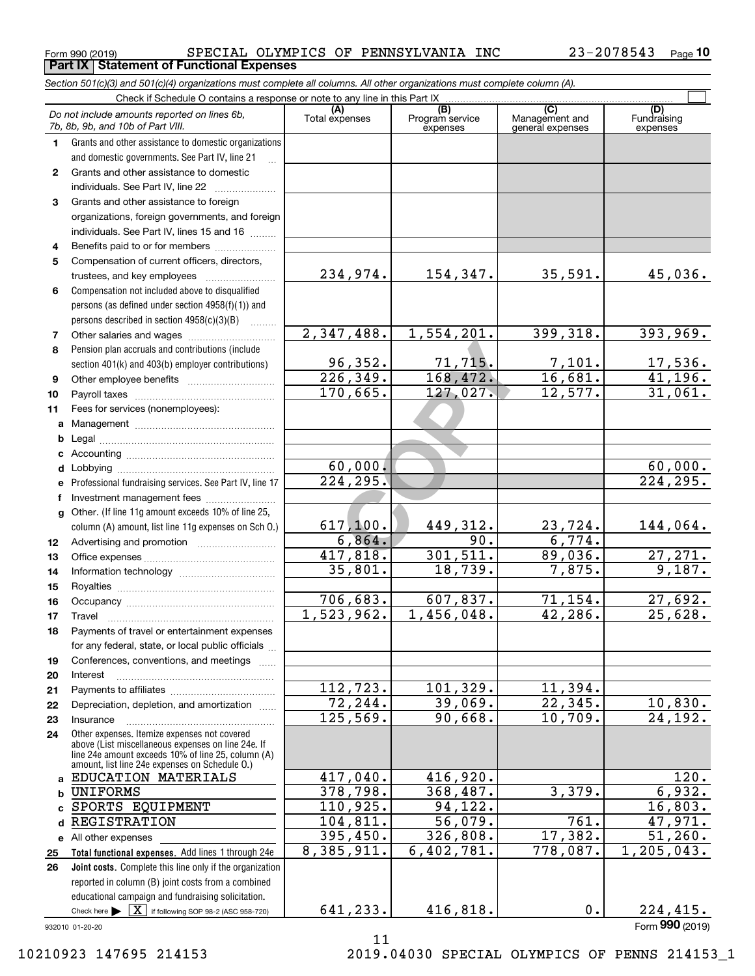Form 990 (2019) Page **Part IX Statement of Functional Expenses** SPECIAL OLYMPICS OF PENNSYLVANIA INC 23-2078543

*Section 501(c)(3) and 501(c)(4) organizations must complete all columns. All other organizations must complete column (A).*

|              | Do not include amounts reported on lines 6b,<br>7b, 8b, 9b, and 10b of Part VIII.                                                                                                                          | (A)<br>Total expenses | (B)<br>Program service<br>expenses | (C)<br>Management and<br>general expenses | (D)<br>Fundraising<br>expenses |
|--------------|------------------------------------------------------------------------------------------------------------------------------------------------------------------------------------------------------------|-----------------------|------------------------------------|-------------------------------------------|--------------------------------|
| 1.           | Grants and other assistance to domestic organizations                                                                                                                                                      |                       |                                    |                                           |                                |
|              | and domestic governments. See Part IV, line 21                                                                                                                                                             |                       |                                    |                                           |                                |
| $\mathbf{2}$ | Grants and other assistance to domestic                                                                                                                                                                    |                       |                                    |                                           |                                |
|              | individuals. See Part IV, line 22                                                                                                                                                                          |                       |                                    |                                           |                                |
| 3            | Grants and other assistance to foreign                                                                                                                                                                     |                       |                                    |                                           |                                |
|              | organizations, foreign governments, and foreign                                                                                                                                                            |                       |                                    |                                           |                                |
|              | individuals. See Part IV, lines 15 and 16                                                                                                                                                                  |                       |                                    |                                           |                                |
| 4            | Benefits paid to or for members                                                                                                                                                                            |                       |                                    |                                           |                                |
| 5            | Compensation of current officers, directors,                                                                                                                                                               |                       |                                    |                                           |                                |
|              |                                                                                                                                                                                                            | 234,974.              | 154,347.                           | 35,591.                                   | 45,036.                        |
| 6            | Compensation not included above to disqualified                                                                                                                                                            |                       |                                    |                                           |                                |
|              | persons (as defined under section 4958(f)(1)) and                                                                                                                                                          |                       |                                    |                                           |                                |
|              | persons described in section $4958(c)(3)(B)$<br>$\sim$                                                                                                                                                     |                       |                                    |                                           |                                |
| 7            |                                                                                                                                                                                                            | 2,347,488.            | 1,554,201.                         | 399, 318.                                 | 393,969.                       |
| 8            | Pension plan accruals and contributions (include                                                                                                                                                           |                       |                                    |                                           |                                |
|              | section 401(k) and 403(b) employer contributions)                                                                                                                                                          | 96,352.               | 71, 715.                           | $\frac{7,101.}{16,681.}$                  | 17,536.                        |
| 9            |                                                                                                                                                                                                            | 226, 349.             | 168, 472.                          |                                           | 41, 196.                       |
| 10           |                                                                                                                                                                                                            | 170,665.              | 127,027.                           | 12,577.                                   | 31,061.                        |
| 11           | Fees for services (nonemployees):                                                                                                                                                                          |                       |                                    |                                           |                                |
| a            |                                                                                                                                                                                                            |                       |                                    |                                           |                                |
| b            |                                                                                                                                                                                                            |                       |                                    |                                           |                                |
| c            |                                                                                                                                                                                                            |                       |                                    |                                           |                                |
| d            |                                                                                                                                                                                                            | 60,000.               |                                    |                                           | 60,000.                        |
| е            | Professional fundraising services. See Part IV, line 17                                                                                                                                                    | 224,295.              |                                    |                                           | $\overline{224,295}$ .         |
| f            | Investment management fees                                                                                                                                                                                 |                       |                                    |                                           |                                |
| g            | Other. (If line 11g amount exceeds 10% of line 25,                                                                                                                                                         |                       |                                    |                                           |                                |
|              | column (A) amount, list line 11g expenses on Sch 0.)                                                                                                                                                       | 617, 100.             | 449,312.                           | 23,724.                                   | 144,064.                       |
| 12           |                                                                                                                                                                                                            | 6,864.                | 90.                                | 6,774.                                    |                                |
| 13           |                                                                                                                                                                                                            | 417,818.              | 301, 511.                          | 89,036.                                   | 27,271.                        |
| 14           |                                                                                                                                                                                                            | 35,801.               | 18,739.                            | 7,875.                                    | 9,187.                         |
| 15           |                                                                                                                                                                                                            |                       |                                    |                                           |                                |
| 16           |                                                                                                                                                                                                            | 706,683.              | 607,837.                           | 71, 154.                                  | 27,692.                        |
| 17           | Travel                                                                                                                                                                                                     | 1,523,962.            | 1,456,048.                         | 42,286.                                   | 25,628.                        |
| 18           | Payments of travel or entertainment expenses                                                                                                                                                               |                       |                                    |                                           |                                |
|              | for any federal, state, or local public officials                                                                                                                                                          |                       |                                    |                                           |                                |
| 19           | Conferences, conventions, and meetings                                                                                                                                                                     |                       |                                    |                                           |                                |
| 20           | Interest                                                                                                                                                                                                   |                       |                                    |                                           |                                |
| 21           |                                                                                                                                                                                                            | 112,723.              | 101,329.                           | 11,394.                                   |                                |
| 22           | Depreciation, depletion, and amortization                                                                                                                                                                  | 72, 244.              | 39,069.                            | 22, 345.                                  | 10,830.                        |
| 23           | Insurance                                                                                                                                                                                                  | 125,569.              | 90,668.                            | 10,709.                                   | $\overline{24,192.}$           |
| 24           | Other expenses. Itemize expenses not covered<br>above (List miscellaneous expenses on line 24e. If<br>line 24e amount exceeds 10% of line 25, column (A)<br>amount, list line 24e expenses on Schedule 0.) |                       |                                    |                                           |                                |
|              | a EDUCATION MATERIALS                                                                                                                                                                                      | 417,040.              | 416,920.                           |                                           | 120.                           |
| b            | <b>UNIFORMS</b>                                                                                                                                                                                            | 378,798.              | 368,487.                           | 3,379.                                    | 6,932.                         |
| c.           | SPORTS EQUIPMENT                                                                                                                                                                                           | 110,925.              | 94,122.                            |                                           | 16,803.                        |
| d            | <b>REGISTRATION</b>                                                                                                                                                                                        | 104,811.              | 56,079.                            | $\overline{761}$ .                        | 47,971.                        |
|              | e All other expenses                                                                                                                                                                                       | 395,450.              | 326,808.                           | 17,382.                                   | 51, 260.                       |
| 25           | Total functional expenses. Add lines 1 through 24e                                                                                                                                                         | 8,385,911.            | 6,402,781.                         | 778,087.                                  | $\overline{1,205}$ , 043.      |
| 26           | Joint costs. Complete this line only if the organization                                                                                                                                                   |                       |                                    |                                           |                                |
|              | reported in column (B) joint costs from a combined                                                                                                                                                         |                       |                                    |                                           |                                |
|              | educational campaign and fundraising solicitation.                                                                                                                                                         |                       |                                    |                                           |                                |
|              | Check here $\blacktriangleright \boxed{\textbf{X}}$ if following SOP 98-2 (ASC 958-720)                                                                                                                    | 641,233.              | 416,818.                           | 0.                                        | 224, 415.                      |

932010 01-20-20

11

Form (2019) **990**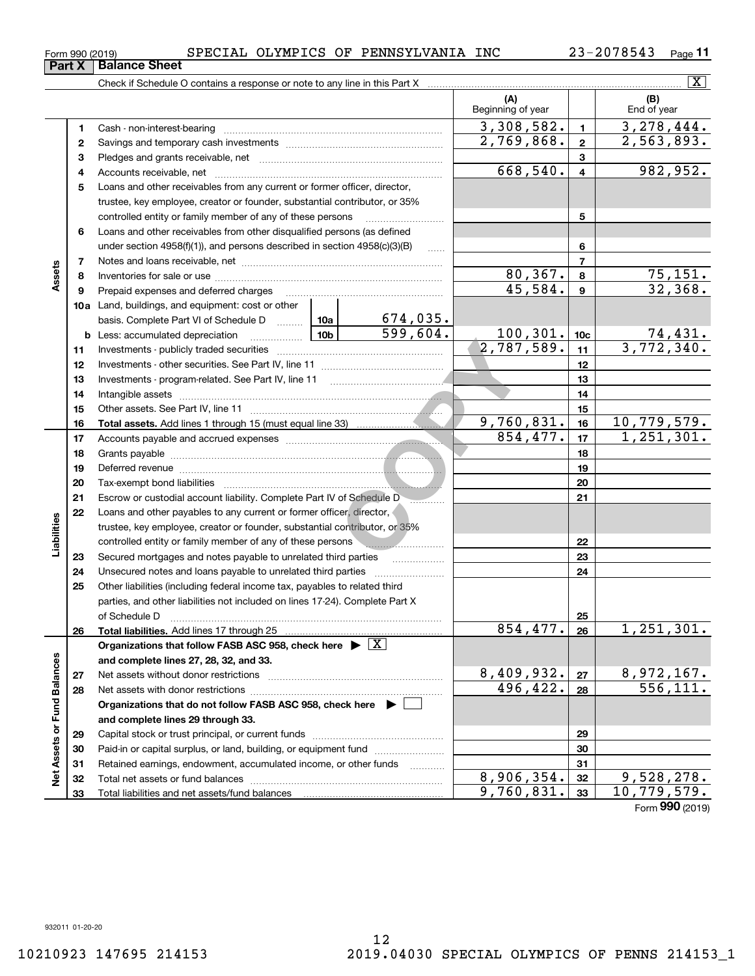## Form 990 (2019) SPECIAL OLYMPICS OF PENNSYLVANIA INC 23-2078543  $_{\sf Page}$

**11**

|                             |    | Check if Schedule O contains a response or note to any line in this Part X                                                   |                 |                                |                          |                 | $\overline{\mathbf{X}}$       |
|-----------------------------|----|------------------------------------------------------------------------------------------------------------------------------|-----------------|--------------------------------|--------------------------|-----------------|-------------------------------|
|                             |    |                                                                                                                              |                 |                                | (A)<br>Beginning of year |                 | (B)<br>End of year            |
|                             | 1  |                                                                                                                              |                 |                                | 3,308,582.               | $\mathbf{1}$    | 3, 278, 444.                  |
|                             | 2  |                                                                                                                              |                 |                                | 2,769,868.               | $\overline{2}$  | 2,563,893.                    |
|                             | з  |                                                                                                                              |                 |                                |                          | 3               |                               |
|                             | 4  |                                                                                                                              |                 |                                | 668,540.                 | $\overline{4}$  | 982,952.                      |
|                             | 5  | Loans and other receivables from any current or former officer, director,                                                    |                 |                                |                          |                 |                               |
|                             |    | trustee, key employee, creator or founder, substantial contributor, or 35%                                                   |                 |                                |                          |                 |                               |
|                             |    | controlled entity or family member of any of these persons                                                                   |                 |                                |                          | 5               |                               |
|                             | 6  | Loans and other receivables from other disqualified persons (as defined                                                      |                 |                                |                          |                 |                               |
|                             |    | under section $4958(f)(1)$ , and persons described in section $4958(c)(3)(B)$                                                |                 | $\ldots$                       |                          | 6               |                               |
|                             | 7  |                                                                                                                              |                 |                                |                          | $\overline{7}$  |                               |
| Assets                      | 8  |                                                                                                                              |                 |                                | 80, 367.                 | 8               | 75, 151.                      |
|                             | 9  | Prepaid expenses and deferred charges                                                                                        |                 |                                | 45,584.                  | 9               | 32, 368.                      |
|                             |    | <b>10a</b> Land, buildings, and equipment: cost or other                                                                     |                 |                                |                          |                 |                               |
|                             |    | basis. Complete Part VI of Schedule D  10a                                                                                   |                 | 674,035.                       |                          |                 |                               |
|                             |    | <b>b</b> Less: accumulated depreciation                                                                                      | 10 <sub>b</sub> | 599,604.                       | 100, 301.                | 10 <sub>c</sub> | $\frac{74,431}{3,772,340}$    |
|                             | 11 |                                                                                                                              |                 |                                | 2,787,589.               | 11              |                               |
|                             | 12 |                                                                                                                              |                 |                                |                          | 12              |                               |
|                             | 13 | Investments - program-related. See Part IV, line 11                                                                          |                 |                                |                          | 13              |                               |
|                             | 14 |                                                                                                                              |                 |                                |                          | 14              |                               |
|                             | 15 |                                                                                                                              |                 |                                |                          | 15              |                               |
|                             | 16 |                                                                                                                              |                 |                                | 9,760,831.               | 16              | 10,779,579.                   |
|                             | 17 |                                                                                                                              |                 |                                | 854, 477.                | 17              | 1,251,301.                    |
|                             | 18 |                                                                                                                              |                 |                                |                          | 18              |                               |
|                             | 19 |                                                                                                                              |                 |                                |                          | 19              |                               |
|                             | 20 |                                                                                                                              |                 |                                |                          | 20              |                               |
|                             | 21 | Escrow or custodial account liability. Complete Part IV of Schedule D                                                        |                 | the property of the control of |                          | 21              |                               |
|                             | 22 | Loans and other payables to any current or former officer, director,                                                         |                 |                                |                          |                 |                               |
| Liabilities                 |    | trustee, key employee, creator or founder, substantial contributor, or 35%                                                   |                 |                                |                          |                 |                               |
|                             |    | controlled entity or family member of any of these persons                                                                   |                 |                                |                          | 22              |                               |
|                             | 23 | Secured mortgages and notes payable to unrelated third parties                                                               |                 |                                |                          | 23              |                               |
|                             | 24 | Unsecured notes and loans payable to unrelated third parties                                                                 |                 |                                |                          | 24              |                               |
|                             | 25 | Other liabilities (including federal income tax, payables to related third                                                   |                 |                                |                          |                 |                               |
|                             |    | parties, and other liabilities not included on lines 17-24). Complete Part X                                                 |                 |                                |                          |                 |                               |
|                             |    | of Schedule D<br>Total liabilities. Add lines 17 through 25                                                                  |                 |                                | $\overline{854, 477.}$   | 25              | $\overline{1,251,301.}$       |
|                             | 26 |                                                                                                                              |                 |                                |                          | 26              |                               |
|                             |    | Organizations that follow FASB ASC 958, check here $\blacktriangleright \boxed{X}$<br>and complete lines 27, 28, 32, and 33. |                 |                                |                          |                 |                               |
|                             | 27 | Net assets without donor restrictions                                                                                        |                 |                                | 8,409,932.               | 27              |                               |
|                             | 28 |                                                                                                                              |                 |                                | 496,422.                 | 28              | $\frac{8,972,167.}{556,111.}$ |
|                             |    | Organizations that do not follow FASB ASC 958, check here $\blacktriangleright$                                              |                 |                                |                          |                 |                               |
|                             |    | and complete lines 29 through 33.                                                                                            |                 |                                |                          |                 |                               |
|                             | 29 |                                                                                                                              |                 |                                |                          | 29              |                               |
|                             | 30 | Paid-in or capital surplus, or land, building, or equipment fund                                                             |                 |                                |                          | 30              |                               |
|                             | 31 | Retained earnings, endowment, accumulated income, or other funds                                                             |                 |                                |                          | 31              |                               |
| Net Assets or Fund Balances | 32 |                                                                                                                              |                 |                                | 8,906,354.               | 32              | 9,528,278.                    |
|                             | 33 |                                                                                                                              |                 |                                | 9,760,831.               | 33              | 10,779,579.                   |
|                             |    |                                                                                                                              |                 |                                |                          |                 |                               |

Form (2019) **990**

**Part X Balance Sheet**<br>**Part X Balance Sheet**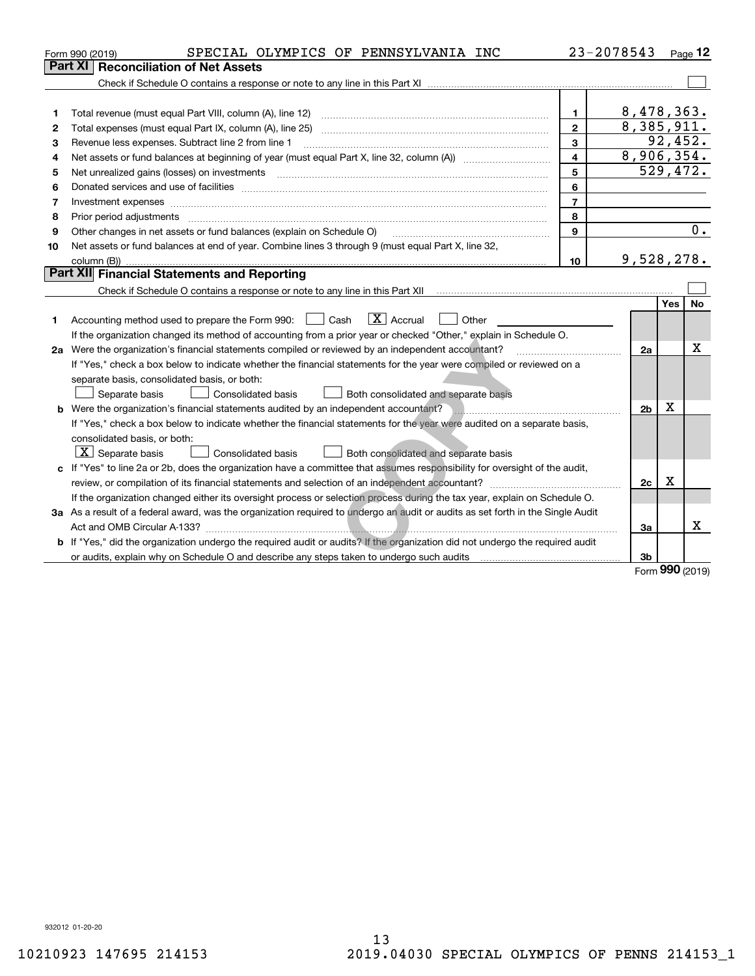| Part XI<br><b>Reconciliation of Net Assets</b>                                                                                                                                                                                           |      |                  |
|------------------------------------------------------------------------------------------------------------------------------------------------------------------------------------------------------------------------------------------|------|------------------|
|                                                                                                                                                                                                                                          |      |                  |
|                                                                                                                                                                                                                                          |      |                  |
|                                                                                                                                                                                                                                          |      |                  |
| 8,478,363.<br>1.<br>1                                                                                                                                                                                                                    |      |                  |
| 8,385,911.<br>$\overline{2}$<br>2                                                                                                                                                                                                        |      |                  |
| 3<br>Revenue less expenses. Subtract line 2 from line 1<br>3                                                                                                                                                                             |      | 92,452.          |
| 8,906,354.<br>$\overline{\mathbf{4}}$<br>4                                                                                                                                                                                               |      |                  |
| 5<br>5                                                                                                                                                                                                                                   |      | 529,472.         |
| 6<br>Donated services and use of facilities [111] matter contracts and the service of facilities [11] matter contracts and use of facilities [11] matter contracts and the service of facilities [11] matter contracts and the serv<br>6 |      |                  |
| $\overline{7}$<br>7<br>Investment expenses www.communication.com/www.communication.com/www.communication.com/www.com                                                                                                                     |      |                  |
| 8<br>Prior period adjustments www.communication.communication.com/news/communication.com/news/communication.com/new<br>8                                                                                                                 |      |                  |
| 9<br>Other changes in net assets or fund balances (explain on Schedule O)<br>9                                                                                                                                                           |      | $\overline{0}$ . |
| Net assets or fund balances at end of year. Combine lines 3 through 9 (must equal Part X, line 32,<br>10                                                                                                                                 |      |                  |
| 9,528,278.<br>10                                                                                                                                                                                                                         |      |                  |
| Part XII Financial Statements and Reporting                                                                                                                                                                                              |      |                  |
|                                                                                                                                                                                                                                          |      |                  |
|                                                                                                                                                                                                                                          | Yes  | No               |
| $\boxed{\mathbf{X}}$ Accrual<br>Accounting method used to prepare the Form 990: <u>June</u> Cash<br>Other<br>$\mathbf{1}$<br>1                                                                                                           |      |                  |
| If the organization changed its method of accounting from a prior year or checked "Other," explain in Schedule O.                                                                                                                        |      |                  |
| 2a Were the organization's financial statements compiled or reviewed by an independent accountant?<br>2a                                                                                                                                 |      | $\mathbf X$      |
| If "Yes," check a box below to indicate whether the financial statements for the year were compiled or reviewed on a                                                                                                                     |      |                  |
| separate basis, consolidated basis, or both:                                                                                                                                                                                             |      |                  |
| Separate basis<br><b>Consolidated basis</b><br>Both consolidated and separate basis                                                                                                                                                      |      |                  |
| <b>b</b> Were the organization's financial statements audited by an independent accountant?<br>2 <sub>b</sub>                                                                                                                            | х    |                  |
| If "Yes," check a box below to indicate whether the financial statements for the year were audited on a separate basis,                                                                                                                  |      |                  |
| consolidated basis, or both:                                                                                                                                                                                                             |      |                  |
| $\lfloor x \rfloor$ Separate basis<br>Consolidated basis<br>Both consolidated and separate basis                                                                                                                                         |      |                  |
| c If "Yes" to line 2a or 2b, does the organization have a committee that assumes responsibility for oversight of the audit,                                                                                                              |      |                  |
| 2c                                                                                                                                                                                                                                       | х    |                  |
| If the organization changed either its oversight process or selection process during the tax year, explain on Schedule O.                                                                                                                |      |                  |
| 3a As a result of a federal award, was the organization required to undergo an audit or audits as set forth in the Single Audit                                                                                                          |      |                  |
| 3a                                                                                                                                                                                                                                       |      | x                |
| b If "Yes," did the organization undergo the required audit or audits? If the organization did not undergo the required audit                                                                                                            |      |                  |
| 3b                                                                                                                                                                                                                                       | nnn. |                  |

Form (2019) **990**

932012 01-20-20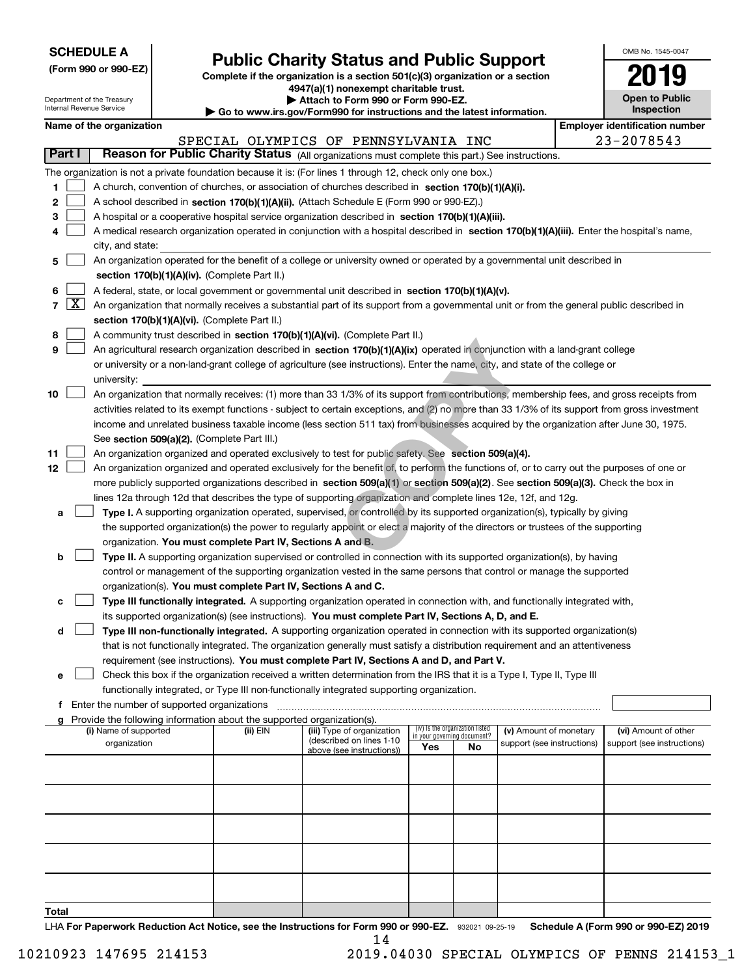| <b>SCHEDULE A</b> |
|-------------------|
|-------------------|

Department of the Treasury

**(Form 990 or 990-EZ)**

# **Public Charity Status and Public Support**

**Complete if the organization is a section 501(c)(3) organization or a section 4947(a)(1) nonexempt charitable trust. | Attach to Form 990 or Form 990-EZ.** 

| OMB No. 1545-0047            |
|------------------------------|
| 2019                         |
| Open to Public<br>Inspection |

|        |                                                                                                                            | Internal Revenue Service                                                                         |                                             |                                                                        | $\blacktriangleright$ Go to www.irs.gov/Form990 for instructions and the latest information.                                                  |     |                                                                |                            |            | <b>Inspection</b>                     |
|--------|----------------------------------------------------------------------------------------------------------------------------|--------------------------------------------------------------------------------------------------|---------------------------------------------|------------------------------------------------------------------------|-----------------------------------------------------------------------------------------------------------------------------------------------|-----|----------------------------------------------------------------|----------------------------|------------|---------------------------------------|
|        |                                                                                                                            | Name of the organization                                                                         |                                             |                                                                        |                                                                                                                                               |     |                                                                |                            |            | <b>Employer identification number</b> |
|        |                                                                                                                            |                                                                                                  |                                             |                                                                        | SPECIAL OLYMPICS OF PENNSYLVANIA INC                                                                                                          |     |                                                                |                            | 23-2078543 |                                       |
| Part I |                                                                                                                            |                                                                                                  |                                             |                                                                        | Reason for Public Charity Status (All organizations must complete this part.) See instructions.                                               |     |                                                                |                            |            |                                       |
|        |                                                                                                                            |                                                                                                  |                                             |                                                                        | The organization is not a private foundation because it is: (For lines 1 through 12, check only one box.)                                     |     |                                                                |                            |            |                                       |
| 1.     |                                                                                                                            |                                                                                                  |                                             |                                                                        | A church, convention of churches, or association of churches described in section 170(b)(1)(A)(i).                                            |     |                                                                |                            |            |                                       |
| 2      |                                                                                                                            |                                                                                                  |                                             |                                                                        | A school described in section 170(b)(1)(A)(ii). (Attach Schedule E (Form 990 or 990-EZ).)                                                     |     |                                                                |                            |            |                                       |
| 3      |                                                                                                                            |                                                                                                  |                                             |                                                                        | A hospital or a cooperative hospital service organization described in section 170(b)(1)(A)(iii).                                             |     |                                                                |                            |            |                                       |
| 4      |                                                                                                                            |                                                                                                  |                                             |                                                                        | A medical research organization operated in conjunction with a hospital described in section 170(b)(1)(A)(iii). Enter the hospital's name,    |     |                                                                |                            |            |                                       |
|        |                                                                                                                            | city, and state:                                                                                 |                                             |                                                                        |                                                                                                                                               |     |                                                                |                            |            |                                       |
| 5      |                                                                                                                            |                                                                                                  |                                             |                                                                        | An organization operated for the benefit of a college or university owned or operated by a governmental unit described in                     |     |                                                                |                            |            |                                       |
|        |                                                                                                                            |                                                                                                  |                                             | section 170(b)(1)(A)(iv). (Complete Part II.)                          |                                                                                                                                               |     |                                                                |                            |            |                                       |
| 6      |                                                                                                                            | A federal, state, or local government or governmental unit described in section 170(b)(1)(A)(v). |                                             |                                                                        |                                                                                                                                               |     |                                                                |                            |            |                                       |
| 7      | $\lfloor x \rfloor$                                                                                                        |                                                                                                  |                                             |                                                                        | An organization that normally receives a substantial part of its support from a governmental unit or from the general public described in     |     |                                                                |                            |            |                                       |
|        |                                                                                                                            |                                                                                                  |                                             | section 170(b)(1)(A)(vi). (Complete Part II.)                          |                                                                                                                                               |     |                                                                |                            |            |                                       |
| 8      |                                                                                                                            |                                                                                                  |                                             |                                                                        | A community trust described in section 170(b)(1)(A)(vi). (Complete Part II.)                                                                  |     |                                                                |                            |            |                                       |
| 9      |                                                                                                                            |                                                                                                  |                                             |                                                                        | An agricultural research organization described in section 170(b)(1)(A)(ix) operated in conjunction with a land-grant college                 |     |                                                                |                            |            |                                       |
|        |                                                                                                                            |                                                                                                  |                                             |                                                                        | or university or a non-land-grant college of agriculture (see instructions). Enter the name, city, and state of the college or                |     |                                                                |                            |            |                                       |
|        |                                                                                                                            | university:                                                                                      |                                             |                                                                        |                                                                                                                                               |     |                                                                |                            |            |                                       |
| 10     |                                                                                                                            |                                                                                                  |                                             |                                                                        | An organization that normally receives: (1) more than 33 1/3% of its support from contributions, membership fees, and gross receipts from     |     |                                                                |                            |            |                                       |
|        |                                                                                                                            |                                                                                                  |                                             |                                                                        | activities related to its exempt functions - subject to certain exceptions, and (2) no more than 33 1/3% of its support from gross investment |     |                                                                |                            |            |                                       |
|        |                                                                                                                            |                                                                                                  |                                             |                                                                        | income and unrelated business taxable income (less section 511 tax) from businesses acquired by the organization after June 30, 1975.         |     |                                                                |                            |            |                                       |
|        |                                                                                                                            |                                                                                                  |                                             | See section 509(a)(2). (Complete Part III.)                            |                                                                                                                                               |     |                                                                |                            |            |                                       |
| 11     |                                                                                                                            |                                                                                                  |                                             |                                                                        | An organization organized and operated exclusively to test for public safety. See section 509(a)(4).                                          |     |                                                                |                            |            |                                       |
| 12     |                                                                                                                            |                                                                                                  |                                             |                                                                        | An organization organized and operated exclusively for the benefit of, to perform the functions of, or to carry out the purposes of one or    |     |                                                                |                            |            |                                       |
|        |                                                                                                                            |                                                                                                  |                                             |                                                                        | more publicly supported organizations described in section 509(a)(1) or section 509(a)(2). See section 509(a)(3). Check the box in            |     |                                                                |                            |            |                                       |
|        |                                                                                                                            |                                                                                                  |                                             |                                                                        | lines 12a through 12d that describes the type of supporting organization and complete lines 12e, 12f, and 12g.                                |     |                                                                |                            |            |                                       |
| a      |                                                                                                                            |                                                                                                  |                                             |                                                                        | Type I. A supporting organization operated, supervised, or controlled by its supported organization(s), typically by giving                   |     |                                                                |                            |            |                                       |
|        |                                                                                                                            |                                                                                                  |                                             |                                                                        | the supported organization(s) the power to regularly appoint or elect a majority of the directors or trustees of the supporting               |     |                                                                |                            |            |                                       |
|        |                                                                                                                            |                                                                                                  |                                             | organization. You must complete Part IV, Sections A and B.             |                                                                                                                                               |     |                                                                |                            |            |                                       |
| b      |                                                                                                                            |                                                                                                  |                                             |                                                                        | Type II. A supporting organization supervised or controlled in connection with its supported organization(s), by having                       |     |                                                                |                            |            |                                       |
|        |                                                                                                                            |                                                                                                  |                                             |                                                                        | control or management of the supporting organization vested in the same persons that control or manage the supported                          |     |                                                                |                            |            |                                       |
|        |                                                                                                                            |                                                                                                  |                                             | organization(s). You must complete Part IV, Sections A and C.          |                                                                                                                                               |     |                                                                |                            |            |                                       |
| с      | Type III functionally integrated. A supporting organization operated in connection with, and functionally integrated with, |                                                                                                  |                                             |                                                                        |                                                                                                                                               |     |                                                                |                            |            |                                       |
|        |                                                                                                                            |                                                                                                  |                                             |                                                                        | its supported organization(s) (see instructions). You must complete Part IV, Sections A, D, and E.                                            |     |                                                                |                            |            |                                       |
| d      |                                                                                                                            |                                                                                                  |                                             |                                                                        | Type III non-functionally integrated. A supporting organization operated in connection with its supported organization(s)                     |     |                                                                |                            |            |                                       |
|        |                                                                                                                            |                                                                                                  |                                             |                                                                        | that is not functionally integrated. The organization generally must satisfy a distribution requirement and an attentiveness                  |     |                                                                |                            |            |                                       |
|        |                                                                                                                            |                                                                                                  |                                             |                                                                        | requirement (see instructions). You must complete Part IV, Sections A and D, and Part V.                                                      |     |                                                                |                            |            |                                       |
| е      |                                                                                                                            |                                                                                                  |                                             |                                                                        | Check this box if the organization received a written determination from the IRS that it is a Type I, Type II, Type III                       |     |                                                                |                            |            |                                       |
|        |                                                                                                                            |                                                                                                  |                                             |                                                                        | functionally integrated, or Type III non-functionally integrated supporting organization.                                                     |     |                                                                |                            |            |                                       |
| f      |                                                                                                                            |                                                                                                  | Enter the number of supported organizations |                                                                        |                                                                                                                                               |     |                                                                |                            |            |                                       |
|        |                                                                                                                            |                                                                                                  |                                             | Provide the following information about the supported organization(s). |                                                                                                                                               |     |                                                                |                            |            |                                       |
|        |                                                                                                                            | (i) Name of supported                                                                            |                                             | (ii) EIN                                                               | (iii) Type of organization<br>(described on lines 1-10                                                                                        |     | (iv) Is the organization listed<br>in your governing document? | (v) Amount of monetary     |            | (vi) Amount of other                  |
|        |                                                                                                                            | organization                                                                                     |                                             |                                                                        | above (see instructions))                                                                                                                     | Yes | No                                                             | support (see instructions) |            | support (see instructions)            |
|        |                                                                                                                            |                                                                                                  |                                             |                                                                        |                                                                                                                                               |     |                                                                |                            |            |                                       |
|        |                                                                                                                            |                                                                                                  |                                             |                                                                        |                                                                                                                                               |     |                                                                |                            |            |                                       |
|        |                                                                                                                            |                                                                                                  |                                             |                                                                        |                                                                                                                                               |     |                                                                |                            |            |                                       |
|        |                                                                                                                            |                                                                                                  |                                             |                                                                        |                                                                                                                                               |     |                                                                |                            |            |                                       |
|        |                                                                                                                            |                                                                                                  |                                             |                                                                        |                                                                                                                                               |     |                                                                |                            |            |                                       |
|        |                                                                                                                            |                                                                                                  |                                             |                                                                        |                                                                                                                                               |     |                                                                |                            |            |                                       |
|        |                                                                                                                            |                                                                                                  |                                             |                                                                        |                                                                                                                                               |     |                                                                |                            |            |                                       |
|        |                                                                                                                            |                                                                                                  |                                             |                                                                        |                                                                                                                                               |     |                                                                |                            |            |                                       |
|        |                                                                                                                            |                                                                                                  |                                             |                                                                        |                                                                                                                                               |     |                                                                |                            |            |                                       |
|        |                                                                                                                            |                                                                                                  |                                             |                                                                        |                                                                                                                                               |     |                                                                |                            |            |                                       |
| Total  |                                                                                                                            |                                                                                                  |                                             |                                                                        |                                                                                                                                               |     |                                                                |                            |            |                                       |

LHA For Paperwork Reduction Act Notice, see the Instructions for Form 990 or 990-EZ. 932021 09-25-19 Schedule A (Form 990 or 990-EZ) 2019 14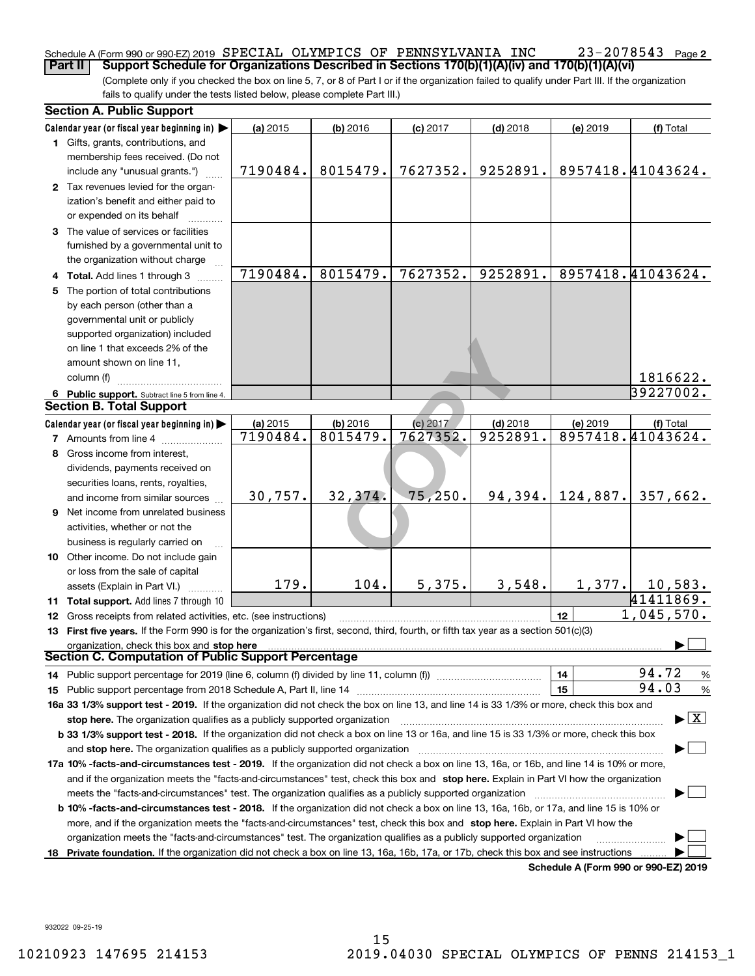#### 23-2078543 Page 2 Schedule A (Form 990 or 990-EZ) 2019  ${\tt SPECIAL}$   ${\tt OLYMPICS}$   ${\tt OF}$   ${\tt PENNSYLVANIA}$   ${\tt INC}$   $23$  –  $2078543$   ${\tt Page}$ **Part II Support Schedule for Organizations Described in Sections 170(b)(1)(A)(iv) and 170(b)(1)(A)(vi)**

(Complete only if you checked the box on line 5, 7, or 8 of Part I or if the organization failed to qualify under Part III. If the organization fails to qualify under the tests listed below, please complete Part III.)

|    | <b>Section A. Public Support</b>                                                                                                                                                                                                                             |          |            |            |            |          |                                         |
|----|--------------------------------------------------------------------------------------------------------------------------------------------------------------------------------------------------------------------------------------------------------------|----------|------------|------------|------------|----------|-----------------------------------------|
|    | Calendar year (or fiscal year beginning in)                                                                                                                                                                                                                  | (a) 2015 | $(b)$ 2016 | $(c)$ 2017 | $(d)$ 2018 | (e) 2019 | (f) Total                               |
|    | 1 Gifts, grants, contributions, and                                                                                                                                                                                                                          |          |            |            |            |          |                                         |
|    | membership fees received. (Do not                                                                                                                                                                                                                            |          |            |            |            |          |                                         |
|    | include any "unusual grants.")                                                                                                                                                                                                                               | 7190484. | 8015479.   | 7627352.   | 9252891.   |          | 8957418.41043624.                       |
|    | 2 Tax revenues levied for the organ-                                                                                                                                                                                                                         |          |            |            |            |          |                                         |
|    | ization's benefit and either paid to                                                                                                                                                                                                                         |          |            |            |            |          |                                         |
|    | or expended on its behalf                                                                                                                                                                                                                                    |          |            |            |            |          |                                         |
|    | 3 The value of services or facilities                                                                                                                                                                                                                        |          |            |            |            |          |                                         |
|    | furnished by a governmental unit to                                                                                                                                                                                                                          |          |            |            |            |          |                                         |
|    | the organization without charge                                                                                                                                                                                                                              |          |            |            |            |          |                                         |
|    | 4 Total. Add lines 1 through 3                                                                                                                                                                                                                               | 7190484. | 8015479.   | 7627352.   | 9252891.   |          | 8957418.41043624.                       |
|    | 5 The portion of total contributions                                                                                                                                                                                                                         |          |            |            |            |          |                                         |
|    | by each person (other than a                                                                                                                                                                                                                                 |          |            |            |            |          |                                         |
|    | governmental unit or publicly                                                                                                                                                                                                                                |          |            |            |            |          |                                         |
|    | supported organization) included                                                                                                                                                                                                                             |          |            |            |            |          |                                         |
|    | on line 1 that exceeds 2% of the                                                                                                                                                                                                                             |          |            |            |            |          |                                         |
|    | amount shown on line 11,                                                                                                                                                                                                                                     |          |            |            |            |          |                                         |
|    | column (f)                                                                                                                                                                                                                                                   |          |            |            |            |          | 1816622.                                |
|    | 6 Public support. Subtract line 5 from line 4.                                                                                                                                                                                                               |          |            |            |            |          | 39227002.                               |
|    | <b>Section B. Total Support</b>                                                                                                                                                                                                                              |          |            |            |            |          |                                         |
|    | Calendar year (or fiscal year beginning in)                                                                                                                                                                                                                  | (a) 2015 | (b) 2016   | (c) 2017   | $(d)$ 2018 | (e) 2019 | (f) Total                               |
|    | <b>7</b> Amounts from line 4                                                                                                                                                                                                                                 | 7190484. | 8015479.   | 7627352.   | 9252891.   |          | 8957418.41043624.                       |
| 8  | Gross income from interest,                                                                                                                                                                                                                                  |          |            |            |            |          |                                         |
|    | dividends, payments received on                                                                                                                                                                                                                              |          |            |            |            |          |                                         |
|    | securities loans, rents, royalties,                                                                                                                                                                                                                          |          |            |            |            |          |                                         |
|    | and income from similar sources                                                                                                                                                                                                                              | 30,757.  | 32,374.    | 75,250.    | 94,394.    | 124,887. | 357,662.                                |
|    | <b>9</b> Net income from unrelated business                                                                                                                                                                                                                  |          |            |            |            |          |                                         |
|    | activities, whether or not the                                                                                                                                                                                                                               |          |            |            |            |          |                                         |
|    | business is regularly carried on                                                                                                                                                                                                                             |          |            |            |            |          |                                         |
|    | 10 Other income. Do not include gain                                                                                                                                                                                                                         |          |            |            |            |          |                                         |
|    | or loss from the sale of capital                                                                                                                                                                                                                             |          |            |            |            |          |                                         |
|    | assets (Explain in Part VI.)                                                                                                                                                                                                                                 | 179.     | 104.       | 5,375.     | 3,548.     | 1,377.   | 10,583.                                 |
|    | 11 Total support. Add lines 7 through 10                                                                                                                                                                                                                     |          |            |            |            |          | 41411869.                               |
|    | 12 Gross receipts from related activities, etc. (see instructions)                                                                                                                                                                                           |          |            |            |            | 12       | 1,045,570.                              |
|    | 13 First five years. If the Form 990 is for the organization's first, second, third, fourth, or fifth tax year as a section 501(c)(3)                                                                                                                        |          |            |            |            |          |                                         |
|    | organization, check this box and stop here                                                                                                                                                                                                                   |          |            |            |            |          |                                         |
|    | <b>Section C. Computation of Public Support Percentage</b>                                                                                                                                                                                                   |          |            |            |            |          |                                         |
|    | 14 Public support percentage for 2019 (line 6, column (f) divided by line 11, column (f) <i>mummumumum</i>                                                                                                                                                   |          |            |            |            | 14       | 94.72<br>$\frac{9}{6}$                  |
|    |                                                                                                                                                                                                                                                              |          |            |            |            | 15       | 94.03<br>%                              |
|    | 16a 33 1/3% support test - 2019. If the organization did not check the box on line 13, and line 14 is 33 1/3% or more, check this box and                                                                                                                    |          |            |            |            |          |                                         |
|    | stop here. The organization qualifies as a publicly supported organization                                                                                                                                                                                   |          |            |            |            |          | $\blacktriangleright$ $\vert$ X $\vert$ |
|    | b 33 1/3% support test - 2018. If the organization did not check a box on line 13 or 16a, and line 15 is 33 1/3% or more, check this box                                                                                                                     |          |            |            |            |          |                                         |
|    |                                                                                                                                                                                                                                                              |          |            |            |            |          |                                         |
|    | 17a 10% -facts-and-circumstances test - 2019. If the organization did not check a box on line 13, 16a, or 16b, and line 14 is 10% or more,                                                                                                                   |          |            |            |            |          |                                         |
|    | and if the organization meets the "facts-and-circumstances" test, check this box and stop here. Explain in Part VI how the organization                                                                                                                      |          |            |            |            |          |                                         |
|    | meets the "facts-and-circumstances" test. The organization qualifies as a publicly supported organization                                                                                                                                                    |          |            |            |            |          |                                         |
|    | <b>b 10% -facts-and-circumstances test - 2018.</b> If the organization did not check a box on line 13, 16a, 16b, or 17a, and line 15 is 10% or                                                                                                               |          |            |            |            |          |                                         |
|    | more, and if the organization meets the "facts-and-circumstances" test, check this box and stop here. Explain in Part VI how the                                                                                                                             |          |            |            |            |          |                                         |
| 18 | organization meets the "facts-and-circumstances" test. The organization qualifies as a publicly supported organization<br>Private foundation. If the organization did not check a box on line 13, 16a, 16b, 17a, or 17b, check this box and see instructions |          |            |            |            |          |                                         |
|    |                                                                                                                                                                                                                                                              |          |            |            |            |          | Schedule A (Form 990 or 990-EZ) 2019    |

**Schedule A (Form 990 or 990-EZ) 2019**

932022 09-25-19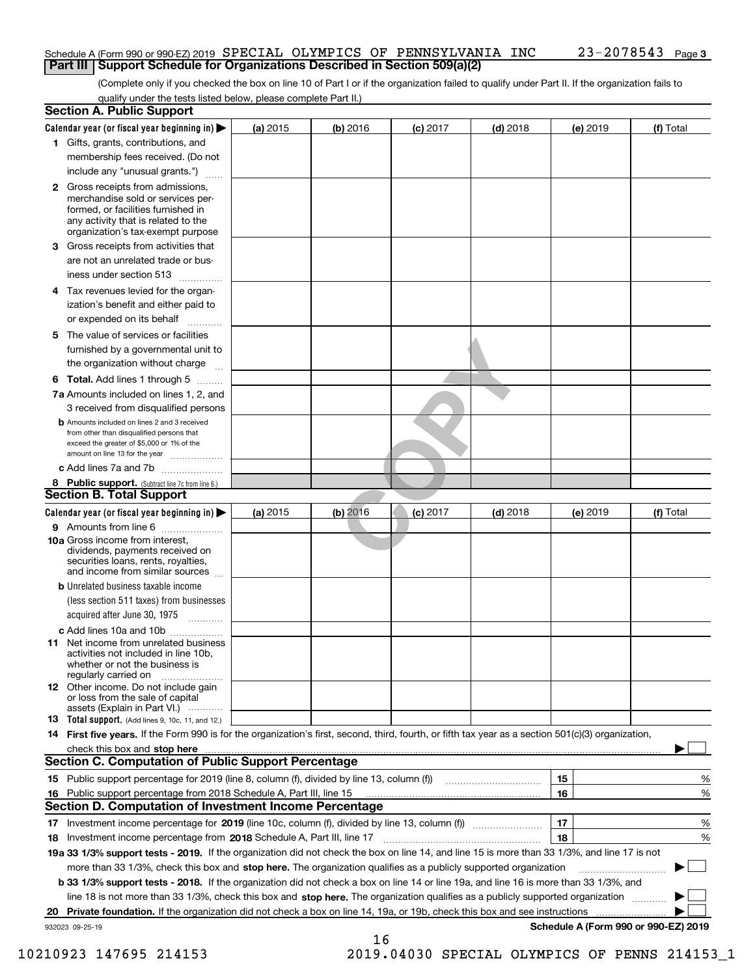### Schedule A (Form 990 or 990-EZ) 2019  ${\tt SPECIAL}$   ${\tt OLYMPICS}$   ${\tt OF}$   ${\tt PENNSYLVANIA}$   ${\tt INC}$   $23$  –  $2078543$   ${\tt Page}$ **Part III | Support Schedule for Organizations Described in Section 509(a)(2)**

(Complete only if you checked the box on line 10 of Part I or if the organization failed to qualify under Part II. If the organization fails to qualify under the tests listed below, please complete Part II.)

|     | <b>Section A. Public Support</b>                                                                                                                                                                                               |          |            |            |            |            |                                      |
|-----|--------------------------------------------------------------------------------------------------------------------------------------------------------------------------------------------------------------------------------|----------|------------|------------|------------|------------|--------------------------------------|
|     | Calendar year (or fiscal year beginning in) $\blacktriangleright$                                                                                                                                                              | (a) 2015 | $(b)$ 2016 | $(c)$ 2017 | $(d)$ 2018 | $(e)$ 2019 | (f) Total                            |
|     | 1 Gifts, grants, contributions, and                                                                                                                                                                                            |          |            |            |            |            |                                      |
|     | membership fees received. (Do not                                                                                                                                                                                              |          |            |            |            |            |                                      |
|     | include any "unusual grants.")                                                                                                                                                                                                 |          |            |            |            |            |                                      |
|     | <b>2</b> Gross receipts from admissions,<br>merchandise sold or services per-<br>formed, or facilities furnished in<br>any activity that is related to the<br>organization's tax-exempt purpose                                |          |            |            |            |            |                                      |
|     | 3 Gross receipts from activities that<br>are not an unrelated trade or bus-                                                                                                                                                    |          |            |            |            |            |                                      |
|     | iness under section 513                                                                                                                                                                                                        |          |            |            |            |            |                                      |
|     | 4 Tax revenues levied for the organ-                                                                                                                                                                                           |          |            |            |            |            |                                      |
|     | ization's benefit and either paid to<br>or expended on its behalf<br>.                                                                                                                                                         |          |            |            |            |            |                                      |
|     | 5 The value of services or facilities                                                                                                                                                                                          |          |            |            |            |            |                                      |
|     | furnished by a governmental unit to                                                                                                                                                                                            |          |            |            |            |            |                                      |
|     | the organization without charge                                                                                                                                                                                                |          |            |            |            |            |                                      |
|     | <b>6 Total.</b> Add lines 1 through 5                                                                                                                                                                                          |          |            |            |            |            |                                      |
|     | 7a Amounts included on lines 1, 2, and                                                                                                                                                                                         |          |            |            |            |            |                                      |
|     | 3 received from disqualified persons                                                                                                                                                                                           |          |            |            |            |            |                                      |
|     | <b>b</b> Amounts included on lines 2 and 3 received<br>from other than disqualified persons that<br>exceed the greater of \$5,000 or 1% of the<br>amount on line 13 for the year                                               |          |            |            |            |            |                                      |
|     | c Add lines 7a and 7b                                                                                                                                                                                                          |          |            |            |            |            |                                      |
|     | 8 Public support. (Subtract line 7c from line 6.)                                                                                                                                                                              |          |            |            |            |            |                                      |
|     | <b>Section B. Total Support</b>                                                                                                                                                                                                |          |            |            |            |            |                                      |
|     | Calendar year (or fiscal year beginning in)                                                                                                                                                                                    | (a) 2015 | $(b)$ 2016 | $(c)$ 2017 | $(d)$ 2018 | (e) 2019   | (f) Total                            |
|     | 9 Amounts from line 6                                                                                                                                                                                                          |          |            |            |            |            |                                      |
|     | <b>10a</b> Gross income from interest,<br>dividends, payments received on<br>securities loans, rents, royalties,<br>and income from similar sources                                                                            |          |            |            |            |            |                                      |
|     | <b>b</b> Unrelated business taxable income                                                                                                                                                                                     |          |            |            |            |            |                                      |
|     | (less section 511 taxes) from businesses                                                                                                                                                                                       |          |            |            |            |            |                                      |
|     | acquired after June 30, 1975<br>1.1.1.1.1.1.1.1.1.1                                                                                                                                                                            |          |            |            |            |            |                                      |
|     | c Add lines 10a and 10b                                                                                                                                                                                                        |          |            |            |            |            |                                      |
|     | 11 Net income from unrelated business<br>activities not included in line 10b.<br>whether or not the business is<br>regularly carried on                                                                                        |          |            |            |            |            |                                      |
|     | <b>12</b> Other income. Do not include gain<br>or loss from the sale of capital<br>assets (Explain in Part VI.)                                                                                                                |          |            |            |            |            |                                      |
|     | <b>13</b> Total support. (Add lines 9, 10c, 11, and 12.)                                                                                                                                                                       |          |            |            |            |            |                                      |
|     | 14 First five years. If the Form 990 is for the organization's first, second, third, fourth, or fifth tax year as a section 501(c)(3) organization,                                                                            |          |            |            |            |            |                                      |
|     | check this box and stop here measurements and the control of the control of the control of the control of the control of the control of the control of the control of the control of the control of the control of the control |          |            |            |            |            |                                      |
|     | <b>Section C. Computation of Public Support Percentage</b>                                                                                                                                                                     |          |            |            |            |            |                                      |
|     | 15 Public support percentage for 2019 (line 8, column (f), divided by line 13, column (f))                                                                                                                                     |          |            |            |            | 15         | %                                    |
| 16. | Public support percentage from 2018 Schedule A, Part III, line 15                                                                                                                                                              |          |            |            |            | 16         | %                                    |
|     | <b>Section D. Computation of Investment Income Percentage</b>                                                                                                                                                                  |          |            |            |            |            |                                      |
|     | 17 Investment income percentage for 2019 (line 10c, column (f), divided by line 13, column (f))                                                                                                                                |          |            |            |            | 17         | %                                    |
|     | 18 Investment income percentage from 2018 Schedule A, Part III, line 17                                                                                                                                                        |          |            |            |            | 18         | %                                    |
|     | 19a 33 1/3% support tests - 2019. If the organization did not check the box on line 14, and line 15 is more than 33 1/3%, and line 17 is not                                                                                   |          |            |            |            |            |                                      |
|     | more than 33 1/3%, check this box and stop here. The organization qualifies as a publicly supported organization                                                                                                               |          |            |            |            |            | ▶                                    |
|     | b 33 1/3% support tests - 2018. If the organization did not check a box on line 14 or line 19a, and line 16 is more than 33 1/3%, and                                                                                          |          |            |            |            |            |                                      |
|     | line 18 is not more than 33 1/3%, check this box and stop here. The organization qualifies as a publicly supported organization                                                                                                |          |            |            |            |            |                                      |
|     | 20 Private foundation. If the organization did not check a box on line 14, 19a, or 19b, check this box and see instructions                                                                                                    |          |            |            |            |            | .                                    |
|     | 932023 09-25-19                                                                                                                                                                                                                |          | 16         |            |            |            | Schedule A (Form 990 or 990-EZ) 2019 |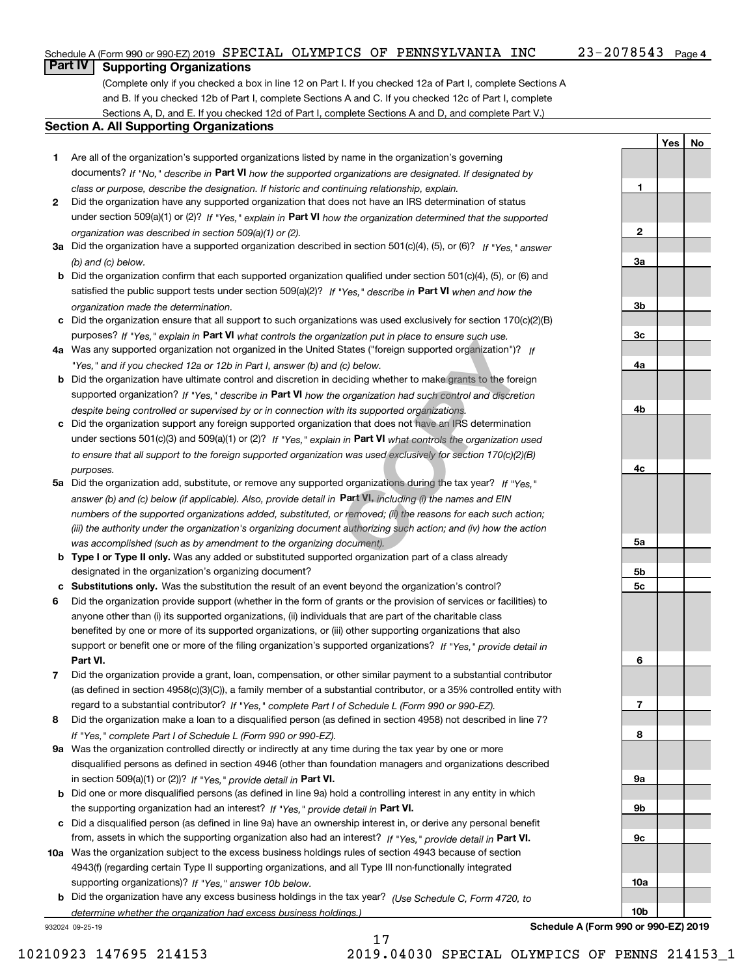**1**

**YesNo**

## **Part IV Supporting Organizations**

(Complete only if you checked a box in line 12 on Part I. If you checked 12a of Part I, complete Sections A and B. If you checked 12b of Part I, complete Sections A and C. If you checked 12c of Part I, complete Sections A, D, and E. If you checked 12d of Part I, complete Sections A and D, and complete Part V.)

### **Section A. All Supporting Organizations**

- **1** Are all of the organization's supported organizations listed by name in the organization's governing documents? If "No," describe in **Part VI** how the supported organizations are designated. If designated by *class or purpose, describe the designation. If historic and continuing relationship, explain.*
- **2** Did the organization have any supported organization that does not have an IRS determination of status under section 509(a)(1) or (2)? If "Yes," explain in Part VI how the organization determined that the supported *organization was described in section 509(a)(1) or (2).*
- **3a** Did the organization have a supported organization described in section 501(c)(4), (5), or (6)? If "Yes," answer *(b) and (c) below.*
- **b** Did the organization confirm that each supported organization qualified under section 501(c)(4), (5), or (6) and satisfied the public support tests under section 509(a)(2)? If "Yes," describe in **Part VI** when and how the *organization made the determination.*
- **c**Did the organization ensure that all support to such organizations was used exclusively for section 170(c)(2)(B) purposes? If "Yes," explain in **Part VI** what controls the organization put in place to ensure such use.
- **4a***If* Was any supported organization not organized in the United States ("foreign supported organization")? *"Yes," and if you checked 12a or 12b in Part I, answer (b) and (c) below.*
- **b** Did the organization have ultimate control and discretion in deciding whether to make grants to the foreign supported organization? If "Yes," describe in **Part VI** how the organization had such control and discretion *despite being controlled or supervised by or in connection with its supported organizations.*
- **c** Did the organization support any foreign supported organization that does not have an IRS determination under sections 501(c)(3) and 509(a)(1) or (2)? If "Yes," explain in **Part VI** what controls the organization used *to ensure that all support to the foreign supported organization was used exclusively for section 170(c)(2)(B) purposes.*
- **5a** Did the organization add, substitute, or remove any supported organizations during the tax year? If "Yes," answer (b) and (c) below (if applicable). Also, provide detail in **Part VI,** including (i) the names and EIN *numbers of the supported organizations added, substituted, or removed; (ii) the reasons for each such action; (iii) the authority under the organization's organizing document authorizing such action; and (iv) how the action was accomplished (such as by amendment to the organizing document).* Inization put in place to ensure such use.<br>
States ("foreign supported organization")?<br>
If (c) below.<br>
deciding whether to make grants to the fore<br>
e organization had such control and discreti<br>
th its supported organizatio
- **b** Type I or Type II only. Was any added or substituted supported organization part of a class already designated in the organization's organizing document?
- **cSubstitutions only.**  Was the substitution the result of an event beyond the organization's control?
- **6** Did the organization provide support (whether in the form of grants or the provision of services or facilities) to **Part VI.** *If "Yes," provide detail in* support or benefit one or more of the filing organization's supported organizations? anyone other than (i) its supported organizations, (ii) individuals that are part of the charitable class benefited by one or more of its supported organizations, or (iii) other supporting organizations that also
- **7**Did the organization provide a grant, loan, compensation, or other similar payment to a substantial contributor *If "Yes," complete Part I of Schedule L (Form 990 or 990-EZ).* regard to a substantial contributor? (as defined in section 4958(c)(3)(C)), a family member of a substantial contributor, or a 35% controlled entity with
- **8** Did the organization make a loan to a disqualified person (as defined in section 4958) not described in line 7? *If "Yes," complete Part I of Schedule L (Form 990 or 990-EZ).*
- **9a** Was the organization controlled directly or indirectly at any time during the tax year by one or more in section 509(a)(1) or (2))? If "Yes," *provide detail in* <code>Part VI.</code> disqualified persons as defined in section 4946 (other than foundation managers and organizations described
- **b** Did one or more disqualified persons (as defined in line 9a) hold a controlling interest in any entity in which the supporting organization had an interest? If "Yes," provide detail in P**art VI**.
- **c**Did a disqualified person (as defined in line 9a) have an ownership interest in, or derive any personal benefit from, assets in which the supporting organization also had an interest? If "Yes," provide detail in P**art VI.**
- **10a** Was the organization subject to the excess business holdings rules of section 4943 because of section supporting organizations)? If "Yes," answer 10b below. 4943(f) (regarding certain Type II supporting organizations, and all Type III non-functionally integrated
- **b** Did the organization have any excess business holdings in the tax year? (Use Schedule C, Form 4720, to *determine whether the organization had excess business holdings.)*

17

932024 09-25-19



**Schedule A (Form 990 or 990-EZ) 2019**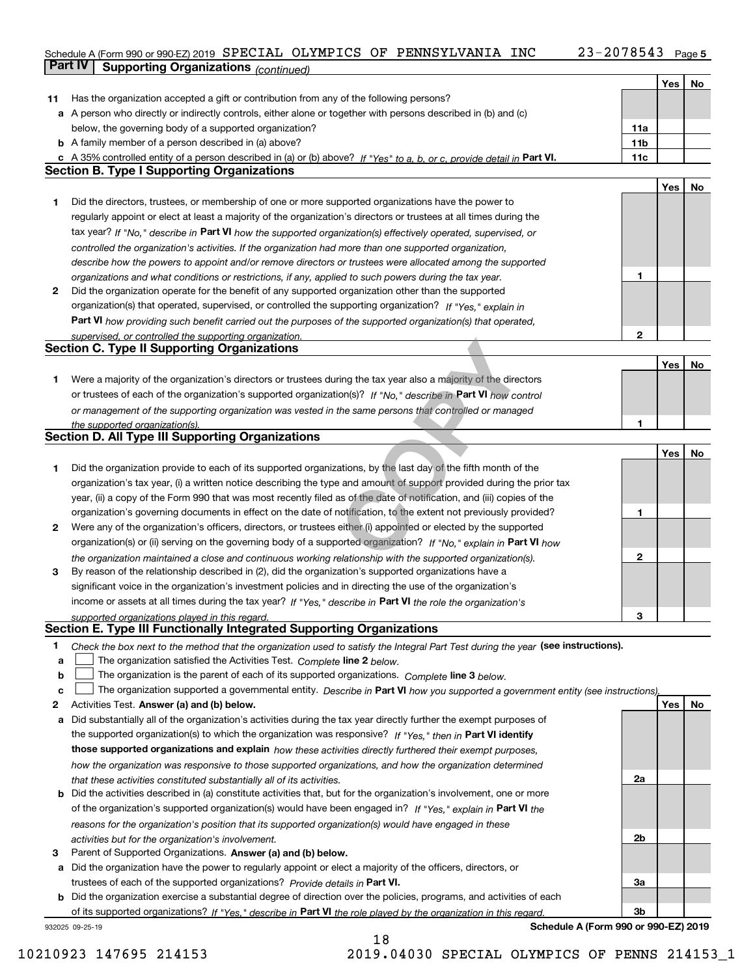## Schedule A (Form 990 or 990-EZ) 2019  ${\tt SPECIAL}$   ${\tt OLYMPICS}$   ${\tt OF}$   ${\tt PENNSYLVANIA}$   ${\tt INC}$   $23-2078543$   ${\tt Page}$  5 **Part IV Supporting Organizations** *(continued)*

|    |                                                                                                                                                                                                                      |     | <b>Yes</b> | No |
|----|----------------------------------------------------------------------------------------------------------------------------------------------------------------------------------------------------------------------|-----|------------|----|
| 11 | Has the organization accepted a gift or contribution from any of the following persons?                                                                                                                              |     |            |    |
|    | a A person who directly or indirectly controls, either alone or together with persons described in (b) and (c)                                                                                                       |     |            |    |
|    | below, the governing body of a supported organization?                                                                                                                                                               | 11a |            |    |
|    | <b>b</b> A family member of a person described in (a) above?                                                                                                                                                         | 11b |            |    |
|    | c A 35% controlled entity of a person described in (a) or (b) above? If "Yes" to a, b, or c, provide detail in Part VI.                                                                                              | 11c |            |    |
|    | <b>Section B. Type I Supporting Organizations</b>                                                                                                                                                                    |     |            |    |
|    |                                                                                                                                                                                                                      |     | Yes        | No |
| 1  | Did the directors, trustees, or membership of one or more supported organizations have the power to                                                                                                                  |     |            |    |
|    | regularly appoint or elect at least a majority of the organization's directors or trustees at all times during the                                                                                                   |     |            |    |
|    | tax year? If "No," describe in Part VI how the supported organization(s) effectively operated, supervised, or                                                                                                        |     |            |    |
|    | controlled the organization's activities. If the organization had more than one supported organization,                                                                                                              |     |            |    |
|    | describe how the powers to appoint and/or remove directors or trustees were allocated among the supported                                                                                                            |     |            |    |
|    | organizations and what conditions or restrictions, if any, applied to such powers during the tax year.                                                                                                               | 1   |            |    |
| 2  | Did the organization operate for the benefit of any supported organization other than the supported                                                                                                                  |     |            |    |
|    | organization(s) that operated, supervised, or controlled the supporting organization? If "Yes," explain in                                                                                                           |     |            |    |
|    | Part VI how providing such benefit carried out the purposes of the supported organization(s) that operated,                                                                                                          |     |            |    |
|    | supervised, or controlled the supporting organization.                                                                                                                                                               | 2   |            |    |
|    | <b>Section C. Type II Supporting Organizations</b>                                                                                                                                                                   |     |            |    |
|    |                                                                                                                                                                                                                      |     | Yes        | No |
| 1. | Were a majority of the organization's directors or trustees during the tax year also a majority of the directors                                                                                                     |     |            |    |
|    | or trustees of each of the organization's supported organization(s)? If "No," describe in Part VI how control                                                                                                        |     |            |    |
|    | or management of the supporting organization was vested in the same persons that controlled or managed                                                                                                               |     |            |    |
|    | the supported organization(s).                                                                                                                                                                                       | 1   |            |    |
|    | <b>Section D. All Type III Supporting Organizations</b>                                                                                                                                                              |     |            |    |
|    |                                                                                                                                                                                                                      |     | Yes        | No |
| 1  | Did the organization provide to each of its supported organizations, by the last day of the fifth month of the                                                                                                       |     |            |    |
|    | organization's tax year, (i) a written notice describing the type and amount of support provided during the prior tax                                                                                                |     |            |    |
|    | year, (ii) a copy of the Form 990 that was most recently filed as of the date of notification, and (iii) copies of the                                                                                               |     |            |    |
|    | organization's governing documents in effect on the date of notification, to the extent not previously provided?                                                                                                     | 1   |            |    |
| 2  | Were any of the organization's officers, directors, or trustees either (i) appointed or elected by the supported                                                                                                     |     |            |    |
|    | organization(s) or (ii) serving on the governing body of a supported organization? If "No," explain in Part VI how                                                                                                   | 2   |            |    |
| 3  | the organization maintained a close and continuous working relationship with the supported organization(s).<br>By reason of the relationship described in (2), did the organization's supported organizations have a |     |            |    |
|    | significant voice in the organization's investment policies and in directing the use of the organization's                                                                                                           |     |            |    |
|    | income or assets at all times during the tax year? If "Yes," describe in Part VI the role the organization's                                                                                                         |     |            |    |
|    | supported organizations played in this regard.                                                                                                                                                                       | з   |            |    |
|    | Section E. Type III Functionally Integrated Supporting Organizations                                                                                                                                                 |     |            |    |
| 1  | Check the box next to the method that the organization used to satisfy the Integral Part Test during the year (see instructions).                                                                                    |     |            |    |
| a  | The organization satisfied the Activities Test. Complete line 2 below.                                                                                                                                               |     |            |    |
| b  | The organization is the parent of each of its supported organizations. Complete line 3 below.                                                                                                                        |     |            |    |
| c  | The organization supported a governmental entity. Describe in Part VI how you supported a government entity (see instructions).                                                                                      |     |            |    |
| 2  | Activities Test. Answer (a) and (b) below.                                                                                                                                                                           |     | Yes        | No |
| а  | Did substantially all of the organization's activities during the tax year directly further the exempt purposes of                                                                                                   |     |            |    |
|    | the supported organization(s) to which the organization was responsive? If "Yes," then in Part VI identify                                                                                                           |     |            |    |
|    | those supported organizations and explain how these activities directly furthered their exempt purposes,                                                                                                             |     |            |    |
|    | how the organization was responsive to those supported organizations, and how the organization determined                                                                                                            |     |            |    |
|    | that these activities constituted substantially all of its activities.                                                                                                                                               | 2a  |            |    |
|    | <b>b</b> Did the activities described in (a) constitute activities that, but for the organization's involvement, one or more                                                                                         |     |            |    |
|    | of the organization's supported organization(s) would have been engaged in? If "Yes," explain in Part VI the                                                                                                         |     |            |    |
|    | reasons for the organization's position that its supported organization(s) would have engaged in these                                                                                                               |     |            |    |
|    | activities but for the organization's involvement.                                                                                                                                                                   | 2b  |            |    |
| з  | Parent of Supported Organizations. Answer (a) and (b) below.                                                                                                                                                         |     |            |    |
|    | a Did the organization have the power to regularly appoint or elect a majority of the officers, directors, or                                                                                                        |     |            |    |
|    | trustees of each of the supported organizations? Provide details in Part VI.                                                                                                                                         | За  |            |    |
|    | <b>b</b> Did the organization exercise a substantial degree of direction over the policies, programs, and activities of each                                                                                         |     |            |    |
|    | of its supported organizations? If "Yes," describe in Part VI the role played by the organization in this regard.                                                                                                    | 3b  |            |    |

18

932025 09-25-19

**Schedule A (Form 990 or 990-EZ) 2019**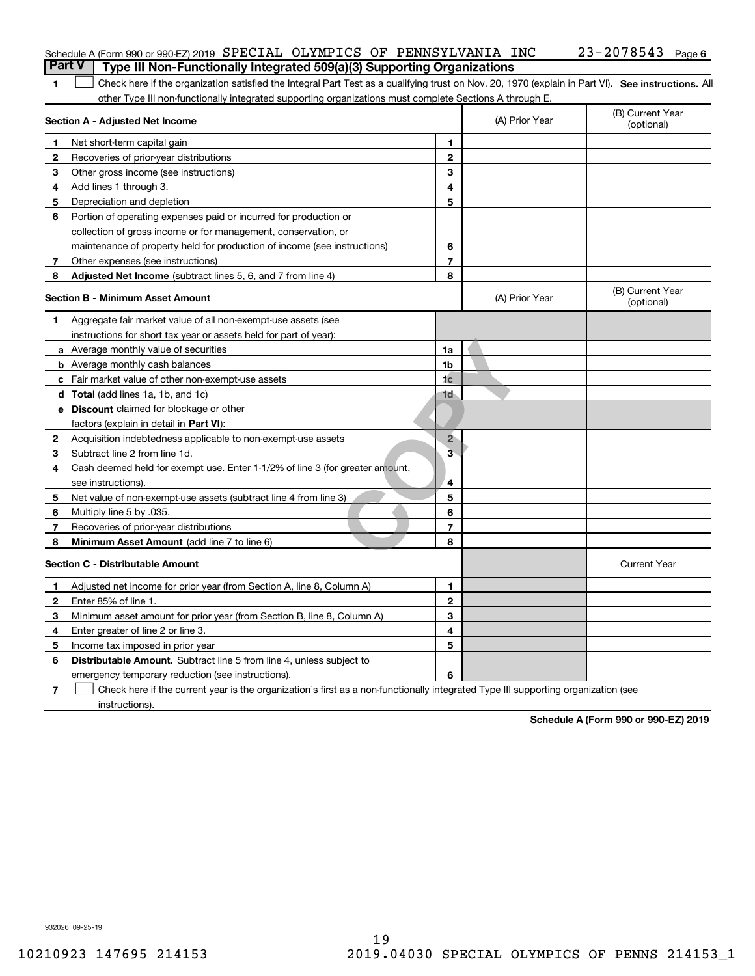| <b>Part V</b>            | Schedule A (Form 990 or 990-EZ) 2019 SPECIAL OLYMPICS OF PENNSYLVANIA INC<br>Type III Non-Functionally Integrated 509(a)(3) Supporting Organizations |                         |                | $23 - 2078543$ Page 6          |
|--------------------------|------------------------------------------------------------------------------------------------------------------------------------------------------|-------------------------|----------------|--------------------------------|
| 1                        | Check here if the organization satisfied the Integral Part Test as a qualifying trust on Nov. 20, 1970 (explain in Part VI). See instructions. All   |                         |                |                                |
|                          | other Type III non-functionally integrated supporting organizations must complete Sections A through E.                                              |                         |                |                                |
|                          | Section A - Adjusted Net Income                                                                                                                      |                         | (A) Prior Year | (B) Current Year<br>(optional) |
| 1                        | Net short-term capital gain                                                                                                                          | 1.                      |                |                                |
| 2                        | Recoveries of prior-year distributions                                                                                                               | $\mathbf{2}$            |                |                                |
| З                        | Other gross income (see instructions)                                                                                                                | 3                       |                |                                |
| 4                        | Add lines 1 through 3.                                                                                                                               | 4                       |                |                                |
| 5                        | Depreciation and depletion                                                                                                                           | 5                       |                |                                |
| 6                        | Portion of operating expenses paid or incurred for production or                                                                                     |                         |                |                                |
|                          | collection of gross income or for management, conservation, or                                                                                       |                         |                |                                |
|                          | maintenance of property held for production of income (see instructions)                                                                             | 6                       |                |                                |
| $\mathbf{7}$             | Other expenses (see instructions)                                                                                                                    | $\overline{7}$          |                |                                |
| 8                        | Adjusted Net Income (subtract lines 5, 6, and 7 from line 4)                                                                                         | 8                       |                |                                |
|                          | <b>Section B - Minimum Asset Amount</b>                                                                                                              |                         | (A) Prior Year | (B) Current Year<br>(optional) |
| 1                        | Aggregate fair market value of all non-exempt-use assets (see                                                                                        |                         |                |                                |
|                          | instructions for short tax year or assets held for part of year):                                                                                    |                         |                |                                |
|                          | <b>a</b> Average monthly value of securities                                                                                                         | 1a                      |                |                                |
|                          | <b>b</b> Average monthly cash balances                                                                                                               | 1b                      |                |                                |
|                          | c Fair market value of other non-exempt-use assets                                                                                                   | 1 <sub>c</sub>          |                |                                |
|                          | <b>d</b> Total (add lines 1a, 1b, and 1c)                                                                                                            | 1d                      |                |                                |
|                          | <b>e</b> Discount claimed for blockage or other                                                                                                      |                         |                |                                |
|                          | factors (explain in detail in Part VI):                                                                                                              |                         |                |                                |
| 2                        | Acquisition indebtedness applicable to non-exempt-use assets                                                                                         | $\overline{2}$          |                |                                |
| 3                        | Subtract line 2 from line 1d.                                                                                                                        | $\overline{\mathbf{3}}$ |                |                                |
| 4                        | Cash deemed held for exempt use. Enter 1-1/2% of line 3 (for greater amount,                                                                         |                         |                |                                |
|                          | see instructions).                                                                                                                                   | 4                       |                |                                |
| 5                        | Net value of non-exempt-use assets (subtract line 4 from line 3)                                                                                     | 5                       |                |                                |
| 6                        | Multiply line 5 by .035.                                                                                                                             | 6                       |                |                                |
| 7                        | Recoveries of prior-year distributions                                                                                                               | $\overline{7}$          |                |                                |
| 8                        | Minimum Asset Amount (add line 7 to line 6)                                                                                                          | 8                       |                |                                |
|                          | <b>Section C - Distributable Amount</b>                                                                                                              |                         |                | <b>Current Year</b>            |
|                          | Adjusted net income for prior year (from Section A, line 8, Column A)                                                                                | 1                       |                |                                |
|                          | Enter 85% of line 1.                                                                                                                                 | 2                       |                |                                |
| 3.                       | Minimum asset amount for prior year (from Section B, line 8, Column A)                                                                               | 3                       |                |                                |
| 4                        | Enter greater of line 2 or line 3.                                                                                                                   | 4                       |                |                                |
| 5                        | Income tax imposed in prior year                                                                                                                     | 5                       |                |                                |
| 6                        | <b>Distributable Amount.</b> Subtract line 5 from line 4, unless subject to                                                                          |                         |                |                                |
|                          | emergency temporary reduction (see instructions).                                                                                                    | 6                       |                |                                |
| $\overline{\phantom{a}}$ | Check here if the current year is the organization's first as a non-functionally integrated Type III supporting organization (see                    |                         |                |                                |

instructions).

**Schedule A (Form 990 or 990-EZ) 2019**

932026 09-25-19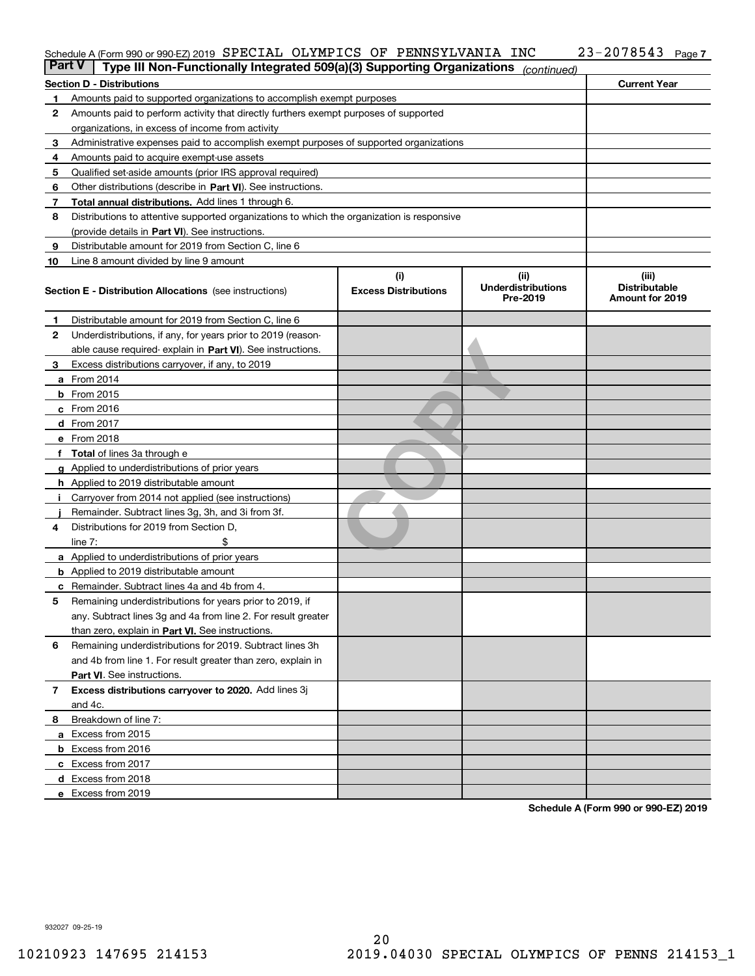#### Schedule A (Form 990 or 990-EZ) 2019 SPECIAL OLYMPICS OF PENNSYLVANIA INC 23-2078543 Page SPECIAL OLYMPICS OF PENNSYLVANIA INC 23-2078543

| <b>Part V</b> | Type III Non-Functionally Integrated 509(a)(3) Supporting Organizations                    |                                    | (continued)                                    |                                                  |  |  |  |  |  |
|---------------|--------------------------------------------------------------------------------------------|------------------------------------|------------------------------------------------|--------------------------------------------------|--|--|--|--|--|
|               | <b>Section D - Distributions</b>                                                           |                                    |                                                | <b>Current Year</b>                              |  |  |  |  |  |
| 1             | Amounts paid to supported organizations to accomplish exempt purposes                      |                                    |                                                |                                                  |  |  |  |  |  |
| 2             | Amounts paid to perform activity that directly furthers exempt purposes of supported       |                                    |                                                |                                                  |  |  |  |  |  |
|               | organizations, in excess of income from activity                                           |                                    |                                                |                                                  |  |  |  |  |  |
| 3             | Administrative expenses paid to accomplish exempt purposes of supported organizations      |                                    |                                                |                                                  |  |  |  |  |  |
| 4             | Amounts paid to acquire exempt-use assets                                                  |                                    |                                                |                                                  |  |  |  |  |  |
| 5             | Qualified set-aside amounts (prior IRS approval required)                                  |                                    |                                                |                                                  |  |  |  |  |  |
| 6             | Other distributions (describe in Part VI). See instructions.                               |                                    |                                                |                                                  |  |  |  |  |  |
| 7             | Total annual distributions. Add lines 1 through 6.                                         |                                    |                                                |                                                  |  |  |  |  |  |
| 8             | Distributions to attentive supported organizations to which the organization is responsive |                                    |                                                |                                                  |  |  |  |  |  |
|               | (provide details in Part VI). See instructions.                                            |                                    |                                                |                                                  |  |  |  |  |  |
| 9             | Distributable amount for 2019 from Section C, line 6                                       |                                    |                                                |                                                  |  |  |  |  |  |
| 10            | Line 8 amount divided by line 9 amount                                                     |                                    |                                                |                                                  |  |  |  |  |  |
|               | <b>Section E - Distribution Allocations</b> (see instructions)                             | (i)<br><b>Excess Distributions</b> | (iii)<br><b>Underdistributions</b><br>Pre-2019 | (iii)<br><b>Distributable</b><br>Amount for 2019 |  |  |  |  |  |
| 1.            | Distributable amount for 2019 from Section C, line 6                                       |                                    |                                                |                                                  |  |  |  |  |  |
| 2             | Underdistributions, if any, for years prior to 2019 (reason-                               |                                    |                                                |                                                  |  |  |  |  |  |
|               | able cause required-explain in Part VI). See instructions.                                 |                                    |                                                |                                                  |  |  |  |  |  |
| з             | Excess distributions carryover, if any, to 2019                                            |                                    |                                                |                                                  |  |  |  |  |  |
|               | <b>a</b> From 2014                                                                         |                                    |                                                |                                                  |  |  |  |  |  |
|               | <b>b</b> From 2015                                                                         |                                    |                                                |                                                  |  |  |  |  |  |
|               | $c$ From 2016                                                                              |                                    |                                                |                                                  |  |  |  |  |  |
|               | d From 2017                                                                                |                                    |                                                |                                                  |  |  |  |  |  |
|               | e From 2018                                                                                |                                    |                                                |                                                  |  |  |  |  |  |
|               | <b>Total</b> of lines 3a through e                                                         |                                    |                                                |                                                  |  |  |  |  |  |
|               | <b>g</b> Applied to underdistributions of prior years                                      |                                    |                                                |                                                  |  |  |  |  |  |
|               | <b>h</b> Applied to 2019 distributable amount                                              |                                    |                                                |                                                  |  |  |  |  |  |
|               | Carryover from 2014 not applied (see instructions)                                         |                                    |                                                |                                                  |  |  |  |  |  |
|               | Remainder. Subtract lines 3g, 3h, and 3i from 3f.                                          |                                    |                                                |                                                  |  |  |  |  |  |
| 4             | Distributions for 2019 from Section D,                                                     |                                    |                                                |                                                  |  |  |  |  |  |
|               | line $7:$                                                                                  |                                    |                                                |                                                  |  |  |  |  |  |
|               | <b>a</b> Applied to underdistributions of prior years                                      |                                    |                                                |                                                  |  |  |  |  |  |
|               | <b>b</b> Applied to 2019 distributable amount                                              |                                    |                                                |                                                  |  |  |  |  |  |
|               | c Remainder. Subtract lines 4a and 4b from 4.                                              |                                    |                                                |                                                  |  |  |  |  |  |
| 5             | Remaining underdistributions for years prior to 2019, if                                   |                                    |                                                |                                                  |  |  |  |  |  |
|               | any. Subtract lines 3g and 4a from line 2. For result greater                              |                                    |                                                |                                                  |  |  |  |  |  |
|               | than zero, explain in Part VI. See instructions.                                           |                                    |                                                |                                                  |  |  |  |  |  |
| 6             | Remaining underdistributions for 2019. Subtract lines 3h                                   |                                    |                                                |                                                  |  |  |  |  |  |
|               | and 4b from line 1. For result greater than zero, explain in                               |                                    |                                                |                                                  |  |  |  |  |  |
|               | Part VI. See instructions.                                                                 |                                    |                                                |                                                  |  |  |  |  |  |
| 7             | Excess distributions carryover to 2020. Add lines 3j                                       |                                    |                                                |                                                  |  |  |  |  |  |
|               | and 4c.                                                                                    |                                    |                                                |                                                  |  |  |  |  |  |
| 8             | Breakdown of line 7:                                                                       |                                    |                                                |                                                  |  |  |  |  |  |
|               | a Excess from 2015                                                                         |                                    |                                                |                                                  |  |  |  |  |  |
|               | <b>b</b> Excess from 2016                                                                  |                                    |                                                |                                                  |  |  |  |  |  |
|               | c Excess from 2017                                                                         |                                    |                                                |                                                  |  |  |  |  |  |
|               | d Excess from 2018                                                                         |                                    |                                                |                                                  |  |  |  |  |  |
|               | e Excess from 2019                                                                         |                                    |                                                |                                                  |  |  |  |  |  |

**Schedule A (Form 990 or 990-EZ) 2019**

932027 09-25-19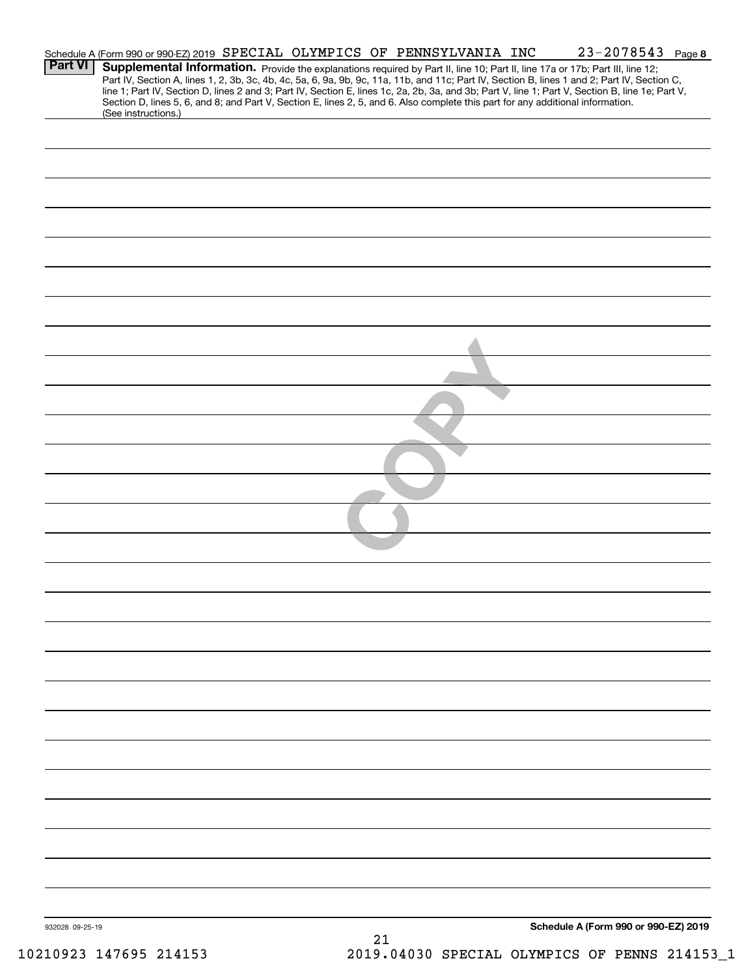|                 | Schedule A (Form 990 or 990-EZ) 2019 SPECIAL OLYMPICS OF PENNSYLVANIA INC |  |  |    |  |  | 23-2078543 Page 8                                                                                                                                                                                                                                                                                                                                                                                                                                                                                                                                                    |
|-----------------|---------------------------------------------------------------------------|--|--|----|--|--|----------------------------------------------------------------------------------------------------------------------------------------------------------------------------------------------------------------------------------------------------------------------------------------------------------------------------------------------------------------------------------------------------------------------------------------------------------------------------------------------------------------------------------------------------------------------|
| <b>Part VI</b>  |                                                                           |  |  |    |  |  | Supplemental Information. Provide the explanations required by Part II, line 10; Part II, line 17a or 17b; Part III, line 12;<br>Part IV, Section A, lines 1, 2, 3b, 3c, 4b, 4c, 5a, 6, 9a, 9b, 9c, 11a, 11b, and 11c; Part IV, Section B, lines 1 and 2; Part IV, Section C,<br>line 1; Part IV, Section D, lines 2 and 3; Part IV, Section E, lines 1c, 2a, 2b, 3a, and 3b; Part V, line 1; Part V, Section B, line 1e; Part V,<br>Section D, lines 5, 6, and 8; and Part V, Section E, lines 2, 5, and 6. Also complete this part for any additional information. |
|                 | (See instructions.)                                                       |  |  |    |  |  |                                                                                                                                                                                                                                                                                                                                                                                                                                                                                                                                                                      |
|                 |                                                                           |  |  |    |  |  |                                                                                                                                                                                                                                                                                                                                                                                                                                                                                                                                                                      |
|                 |                                                                           |  |  |    |  |  |                                                                                                                                                                                                                                                                                                                                                                                                                                                                                                                                                                      |
|                 |                                                                           |  |  |    |  |  |                                                                                                                                                                                                                                                                                                                                                                                                                                                                                                                                                                      |
|                 |                                                                           |  |  |    |  |  |                                                                                                                                                                                                                                                                                                                                                                                                                                                                                                                                                                      |
|                 |                                                                           |  |  |    |  |  |                                                                                                                                                                                                                                                                                                                                                                                                                                                                                                                                                                      |
|                 |                                                                           |  |  |    |  |  |                                                                                                                                                                                                                                                                                                                                                                                                                                                                                                                                                                      |
|                 |                                                                           |  |  |    |  |  |                                                                                                                                                                                                                                                                                                                                                                                                                                                                                                                                                                      |
|                 |                                                                           |  |  |    |  |  |                                                                                                                                                                                                                                                                                                                                                                                                                                                                                                                                                                      |
|                 |                                                                           |  |  |    |  |  |                                                                                                                                                                                                                                                                                                                                                                                                                                                                                                                                                                      |
|                 |                                                                           |  |  |    |  |  |                                                                                                                                                                                                                                                                                                                                                                                                                                                                                                                                                                      |
|                 |                                                                           |  |  |    |  |  |                                                                                                                                                                                                                                                                                                                                                                                                                                                                                                                                                                      |
|                 |                                                                           |  |  |    |  |  |                                                                                                                                                                                                                                                                                                                                                                                                                                                                                                                                                                      |
|                 |                                                                           |  |  |    |  |  |                                                                                                                                                                                                                                                                                                                                                                                                                                                                                                                                                                      |
|                 |                                                                           |  |  |    |  |  |                                                                                                                                                                                                                                                                                                                                                                                                                                                                                                                                                                      |
|                 |                                                                           |  |  |    |  |  |                                                                                                                                                                                                                                                                                                                                                                                                                                                                                                                                                                      |
|                 |                                                                           |  |  |    |  |  |                                                                                                                                                                                                                                                                                                                                                                                                                                                                                                                                                                      |
|                 |                                                                           |  |  |    |  |  |                                                                                                                                                                                                                                                                                                                                                                                                                                                                                                                                                                      |
|                 |                                                                           |  |  |    |  |  |                                                                                                                                                                                                                                                                                                                                                                                                                                                                                                                                                                      |
|                 |                                                                           |  |  |    |  |  |                                                                                                                                                                                                                                                                                                                                                                                                                                                                                                                                                                      |
|                 |                                                                           |  |  |    |  |  |                                                                                                                                                                                                                                                                                                                                                                                                                                                                                                                                                                      |
|                 |                                                                           |  |  |    |  |  |                                                                                                                                                                                                                                                                                                                                                                                                                                                                                                                                                                      |
|                 |                                                                           |  |  |    |  |  |                                                                                                                                                                                                                                                                                                                                                                                                                                                                                                                                                                      |
|                 |                                                                           |  |  |    |  |  |                                                                                                                                                                                                                                                                                                                                                                                                                                                                                                                                                                      |
|                 |                                                                           |  |  |    |  |  |                                                                                                                                                                                                                                                                                                                                                                                                                                                                                                                                                                      |
|                 |                                                                           |  |  |    |  |  |                                                                                                                                                                                                                                                                                                                                                                                                                                                                                                                                                                      |
|                 |                                                                           |  |  |    |  |  |                                                                                                                                                                                                                                                                                                                                                                                                                                                                                                                                                                      |
|                 |                                                                           |  |  |    |  |  |                                                                                                                                                                                                                                                                                                                                                                                                                                                                                                                                                                      |
|                 |                                                                           |  |  |    |  |  |                                                                                                                                                                                                                                                                                                                                                                                                                                                                                                                                                                      |
|                 |                                                                           |  |  |    |  |  |                                                                                                                                                                                                                                                                                                                                                                                                                                                                                                                                                                      |
|                 |                                                                           |  |  |    |  |  |                                                                                                                                                                                                                                                                                                                                                                                                                                                                                                                                                                      |
| 932028 09-25-19 |                                                                           |  |  |    |  |  | Schedule A (Form 990 or 990-EZ) 2019                                                                                                                                                                                                                                                                                                                                                                                                                                                                                                                                 |
|                 |                                                                           |  |  | 21 |  |  |                                                                                                                                                                                                                                                                                                                                                                                                                                                                                                                                                                      |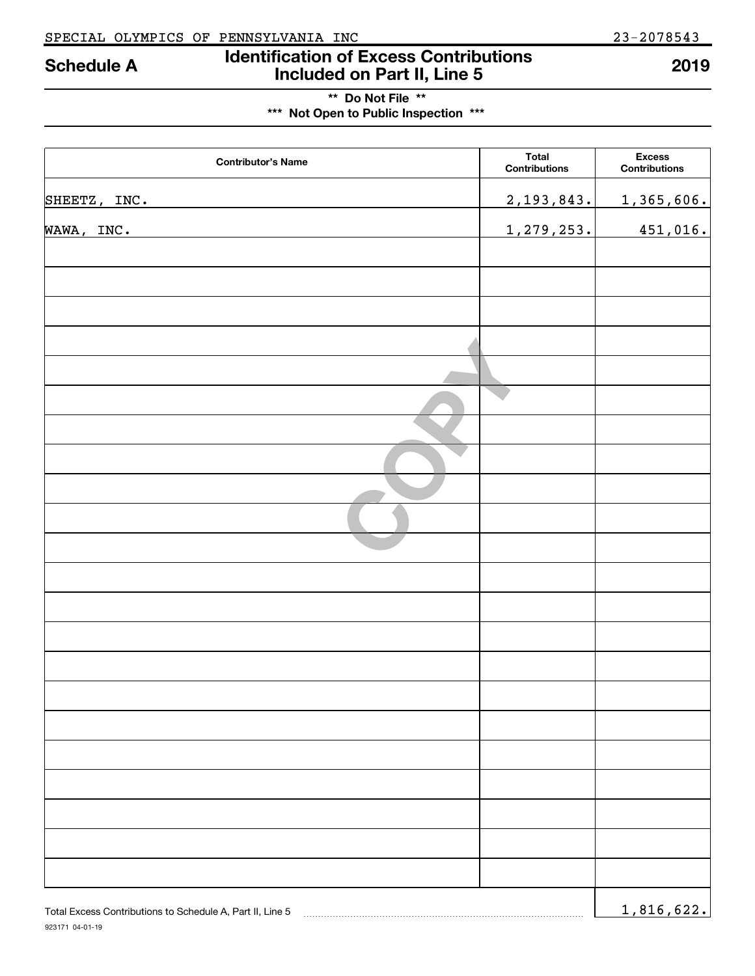# **Identification of Excess Contributions Included on Part II, Line 5 Schedule A 2019**

## **\*\* Do Not File \*\* \*\*\* Not Open to Public Inspection \*\*\***

| <b>Contributor's Name</b>                                 | <b>Total</b><br>Contributions | <b>Excess</b><br><b>Contributions</b> |
|-----------------------------------------------------------|-------------------------------|---------------------------------------|
| SHEETZ, INC.                                              | <u>2,193,843.</u>             | 1,365,606.                            |
| WAWA, INC.                                                | 1,279,253.                    | 451,016.                              |
|                                                           |                               |                                       |
|                                                           |                               |                                       |
|                                                           |                               |                                       |
|                                                           |                               |                                       |
|                                                           |                               |                                       |
|                                                           |                               |                                       |
|                                                           |                               |                                       |
|                                                           |                               |                                       |
|                                                           |                               |                                       |
|                                                           |                               |                                       |
|                                                           |                               |                                       |
|                                                           |                               |                                       |
|                                                           |                               |                                       |
|                                                           |                               |                                       |
|                                                           |                               |                                       |
|                                                           |                               |                                       |
|                                                           |                               |                                       |
|                                                           |                               |                                       |
|                                                           |                               |                                       |
|                                                           |                               |                                       |
|                                                           |                               |                                       |
| Total Excess Contributions to Schedule A, Part II, Line 5 |                               | 1,816,622.                            |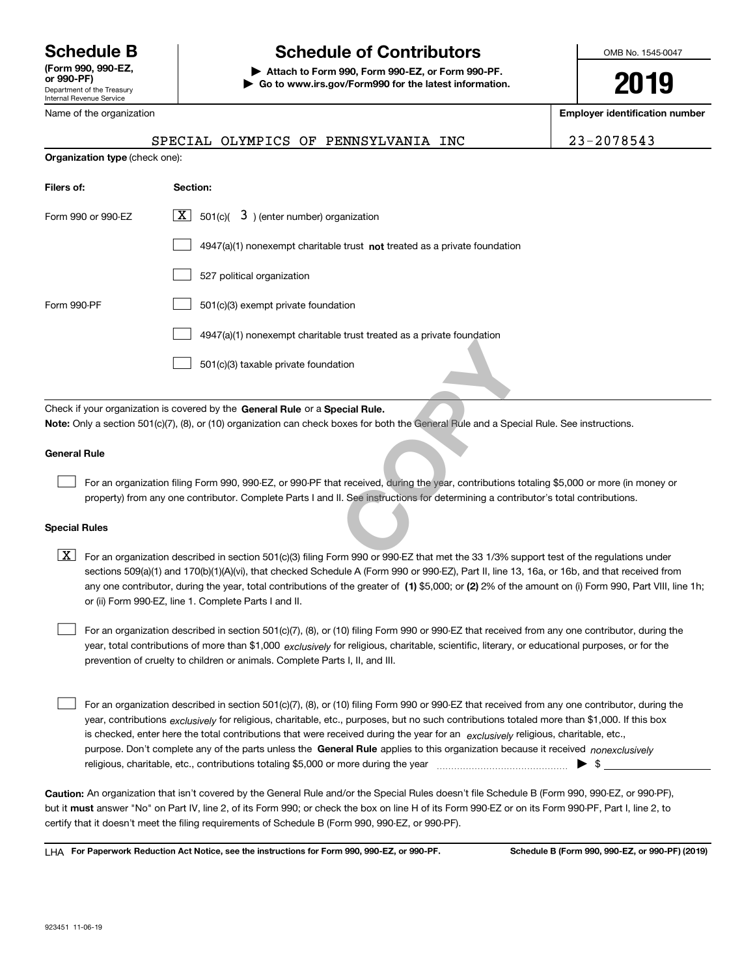Department of the Treasury Internal Revenue Service **(Form 990, 990-EZ, or 990-PF)** Name of the organization

# **Schedule B Schedule of Contributors**

**| Attach to Form 990, Form 990-EZ, or Form 990-PF. | Go to www.irs.gov/Form990 for the latest information.** OMB No. 1545-0047

**2019**

**Employer identification number**

| $-2078$ |
|---------|
|---------|

|                                | 23-2078543<br>SPECIAL OLYMPICS OF PENNSYLVANIA INC                                                                                                                                                                                                                          |
|--------------------------------|-----------------------------------------------------------------------------------------------------------------------------------------------------------------------------------------------------------------------------------------------------------------------------|
| Organization type (check one): |                                                                                                                                                                                                                                                                             |
| Filers of:                     | Section:                                                                                                                                                                                                                                                                    |
| Form 990 or 990-EZ             | $\lfloor x \rfloor$ 501(c)( 3) (enter number) organization                                                                                                                                                                                                                  |
|                                | $4947(a)(1)$ nonexempt charitable trust not treated as a private foundation                                                                                                                                                                                                 |
|                                | 527 political organization                                                                                                                                                                                                                                                  |
| Form 990-PF                    | 501(c)(3) exempt private foundation                                                                                                                                                                                                                                         |
|                                | 4947(a)(1) nonexempt charitable trust treated as a private foundation                                                                                                                                                                                                       |
|                                | 501(c)(3) taxable private foundation                                                                                                                                                                                                                                        |
|                                | Check if your organization is covered by the General Rule or a Special Rule.                                                                                                                                                                                                |
|                                | Note: Only a section 501(c)(7), (8), or (10) organization can check boxes for both the General Rule and a Special Rule. See instructions.                                                                                                                                   |
| <b>General Rule</b>            |                                                                                                                                                                                                                                                                             |
|                                | For an organization filing Form 990, 990-EZ, or 990-PF that received, during the year, contributions totaling \$5,000 or more (in mon<br>property) from any one contributor. Complete Parts I and II. See instructions for determining a contributor's total contributions. |
|                                |                                                                                                                                                                                                                                                                             |
| <b>Special Rules</b>           |                                                                                                                                                                                                                                                                             |
| x                              | For an organization described in section 501(c)(3) filing Form 990 or 990-EZ that met the 33 1/3% support test of the regulations ur                                                                                                                                        |

#### **General Rule**

#### **Special Rules**

any one contributor, during the year, total contributions of the greater of  $\,$  (1) \$5,000; or **(2)** 2% of the amount on (i) Form 990, Part VIII, line 1h;  $\boxed{\textbf{X}}$  For an organization described in section 501(c)(3) filing Form 990 or 990-EZ that met the 33 1/3% support test of the regulations under sections 509(a)(1) and 170(b)(1)(A)(vi), that checked Schedule A (Form 990 or 990-EZ), Part II, line 13, 16a, or 16b, and that received from or (ii) Form 990-EZ, line 1. Complete Parts I and II.

year, total contributions of more than \$1,000 *exclusively* for religious, charitable, scientific, literary, or educational purposes, or for the For an organization described in section 501(c)(7), (8), or (10) filing Form 990 or 990-EZ that received from any one contributor, during the prevention of cruelty to children or animals. Complete Parts I, II, and III.  $\mathcal{L}^{\text{max}}$ 

purpose. Don't complete any of the parts unless the **General Rule** applies to this organization because it received *nonexclusively* year, contributions <sub>exclusively</sub> for religious, charitable, etc., purposes, but no such contributions totaled more than \$1,000. If this box is checked, enter here the total contributions that were received during the year for an  $\;$ exclusively religious, charitable, etc., For an organization described in section 501(c)(7), (8), or (10) filing Form 990 or 990-EZ that received from any one contributor, during the religious, charitable, etc., contributions totaling \$5,000 or more during the year  $\Box$ — $\Box$   $\Box$  $\mathcal{L}^{\text{max}}$ 

**Caution:**  An organization that isn't covered by the General Rule and/or the Special Rules doesn't file Schedule B (Form 990, 990-EZ, or 990-PF),  **must** but it answer "No" on Part IV, line 2, of its Form 990; or check the box on line H of its Form 990-EZ or on its Form 990-PF, Part I, line 2, to certify that it doesn't meet the filing requirements of Schedule B (Form 990, 990-EZ, or 990-PF).

**For Paperwork Reduction Act Notice, see the instructions for Form 990, 990-EZ, or 990-PF. Schedule B (Form 990, 990-EZ, or 990-PF) (2019)** LHA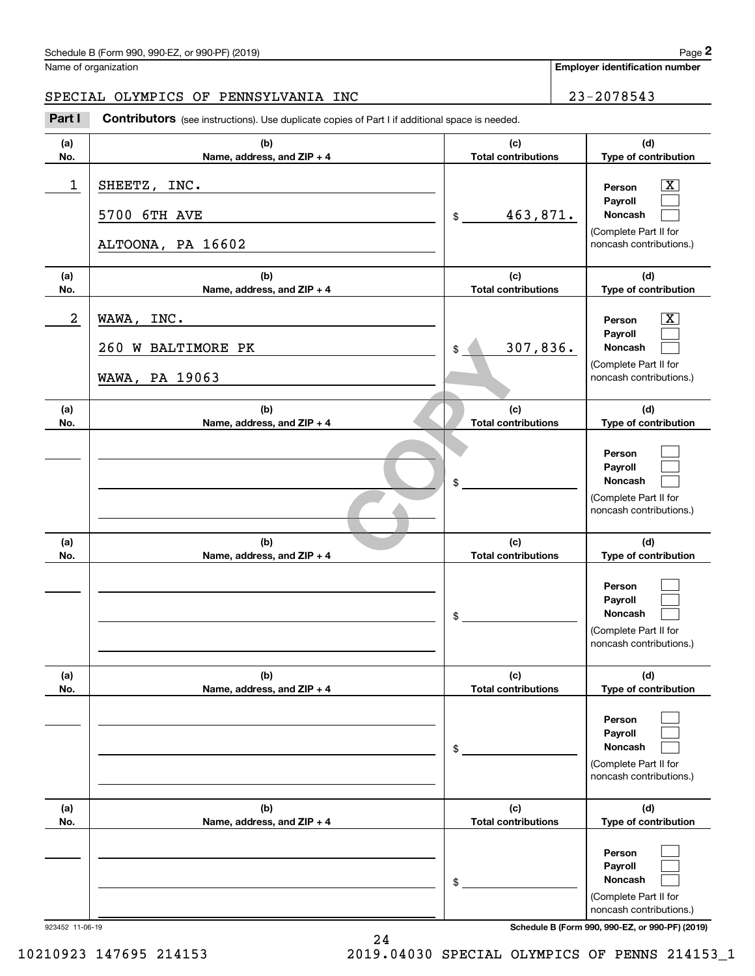| Schedule B (Form 990, 990-EZ, or 990-PF) (2019) | Page |
|-------------------------------------------------|------|
|-------------------------------------------------|------|

**Employer identification number**

## SPECIAL OLYMPICS OF PENNSYLVANIA INC 23-2078543

(schedule B (Form 990, 990-EZ, or 990-PF) (2019)<br> **23-2078543**<br> **23-2078543**<br> **23-2078543**<br> **23-2078543**<br> **23-2078543** 

| (a)                    | (b)                                                | (c)                               | (d)                                                                                                                                                         |
|------------------------|----------------------------------------------------|-----------------------------------|-------------------------------------------------------------------------------------------------------------------------------------------------------------|
| No.                    | Name, address, and ZIP + 4                         | <b>Total contributions</b>        | Type of contribution                                                                                                                                        |
| 1                      | SHEETZ, INC.<br>5700 6TH AVE<br>ALTOONA, PA 16602  | 463,871.<br>\$                    | $\boxed{\text{X}}$<br>Person<br>Payroll<br>Noncash<br>(Complete Part II for<br>noncash contributions.)                                                      |
| (a)<br>No.             | (b)<br>Name, address, and ZIP + 4                  | (c)<br><b>Total contributions</b> | (d)<br>Type of contribution                                                                                                                                 |
| 2                      | WAWA, INC.<br>260 W BALTIMORE PK<br>WAWA, PA 19063 | 307,836.<br>\$                    | $\boxed{\text{X}}$<br>Person<br>Payroll<br>Noncash<br>(Complete Part II for<br>noncash contributions.)                                                      |
| (a)<br>No.             | (b)<br>Name, address, and ZIP + 4                  | (c)<br><b>Total contributions</b> | (d)<br>Type of contribution                                                                                                                                 |
|                        |                                                    | \$                                | Person<br>Payroll<br>Noncash<br>(Complete Part II for<br>noncash contributions.)                                                                            |
| (a)<br>No.             | (b)<br>Name, address, and ZIP + 4                  | (c)<br><b>Total contributions</b> | (d)<br>Type of contribution                                                                                                                                 |
|                        |                                                    | \$                                | Person<br>Payroll<br>Noncash<br>(Complete Part II for<br>noncash contributions.)                                                                            |
| (a)<br>No.             | (b)<br>Name, address, and ZIP + 4                  | (c)<br><b>Total contributions</b> | (d)<br>Type of contribution                                                                                                                                 |
|                        |                                                    | \$                                | Person<br>Payroll<br>Noncash<br>(Complete Part II for<br>noncash contributions.)                                                                            |
| (a)                    | (b)                                                | (c)<br><b>Total contributions</b> | (d)                                                                                                                                                         |
| No.<br>923452 11-06-19 | Name, address, and ZIP + 4                         | \$                                | Type of contribution<br>Person<br>Payroll<br>Noncash<br>(Complete Part II for<br>noncash contributions.)<br>Schedule B (Form 990, 990-EZ, or 990-PF) (2019) |

24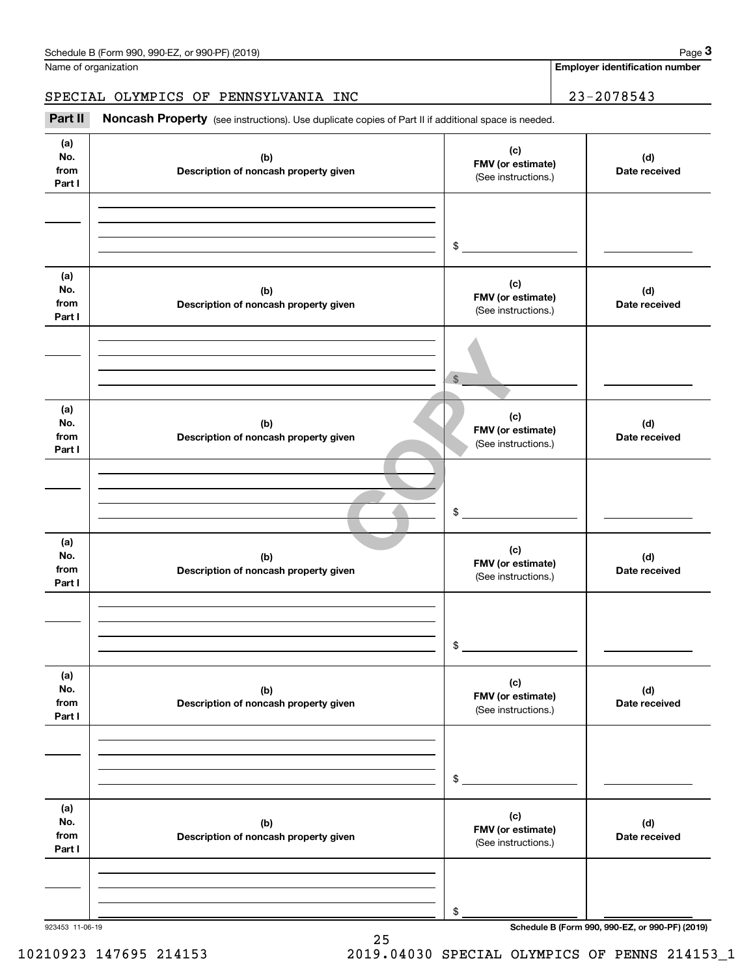Name of organization

#### **Employer identification number**

## SPECIAL OLYMPICS OF PENNSYLVANIA INC 23-2078543

(see instructions). Use duplicate copies of Part II if additional space is needed.<br> **23-2078543**<br> **23-2078543**<br> **Part II Noncash Property** (see instructions). Use duplicate copies of Part II if additional space is needed

| (a)<br>No.<br>from<br>Part I | (b)<br>Description of noncash property given | (c)<br>FMV (or estimate)<br>(See instructions.) | (d)<br>Date received                            |
|------------------------------|----------------------------------------------|-------------------------------------------------|-------------------------------------------------|
|                              |                                              | $\frac{1}{2}$                                   |                                                 |
| (a)<br>No.<br>from<br>Part I | (b)<br>Description of noncash property given | (c)<br>FMV (or estimate)<br>(See instructions.) | (d)<br>Date received                            |
|                              |                                              | $$\mathbb{S}$$                                  |                                                 |
| (a)<br>No.<br>from<br>Part I | (b)<br>Description of noncash property given | (c)<br>FMV (or estimate)<br>(See instructions.) | (d)<br>Date received                            |
|                              |                                              | \$                                              |                                                 |
| (a)<br>No.<br>from<br>Part I | (b)<br>Description of noncash property given | (c)<br>FMV (or estimate)<br>(See instructions.) | (d)<br>Date received                            |
|                              |                                              | \$                                              |                                                 |
| (a)<br>No.<br>from<br>Part I | (b)<br>Description of noncash property given | (c)<br>FMV (or estimate)<br>(See instructions.) | (d)<br>Date received                            |
|                              |                                              | \$                                              |                                                 |
| (a)<br>No.<br>from<br>Part I | (b)<br>Description of noncash property given | (c)<br>FMV (or estimate)<br>(See instructions.) | (d)<br>Date received                            |
|                              |                                              | \$                                              |                                                 |
| 923453 11-06-19              |                                              |                                                 | Schedule B (Form 990, 990-EZ, or 990-PF) (2019) |

25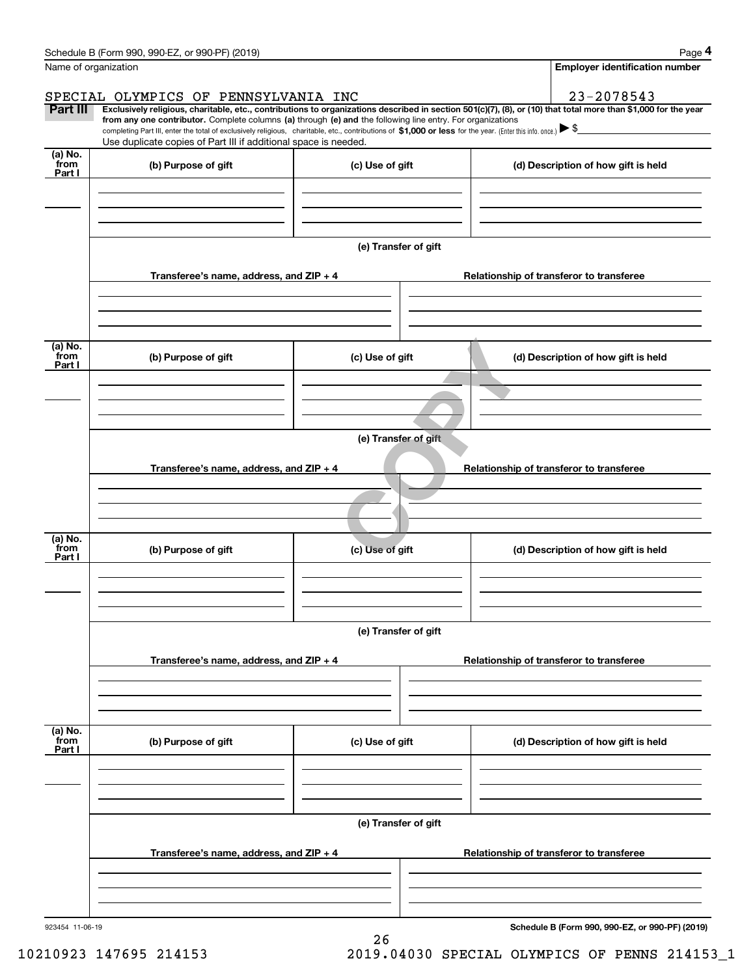| <b>Employer identification number</b><br>Name of organization<br>23-2078543<br>SPECIAL OLYMPICS OF PENNSYLVANIA INC<br>Part III<br>Exclusively religious, charitable, etc., contributions to organizations described in section 501(c)(7), (8), or (10) that total more than \$1,000 for the year<br>from any one contributor. Complete columns (a) through (e) and the following line entry. For organizations<br>completing Part III, enter the total of exclusively religious, charitable, etc., contributions of \$1,000 or less for the year. (Enter this info. once.) $\blacktriangleright$ \$<br>Use duplicate copies of Part III if additional space is needed.<br>$(a)$ No.<br>from<br>(b) Purpose of gift<br>(c) Use of gift<br>(d) Description of how gift is held<br>Part I<br>(e) Transfer of gift<br>Transferee's name, address, and ZIP + 4<br>Relationship of transferor to transferee<br>(a) No.<br>from<br>(b) Purpose of gift<br>(c) Use of gift<br>(d) Description of how gift is held<br>Part I<br>(e) Transfer of gift<br>Transferee's name, address, and ZIP + 4<br>Relationship of transferor to transferee<br>(a) No.<br>from<br>(b) Purpose of gift<br>(c) Use of gift<br>(d) Description of how gift is held<br>Part I<br>(e) Transfer of gift<br>Transferee's name, address, and ZIP + 4<br>Relationship of transferor to transferee<br>(a) No.<br>from<br>(b) Purpose of gift<br>(c) Use of gift<br>(d) Description of how gift is held<br>Part I<br>(e) Transfer of gift<br>Transferee's name, address, and ZIP + 4<br>Relationship of transferor to transferee<br>Schedule B (Form 990, 990-EZ, or 990-PF) (2019)<br>923454 11-06-19<br>26 | Schedule B (Form 990, 990-EZ, or 990-PF) (2019) |  | Page 4 |  |  |  |  |  |
|---------------------------------------------------------------------------------------------------------------------------------------------------------------------------------------------------------------------------------------------------------------------------------------------------------------------------------------------------------------------------------------------------------------------------------------------------------------------------------------------------------------------------------------------------------------------------------------------------------------------------------------------------------------------------------------------------------------------------------------------------------------------------------------------------------------------------------------------------------------------------------------------------------------------------------------------------------------------------------------------------------------------------------------------------------------------------------------------------------------------------------------------------------------------------------------------------------------------------------------------------------------------------------------------------------------------------------------------------------------------------------------------------------------------------------------------------------------------------------------------------------------------------------------------------------------------------------------------------------------------------------------------------------------------------|-------------------------------------------------|--|--------|--|--|--|--|--|
|                                                                                                                                                                                                                                                                                                                                                                                                                                                                                                                                                                                                                                                                                                                                                                                                                                                                                                                                                                                                                                                                                                                                                                                                                                                                                                                                                                                                                                                                                                                                                                                                                                                                           |                                                 |  |        |  |  |  |  |  |
|                                                                                                                                                                                                                                                                                                                                                                                                                                                                                                                                                                                                                                                                                                                                                                                                                                                                                                                                                                                                                                                                                                                                                                                                                                                                                                                                                                                                                                                                                                                                                                                                                                                                           |                                                 |  |        |  |  |  |  |  |
|                                                                                                                                                                                                                                                                                                                                                                                                                                                                                                                                                                                                                                                                                                                                                                                                                                                                                                                                                                                                                                                                                                                                                                                                                                                                                                                                                                                                                                                                                                                                                                                                                                                                           |                                                 |  |        |  |  |  |  |  |
|                                                                                                                                                                                                                                                                                                                                                                                                                                                                                                                                                                                                                                                                                                                                                                                                                                                                                                                                                                                                                                                                                                                                                                                                                                                                                                                                                                                                                                                                                                                                                                                                                                                                           |                                                 |  |        |  |  |  |  |  |
|                                                                                                                                                                                                                                                                                                                                                                                                                                                                                                                                                                                                                                                                                                                                                                                                                                                                                                                                                                                                                                                                                                                                                                                                                                                                                                                                                                                                                                                                                                                                                                                                                                                                           |                                                 |  |        |  |  |  |  |  |
|                                                                                                                                                                                                                                                                                                                                                                                                                                                                                                                                                                                                                                                                                                                                                                                                                                                                                                                                                                                                                                                                                                                                                                                                                                                                                                                                                                                                                                                                                                                                                                                                                                                                           |                                                 |  |        |  |  |  |  |  |
|                                                                                                                                                                                                                                                                                                                                                                                                                                                                                                                                                                                                                                                                                                                                                                                                                                                                                                                                                                                                                                                                                                                                                                                                                                                                                                                                                                                                                                                                                                                                                                                                                                                                           |                                                 |  |        |  |  |  |  |  |
|                                                                                                                                                                                                                                                                                                                                                                                                                                                                                                                                                                                                                                                                                                                                                                                                                                                                                                                                                                                                                                                                                                                                                                                                                                                                                                                                                                                                                                                                                                                                                                                                                                                                           |                                                 |  |        |  |  |  |  |  |
|                                                                                                                                                                                                                                                                                                                                                                                                                                                                                                                                                                                                                                                                                                                                                                                                                                                                                                                                                                                                                                                                                                                                                                                                                                                                                                                                                                                                                                                                                                                                                                                                                                                                           |                                                 |  |        |  |  |  |  |  |
|                                                                                                                                                                                                                                                                                                                                                                                                                                                                                                                                                                                                                                                                                                                                                                                                                                                                                                                                                                                                                                                                                                                                                                                                                                                                                                                                                                                                                                                                                                                                                                                                                                                                           |                                                 |  |        |  |  |  |  |  |
|                                                                                                                                                                                                                                                                                                                                                                                                                                                                                                                                                                                                                                                                                                                                                                                                                                                                                                                                                                                                                                                                                                                                                                                                                                                                                                                                                                                                                                                                                                                                                                                                                                                                           |                                                 |  |        |  |  |  |  |  |
|                                                                                                                                                                                                                                                                                                                                                                                                                                                                                                                                                                                                                                                                                                                                                                                                                                                                                                                                                                                                                                                                                                                                                                                                                                                                                                                                                                                                                                                                                                                                                                                                                                                                           |                                                 |  |        |  |  |  |  |  |
|                                                                                                                                                                                                                                                                                                                                                                                                                                                                                                                                                                                                                                                                                                                                                                                                                                                                                                                                                                                                                                                                                                                                                                                                                                                                                                                                                                                                                                                                                                                                                                                                                                                                           |                                                 |  |        |  |  |  |  |  |
|                                                                                                                                                                                                                                                                                                                                                                                                                                                                                                                                                                                                                                                                                                                                                                                                                                                                                                                                                                                                                                                                                                                                                                                                                                                                                                                                                                                                                                                                                                                                                                                                                                                                           |                                                 |  |        |  |  |  |  |  |
|                                                                                                                                                                                                                                                                                                                                                                                                                                                                                                                                                                                                                                                                                                                                                                                                                                                                                                                                                                                                                                                                                                                                                                                                                                                                                                                                                                                                                                                                                                                                                                                                                                                                           |                                                 |  |        |  |  |  |  |  |
|                                                                                                                                                                                                                                                                                                                                                                                                                                                                                                                                                                                                                                                                                                                                                                                                                                                                                                                                                                                                                                                                                                                                                                                                                                                                                                                                                                                                                                                                                                                                                                                                                                                                           |                                                 |  |        |  |  |  |  |  |
|                                                                                                                                                                                                                                                                                                                                                                                                                                                                                                                                                                                                                                                                                                                                                                                                                                                                                                                                                                                                                                                                                                                                                                                                                                                                                                                                                                                                                                                                                                                                                                                                                                                                           |                                                 |  |        |  |  |  |  |  |
|                                                                                                                                                                                                                                                                                                                                                                                                                                                                                                                                                                                                                                                                                                                                                                                                                                                                                                                                                                                                                                                                                                                                                                                                                                                                                                                                                                                                                                                                                                                                                                                                                                                                           |                                                 |  |        |  |  |  |  |  |
|                                                                                                                                                                                                                                                                                                                                                                                                                                                                                                                                                                                                                                                                                                                                                                                                                                                                                                                                                                                                                                                                                                                                                                                                                                                                                                                                                                                                                                                                                                                                                                                                                                                                           |                                                 |  |        |  |  |  |  |  |
|                                                                                                                                                                                                                                                                                                                                                                                                                                                                                                                                                                                                                                                                                                                                                                                                                                                                                                                                                                                                                                                                                                                                                                                                                                                                                                                                                                                                                                                                                                                                                                                                                                                                           |                                                 |  |        |  |  |  |  |  |
|                                                                                                                                                                                                                                                                                                                                                                                                                                                                                                                                                                                                                                                                                                                                                                                                                                                                                                                                                                                                                                                                                                                                                                                                                                                                                                                                                                                                                                                                                                                                                                                                                                                                           |                                                 |  |        |  |  |  |  |  |
|                                                                                                                                                                                                                                                                                                                                                                                                                                                                                                                                                                                                                                                                                                                                                                                                                                                                                                                                                                                                                                                                                                                                                                                                                                                                                                                                                                                                                                                                                                                                                                                                                                                                           |                                                 |  |        |  |  |  |  |  |
|                                                                                                                                                                                                                                                                                                                                                                                                                                                                                                                                                                                                                                                                                                                                                                                                                                                                                                                                                                                                                                                                                                                                                                                                                                                                                                                                                                                                                                                                                                                                                                                                                                                                           |                                                 |  |        |  |  |  |  |  |
|                                                                                                                                                                                                                                                                                                                                                                                                                                                                                                                                                                                                                                                                                                                                                                                                                                                                                                                                                                                                                                                                                                                                                                                                                                                                                                                                                                                                                                                                                                                                                                                                                                                                           |                                                 |  |        |  |  |  |  |  |
|                                                                                                                                                                                                                                                                                                                                                                                                                                                                                                                                                                                                                                                                                                                                                                                                                                                                                                                                                                                                                                                                                                                                                                                                                                                                                                                                                                                                                                                                                                                                                                                                                                                                           |                                                 |  |        |  |  |  |  |  |
|                                                                                                                                                                                                                                                                                                                                                                                                                                                                                                                                                                                                                                                                                                                                                                                                                                                                                                                                                                                                                                                                                                                                                                                                                                                                                                                                                                                                                                                                                                                                                                                                                                                                           |                                                 |  |        |  |  |  |  |  |
|                                                                                                                                                                                                                                                                                                                                                                                                                                                                                                                                                                                                                                                                                                                                                                                                                                                                                                                                                                                                                                                                                                                                                                                                                                                                                                                                                                                                                                                                                                                                                                                                                                                                           |                                                 |  |        |  |  |  |  |  |
|                                                                                                                                                                                                                                                                                                                                                                                                                                                                                                                                                                                                                                                                                                                                                                                                                                                                                                                                                                                                                                                                                                                                                                                                                                                                                                                                                                                                                                                                                                                                                                                                                                                                           |                                                 |  |        |  |  |  |  |  |
|                                                                                                                                                                                                                                                                                                                                                                                                                                                                                                                                                                                                                                                                                                                                                                                                                                                                                                                                                                                                                                                                                                                                                                                                                                                                                                                                                                                                                                                                                                                                                                                                                                                                           |                                                 |  |        |  |  |  |  |  |
|                                                                                                                                                                                                                                                                                                                                                                                                                                                                                                                                                                                                                                                                                                                                                                                                                                                                                                                                                                                                                                                                                                                                                                                                                                                                                                                                                                                                                                                                                                                                                                                                                                                                           |                                                 |  |        |  |  |  |  |  |
|                                                                                                                                                                                                                                                                                                                                                                                                                                                                                                                                                                                                                                                                                                                                                                                                                                                                                                                                                                                                                                                                                                                                                                                                                                                                                                                                                                                                                                                                                                                                                                                                                                                                           |                                                 |  |        |  |  |  |  |  |
|                                                                                                                                                                                                                                                                                                                                                                                                                                                                                                                                                                                                                                                                                                                                                                                                                                                                                                                                                                                                                                                                                                                                                                                                                                                                                                                                                                                                                                                                                                                                                                                                                                                                           |                                                 |  |        |  |  |  |  |  |
|                                                                                                                                                                                                                                                                                                                                                                                                                                                                                                                                                                                                                                                                                                                                                                                                                                                                                                                                                                                                                                                                                                                                                                                                                                                                                                                                                                                                                                                                                                                                                                                                                                                                           |                                                 |  |        |  |  |  |  |  |
|                                                                                                                                                                                                                                                                                                                                                                                                                                                                                                                                                                                                                                                                                                                                                                                                                                                                                                                                                                                                                                                                                                                                                                                                                                                                                                                                                                                                                                                                                                                                                                                                                                                                           |                                                 |  |        |  |  |  |  |  |
|                                                                                                                                                                                                                                                                                                                                                                                                                                                                                                                                                                                                                                                                                                                                                                                                                                                                                                                                                                                                                                                                                                                                                                                                                                                                                                                                                                                                                                                                                                                                                                                                                                                                           |                                                 |  |        |  |  |  |  |  |
|                                                                                                                                                                                                                                                                                                                                                                                                                                                                                                                                                                                                                                                                                                                                                                                                                                                                                                                                                                                                                                                                                                                                                                                                                                                                                                                                                                                                                                                                                                                                                                                                                                                                           |                                                 |  |        |  |  |  |  |  |
|                                                                                                                                                                                                                                                                                                                                                                                                                                                                                                                                                                                                                                                                                                                                                                                                                                                                                                                                                                                                                                                                                                                                                                                                                                                                                                                                                                                                                                                                                                                                                                                                                                                                           |                                                 |  |        |  |  |  |  |  |
|                                                                                                                                                                                                                                                                                                                                                                                                                                                                                                                                                                                                                                                                                                                                                                                                                                                                                                                                                                                                                                                                                                                                                                                                                                                                                                                                                                                                                                                                                                                                                                                                                                                                           |                                                 |  |        |  |  |  |  |  |
|                                                                                                                                                                                                                                                                                                                                                                                                                                                                                                                                                                                                                                                                                                                                                                                                                                                                                                                                                                                                                                                                                                                                                                                                                                                                                                                                                                                                                                                                                                                                                                                                                                                                           |                                                 |  |        |  |  |  |  |  |
|                                                                                                                                                                                                                                                                                                                                                                                                                                                                                                                                                                                                                                                                                                                                                                                                                                                                                                                                                                                                                                                                                                                                                                                                                                                                                                                                                                                                                                                                                                                                                                                                                                                                           |                                                 |  |        |  |  |  |  |  |
|                                                                                                                                                                                                                                                                                                                                                                                                                                                                                                                                                                                                                                                                                                                                                                                                                                                                                                                                                                                                                                                                                                                                                                                                                                                                                                                                                                                                                                                                                                                                                                                                                                                                           |                                                 |  |        |  |  |  |  |  |
|                                                                                                                                                                                                                                                                                                                                                                                                                                                                                                                                                                                                                                                                                                                                                                                                                                                                                                                                                                                                                                                                                                                                                                                                                                                                                                                                                                                                                                                                                                                                                                                                                                                                           |                                                 |  |        |  |  |  |  |  |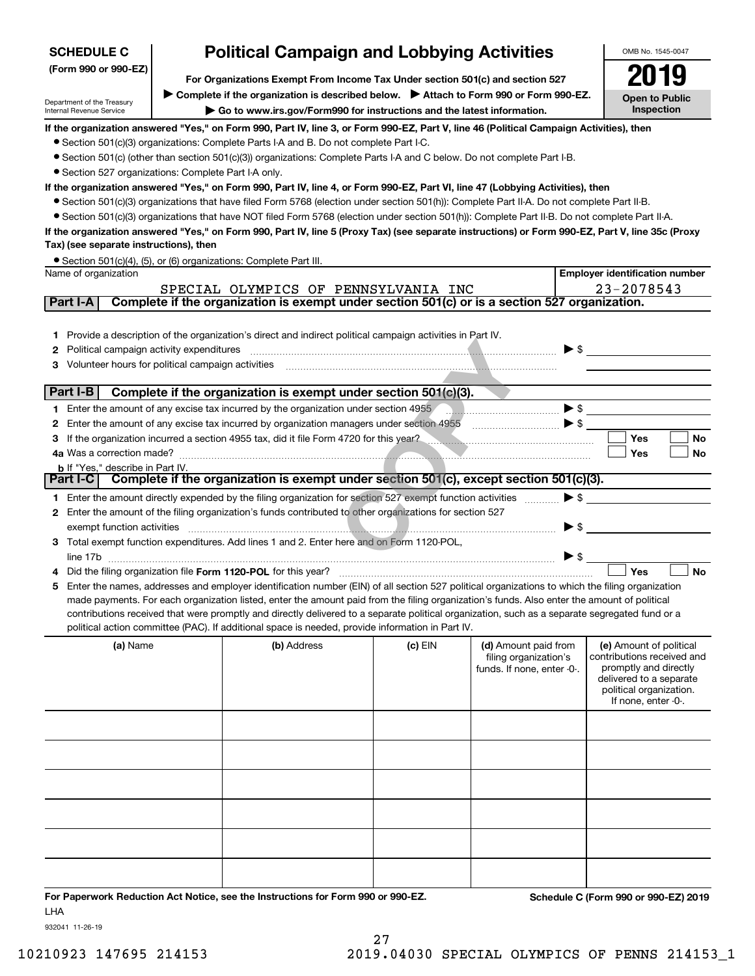| <b>SCHEDULE C</b>                                                                                                                                              | <b>Political Campaign and Lobbying Activities</b> | OMB No. 1545-0047                                                                                                                                                                                                                                                                                                                                                                                                                                                                                                                                                                                                                                                                                                                                                                                                                                                                                                                                                                                                                                                                                                                                                                                                                              |           |                                                                             |                                                                                                                                                             |
|----------------------------------------------------------------------------------------------------------------------------------------------------------------|---------------------------------------------------|------------------------------------------------------------------------------------------------------------------------------------------------------------------------------------------------------------------------------------------------------------------------------------------------------------------------------------------------------------------------------------------------------------------------------------------------------------------------------------------------------------------------------------------------------------------------------------------------------------------------------------------------------------------------------------------------------------------------------------------------------------------------------------------------------------------------------------------------------------------------------------------------------------------------------------------------------------------------------------------------------------------------------------------------------------------------------------------------------------------------------------------------------------------------------------------------------------------------------------------------|-----------|-----------------------------------------------------------------------------|-------------------------------------------------------------------------------------------------------------------------------------------------------------|
| (Form 990 or 990-EZ)                                                                                                                                           |                                                   | For Organizations Exempt From Income Tax Under section 501(c) and section 527                                                                                                                                                                                                                                                                                                                                                                                                                                                                                                                                                                                                                                                                                                                                                                                                                                                                                                                                                                                                                                                                                                                                                                  | 2019      |                                                                             |                                                                                                                                                             |
|                                                                                                                                                                |                                                   | Complete if the organization is described below. Attach to Form 990 or Form 990-EZ.                                                                                                                                                                                                                                                                                                                                                                                                                                                                                                                                                                                                                                                                                                                                                                                                                                                                                                                                                                                                                                                                                                                                                            |           |                                                                             |                                                                                                                                                             |
| Department of the Treasury                                                                                                                                     |                                                   |                                                                                                                                                                                                                                                                                                                                                                                                                                                                                                                                                                                                                                                                                                                                                                                                                                                                                                                                                                                                                                                                                                                                                                                                                                                |           |                                                                             | <b>Open to Public</b>                                                                                                                                       |
| Internal Revenue Service<br>• Section 527 organizations: Complete Part I-A only.<br>Tax) (see separate instructions), then<br>Name of organization<br>Part I-A |                                                   | Go to www.irs.gov/Form990 for instructions and the latest information.<br>If the organization answered "Yes," on Form 990, Part IV, line 3, or Form 990-EZ, Part V, line 46 (Political Campaign Activities), then<br>• Section 501(c)(3) organizations: Complete Parts I-A and B. Do not complete Part I-C.<br>● Section 501(c) (other than section 501(c)(3)) organizations: Complete Parts I-A and C below. Do not complete Part I-B.<br>If the organization answered "Yes," on Form 990, Part IV, line 4, or Form 990-EZ, Part VI, line 47 (Lobbying Activities), then<br>• Section 501(c)(3) organizations that have filed Form 5768 (election under section 501(h)): Complete Part II-A. Do not complete Part II-B.<br>• Section 501(c)(3) organizations that have NOT filed Form 5768 (election under section 501(h)): Complete Part II-B. Do not complete Part II-A.<br>If the organization answered "Yes," on Form 990, Part IV, line 5 (Proxy Tax) (see separate instructions) or Form 990-EZ, Part V, line 35c (Proxy<br>• Section 501(c)(4), (5), or (6) organizations: Complete Part III.<br>SPECIAL OLYMPICS OF PENNSYLVANIA INC<br>Complete if the organization is exempt under section 501(c) or is a section 527 organization. |           |                                                                             | Inspection<br><b>Employer identification number</b><br>23-2078543                                                                                           |
| Political campaign activity expenditures<br>2<br>з                                                                                                             |                                                   | 1 Provide a description of the organization's direct and indirect political campaign activities in Part IV.                                                                                                                                                                                                                                                                                                                                                                                                                                                                                                                                                                                                                                                                                                                                                                                                                                                                                                                                                                                                                                                                                                                                    |           | $\blacktriangleright$ \$                                                    |                                                                                                                                                             |
|                                                                                                                                                                |                                                   |                                                                                                                                                                                                                                                                                                                                                                                                                                                                                                                                                                                                                                                                                                                                                                                                                                                                                                                                                                                                                                                                                                                                                                                                                                                |           |                                                                             |                                                                                                                                                             |
| Part I-B                                                                                                                                                       |                                                   | Complete if the organization is exempt under section 501(c)(3).                                                                                                                                                                                                                                                                                                                                                                                                                                                                                                                                                                                                                                                                                                                                                                                                                                                                                                                                                                                                                                                                                                                                                                                |           |                                                                             |                                                                                                                                                             |
| 1.                                                                                                                                                             |                                                   | Enter the amount of any excise tax incurred by the organization under section 4955                                                                                                                                                                                                                                                                                                                                                                                                                                                                                                                                                                                                                                                                                                                                                                                                                                                                                                                                                                                                                                                                                                                                                             |           |                                                                             |                                                                                                                                                             |
| 2                                                                                                                                                              |                                                   |                                                                                                                                                                                                                                                                                                                                                                                                                                                                                                                                                                                                                                                                                                                                                                                                                                                                                                                                                                                                                                                                                                                                                                                                                                                |           |                                                                             |                                                                                                                                                             |
| З                                                                                                                                                              |                                                   |                                                                                                                                                                                                                                                                                                                                                                                                                                                                                                                                                                                                                                                                                                                                                                                                                                                                                                                                                                                                                                                                                                                                                                                                                                                |           |                                                                             | Yes<br>No                                                                                                                                                   |
|                                                                                                                                                                |                                                   |                                                                                                                                                                                                                                                                                                                                                                                                                                                                                                                                                                                                                                                                                                                                                                                                                                                                                                                                                                                                                                                                                                                                                                                                                                                |           |                                                                             | <b>Yes</b><br>No                                                                                                                                            |
| <b>b</b> If "Yes," describe in Part IV.<br>Part I-C                                                                                                            |                                                   | Complete if the organization is exempt under section 501(c), except section 501(c)(3).                                                                                                                                                                                                                                                                                                                                                                                                                                                                                                                                                                                                                                                                                                                                                                                                                                                                                                                                                                                                                                                                                                                                                         |           |                                                                             |                                                                                                                                                             |
|                                                                                                                                                                |                                                   |                                                                                                                                                                                                                                                                                                                                                                                                                                                                                                                                                                                                                                                                                                                                                                                                                                                                                                                                                                                                                                                                                                                                                                                                                                                |           |                                                                             |                                                                                                                                                             |
|                                                                                                                                                                |                                                   | 1 Enter the amount directly expended by the filing organization for section 527 exempt function activities                                                                                                                                                                                                                                                                                                                                                                                                                                                                                                                                                                                                                                                                                                                                                                                                                                                                                                                                                                                                                                                                                                                                     |           | $\blacktriangleright$ \$                                                    |                                                                                                                                                             |
| 2                                                                                                                                                              |                                                   | Enter the amount of the filing organization's funds contributed to other organizations for section 527                                                                                                                                                                                                                                                                                                                                                                                                                                                                                                                                                                                                                                                                                                                                                                                                                                                                                                                                                                                                                                                                                                                                         |           |                                                                             |                                                                                                                                                             |
| exempt function activities<br>З.                                                                                                                               |                                                   | Total exempt function expenditures. Add lines 1 and 2. Enter here and on Form 1120-POL,                                                                                                                                                                                                                                                                                                                                                                                                                                                                                                                                                                                                                                                                                                                                                                                                                                                                                                                                                                                                                                                                                                                                                        |           | $\blacktriangleright$ \$                                                    |                                                                                                                                                             |
| line 17b                                                                                                                                                       |                                                   |                                                                                                                                                                                                                                                                                                                                                                                                                                                                                                                                                                                                                                                                                                                                                                                                                                                                                                                                                                                                                                                                                                                                                                                                                                                |           | $\blacktriangleright$ \$                                                    |                                                                                                                                                             |
|                                                                                                                                                                |                                                   |                                                                                                                                                                                                                                                                                                                                                                                                                                                                                                                                                                                                                                                                                                                                                                                                                                                                                                                                                                                                                                                                                                                                                                                                                                                |           |                                                                             | Yes<br><b>No</b>                                                                                                                                            |
|                                                                                                                                                                |                                                   | Enter the names, addresses and employer identification number (EIN) of all section 527 political organizations to which the filing organization                                                                                                                                                                                                                                                                                                                                                                                                                                                                                                                                                                                                                                                                                                                                                                                                                                                                                                                                                                                                                                                                                                |           |                                                                             |                                                                                                                                                             |
|                                                                                                                                                                |                                                   | made payments. For each organization listed, enter the amount paid from the filing organization's funds. Also enter the amount of political                                                                                                                                                                                                                                                                                                                                                                                                                                                                                                                                                                                                                                                                                                                                                                                                                                                                                                                                                                                                                                                                                                    |           |                                                                             |                                                                                                                                                             |
|                                                                                                                                                                |                                                   | contributions received that were promptly and directly delivered to a separate political organization, such as a separate segregated fund or a                                                                                                                                                                                                                                                                                                                                                                                                                                                                                                                                                                                                                                                                                                                                                                                                                                                                                                                                                                                                                                                                                                 |           |                                                                             |                                                                                                                                                             |
|                                                                                                                                                                |                                                   | political action committee (PAC). If additional space is needed, provide information in Part IV.                                                                                                                                                                                                                                                                                                                                                                                                                                                                                                                                                                                                                                                                                                                                                                                                                                                                                                                                                                                                                                                                                                                                               |           |                                                                             |                                                                                                                                                             |
| (a) Name                                                                                                                                                       |                                                   | (b) Address                                                                                                                                                                                                                                                                                                                                                                                                                                                                                                                                                                                                                                                                                                                                                                                                                                                                                                                                                                                                                                                                                                                                                                                                                                    | $(c)$ EIN | (d) Amount paid from<br>filing organization's<br>funds. If none, enter -0-. | (e) Amount of political<br>contributions received and<br>promptly and directly<br>delivered to a separate<br>political organization.<br>If none, enter -0-. |
|                                                                                                                                                                |                                                   |                                                                                                                                                                                                                                                                                                                                                                                                                                                                                                                                                                                                                                                                                                                                                                                                                                                                                                                                                                                                                                                                                                                                                                                                                                                |           |                                                                             |                                                                                                                                                             |
|                                                                                                                                                                |                                                   |                                                                                                                                                                                                                                                                                                                                                                                                                                                                                                                                                                                                                                                                                                                                                                                                                                                                                                                                                                                                                                                                                                                                                                                                                                                |           |                                                                             |                                                                                                                                                             |
|                                                                                                                                                                |                                                   |                                                                                                                                                                                                                                                                                                                                                                                                                                                                                                                                                                                                                                                                                                                                                                                                                                                                                                                                                                                                                                                                                                                                                                                                                                                |           |                                                                             |                                                                                                                                                             |
|                                                                                                                                                                |                                                   |                                                                                                                                                                                                                                                                                                                                                                                                                                                                                                                                                                                                                                                                                                                                                                                                                                                                                                                                                                                                                                                                                                                                                                                                                                                |           |                                                                             |                                                                                                                                                             |
|                                                                                                                                                                |                                                   |                                                                                                                                                                                                                                                                                                                                                                                                                                                                                                                                                                                                                                                                                                                                                                                                                                                                                                                                                                                                                                                                                                                                                                                                                                                |           |                                                                             |                                                                                                                                                             |
|                                                                                                                                                                |                                                   |                                                                                                                                                                                                                                                                                                                                                                                                                                                                                                                                                                                                                                                                                                                                                                                                                                                                                                                                                                                                                                                                                                                                                                                                                                                |           |                                                                             |                                                                                                                                                             |
|                                                                                                                                                                |                                                   |                                                                                                                                                                                                                                                                                                                                                                                                                                                                                                                                                                                                                                                                                                                                                                                                                                                                                                                                                                                                                                                                                                                                                                                                                                                |           |                                                                             |                                                                                                                                                             |
|                                                                                                                                                                |                                                   |                                                                                                                                                                                                                                                                                                                                                                                                                                                                                                                                                                                                                                                                                                                                                                                                                                                                                                                                                                                                                                                                                                                                                                                                                                                |           |                                                                             |                                                                                                                                                             |
|                                                                                                                                                                |                                                   |                                                                                                                                                                                                                                                                                                                                                                                                                                                                                                                                                                                                                                                                                                                                                                                                                                                                                                                                                                                                                                                                                                                                                                                                                                                |           |                                                                             |                                                                                                                                                             |
|                                                                                                                                                                |                                                   |                                                                                                                                                                                                                                                                                                                                                                                                                                                                                                                                                                                                                                                                                                                                                                                                                                                                                                                                                                                                                                                                                                                                                                                                                                                |           |                                                                             |                                                                                                                                                             |
|                                                                                                                                                                |                                                   | For Deparwork Reduction Act Notice, see the Instructions for Form 000 or 000-F7                                                                                                                                                                                                                                                                                                                                                                                                                                                                                                                                                                                                                                                                                                                                                                                                                                                                                                                                                                                                                                                                                                                                                                |           |                                                                             | Schodule C (Form 990 or 990-F7) 2019                                                                                                                        |

**For Paperwork Reduction Act Notice, see the Instructions for Form 990 or 990-EZ. Schedule C (Form 990 or 990-EZ) 2019** LHA

932041 11-26-19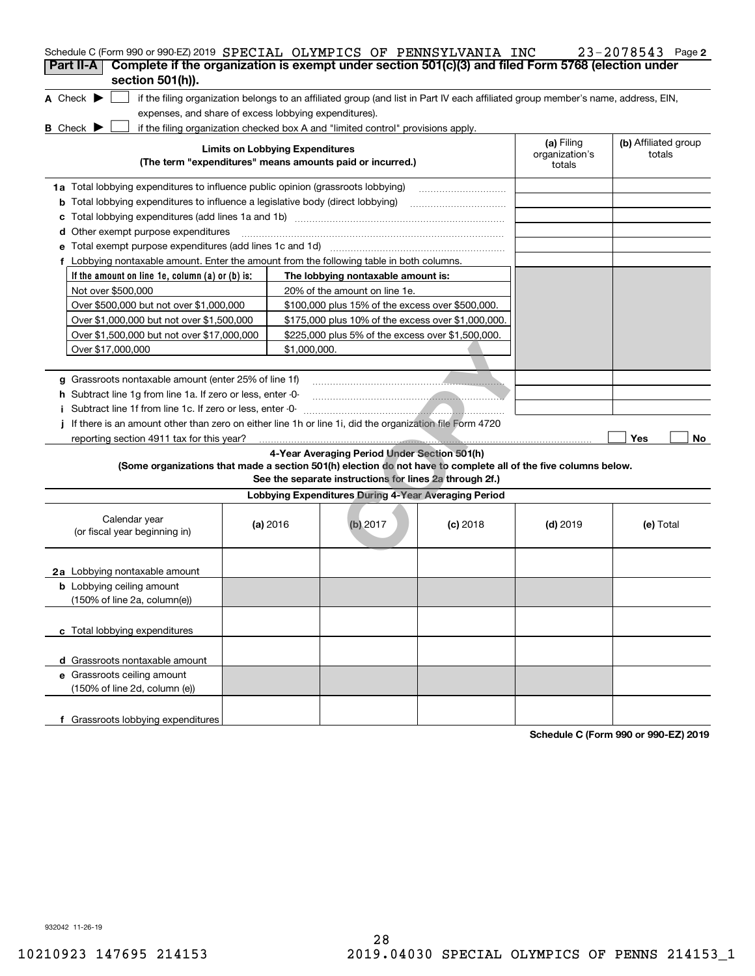| Schedule C (Form 990 or 990-EZ) 2019 SPECIAL OLYMPICS OF PENNSYLVANIA INC<br>Complete if the organization is exempt under section 501(c)(3) and filed Form 5768 (election under<br>Part II-A |                                                                                                 |                                                                                                                                   |            |                                        | 23-2078543 Page 2              |
|----------------------------------------------------------------------------------------------------------------------------------------------------------------------------------------------|-------------------------------------------------------------------------------------------------|-----------------------------------------------------------------------------------------------------------------------------------|------------|----------------------------------------|--------------------------------|
| section 501(h)).                                                                                                                                                                             |                                                                                                 |                                                                                                                                   |            |                                        |                                |
| A Check $\blacktriangleright$                                                                                                                                                                |                                                                                                 | if the filing organization belongs to an affiliated group (and list in Part IV each affiliated group member's name, address, EIN, |            |                                        |                                |
| expenses, and share of excess lobbying expenditures).                                                                                                                                        |                                                                                                 |                                                                                                                                   |            |                                        |                                |
| <b>B</b> Check $\blacktriangleright$                                                                                                                                                         |                                                                                                 | if the filing organization checked box A and "limited control" provisions apply.                                                  |            |                                        |                                |
|                                                                                                                                                                                              | <b>Limits on Lobbying Expenditures</b>                                                          | (The term "expenditures" means amounts paid or incurred.)                                                                         |            | (a) Filing<br>organization's<br>totals | (b) Affiliated group<br>totals |
| 1a Total lobbying expenditures to influence public opinion (grassroots lobbying)                                                                                                             |                                                                                                 |                                                                                                                                   |            |                                        |                                |
| <b>b</b> Total lobbying expenditures to influence a legislative body (direct lobbying)                                                                                                       |                                                                                                 |                                                                                                                                   |            |                                        |                                |
|                                                                                                                                                                                              |                                                                                                 |                                                                                                                                   |            |                                        |                                |
| Other exempt purpose expenditures<br>a                                                                                                                                                       |                                                                                                 |                                                                                                                                   |            |                                        |                                |
| е                                                                                                                                                                                            |                                                                                                 |                                                                                                                                   |            |                                        |                                |
| f Lobbying nontaxable amount. Enter the amount from the following table in both columns.                                                                                                     |                                                                                                 |                                                                                                                                   |            |                                        |                                |
| If the amount on line 1e, column $(a)$ or $(b)$ is:                                                                                                                                          |                                                                                                 | The lobbying nontaxable amount is:                                                                                                |            |                                        |                                |
| Not over \$500,000                                                                                                                                                                           |                                                                                                 | 20% of the amount on line 1e.                                                                                                     |            |                                        |                                |
| Over \$500,000 but not over \$1,000,000                                                                                                                                                      |                                                                                                 | \$100,000 plus 15% of the excess over \$500,000.                                                                                  |            |                                        |                                |
|                                                                                                                                                                                              | Over \$1,000,000 but not over \$1,500,000<br>\$175,000 plus 10% of the excess over \$1,000,000. |                                                                                                                                   |            |                                        |                                |
| Over \$1,500,000 but not over \$17,000,000<br>\$225,000 plus 5% of the excess over \$1,500,000.                                                                                              |                                                                                                 |                                                                                                                                   |            |                                        |                                |
| Over \$17,000,000                                                                                                                                                                            | \$1,000,000.                                                                                    |                                                                                                                                   |            |                                        |                                |
|                                                                                                                                                                                              |                                                                                                 |                                                                                                                                   |            |                                        |                                |
| g Grassroots nontaxable amount (enter 25% of line 1f)                                                                                                                                        |                                                                                                 |                                                                                                                                   |            |                                        |                                |
| h Subtract line 1g from line 1a. If zero or less, enter -0-                                                                                                                                  |                                                                                                 |                                                                                                                                   |            |                                        |                                |
| i Subtract line 1f from line 1c. If zero or less, enter 0                                                                                                                                    |                                                                                                 |                                                                                                                                   |            |                                        |                                |
| If there is an amount other than zero on either line 1h or line 1i, did the organization file Form 4720                                                                                      |                                                                                                 |                                                                                                                                   |            |                                        |                                |
| reporting section 4911 tax for this year?                                                                                                                                                    |                                                                                                 |                                                                                                                                   |            |                                        | Yes<br>No                      |
| (Some organizations that made a section 501(h) election do not have to complete all of the five columns below.                                                                               |                                                                                                 | 4-Year Averaging Period Under Section 501(h)<br>See the separate instructions for lines 2a through 2f.)                           |            |                                        |                                |
|                                                                                                                                                                                              |                                                                                                 | Lobbying Expenditures During 4-Year Averaging Period                                                                              |            |                                        |                                |
| Calendar year<br>(or fiscal year beginning in)                                                                                                                                               | (a) 2016                                                                                        | (b) 2017                                                                                                                          | $(c)$ 2018 | $(d)$ 2019                             | (e) Total                      |
| 2a Lobbying nontaxable amount                                                                                                                                                                |                                                                                                 |                                                                                                                                   |            |                                        |                                |
| <b>b</b> Lobbying ceiling amount<br>(150% of line 2a, column(e))                                                                                                                             |                                                                                                 |                                                                                                                                   |            |                                        |                                |
| c Total lobbying expenditures                                                                                                                                                                |                                                                                                 |                                                                                                                                   |            |                                        |                                |
| d Grassroots nontaxable amount                                                                                                                                                               |                                                                                                 |                                                                                                                                   |            |                                        |                                |
| e Grassroots ceiling amount                                                                                                                                                                  |                                                                                                 |                                                                                                                                   |            |                                        |                                |
| (150% of line 2d, column (e))                                                                                                                                                                |                                                                                                 |                                                                                                                                   |            |                                        |                                |
| f Grassroots lobbying expenditures                                                                                                                                                           |                                                                                                 |                                                                                                                                   |            |                                        |                                |

**Schedule C (Form 990 or 990-EZ) 2019**

932042 11-26-19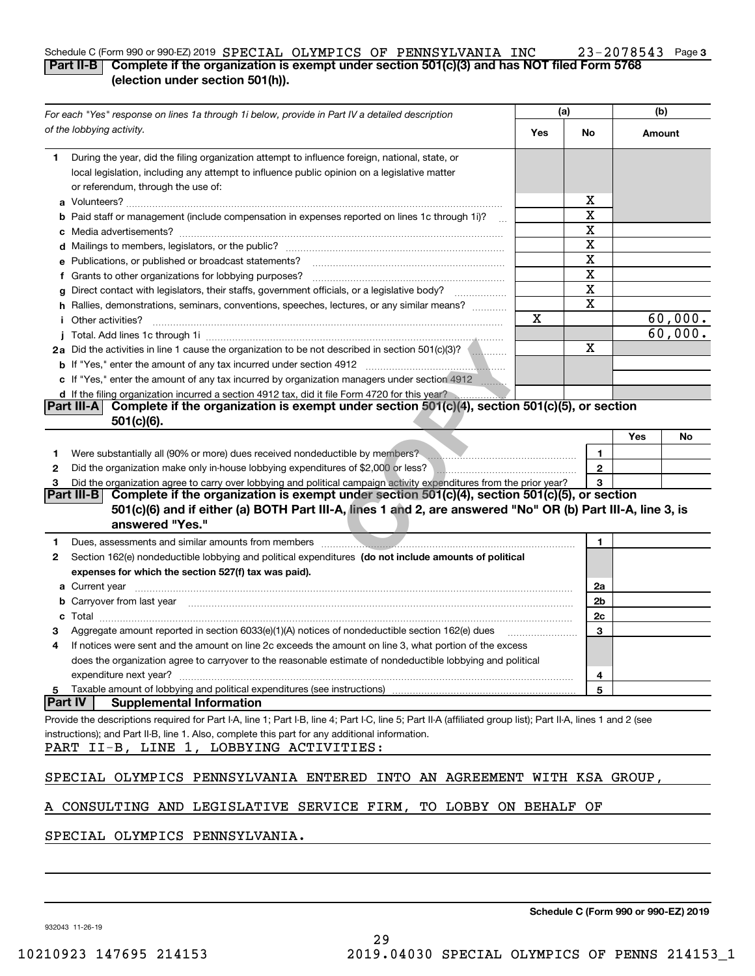#### **3** Schedule C (Form 990 or 990-EZ) 2019 Page SPECIAL OLYMPICS OF PENNSYLVANIA INC 23-2078543 **Part II-B Complete if the organization is exempt under section 501(c)(3) and has NOT filed Form 5768 (election under section 501(h)).**

| For each "Yes" response on lines 1a through 1i below, provide in Part IV a detailed description                                                                                                                            |     | (a)          | (b)    |         |
|----------------------------------------------------------------------------------------------------------------------------------------------------------------------------------------------------------------------------|-----|--------------|--------|---------|
| of the lobbying activity.                                                                                                                                                                                                  | Yes | No           | Amount |         |
| During the year, did the filing organization attempt to influence foreign, national, state, or<br>1                                                                                                                        |     |              |        |         |
| local legislation, including any attempt to influence public opinion on a legislative matter                                                                                                                               |     |              |        |         |
| or referendum, through the use of:                                                                                                                                                                                         |     |              |        |         |
|                                                                                                                                                                                                                            |     | х            |        |         |
| <b>b</b> Paid staff or management (include compensation in expenses reported on lines 1c through 1i)?<br>$\sim$                                                                                                            |     | X            |        |         |
|                                                                                                                                                                                                                            |     | X            |        |         |
|                                                                                                                                                                                                                            |     | X            |        |         |
| e Publications, or published or broadcast statements?                                                                                                                                                                      |     | X            |        |         |
| f Grants to other organizations for lobbying purposes?                                                                                                                                                                     |     | X<br>X       |        |         |
| Direct contact with legislators, their staffs, government officials, or a legislative body?<br>g<br>$\overline{\phantom{a}}$                                                                                               |     | $\mathbf X$  |        |         |
| h Rallies, demonstrations, seminars, conventions, speeches, lectures, or any similar means?                                                                                                                                | X   |              |        | 60,000. |
| <i>i</i> Other activities?                                                                                                                                                                                                 |     |              |        | 60,000. |
| 2a Did the activities in line 1 cause the organization to be not described in section 501(c)(3)?                                                                                                                           |     | X            |        |         |
|                                                                                                                                                                                                                            |     |              |        |         |
| c If "Yes," enter the amount of any tax incurred by organization managers under section 4912                                                                                                                               |     |              |        |         |
| d If the filing organization incurred a section 4912 tax, did it file Form 4720 for this year?                                                                                                                             |     |              |        |         |
| Complete if the organization is exempt under section $501(c)(4)$ , section $501(c)(5)$ , or section<br> Part III-A                                                                                                         |     |              |        |         |
| $501(c)(6)$ .                                                                                                                                                                                                              |     |              |        |         |
|                                                                                                                                                                                                                            |     |              | Yes    | No      |
| Were substantially all (90% or more) dues received nondeductible by members?<br>Were substantially all (90% or more) dues received nondeductible by members?<br>1.                                                         |     | $\mathbf{1}$ |        |         |
| Did the organization make only in-house lobbying expenditures of \$2,000 or less?<br><u> 1999 - Januar Alexandri, matematika menjadi peristiwa dan pertama di sebagai pertama dan pertama di sebagai p</u><br>$\mathbf{2}$ |     | $\mathbf{2}$ |        |         |
| Did the organization agree to carry over lobbying and political campaign activity expenditures from the prior year?<br>3                                                                                                   |     | 3            |        |         |
| Complete if the organization is exempt under section 501(c)(4), section 501(c)(5), or section<br> Part III-B                                                                                                               |     |              |        |         |
| 501(c)(6) and if either (a) BOTH Part III-A, lines 1 and 2, are answered "No" OR (b) Part III-A, line 3, is                                                                                                                |     |              |        |         |
| answered "Yes."                                                                                                                                                                                                            |     |              |        |         |
| 1                                                                                                                                                                                                                          |     | 1.           |        |         |
| Section 162(e) nondeductible lobbying and political expenditures (do not include amounts of political<br>2                                                                                                                 |     |              |        |         |
| expenses for which the section 527(f) tax was paid).                                                                                                                                                                       |     |              |        |         |
| <b>a</b> Current year                                                                                                                                                                                                      |     | 2a           |        |         |
| <b>b</b> Carryover from last year                                                                                                                                                                                          |     | 2b           |        |         |
|                                                                                                                                                                                                                            |     | 2c           |        |         |
| Aggregate amount reported in section 6033(e)(1)(A) notices of nondeductible section 162(e) dues                                                                                                                            |     | 3            |        |         |
| If notices were sent and the amount on line 2c exceeds the amount on line 3, what portion of the excess<br>4                                                                                                               |     |              |        |         |
| does the organization agree to carryover to the reasonable estimate of nondeductible lobbying and political<br>expenditure next year?                                                                                      |     | 4            |        |         |
| Taxable amount of lobbying and political expenditures (see instructions)<br>5                                                                                                                                              |     | 5            |        |         |
| <b>Part IV</b><br><b>Supplemental Information</b>                                                                                                                                                                          |     |              |        |         |
| Provide the descriptions required for Part I-A, line 1; Part I-B, line 4; Part I-C, line 5; Part II-A (affiliated group list); Part II-A, lines 1 and 2 (see                                                               |     |              |        |         |
| instructions); and Part II-B, line 1. Also, complete this part for any additional information.                                                                                                                             |     |              |        |         |
| PART II-B, LINE 1, LOBBYING ACTIVITIES:                                                                                                                                                                                    |     |              |        |         |
|                                                                                                                                                                                                                            |     |              |        |         |
| SPECIAL OLYMPICS PENNSYLVANIA ENTERED INTO AN AGREEMENT WITH KSA GROUP,                                                                                                                                                    |     |              |        |         |
| A CONSULTING AND LEGISLATIVE SERVICE FIRM, TO LOBBY ON BEHALF OF                                                                                                                                                           |     |              |        |         |
| SPECIAL OLYMPICS PENNSYLVANIA.                                                                                                                                                                                             |     |              |        |         |

**Schedule C (Form 990 or 990-EZ) 2019**

932043 11-26-19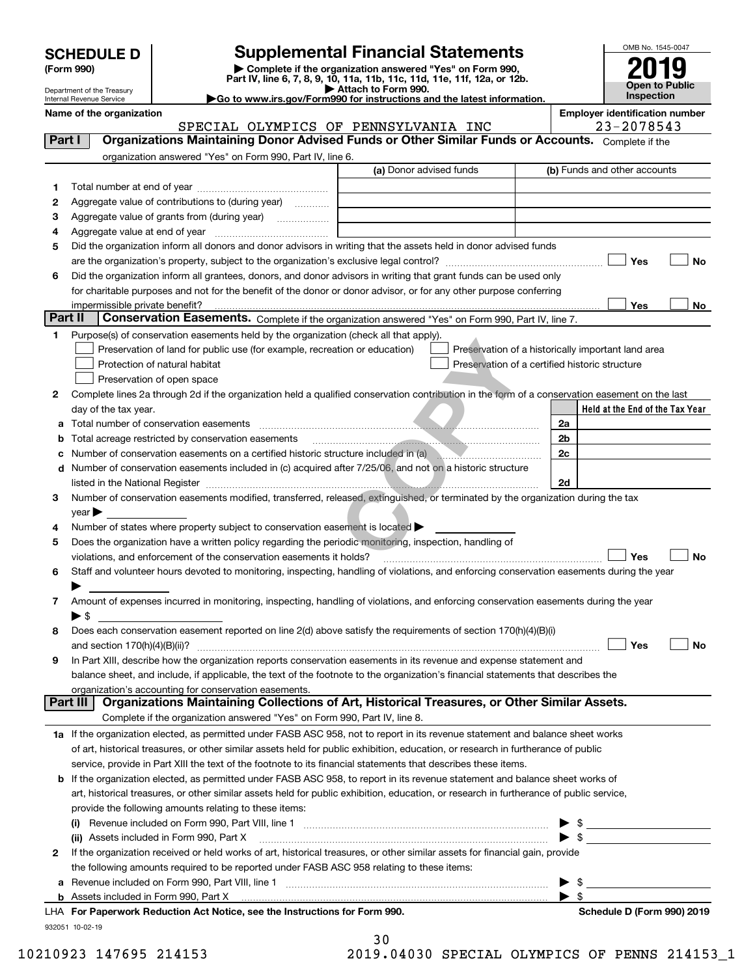| <b>SCHEDULE D</b> |  |
|-------------------|--|
|-------------------|--|

| (Form 990) |  |
|------------|--|
|------------|--|

# **Supplemental Financial Statements**

(Form 990)<br>
Pepartment of the Treasury<br>
Department of the Treasury<br>
Department of the Treasury<br>
Department of the Treasury<br> **Co to www.irs.gov/Form990 for instructions and the latest information.**<br> **Co to www.irs.gov/Form9** 



Department of the Treasury Internal Revenue Service

**Name of the organization Employer identification number Part I Organizations Maintaining Donor Advised Funds or Other Similar Funds or Accounts.**  SPECIAL OLYMPICS OF PENNSYLVANIA INC 23-2078543

| Part I  | Organizations Maintaining Donor Advised Funds or Other Similar Funds or Accounts. Complete if the                                                                        |                         |                                                    |
|---------|--------------------------------------------------------------------------------------------------------------------------------------------------------------------------|-------------------------|----------------------------------------------------|
|         | organization answered "Yes" on Form 990, Part IV, line 6.                                                                                                                |                         |                                                    |
|         |                                                                                                                                                                          | (a) Donor advised funds | (b) Funds and other accounts                       |
| 1       |                                                                                                                                                                          |                         |                                                    |
| 2       | Aggregate value of contributions to (during year)                                                                                                                        |                         |                                                    |
| з       | Aggregate value of grants from (during year)                                                                                                                             |                         |                                                    |
| 4       |                                                                                                                                                                          |                         |                                                    |
| 5       | Did the organization inform all donors and donor advisors in writing that the assets held in donor advised funds                                                         |                         |                                                    |
|         |                                                                                                                                                                          |                         | Yes<br>No                                          |
| 6       | Did the organization inform all grantees, donors, and donor advisors in writing that grant funds can be used only                                                        |                         |                                                    |
|         | for charitable purposes and not for the benefit of the donor or donor advisor, or for any other purpose conferring                                                       |                         |                                                    |
|         |                                                                                                                                                                          |                         | Yes<br>No                                          |
| Part II | Conservation Easements. Complete if the organization answered "Yes" on Form 990, Part IV, line 7.                                                                        |                         |                                                    |
| 1.      | Purpose(s) of conservation easements held by the organization (check all that apply).                                                                                    |                         |                                                    |
|         | Preservation of land for public use (for example, recreation or education)                                                                                               |                         | Preservation of a historically important land area |
|         | Protection of natural habitat                                                                                                                                            |                         | Preservation of a certified historic structure     |
|         | Preservation of open space                                                                                                                                               |                         |                                                    |
| 2       | Complete lines 2a through 2d if the organization held a qualified conservation contribution in the form of a conservation easement on the last                           |                         |                                                    |
|         | day of the tax year.                                                                                                                                                     |                         | Held at the End of the Tax Year                    |
| а       | Total number of conservation easements                                                                                                                                   |                         | 2a                                                 |
| b       | Total acreage restricted by conservation easements                                                                                                                       |                         | 2 <sub>b</sub>                                     |
| с       | Number of conservation easements on a certified historic structure included in (a)                                                                                       |                         | 2c                                                 |
| d       | Number of conservation easements included in (c) acquired after 7/25/06, and not on a historic structure                                                                 |                         |                                                    |
|         |                                                                                                                                                                          |                         | 2d                                                 |
| 3       | Number of conservation easements modified, transferred, released, extinguished, or terminated by the organization during the tax                                         |                         |                                                    |
|         | year                                                                                                                                                                     |                         |                                                    |
| 4       | Number of states where property subject to conservation easement is located >                                                                                            |                         |                                                    |
| 5       | Does the organization have a written policy regarding the periodic monitoring, inspection, handling of                                                                   |                         |                                                    |
|         | violations, and enforcement of the conservation easements it holds?                                                                                                      |                         | Yes<br>No                                          |
| 6       | Staff and volunteer hours devoted to monitoring, inspecting, handling of violations, and enforcing conservation easements during the year                                |                         |                                                    |
|         |                                                                                                                                                                          |                         |                                                    |
| 7       | Amount of expenses incurred in monitoring, inspecting, handling of violations, and enforcing conservation easements during the year                                      |                         |                                                    |
|         | ▶ \$                                                                                                                                                                     |                         |                                                    |
| 8       | Does each conservation easement reported on line 2(d) above satisfy the requirements of section 170(h)(4)(B)(i)                                                          |                         |                                                    |
|         |                                                                                                                                                                          |                         | Yes<br>No                                          |
| 9       | In Part XIII, describe how the organization reports conservation easements in its revenue and expense statement and                                                      |                         |                                                    |
|         | balance sheet, and include, if applicable, the text of the footnote to the organization's financial statements that describes the                                        |                         |                                                    |
|         | organization's accounting for conservation easements.<br>Organizations Maintaining Collections of Art, Historical Treasures, or Other Similar Assets.<br>Part III        |                         |                                                    |
|         | Complete if the organization answered "Yes" on Form 990, Part IV, line 8.                                                                                                |                         |                                                    |
|         |                                                                                                                                                                          |                         |                                                    |
|         | 1a If the organization elected, as permitted under FASB ASC 958, not to report in its revenue statement and balance sheet works                                          |                         |                                                    |
|         | of art, historical treasures, or other similar assets held for public exhibition, education, or research in furtherance of public                                        |                         |                                                    |
|         | service, provide in Part XIII the text of the footnote to its financial statements that describes these items.                                                           |                         |                                                    |
| b       | If the organization elected, as permitted under FASB ASC 958, to report in its revenue statement and balance sheet works of                                              |                         |                                                    |
|         | art, historical treasures, or other similar assets held for public exhibition, education, or research in furtherance of public service,                                  |                         |                                                    |
|         | provide the following amounts relating to these items:                                                                                                                   |                         |                                                    |
|         |                                                                                                                                                                          |                         |                                                    |
|         | (ii) Assets included in Form 990, Part X<br>If the organization received or held works of art, historical treasures, or other similar assets for financial gain, provide |                         |                                                    |
| 2       |                                                                                                                                                                          |                         |                                                    |
|         | the following amounts required to be reported under FASB ASC 958 relating to these items:                                                                                |                         |                                                    |
| а       |                                                                                                                                                                          |                         | \$<br>- \$                                         |
|         |                                                                                                                                                                          |                         |                                                    |
|         | LHA For Paperwork Reduction Act Notice, see the Instructions for Form 990.                                                                                               |                         | Schedule D (Form 990) 2019                         |
|         | 932051 10-02-19                                                                                                                                                          |                         |                                                    |

30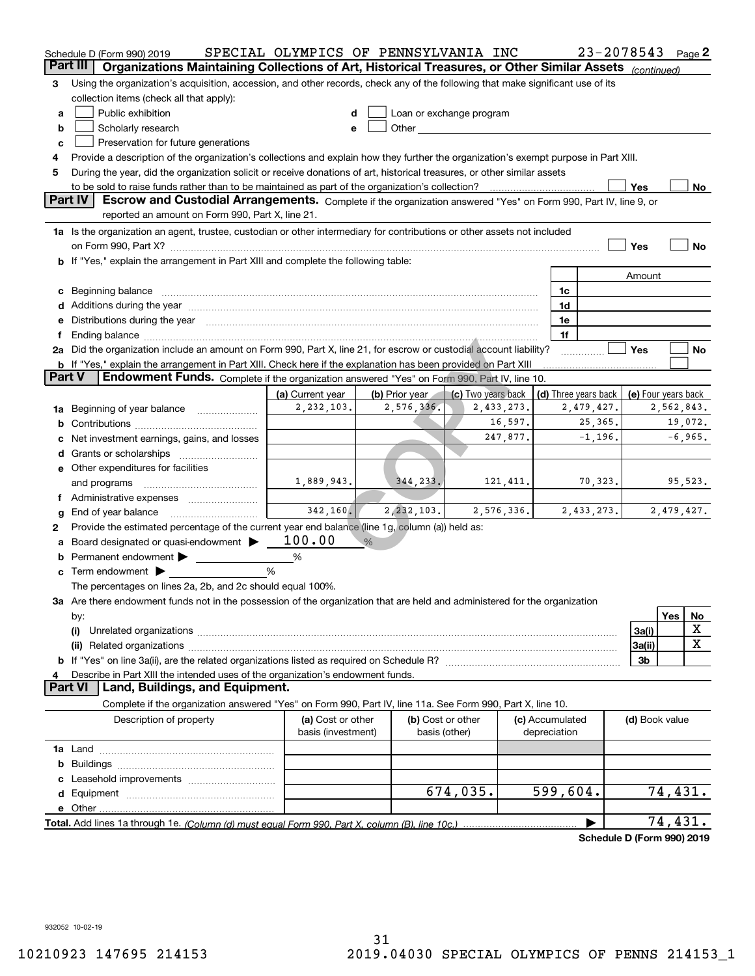| Organizations Maintaining Collections of Art, Historical Treasures, or Other Similar Assets<br>Part III<br>(continued)<br>Using the organization's acquisition, accession, and other records, check any of the following that make significant use of its<br>з<br>collection items (check all that apply):<br>Public exhibition<br>Loan or exchange program<br>a<br>Other and the control of the control of the control of the control of the control of the control of the control of the control of the control of the control of the control of the control of the control of the control of th<br>Scholarly research<br>b<br>Preservation for future generations<br>c<br>Provide a description of the organization's collections and explain how they further the organization's exempt purpose in Part XIII.<br>4<br>During the year, did the organization solicit or receive donations of art, historical treasures, or other similar assets<br>5<br>Yes<br>to be sold to raise funds rather than to be maintained as part of the organization's collection?<br>No<br><b>Part IV</b><br>Escrow and Custodial Arrangements. Complete if the organization answered "Yes" on Form 990, Part IV, line 9, or<br>reported an amount on Form 990, Part X, line 21.<br>1a Is the organization an agent, trustee, custodian or other intermediary for contributions or other assets not included<br>Yes<br>No<br>b If "Yes," explain the arrangement in Part XIII and complete the following table:<br>Amount<br>Beginning balance manufactured and contain an account of the state of the state of the state of the state of t<br>1c<br>c<br>1d<br>e Distributions during the year manufactured and an according to the year manufactured and the year manufactur<br>1e<br>1f<br>f.<br>2a Did the organization include an amount on Form 990, Part X, line 21, for escrow or custodial account liability?<br>Yes<br>No<br><b>b</b> If "Yes," explain the arrangement in Part XIII. Check here if the explanation has been provided on Part XIII<br>Part V<br>Endowment Funds. Complete if the organization answered "Yes" on Form 990, Part IV, line 10.<br>(c) Two years back<br>(a) Current year<br>(b) Prior year<br>(d) Three years back<br>(e) Four years back<br>2, 232, 103.<br>2,576,336.<br>2,433,273.<br>2,562,843.<br>2,479,427.<br>Beginning of year balance<br>1a<br>16,597.<br>25,365.<br>19,072.<br>$-6,965.$<br>247,877.<br>$-1,196.$<br>Net investment earnings, gains, and losses<br>e Other expenditures for facilities<br>1,889,943.<br>344, 233.<br>121, 411.<br>70,323.<br>95,523.<br>and programs<br>342, 160.<br>2, 232, 103.<br>2,576,336.<br>2,433,273.<br>2,479,427.<br>End of year balance<br>g<br>Provide the estimated percentage of the current year end balance (line 1g, column (a)) held as:<br>2<br>100.00<br>$\%$<br>Board designated or quasi-endowment<br>а<br>%<br>Permanent endowment<br>%<br><b>c</b> Term endowment $\blacktriangleright$<br>The percentages on lines 2a, 2b, and 2c should equal 100%.<br>3a Are there endowment funds not in the possession of the organization that are held and administered for the organization<br>Yes<br>No<br>by:<br>X<br>3a(i)<br>(i)<br>X<br>3a(ii)<br>3b<br>Describe in Part XIII the intended uses of the organization's endowment funds.<br>4<br>Land, Buildings, and Equipment.<br>Part VI<br>Complete if the organization answered "Yes" on Form 990, Part IV, line 11a. See Form 990, Part X, line 10.<br>Description of property<br>(a) Cost or other<br>(b) Cost or other<br>(c) Accumulated<br>(d) Book value<br>basis (investment)<br>basis (other)<br>depreciation<br>b<br>674,035.<br>599,604.<br>74,431.<br>74,431. | Schedule D (Form 990) 2019 | SPECIAL OLYMPICS OF PENNSYLVANIA INC |  |  | 23-2078543 |  |  | Page $2$ |
|--------------------------------------------------------------------------------------------------------------------------------------------------------------------------------------------------------------------------------------------------------------------------------------------------------------------------------------------------------------------------------------------------------------------------------------------------------------------------------------------------------------------------------------------------------------------------------------------------------------------------------------------------------------------------------------------------------------------------------------------------------------------------------------------------------------------------------------------------------------------------------------------------------------------------------------------------------------------------------------------------------------------------------------------------------------------------------------------------------------------------------------------------------------------------------------------------------------------------------------------------------------------------------------------------------------------------------------------------------------------------------------------------------------------------------------------------------------------------------------------------------------------------------------------------------------------------------------------------------------------------------------------------------------------------------------------------------------------------------------------------------------------------------------------------------------------------------------------------------------------------------------------------------------------------------------------------------------------------------------------------------------------------------------------------------------------------------------------------------------------------------------------------------------------------------------------------------------------------------------------------------------------------------------------------------------------------------------------------------------------------------------------------------------------------------------------------------------------------------------------------------------------------------------------------------------------------------------------------------------------------------------------------------------------------------------------------------------------------------------------------------------------------------------------------------------------------------------------------------------------------------------------------------------------------------------------------------------------------------------------------------------------------------------------------------------------------------------------------------------------------------------------------------------------------------------------------------------------------------------------------------------------------------------------------------------------------------------------------------------------------------------------------------------------------------------------------------------------------------------------------------------------------------------------------------------------------------------------------------------------------------------------------------------------------------------------------------------------|----------------------------|--------------------------------------|--|--|------------|--|--|----------|
|                                                                                                                                                                                                                                                                                                                                                                                                                                                                                                                                                                                                                                                                                                                                                                                                                                                                                                                                                                                                                                                                                                                                                                                                                                                                                                                                                                                                                                                                                                                                                                                                                                                                                                                                                                                                                                                                                                                                                                                                                                                                                                                                                                                                                                                                                                                                                                                                                                                                                                                                                                                                                                                                                                                                                                                                                                                                                                                                                                                                                                                                                                                                                                                                                                                                                                                                                                                                                                                                                                                                                                                                                                                                                                                    |                            |                                      |  |  |            |  |  |          |
|                                                                                                                                                                                                                                                                                                                                                                                                                                                                                                                                                                                                                                                                                                                                                                                                                                                                                                                                                                                                                                                                                                                                                                                                                                                                                                                                                                                                                                                                                                                                                                                                                                                                                                                                                                                                                                                                                                                                                                                                                                                                                                                                                                                                                                                                                                                                                                                                                                                                                                                                                                                                                                                                                                                                                                                                                                                                                                                                                                                                                                                                                                                                                                                                                                                                                                                                                                                                                                                                                                                                                                                                                                                                                                                    |                            |                                      |  |  |            |  |  |          |
|                                                                                                                                                                                                                                                                                                                                                                                                                                                                                                                                                                                                                                                                                                                                                                                                                                                                                                                                                                                                                                                                                                                                                                                                                                                                                                                                                                                                                                                                                                                                                                                                                                                                                                                                                                                                                                                                                                                                                                                                                                                                                                                                                                                                                                                                                                                                                                                                                                                                                                                                                                                                                                                                                                                                                                                                                                                                                                                                                                                                                                                                                                                                                                                                                                                                                                                                                                                                                                                                                                                                                                                                                                                                                                                    |                            |                                      |  |  |            |  |  |          |
|                                                                                                                                                                                                                                                                                                                                                                                                                                                                                                                                                                                                                                                                                                                                                                                                                                                                                                                                                                                                                                                                                                                                                                                                                                                                                                                                                                                                                                                                                                                                                                                                                                                                                                                                                                                                                                                                                                                                                                                                                                                                                                                                                                                                                                                                                                                                                                                                                                                                                                                                                                                                                                                                                                                                                                                                                                                                                                                                                                                                                                                                                                                                                                                                                                                                                                                                                                                                                                                                                                                                                                                                                                                                                                                    |                            |                                      |  |  |            |  |  |          |
|                                                                                                                                                                                                                                                                                                                                                                                                                                                                                                                                                                                                                                                                                                                                                                                                                                                                                                                                                                                                                                                                                                                                                                                                                                                                                                                                                                                                                                                                                                                                                                                                                                                                                                                                                                                                                                                                                                                                                                                                                                                                                                                                                                                                                                                                                                                                                                                                                                                                                                                                                                                                                                                                                                                                                                                                                                                                                                                                                                                                                                                                                                                                                                                                                                                                                                                                                                                                                                                                                                                                                                                                                                                                                                                    |                            |                                      |  |  |            |  |  |          |
|                                                                                                                                                                                                                                                                                                                                                                                                                                                                                                                                                                                                                                                                                                                                                                                                                                                                                                                                                                                                                                                                                                                                                                                                                                                                                                                                                                                                                                                                                                                                                                                                                                                                                                                                                                                                                                                                                                                                                                                                                                                                                                                                                                                                                                                                                                                                                                                                                                                                                                                                                                                                                                                                                                                                                                                                                                                                                                                                                                                                                                                                                                                                                                                                                                                                                                                                                                                                                                                                                                                                                                                                                                                                                                                    |                            |                                      |  |  |            |  |  |          |
|                                                                                                                                                                                                                                                                                                                                                                                                                                                                                                                                                                                                                                                                                                                                                                                                                                                                                                                                                                                                                                                                                                                                                                                                                                                                                                                                                                                                                                                                                                                                                                                                                                                                                                                                                                                                                                                                                                                                                                                                                                                                                                                                                                                                                                                                                                                                                                                                                                                                                                                                                                                                                                                                                                                                                                                                                                                                                                                                                                                                                                                                                                                                                                                                                                                                                                                                                                                                                                                                                                                                                                                                                                                                                                                    |                            |                                      |  |  |            |  |  |          |
|                                                                                                                                                                                                                                                                                                                                                                                                                                                                                                                                                                                                                                                                                                                                                                                                                                                                                                                                                                                                                                                                                                                                                                                                                                                                                                                                                                                                                                                                                                                                                                                                                                                                                                                                                                                                                                                                                                                                                                                                                                                                                                                                                                                                                                                                                                                                                                                                                                                                                                                                                                                                                                                                                                                                                                                                                                                                                                                                                                                                                                                                                                                                                                                                                                                                                                                                                                                                                                                                                                                                                                                                                                                                                                                    |                            |                                      |  |  |            |  |  |          |
|                                                                                                                                                                                                                                                                                                                                                                                                                                                                                                                                                                                                                                                                                                                                                                                                                                                                                                                                                                                                                                                                                                                                                                                                                                                                                                                                                                                                                                                                                                                                                                                                                                                                                                                                                                                                                                                                                                                                                                                                                                                                                                                                                                                                                                                                                                                                                                                                                                                                                                                                                                                                                                                                                                                                                                                                                                                                                                                                                                                                                                                                                                                                                                                                                                                                                                                                                                                                                                                                                                                                                                                                                                                                                                                    |                            |                                      |  |  |            |  |  |          |
|                                                                                                                                                                                                                                                                                                                                                                                                                                                                                                                                                                                                                                                                                                                                                                                                                                                                                                                                                                                                                                                                                                                                                                                                                                                                                                                                                                                                                                                                                                                                                                                                                                                                                                                                                                                                                                                                                                                                                                                                                                                                                                                                                                                                                                                                                                                                                                                                                                                                                                                                                                                                                                                                                                                                                                                                                                                                                                                                                                                                                                                                                                                                                                                                                                                                                                                                                                                                                                                                                                                                                                                                                                                                                                                    |                            |                                      |  |  |            |  |  |          |
|                                                                                                                                                                                                                                                                                                                                                                                                                                                                                                                                                                                                                                                                                                                                                                                                                                                                                                                                                                                                                                                                                                                                                                                                                                                                                                                                                                                                                                                                                                                                                                                                                                                                                                                                                                                                                                                                                                                                                                                                                                                                                                                                                                                                                                                                                                                                                                                                                                                                                                                                                                                                                                                                                                                                                                                                                                                                                                                                                                                                                                                                                                                                                                                                                                                                                                                                                                                                                                                                                                                                                                                                                                                                                                                    |                            |                                      |  |  |            |  |  |          |
|                                                                                                                                                                                                                                                                                                                                                                                                                                                                                                                                                                                                                                                                                                                                                                                                                                                                                                                                                                                                                                                                                                                                                                                                                                                                                                                                                                                                                                                                                                                                                                                                                                                                                                                                                                                                                                                                                                                                                                                                                                                                                                                                                                                                                                                                                                                                                                                                                                                                                                                                                                                                                                                                                                                                                                                                                                                                                                                                                                                                                                                                                                                                                                                                                                                                                                                                                                                                                                                                                                                                                                                                                                                                                                                    |                            |                                      |  |  |            |  |  |          |
|                                                                                                                                                                                                                                                                                                                                                                                                                                                                                                                                                                                                                                                                                                                                                                                                                                                                                                                                                                                                                                                                                                                                                                                                                                                                                                                                                                                                                                                                                                                                                                                                                                                                                                                                                                                                                                                                                                                                                                                                                                                                                                                                                                                                                                                                                                                                                                                                                                                                                                                                                                                                                                                                                                                                                                                                                                                                                                                                                                                                                                                                                                                                                                                                                                                                                                                                                                                                                                                                                                                                                                                                                                                                                                                    |                            |                                      |  |  |            |  |  |          |
|                                                                                                                                                                                                                                                                                                                                                                                                                                                                                                                                                                                                                                                                                                                                                                                                                                                                                                                                                                                                                                                                                                                                                                                                                                                                                                                                                                                                                                                                                                                                                                                                                                                                                                                                                                                                                                                                                                                                                                                                                                                                                                                                                                                                                                                                                                                                                                                                                                                                                                                                                                                                                                                                                                                                                                                                                                                                                                                                                                                                                                                                                                                                                                                                                                                                                                                                                                                                                                                                                                                                                                                                                                                                                                                    |                            |                                      |  |  |            |  |  |          |
|                                                                                                                                                                                                                                                                                                                                                                                                                                                                                                                                                                                                                                                                                                                                                                                                                                                                                                                                                                                                                                                                                                                                                                                                                                                                                                                                                                                                                                                                                                                                                                                                                                                                                                                                                                                                                                                                                                                                                                                                                                                                                                                                                                                                                                                                                                                                                                                                                                                                                                                                                                                                                                                                                                                                                                                                                                                                                                                                                                                                                                                                                                                                                                                                                                                                                                                                                                                                                                                                                                                                                                                                                                                                                                                    |                            |                                      |  |  |            |  |  |          |
|                                                                                                                                                                                                                                                                                                                                                                                                                                                                                                                                                                                                                                                                                                                                                                                                                                                                                                                                                                                                                                                                                                                                                                                                                                                                                                                                                                                                                                                                                                                                                                                                                                                                                                                                                                                                                                                                                                                                                                                                                                                                                                                                                                                                                                                                                                                                                                                                                                                                                                                                                                                                                                                                                                                                                                                                                                                                                                                                                                                                                                                                                                                                                                                                                                                                                                                                                                                                                                                                                                                                                                                                                                                                                                                    |                            |                                      |  |  |            |  |  |          |
|                                                                                                                                                                                                                                                                                                                                                                                                                                                                                                                                                                                                                                                                                                                                                                                                                                                                                                                                                                                                                                                                                                                                                                                                                                                                                                                                                                                                                                                                                                                                                                                                                                                                                                                                                                                                                                                                                                                                                                                                                                                                                                                                                                                                                                                                                                                                                                                                                                                                                                                                                                                                                                                                                                                                                                                                                                                                                                                                                                                                                                                                                                                                                                                                                                                                                                                                                                                                                                                                                                                                                                                                                                                                                                                    |                            |                                      |  |  |            |  |  |          |
|                                                                                                                                                                                                                                                                                                                                                                                                                                                                                                                                                                                                                                                                                                                                                                                                                                                                                                                                                                                                                                                                                                                                                                                                                                                                                                                                                                                                                                                                                                                                                                                                                                                                                                                                                                                                                                                                                                                                                                                                                                                                                                                                                                                                                                                                                                                                                                                                                                                                                                                                                                                                                                                                                                                                                                                                                                                                                                                                                                                                                                                                                                                                                                                                                                                                                                                                                                                                                                                                                                                                                                                                                                                                                                                    |                            |                                      |  |  |            |  |  |          |
|                                                                                                                                                                                                                                                                                                                                                                                                                                                                                                                                                                                                                                                                                                                                                                                                                                                                                                                                                                                                                                                                                                                                                                                                                                                                                                                                                                                                                                                                                                                                                                                                                                                                                                                                                                                                                                                                                                                                                                                                                                                                                                                                                                                                                                                                                                                                                                                                                                                                                                                                                                                                                                                                                                                                                                                                                                                                                                                                                                                                                                                                                                                                                                                                                                                                                                                                                                                                                                                                                                                                                                                                                                                                                                                    |                            |                                      |  |  |            |  |  |          |
|                                                                                                                                                                                                                                                                                                                                                                                                                                                                                                                                                                                                                                                                                                                                                                                                                                                                                                                                                                                                                                                                                                                                                                                                                                                                                                                                                                                                                                                                                                                                                                                                                                                                                                                                                                                                                                                                                                                                                                                                                                                                                                                                                                                                                                                                                                                                                                                                                                                                                                                                                                                                                                                                                                                                                                                                                                                                                                                                                                                                                                                                                                                                                                                                                                                                                                                                                                                                                                                                                                                                                                                                                                                                                                                    |                            |                                      |  |  |            |  |  |          |
|                                                                                                                                                                                                                                                                                                                                                                                                                                                                                                                                                                                                                                                                                                                                                                                                                                                                                                                                                                                                                                                                                                                                                                                                                                                                                                                                                                                                                                                                                                                                                                                                                                                                                                                                                                                                                                                                                                                                                                                                                                                                                                                                                                                                                                                                                                                                                                                                                                                                                                                                                                                                                                                                                                                                                                                                                                                                                                                                                                                                                                                                                                                                                                                                                                                                                                                                                                                                                                                                                                                                                                                                                                                                                                                    |                            |                                      |  |  |            |  |  |          |
|                                                                                                                                                                                                                                                                                                                                                                                                                                                                                                                                                                                                                                                                                                                                                                                                                                                                                                                                                                                                                                                                                                                                                                                                                                                                                                                                                                                                                                                                                                                                                                                                                                                                                                                                                                                                                                                                                                                                                                                                                                                                                                                                                                                                                                                                                                                                                                                                                                                                                                                                                                                                                                                                                                                                                                                                                                                                                                                                                                                                                                                                                                                                                                                                                                                                                                                                                                                                                                                                                                                                                                                                                                                                                                                    |                            |                                      |  |  |            |  |  |          |
|                                                                                                                                                                                                                                                                                                                                                                                                                                                                                                                                                                                                                                                                                                                                                                                                                                                                                                                                                                                                                                                                                                                                                                                                                                                                                                                                                                                                                                                                                                                                                                                                                                                                                                                                                                                                                                                                                                                                                                                                                                                                                                                                                                                                                                                                                                                                                                                                                                                                                                                                                                                                                                                                                                                                                                                                                                                                                                                                                                                                                                                                                                                                                                                                                                                                                                                                                                                                                                                                                                                                                                                                                                                                                                                    |                            |                                      |  |  |            |  |  |          |
|                                                                                                                                                                                                                                                                                                                                                                                                                                                                                                                                                                                                                                                                                                                                                                                                                                                                                                                                                                                                                                                                                                                                                                                                                                                                                                                                                                                                                                                                                                                                                                                                                                                                                                                                                                                                                                                                                                                                                                                                                                                                                                                                                                                                                                                                                                                                                                                                                                                                                                                                                                                                                                                                                                                                                                                                                                                                                                                                                                                                                                                                                                                                                                                                                                                                                                                                                                                                                                                                                                                                                                                                                                                                                                                    |                            |                                      |  |  |            |  |  |          |
|                                                                                                                                                                                                                                                                                                                                                                                                                                                                                                                                                                                                                                                                                                                                                                                                                                                                                                                                                                                                                                                                                                                                                                                                                                                                                                                                                                                                                                                                                                                                                                                                                                                                                                                                                                                                                                                                                                                                                                                                                                                                                                                                                                                                                                                                                                                                                                                                                                                                                                                                                                                                                                                                                                                                                                                                                                                                                                                                                                                                                                                                                                                                                                                                                                                                                                                                                                                                                                                                                                                                                                                                                                                                                                                    |                            |                                      |  |  |            |  |  |          |
|                                                                                                                                                                                                                                                                                                                                                                                                                                                                                                                                                                                                                                                                                                                                                                                                                                                                                                                                                                                                                                                                                                                                                                                                                                                                                                                                                                                                                                                                                                                                                                                                                                                                                                                                                                                                                                                                                                                                                                                                                                                                                                                                                                                                                                                                                                                                                                                                                                                                                                                                                                                                                                                                                                                                                                                                                                                                                                                                                                                                                                                                                                                                                                                                                                                                                                                                                                                                                                                                                                                                                                                                                                                                                                                    |                            |                                      |  |  |            |  |  |          |
|                                                                                                                                                                                                                                                                                                                                                                                                                                                                                                                                                                                                                                                                                                                                                                                                                                                                                                                                                                                                                                                                                                                                                                                                                                                                                                                                                                                                                                                                                                                                                                                                                                                                                                                                                                                                                                                                                                                                                                                                                                                                                                                                                                                                                                                                                                                                                                                                                                                                                                                                                                                                                                                                                                                                                                                                                                                                                                                                                                                                                                                                                                                                                                                                                                                                                                                                                                                                                                                                                                                                                                                                                                                                                                                    |                            |                                      |  |  |            |  |  |          |
|                                                                                                                                                                                                                                                                                                                                                                                                                                                                                                                                                                                                                                                                                                                                                                                                                                                                                                                                                                                                                                                                                                                                                                                                                                                                                                                                                                                                                                                                                                                                                                                                                                                                                                                                                                                                                                                                                                                                                                                                                                                                                                                                                                                                                                                                                                                                                                                                                                                                                                                                                                                                                                                                                                                                                                                                                                                                                                                                                                                                                                                                                                                                                                                                                                                                                                                                                                                                                                                                                                                                                                                                                                                                                                                    |                            |                                      |  |  |            |  |  |          |
|                                                                                                                                                                                                                                                                                                                                                                                                                                                                                                                                                                                                                                                                                                                                                                                                                                                                                                                                                                                                                                                                                                                                                                                                                                                                                                                                                                                                                                                                                                                                                                                                                                                                                                                                                                                                                                                                                                                                                                                                                                                                                                                                                                                                                                                                                                                                                                                                                                                                                                                                                                                                                                                                                                                                                                                                                                                                                                                                                                                                                                                                                                                                                                                                                                                                                                                                                                                                                                                                                                                                                                                                                                                                                                                    |                            |                                      |  |  |            |  |  |          |
|                                                                                                                                                                                                                                                                                                                                                                                                                                                                                                                                                                                                                                                                                                                                                                                                                                                                                                                                                                                                                                                                                                                                                                                                                                                                                                                                                                                                                                                                                                                                                                                                                                                                                                                                                                                                                                                                                                                                                                                                                                                                                                                                                                                                                                                                                                                                                                                                                                                                                                                                                                                                                                                                                                                                                                                                                                                                                                                                                                                                                                                                                                                                                                                                                                                                                                                                                                                                                                                                                                                                                                                                                                                                                                                    |                            |                                      |  |  |            |  |  |          |
|                                                                                                                                                                                                                                                                                                                                                                                                                                                                                                                                                                                                                                                                                                                                                                                                                                                                                                                                                                                                                                                                                                                                                                                                                                                                                                                                                                                                                                                                                                                                                                                                                                                                                                                                                                                                                                                                                                                                                                                                                                                                                                                                                                                                                                                                                                                                                                                                                                                                                                                                                                                                                                                                                                                                                                                                                                                                                                                                                                                                                                                                                                                                                                                                                                                                                                                                                                                                                                                                                                                                                                                                                                                                                                                    |                            |                                      |  |  |            |  |  |          |
|                                                                                                                                                                                                                                                                                                                                                                                                                                                                                                                                                                                                                                                                                                                                                                                                                                                                                                                                                                                                                                                                                                                                                                                                                                                                                                                                                                                                                                                                                                                                                                                                                                                                                                                                                                                                                                                                                                                                                                                                                                                                                                                                                                                                                                                                                                                                                                                                                                                                                                                                                                                                                                                                                                                                                                                                                                                                                                                                                                                                                                                                                                                                                                                                                                                                                                                                                                                                                                                                                                                                                                                                                                                                                                                    |                            |                                      |  |  |            |  |  |          |
|                                                                                                                                                                                                                                                                                                                                                                                                                                                                                                                                                                                                                                                                                                                                                                                                                                                                                                                                                                                                                                                                                                                                                                                                                                                                                                                                                                                                                                                                                                                                                                                                                                                                                                                                                                                                                                                                                                                                                                                                                                                                                                                                                                                                                                                                                                                                                                                                                                                                                                                                                                                                                                                                                                                                                                                                                                                                                                                                                                                                                                                                                                                                                                                                                                                                                                                                                                                                                                                                                                                                                                                                                                                                                                                    |                            |                                      |  |  |            |  |  |          |
|                                                                                                                                                                                                                                                                                                                                                                                                                                                                                                                                                                                                                                                                                                                                                                                                                                                                                                                                                                                                                                                                                                                                                                                                                                                                                                                                                                                                                                                                                                                                                                                                                                                                                                                                                                                                                                                                                                                                                                                                                                                                                                                                                                                                                                                                                                                                                                                                                                                                                                                                                                                                                                                                                                                                                                                                                                                                                                                                                                                                                                                                                                                                                                                                                                                                                                                                                                                                                                                                                                                                                                                                                                                                                                                    |                            |                                      |  |  |            |  |  |          |
|                                                                                                                                                                                                                                                                                                                                                                                                                                                                                                                                                                                                                                                                                                                                                                                                                                                                                                                                                                                                                                                                                                                                                                                                                                                                                                                                                                                                                                                                                                                                                                                                                                                                                                                                                                                                                                                                                                                                                                                                                                                                                                                                                                                                                                                                                                                                                                                                                                                                                                                                                                                                                                                                                                                                                                                                                                                                                                                                                                                                                                                                                                                                                                                                                                                                                                                                                                                                                                                                                                                                                                                                                                                                                                                    |                            |                                      |  |  |            |  |  |          |
|                                                                                                                                                                                                                                                                                                                                                                                                                                                                                                                                                                                                                                                                                                                                                                                                                                                                                                                                                                                                                                                                                                                                                                                                                                                                                                                                                                                                                                                                                                                                                                                                                                                                                                                                                                                                                                                                                                                                                                                                                                                                                                                                                                                                                                                                                                                                                                                                                                                                                                                                                                                                                                                                                                                                                                                                                                                                                                                                                                                                                                                                                                                                                                                                                                                                                                                                                                                                                                                                                                                                                                                                                                                                                                                    |                            |                                      |  |  |            |  |  |          |
|                                                                                                                                                                                                                                                                                                                                                                                                                                                                                                                                                                                                                                                                                                                                                                                                                                                                                                                                                                                                                                                                                                                                                                                                                                                                                                                                                                                                                                                                                                                                                                                                                                                                                                                                                                                                                                                                                                                                                                                                                                                                                                                                                                                                                                                                                                                                                                                                                                                                                                                                                                                                                                                                                                                                                                                                                                                                                                                                                                                                                                                                                                                                                                                                                                                                                                                                                                                                                                                                                                                                                                                                                                                                                                                    |                            |                                      |  |  |            |  |  |          |
|                                                                                                                                                                                                                                                                                                                                                                                                                                                                                                                                                                                                                                                                                                                                                                                                                                                                                                                                                                                                                                                                                                                                                                                                                                                                                                                                                                                                                                                                                                                                                                                                                                                                                                                                                                                                                                                                                                                                                                                                                                                                                                                                                                                                                                                                                                                                                                                                                                                                                                                                                                                                                                                                                                                                                                                                                                                                                                                                                                                                                                                                                                                                                                                                                                                                                                                                                                                                                                                                                                                                                                                                                                                                                                                    |                            |                                      |  |  |            |  |  |          |
|                                                                                                                                                                                                                                                                                                                                                                                                                                                                                                                                                                                                                                                                                                                                                                                                                                                                                                                                                                                                                                                                                                                                                                                                                                                                                                                                                                                                                                                                                                                                                                                                                                                                                                                                                                                                                                                                                                                                                                                                                                                                                                                                                                                                                                                                                                                                                                                                                                                                                                                                                                                                                                                                                                                                                                                                                                                                                                                                                                                                                                                                                                                                                                                                                                                                                                                                                                                                                                                                                                                                                                                                                                                                                                                    |                            |                                      |  |  |            |  |  |          |
|                                                                                                                                                                                                                                                                                                                                                                                                                                                                                                                                                                                                                                                                                                                                                                                                                                                                                                                                                                                                                                                                                                                                                                                                                                                                                                                                                                                                                                                                                                                                                                                                                                                                                                                                                                                                                                                                                                                                                                                                                                                                                                                                                                                                                                                                                                                                                                                                                                                                                                                                                                                                                                                                                                                                                                                                                                                                                                                                                                                                                                                                                                                                                                                                                                                                                                                                                                                                                                                                                                                                                                                                                                                                                                                    |                            |                                      |  |  |            |  |  |          |
|                                                                                                                                                                                                                                                                                                                                                                                                                                                                                                                                                                                                                                                                                                                                                                                                                                                                                                                                                                                                                                                                                                                                                                                                                                                                                                                                                                                                                                                                                                                                                                                                                                                                                                                                                                                                                                                                                                                                                                                                                                                                                                                                                                                                                                                                                                                                                                                                                                                                                                                                                                                                                                                                                                                                                                                                                                                                                                                                                                                                                                                                                                                                                                                                                                                                                                                                                                                                                                                                                                                                                                                                                                                                                                                    |                            |                                      |  |  |            |  |  |          |
|                                                                                                                                                                                                                                                                                                                                                                                                                                                                                                                                                                                                                                                                                                                                                                                                                                                                                                                                                                                                                                                                                                                                                                                                                                                                                                                                                                                                                                                                                                                                                                                                                                                                                                                                                                                                                                                                                                                                                                                                                                                                                                                                                                                                                                                                                                                                                                                                                                                                                                                                                                                                                                                                                                                                                                                                                                                                                                                                                                                                                                                                                                                                                                                                                                                                                                                                                                                                                                                                                                                                                                                                                                                                                                                    |                            |                                      |  |  |            |  |  |          |
|                                                                                                                                                                                                                                                                                                                                                                                                                                                                                                                                                                                                                                                                                                                                                                                                                                                                                                                                                                                                                                                                                                                                                                                                                                                                                                                                                                                                                                                                                                                                                                                                                                                                                                                                                                                                                                                                                                                                                                                                                                                                                                                                                                                                                                                                                                                                                                                                                                                                                                                                                                                                                                                                                                                                                                                                                                                                                                                                                                                                                                                                                                                                                                                                                                                                                                                                                                                                                                                                                                                                                                                                                                                                                                                    |                            |                                      |  |  |            |  |  |          |
|                                                                                                                                                                                                                                                                                                                                                                                                                                                                                                                                                                                                                                                                                                                                                                                                                                                                                                                                                                                                                                                                                                                                                                                                                                                                                                                                                                                                                                                                                                                                                                                                                                                                                                                                                                                                                                                                                                                                                                                                                                                                                                                                                                                                                                                                                                                                                                                                                                                                                                                                                                                                                                                                                                                                                                                                                                                                                                                                                                                                                                                                                                                                                                                                                                                                                                                                                                                                                                                                                                                                                                                                                                                                                                                    |                            |                                      |  |  |            |  |  |          |
|                                                                                                                                                                                                                                                                                                                                                                                                                                                                                                                                                                                                                                                                                                                                                                                                                                                                                                                                                                                                                                                                                                                                                                                                                                                                                                                                                                                                                                                                                                                                                                                                                                                                                                                                                                                                                                                                                                                                                                                                                                                                                                                                                                                                                                                                                                                                                                                                                                                                                                                                                                                                                                                                                                                                                                                                                                                                                                                                                                                                                                                                                                                                                                                                                                                                                                                                                                                                                                                                                                                                                                                                                                                                                                                    |                            |                                      |  |  |            |  |  |          |
|                                                                                                                                                                                                                                                                                                                                                                                                                                                                                                                                                                                                                                                                                                                                                                                                                                                                                                                                                                                                                                                                                                                                                                                                                                                                                                                                                                                                                                                                                                                                                                                                                                                                                                                                                                                                                                                                                                                                                                                                                                                                                                                                                                                                                                                                                                                                                                                                                                                                                                                                                                                                                                                                                                                                                                                                                                                                                                                                                                                                                                                                                                                                                                                                                                                                                                                                                                                                                                                                                                                                                                                                                                                                                                                    |                            |                                      |  |  |            |  |  |          |
|                                                                                                                                                                                                                                                                                                                                                                                                                                                                                                                                                                                                                                                                                                                                                                                                                                                                                                                                                                                                                                                                                                                                                                                                                                                                                                                                                                                                                                                                                                                                                                                                                                                                                                                                                                                                                                                                                                                                                                                                                                                                                                                                                                                                                                                                                                                                                                                                                                                                                                                                                                                                                                                                                                                                                                                                                                                                                                                                                                                                                                                                                                                                                                                                                                                                                                                                                                                                                                                                                                                                                                                                                                                                                                                    |                            |                                      |  |  |            |  |  |          |
|                                                                                                                                                                                                                                                                                                                                                                                                                                                                                                                                                                                                                                                                                                                                                                                                                                                                                                                                                                                                                                                                                                                                                                                                                                                                                                                                                                                                                                                                                                                                                                                                                                                                                                                                                                                                                                                                                                                                                                                                                                                                                                                                                                                                                                                                                                                                                                                                                                                                                                                                                                                                                                                                                                                                                                                                                                                                                                                                                                                                                                                                                                                                                                                                                                                                                                                                                                                                                                                                                                                                                                                                                                                                                                                    |                            |                                      |  |  |            |  |  |          |
|                                                                                                                                                                                                                                                                                                                                                                                                                                                                                                                                                                                                                                                                                                                                                                                                                                                                                                                                                                                                                                                                                                                                                                                                                                                                                                                                                                                                                                                                                                                                                                                                                                                                                                                                                                                                                                                                                                                                                                                                                                                                                                                                                                                                                                                                                                                                                                                                                                                                                                                                                                                                                                                                                                                                                                                                                                                                                                                                                                                                                                                                                                                                                                                                                                                                                                                                                                                                                                                                                                                                                                                                                                                                                                                    |                            |                                      |  |  |            |  |  |          |
|                                                                                                                                                                                                                                                                                                                                                                                                                                                                                                                                                                                                                                                                                                                                                                                                                                                                                                                                                                                                                                                                                                                                                                                                                                                                                                                                                                                                                                                                                                                                                                                                                                                                                                                                                                                                                                                                                                                                                                                                                                                                                                                                                                                                                                                                                                                                                                                                                                                                                                                                                                                                                                                                                                                                                                                                                                                                                                                                                                                                                                                                                                                                                                                                                                                                                                                                                                                                                                                                                                                                                                                                                                                                                                                    |                            |                                      |  |  |            |  |  |          |

**Schedule D (Form 990) 2019**

932052 10-02-19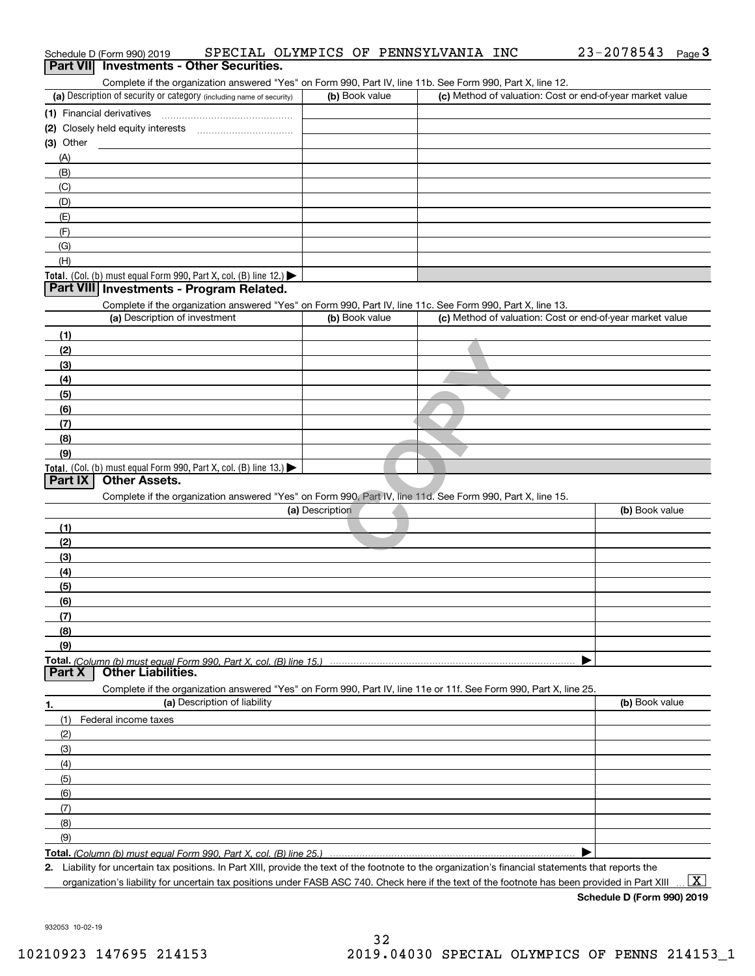| Schedule D (Form 990) 2019<br>Part VII Investments - Other Securities.                                                                                                                                                     | SPECIAL OLYMPICS OF PENNSYLVANIA INC |                                                           | 23-2078543<br>Page $3$ |
|----------------------------------------------------------------------------------------------------------------------------------------------------------------------------------------------------------------------------|--------------------------------------|-----------------------------------------------------------|------------------------|
|                                                                                                                                                                                                                            |                                      |                                                           |                        |
| Complete if the organization answered "Yes" on Form 990, Part IV, line 11b. See Form 990, Part X, line 12.<br>(a) Description of security or category (including name of security)                                         | (b) Book value                       | (c) Method of valuation: Cost or end-of-year market value |                        |
| (1) Financial derivatives                                                                                                                                                                                                  |                                      |                                                           |                        |
|                                                                                                                                                                                                                            |                                      |                                                           |                        |
| (3) Other                                                                                                                                                                                                                  |                                      |                                                           |                        |
| (A)                                                                                                                                                                                                                        |                                      |                                                           |                        |
| (B)                                                                                                                                                                                                                        |                                      |                                                           |                        |
| (C)                                                                                                                                                                                                                        |                                      |                                                           |                        |
| (D)                                                                                                                                                                                                                        |                                      |                                                           |                        |
| (E)                                                                                                                                                                                                                        |                                      |                                                           |                        |
| (F)                                                                                                                                                                                                                        |                                      |                                                           |                        |
| (G)                                                                                                                                                                                                                        |                                      |                                                           |                        |
| (H)                                                                                                                                                                                                                        |                                      |                                                           |                        |
| Total. (Col. (b) must equal Form 990, Part X, col. (B) line 12.)                                                                                                                                                           |                                      |                                                           |                        |
| Part VIII Investments - Program Related.                                                                                                                                                                                   |                                      |                                                           |                        |
| Complete if the organization answered "Yes" on Form 990, Part IV, line 11c. See Form 990, Part X, line 13.                                                                                                                 |                                      |                                                           |                        |
| (a) Description of investment                                                                                                                                                                                              | (b) Book value                       | (c) Method of valuation: Cost or end-of-year market value |                        |
| (1)                                                                                                                                                                                                                        |                                      |                                                           |                        |
| (2)                                                                                                                                                                                                                        |                                      |                                                           |                        |
| (3)                                                                                                                                                                                                                        |                                      |                                                           |                        |
| (4)                                                                                                                                                                                                                        |                                      |                                                           |                        |
| (5)                                                                                                                                                                                                                        |                                      |                                                           |                        |
| (6)                                                                                                                                                                                                                        |                                      |                                                           |                        |
| (7)                                                                                                                                                                                                                        |                                      |                                                           |                        |
| (8)                                                                                                                                                                                                                        |                                      |                                                           |                        |
| (9)                                                                                                                                                                                                                        |                                      |                                                           |                        |
| Total. (Col. (b) must equal Form 990, Part X, col. (B) line 13.)                                                                                                                                                           |                                      |                                                           |                        |
| Part IX<br><b>Other Assets.</b>                                                                                                                                                                                            |                                      |                                                           |                        |
| Complete if the organization answered "Yes" on Form 990, Part IV, line 11d. See Form 990, Part X, line 15.                                                                                                                 |                                      |                                                           |                        |
|                                                                                                                                                                                                                            | (a) Description                      |                                                           | (b) Book value         |
| (1)                                                                                                                                                                                                                        |                                      |                                                           |                        |
| (2)                                                                                                                                                                                                                        |                                      |                                                           |                        |
| (3)                                                                                                                                                                                                                        |                                      |                                                           |                        |
| (4)                                                                                                                                                                                                                        |                                      |                                                           |                        |
| (5)                                                                                                                                                                                                                        |                                      |                                                           |                        |
| (6)                                                                                                                                                                                                                        |                                      |                                                           |                        |
| (7)                                                                                                                                                                                                                        |                                      |                                                           |                        |
| (8)                                                                                                                                                                                                                        |                                      |                                                           |                        |
| (9)                                                                                                                                                                                                                        |                                      |                                                           |                        |
| Total. (Column (b) must equal Form 990. Part X, col. (B) line 15.)<br><b>Other Liabilities.</b><br>Part X                                                                                                                  |                                      |                                                           |                        |
|                                                                                                                                                                                                                            |                                      |                                                           |                        |
| Complete if the organization answered "Yes" on Form 990, Part IV, line 11e or 11f. See Form 990, Part X, line 25.<br>(a) Description of liability                                                                          |                                      |                                                           | (b) Book value         |
| 1.                                                                                                                                                                                                                         |                                      |                                                           |                        |
| (1)<br>Federal income taxes                                                                                                                                                                                                |                                      |                                                           |                        |
| (2)                                                                                                                                                                                                                        |                                      |                                                           |                        |
| (3)                                                                                                                                                                                                                        |                                      |                                                           |                        |
| (4)                                                                                                                                                                                                                        |                                      |                                                           |                        |
| (5)                                                                                                                                                                                                                        |                                      |                                                           |                        |
| (6)                                                                                                                                                                                                                        |                                      |                                                           |                        |
| (7)                                                                                                                                                                                                                        |                                      |                                                           |                        |
| (8)                                                                                                                                                                                                                        |                                      |                                                           |                        |
| (9)                                                                                                                                                                                                                        |                                      |                                                           |                        |
| Total. (Column (b) must equal Form 990. Part X, col. (B) line 25.)<br>2. Liability for uncertain tax positions. In Part XIII, provide the text of the footnote to the organization's financial statements that reports the |                                      |                                                           |                        |
| organization's liability for uncertain tax positions under FASB ASC 740. Check here if the text of the footnote has been provided in Part XIII                                                                             |                                      |                                                           | $\mathbf{X}$           |
|                                                                                                                                                                                                                            |                                      |                                                           |                        |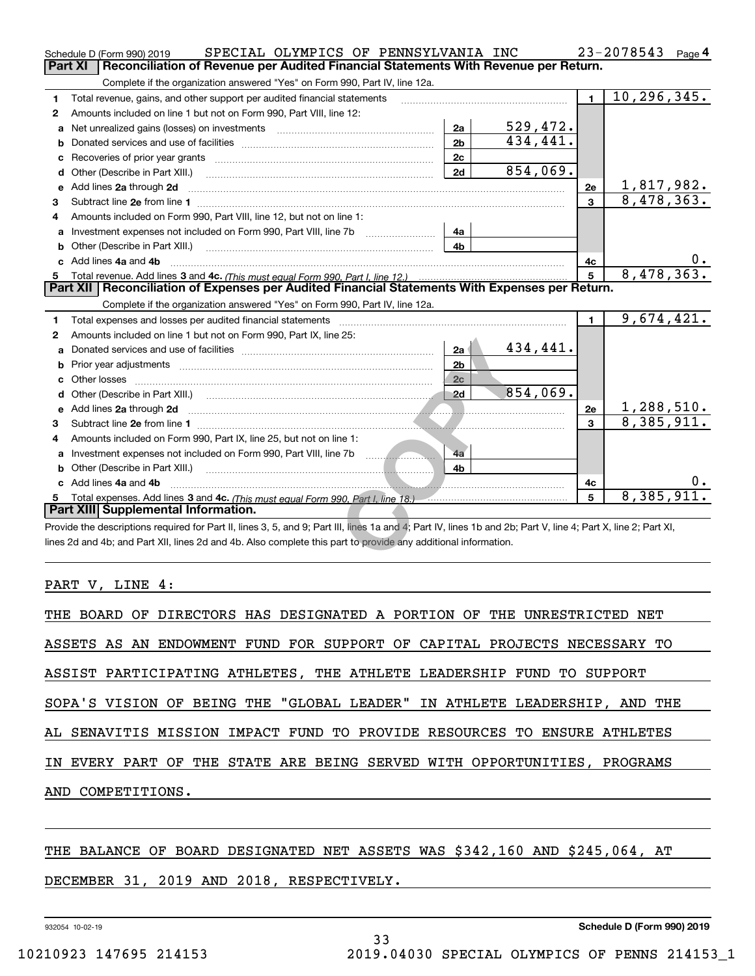|   | SPECIAL OLYMPICS OF PENNSYLVANIA INC<br>Schedule D (Form 990) 2019                                                                                                                                                                   |           |                | 23-2078543                      | Page 4 |
|---|--------------------------------------------------------------------------------------------------------------------------------------------------------------------------------------------------------------------------------------|-----------|----------------|---------------------------------|--------|
|   | Reconciliation of Revenue per Audited Financial Statements With Revenue per Return.<br><b>Part XI</b>                                                                                                                                |           |                |                                 |        |
| 1 | Complete if the organization answered "Yes" on Form 990, Part IV, line 12a.<br>Total revenue, gains, and other support per audited financial statements                                                                              |           | $\blacksquare$ | 10, 296, 345.                   |        |
|   |                                                                                                                                                                                                                                      |           |                |                                 |        |
| 2 | Amounts included on line 1 but not on Form 990, Part VIII, line 12:<br>2a                                                                                                                                                            | 529, 472. |                |                                 |        |
| a | Net unrealized gains (losses) on investments [11] matter contracts and the unrealized gains (losses) on investments<br>2 <sub>b</sub>                                                                                                | 434, 441. |                |                                 |        |
| b |                                                                                                                                                                                                                                      |           |                |                                 |        |
| с | 2 <sub>c</sub>                                                                                                                                                                                                                       | 854,069.  |                |                                 |        |
| d | 2d<br>Other (Describe in Part XIII.)                                                                                                                                                                                                 |           |                |                                 |        |
| е | Add lines 2a through 2d                                                                                                                                                                                                              |           | 2e             | <u>1,817,982.</u><br>8,478,363. |        |
| 3 |                                                                                                                                                                                                                                      |           | $\mathbf{3}$   |                                 |        |
| 4 | Amounts included on Form 990, Part VIII, line 12, but not on line 1:                                                                                                                                                                 |           |                |                                 |        |
| a | 4a                                                                                                                                                                                                                                   |           |                |                                 |        |
| b | 4b<br>Other (Describe in Part XIII.) [100] [100] [100] [100] [100] [100] [100] [100] [100] [100] [100] [100] [100] [                                                                                                                 |           |                |                                 |        |
|   | Add lines 4a and 4b                                                                                                                                                                                                                  |           | 4с             |                                 | 0.     |
| 5 |                                                                                                                                                                                                                                      |           | 5              | 8,478,363.                      |        |
|   | Part XII   Reconciliation of Expenses per Audited Financial Statements With Expenses per Return.                                                                                                                                     |           |                |                                 |        |
|   | Complete if the organization answered "Yes" on Form 990, Part IV, line 12a.                                                                                                                                                          |           |                |                                 |        |
| 1 | Total expenses and losses per audited financial statements                                                                                                                                                                           |           | $\blacksquare$ | 9,674,421.                      |        |
| 2 | Amounts included on line 1 but not on Form 990, Part IX, line 25:                                                                                                                                                                    |           |                |                                 |        |
| a | 2a                                                                                                                                                                                                                                   | 434,441.  |                |                                 |        |
| b | 2 <sub>b</sub>                                                                                                                                                                                                                       |           |                |                                 |        |
|   | 2c                                                                                                                                                                                                                                   |           |                |                                 |        |
| d | $\overline{\phantom{a}}$ 2d                                                                                                                                                                                                          | 854,069.  |                |                                 |        |
| e | Add lines 2a through 2d <b>contained a contained a contained a contained a contained a contained a contained a contained a contact a contact a contact a contact a contact a contact a contact a contact a contact a contact a c</b> |           | 2e             | 1,288,510.                      |        |
| 3 |                                                                                                                                                                                                                                      |           | 3              | 8,385,911.                      |        |
| 4 | Amounts included on Form 990, Part IX, line 25, but not on line 1:                                                                                                                                                                   |           |                |                                 |        |
| a | 4a                                                                                                                                                                                                                                   |           |                |                                 |        |
| b | 4b                                                                                                                                                                                                                                   |           |                |                                 |        |
|   | c Add lines 4a and 4b                                                                                                                                                                                                                |           | 4с             |                                 |        |
| 5 | Total expenses. Add lines 3 and 4c. (This must equal Form 990, Part I, line 18.) [[[[[[[[[[[[[[[[[[[[[[[[[[[[                                                                                                                        |           | 5              | 8,385,911.                      |        |
|   | Part XIII Supplemental Information.                                                                                                                                                                                                  |           |                |                                 |        |
|   | Provide the descriptions required for Part II, lines 3, 5, and 9; Part III, lines 1a and 4; Part IV, lines 1b and 2b; Part V, line 4; Part X, line 2; Part XI,                                                                       |           |                |                                 |        |
|   | lines 2d and 4b; and Part XII, lines 2d and 4b. Also complete this part to provide any additional information.                                                                                                                       |           |                |                                 |        |
|   |                                                                                                                                                                                                                                      |           |                |                                 |        |

PART V, LINE 4:

| THE BOARD OF DIRECTORS HAS DESIGNATED A PORTION OF THE UNRESTRICTED NET   |  |
|---------------------------------------------------------------------------|--|
| ASSETS AS AN ENDOWMENT FUND FOR SUPPORT OF CAPITAL PROJECTS NECESSARY TO  |  |
| ASSIST PARTICIPATING ATHLETES, THE ATHLETE LEADERSHIP FUND TO SUPPORT     |  |
| SOPA'S VISION OF BEING THE "GLOBAL LEADER" IN ATHLETE LEADERSHIP, AND THE |  |
| AL SENAVITIS MISSION IMPACT FUND TO PROVIDE RESOURCES TO ENSURE ATHLETES  |  |
| IN EVERY PART OF THE STATE ARE BEING SERVED WITH OPPORTUNITIES, PROGRAMS  |  |
| AND COMPETITIONS.                                                         |  |
|                                                                           |  |

# THE BALANCE OF BOARD DESIGNATED NET ASSETS WAS \$342,160 AND \$245,064, AT

## DECEMBER 31, 2019 AND 2018, RESPECTIVELY.

932054 10-02-19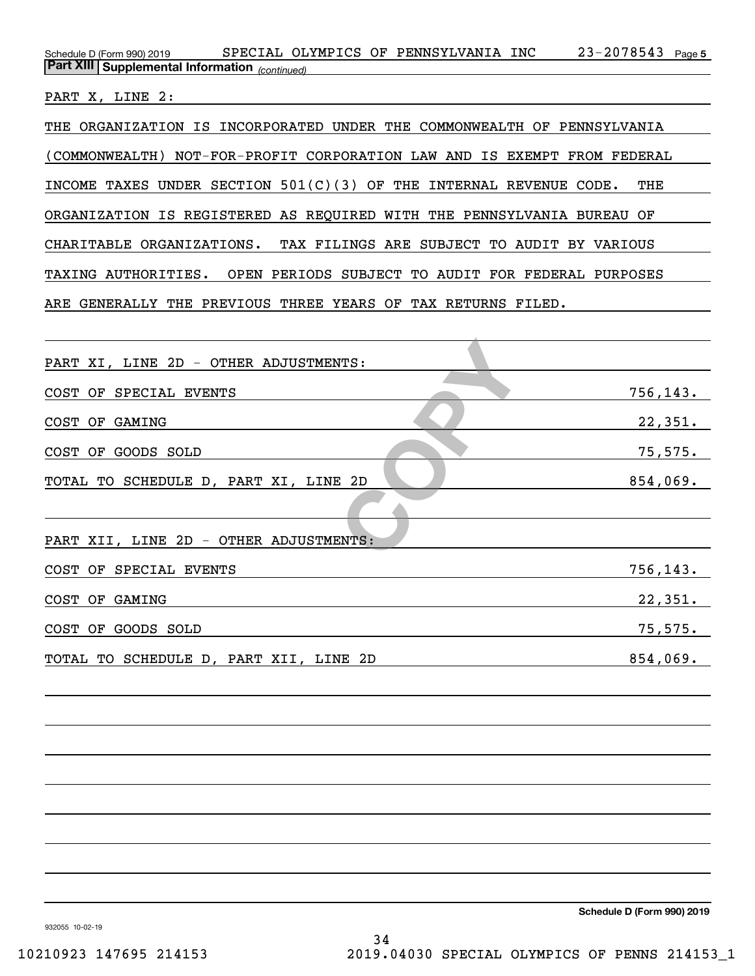| SPECIAL OLYMPICS OF PENNSYLVANIA INC 23-2078543 Page 5<br>Schedule D (Form 990) 2019<br><b>Part XIII Supplemental Information</b> (continued) |
|-----------------------------------------------------------------------------------------------------------------------------------------------|
| PART X, LINE 2:                                                                                                                               |
| THE ORGANIZATION IS INCORPORATED UNDER THE COMMONWEALTH OF PENNSYLVANIA                                                                       |
| (COMMONWEALTH) NOT-FOR-PROFIT CORPORATION LAW AND IS EXEMPT FROM FEDERAL                                                                      |
| INCOME TAXES UNDER SECTION $501(C)(3)$ OF THE INTERNAL REVENUE CODE.<br>THE                                                                   |
| ORGANIZATION IS REGISTERED AS REQUIRED WITH THE PENNSYLVANIA BUREAU OF                                                                        |
| CHARITABLE ORGANIZATIONS. TAX FILINGS ARE SUBJECT TO AUDIT BY VARIOUS                                                                         |
| TAXING AUTHORITIES. OPEN PERIODS SUBJECT TO AUDIT FOR FEDERAL PURPOSES                                                                        |
| ARE GENERALLY THE PREVIOUS THREE YEARS OF TAX RETURNS FILED.                                                                                  |
|                                                                                                                                               |
| PART XI, LINE 2D - OTHER ADJUSTMENTS:                                                                                                         |
| 756,143.<br>COST OF SPECIAL EVENTS                                                                                                            |
| 22,351.<br>COST OF GAMING                                                                                                                     |
| COST OF GOODS SOLD<br>$75,575$ .                                                                                                              |
| TOTAL TO SCHEDULE D, PART XI, LINE 2D<br>854,069.                                                                                             |
|                                                                                                                                               |
| PART XII, LINE 2D - OTHER ADJUSTMENTS:                                                                                                        |
| COST OF SPECIAL EVENTS<br>756,143.                                                                                                            |
| COST OF GAMING<br><u>22,351.</u>                                                                                                              |
| COST OF GOODS SOLD<br>75,575.                                                                                                                 |
| $854,069$ .<br>TOTAL TO SCHEDULE D, PART XII, LINE 2D                                                                                         |
|                                                                                                                                               |
|                                                                                                                                               |
|                                                                                                                                               |
|                                                                                                                                               |

**Schedule D (Form 990) 2019**

932055 10-02-19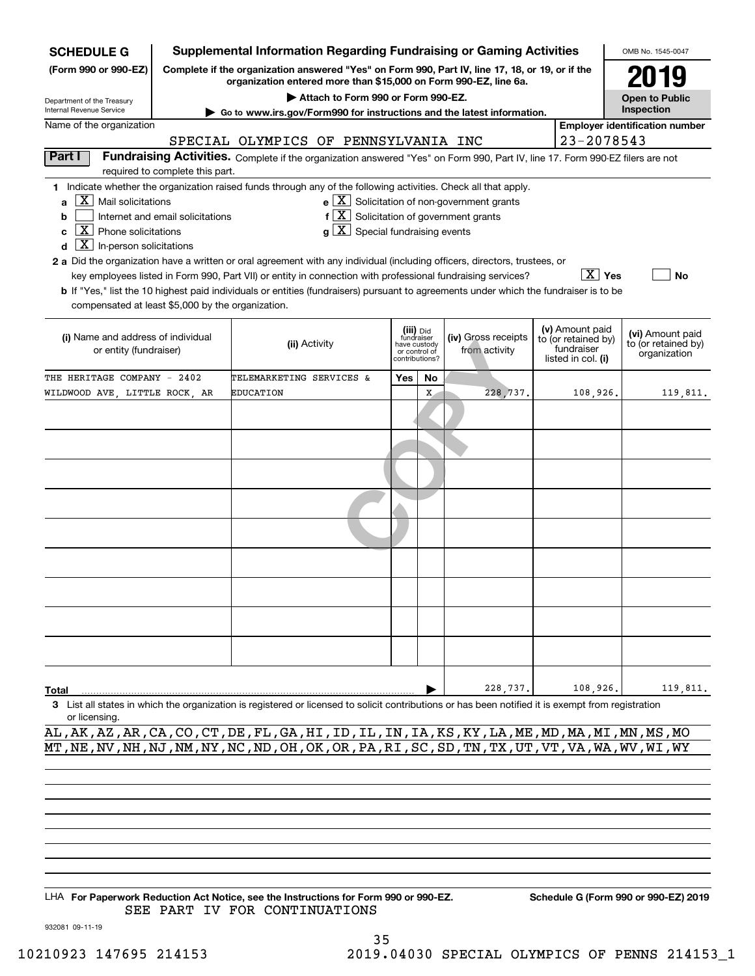| <b>SCHEDULE G</b>                                                                                                                                                                                                                                                                                                                                                                                                                                                                                                                                                             |                                  |                                      |                                                                                                       |                                                                            |    | <b>Supplemental Information Regarding Fundraising or Gaming Activities</b>                                                                                           |                                                                            | OMB No. 1545-0047                                       |
|-------------------------------------------------------------------------------------------------------------------------------------------------------------------------------------------------------------------------------------------------------------------------------------------------------------------------------------------------------------------------------------------------------------------------------------------------------------------------------------------------------------------------------------------------------------------------------|----------------------------------|--------------------------------------|-------------------------------------------------------------------------------------------------------|----------------------------------------------------------------------------|----|----------------------------------------------------------------------------------------------------------------------------------------------------------------------|----------------------------------------------------------------------------|---------------------------------------------------------|
| (Form 990 or 990-EZ)                                                                                                                                                                                                                                                                                                                                                                                                                                                                                                                                                          |                                  |                                      |                                                                                                       |                                                                            |    | Complete if the organization answered "Yes" on Form 990, Part IV, line 17, 18, or 19, or if the<br>organization entered more than \$15,000 on Form 990-EZ, line 6a.  |                                                                            | 2019                                                    |
| Department of the Treasury                                                                                                                                                                                                                                                                                                                                                                                                                                                                                                                                                    |                                  |                                      | Attach to Form 990 or Form 990-EZ.                                                                    |                                                                            |    |                                                                                                                                                                      |                                                                            | <b>Open to Public</b>                                   |
| Internal Revenue Service<br>Name of the organization                                                                                                                                                                                                                                                                                                                                                                                                                                                                                                                          |                                  |                                      |                                                                                                       |                                                                            |    | $\blacktriangleright$ Go to www.irs.gov/Form990 for instructions and the latest information.                                                                         |                                                                            | Inspection<br><b>Employer identification number</b>     |
|                                                                                                                                                                                                                                                                                                                                                                                                                                                                                                                                                                               |                                  | SPECIAL OLYMPICS OF PENNSYLVANIA INC |                                                                                                       |                                                                            |    |                                                                                                                                                                      | 23-2078543                                                                 |                                                         |
| Part I                                                                                                                                                                                                                                                                                                                                                                                                                                                                                                                                                                        |                                  |                                      |                                                                                                       |                                                                            |    | Fundraising Activities. Complete if the organization answered "Yes" on Form 990, Part IV, line 17. Form 990-EZ filers are not                                        |                                                                            |                                                         |
|                                                                                                                                                                                                                                                                                                                                                                                                                                                                                                                                                                               | required to complete this part.  |                                      |                                                                                                       |                                                                            |    |                                                                                                                                                                      |                                                                            |                                                         |
| 1 Indicate whether the organization raised funds through any of the following activities. Check all that apply.<br>$X$ Mail solicitations<br>a<br>b<br>$\overline{X}$ Phone solicitations<br>C<br>$\boxed{\text{X}}$ In-person solicitations<br>d<br>2 a Did the organization have a written or oral agreement with any individual (including officers, directors, trustees, or<br>b If "Yes," list the 10 highest paid individuals or entities (fundraisers) pursuant to agreements under which the fundraiser is to be<br>compensated at least \$5,000 by the organization. | Internet and email solicitations |                                      | $f\left[\frac{X}{X}\right]$ Solicitation of government grants<br>$g\mid X$ Special fundraising events |                                                                            |    | $e$ $\boxed{X}$ Solicitation of non-government grants<br>key employees listed in Form 990, Part VII) or entity in connection with professional fundraising services? | ∣ X ∣ Yes                                                                  | No                                                      |
| (i) Name and address of individual<br>or entity (fundraiser)                                                                                                                                                                                                                                                                                                                                                                                                                                                                                                                  |                                  | (ii) Activity                        |                                                                                                       | (iii) Did<br>fundraiser<br>have custody<br>or control of<br>contributions? |    | (iv) Gross receipts<br>from activity                                                                                                                                 | (v) Amount paid<br>to (or retained by)<br>fundraiser<br>listed in col. (i) | (vi) Amount paid<br>to (or retained by)<br>organization |
| THE HERITAGE COMPANY - 2402                                                                                                                                                                                                                                                                                                                                                                                                                                                                                                                                                   |                                  | TELEMARKETING SERVICES &             |                                                                                                       | Yes                                                                        | No |                                                                                                                                                                      |                                                                            |                                                         |
| WILDWOOD AVE, LITTLE ROCK, AR                                                                                                                                                                                                                                                                                                                                                                                                                                                                                                                                                 |                                  | <b>EDUCATION</b>                     |                                                                                                       |                                                                            | X  | 228,737.                                                                                                                                                             | 108,926.                                                                   | 119,811.                                                |
|                                                                                                                                                                                                                                                                                                                                                                                                                                                                                                                                                                               |                                  |                                      |                                                                                                       |                                                                            |    |                                                                                                                                                                      |                                                                            |                                                         |
|                                                                                                                                                                                                                                                                                                                                                                                                                                                                                                                                                                               |                                  |                                      |                                                                                                       |                                                                            |    |                                                                                                                                                                      |                                                                            |                                                         |
|                                                                                                                                                                                                                                                                                                                                                                                                                                                                                                                                                                               |                                  |                                      |                                                                                                       |                                                                            |    |                                                                                                                                                                      |                                                                            |                                                         |
|                                                                                                                                                                                                                                                                                                                                                                                                                                                                                                                                                                               |                                  |                                      |                                                                                                       |                                                                            |    |                                                                                                                                                                      |                                                                            |                                                         |
|                                                                                                                                                                                                                                                                                                                                                                                                                                                                                                                                                                               |                                  |                                      |                                                                                                       |                                                                            |    |                                                                                                                                                                      |                                                                            |                                                         |
|                                                                                                                                                                                                                                                                                                                                                                                                                                                                                                                                                                               |                                  |                                      |                                                                                                       |                                                                            |    |                                                                                                                                                                      |                                                                            |                                                         |
|                                                                                                                                                                                                                                                                                                                                                                                                                                                                                                                                                                               |                                  |                                      |                                                                                                       |                                                                            |    |                                                                                                                                                                      |                                                                            |                                                         |
|                                                                                                                                                                                                                                                                                                                                                                                                                                                                                                                                                                               |                                  |                                      |                                                                                                       |                                                                            |    |                                                                                                                                                                      |                                                                            |                                                         |
|                                                                                                                                                                                                                                                                                                                                                                                                                                                                                                                                                                               |                                  |                                      |                                                                                                       |                                                                            |    |                                                                                                                                                                      |                                                                            |                                                         |
|                                                                                                                                                                                                                                                                                                                                                                                                                                                                                                                                                                               |                                  |                                      |                                                                                                       |                                                                            |    |                                                                                                                                                                      |                                                                            |                                                         |
| Total                                                                                                                                                                                                                                                                                                                                                                                                                                                                                                                                                                         |                                  |                                      |                                                                                                       |                                                                            |    | 228,737.                                                                                                                                                             | 108,926.                                                                   | 119,811.                                                |
| List all states in which the organization is registered or licensed to solicit contributions or has been notified it is exempt from registration<br>З<br>or licensing.                                                                                                                                                                                                                                                                                                                                                                                                        |                                  |                                      |                                                                                                       |                                                                            |    |                                                                                                                                                                      |                                                                            |                                                         |
| AL, AK, AZ, AR, CA, CO, CT, DE, FL, GA, HI, ID, IL, IN, IA, KS, KY, LA, ME, MD, MA, MI, MN, MS, MO                                                                                                                                                                                                                                                                                                                                                                                                                                                                            |                                  |                                      |                                                                                                       |                                                                            |    |                                                                                                                                                                      |                                                                            |                                                         |

MT, NE, NV, NH, NJ, NM, NY, NC, ND, OH, OK, OR, PA, RI, SC, SD, TN, TX, UT, VT, VA, WA, WV, WI, WY

LHA For Paperwork Reduction Act Notice, see the Instructions for Form 990 or 990-EZ. Schedule G (Form 990 or 990-EZ) 2019 SEE PART IV FOR CONTINUATIONS

932081 09-11-19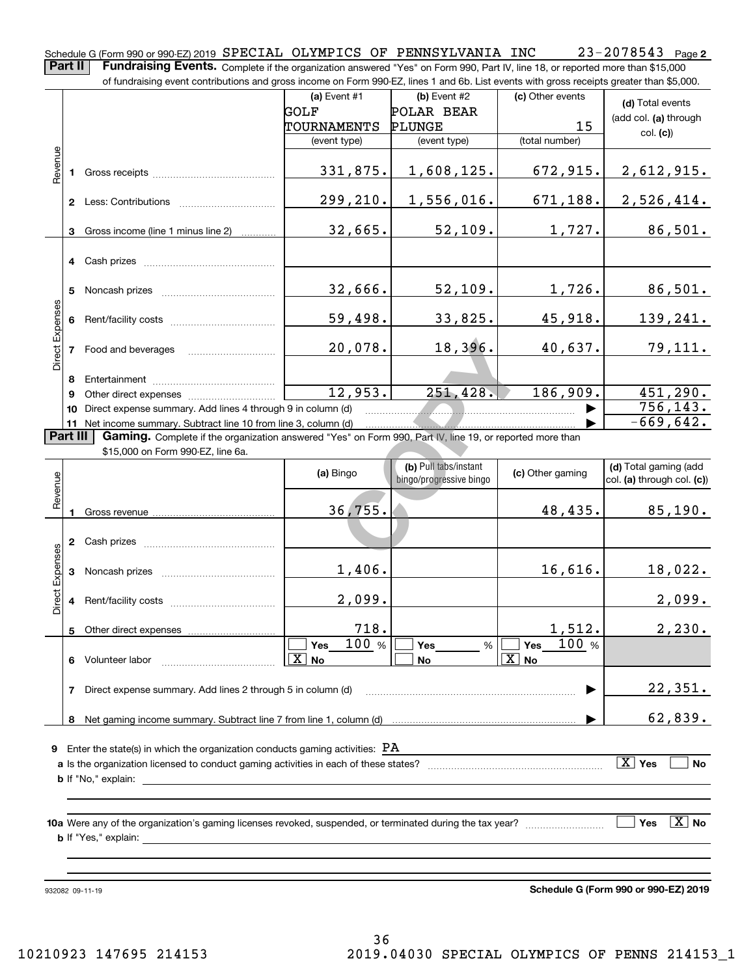**2** Schedule G (Form 990 or 990-EZ) 2019  ${\tt SPECIAL}$   ${\tt OLYMPICS}$   ${\tt OF}$   ${\tt PENNSYLVANIA}$   ${\tt INC}$   $23$  –  $2078543$   ${\tt Page}$ **Part II** | Fundraising Events. Complete if the organization answered "Yes" on Form 990, Part IV, line 18, or reported more than \$15,000

|                 |   | of fundraising event contributions and gross income on Form 990-EZ, lines 1 and 6b. List events with gross receipts greater than \$5,000.                                    |                          |                                                  |                       |                                                     |
|-----------------|---|------------------------------------------------------------------------------------------------------------------------------------------------------------------------------|--------------------------|--------------------------------------------------|-----------------------|-----------------------------------------------------|
|                 |   |                                                                                                                                                                              | (a) Event $#1$           | $(b)$ Event #2                                   | (c) Other events      | (d) Total events                                    |
|                 |   |                                                                                                                                                                              | GOLF                     | POLAR BEAR                                       |                       | (add col. (a) through                               |
|                 |   |                                                                                                                                                                              | TOURNAMENTS              | <b>PLUNGE</b>                                    | 15                    |                                                     |
|                 |   |                                                                                                                                                                              | (event type)             | (event type)                                     | (total number)        | col. (c)                                            |
| Revenue         |   |                                                                                                                                                                              |                          |                                                  |                       |                                                     |
|                 |   |                                                                                                                                                                              | 331,875.                 | 1,608,125.                                       | 672,915.              | 2,612,915.                                          |
|                 |   |                                                                                                                                                                              |                          |                                                  |                       |                                                     |
|                 |   |                                                                                                                                                                              | 299, 210.                | 1,556,016.                                       | 671, 188.             | 2,526,414.                                          |
|                 |   |                                                                                                                                                                              |                          |                                                  |                       |                                                     |
|                 |   | 3 Gross income (line 1 minus line 2)                                                                                                                                         | 32,665.                  | 52,109.                                          | 1,727.                | 86,501.                                             |
|                 |   |                                                                                                                                                                              |                          |                                                  |                       |                                                     |
|                 |   |                                                                                                                                                                              |                          |                                                  |                       |                                                     |
|                 |   |                                                                                                                                                                              |                          |                                                  |                       |                                                     |
|                 |   |                                                                                                                                                                              | 32,666.                  | 52,109.                                          | 1,726.                | 86,501.                                             |
|                 |   |                                                                                                                                                                              |                          |                                                  |                       |                                                     |
|                 |   |                                                                                                                                                                              | 59,498.                  | 33,825.                                          | 45,918.               | 139, 241.                                           |
| Direct Expenses |   |                                                                                                                                                                              |                          |                                                  |                       |                                                     |
|                 |   | 7 Food and beverages                                                                                                                                                         | 20,078.                  | 18,396.                                          | 40,637.               | 79,111.                                             |
|                 |   |                                                                                                                                                                              |                          |                                                  |                       |                                                     |
|                 |   |                                                                                                                                                                              | $\overline{12,953}$ .    | 251, 428.                                        | 186,909.              | 451,290.                                            |
|                 | 9 |                                                                                                                                                                              |                          |                                                  |                       | 756, 143.                                           |
|                 |   | 10 Direct expense summary. Add lines 4 through 9 in column (d)<br>11 Net income summary. Subtract line 10 from line 3, column (d)                                            |                          |                                                  |                       | $-669,642.$                                         |
| Part III        |   | Gaming. Complete if the organization answered "Yes" on Form 990, Part IV, line 19, or reported more than                                                                     |                          |                                                  |                       |                                                     |
|                 |   |                                                                                                                                                                              |                          |                                                  |                       |                                                     |
|                 |   | \$15,000 on Form 990-EZ, line 6a.                                                                                                                                            |                          |                                                  |                       |                                                     |
|                 |   |                                                                                                                                                                              |                          |                                                  |                       |                                                     |
|                 |   |                                                                                                                                                                              | (a) Bingo                | (b) Pull tabs/instant<br>bingo/progressive bingo | (c) Other gaming      | (d) Total gaming (add<br>col. (a) through col. (c)) |
|                 |   |                                                                                                                                                                              |                          |                                                  |                       |                                                     |
| Revenue         |   |                                                                                                                                                                              | 36,755.                  |                                                  | 48,435.               | 85,190.                                             |
|                 |   |                                                                                                                                                                              |                          |                                                  |                       |                                                     |
|                 |   |                                                                                                                                                                              |                          |                                                  |                       |                                                     |
|                 |   |                                                                                                                                                                              |                          |                                                  |                       |                                                     |
|                 |   | 3 Noncash prizes <b>contained</b> Noncash prizes                                                                                                                             | 1,406.                   |                                                  | 16,616.               | 18,022.                                             |
| Expenses        |   |                                                                                                                                                                              |                          |                                                  |                       |                                                     |
|                 |   |                                                                                                                                                                              | 2,099.                   |                                                  |                       | 2,099.                                              |
| Direct          |   |                                                                                                                                                                              |                          |                                                  |                       |                                                     |
|                 | 5 | Other direct expenses                                                                                                                                                        | 718.                     |                                                  | 1,512.                | 2,230.                                              |
|                 |   |                                                                                                                                                                              | 100 %<br>Yes             | Yes<br>%                                         | 100 %<br>Yes          |                                                     |
|                 |   | 6 Volunteer labor                                                                                                                                                            | $\boxed{\text{X}}$<br>No | No                                               | $\boxed{\text{X}}$ No |                                                     |
|                 |   |                                                                                                                                                                              |                          |                                                  |                       |                                                     |
|                 | 7 | Direct expense summary. Add lines 2 through 5 in column (d)                                                                                                                  |                          |                                                  |                       | 22,351.                                             |
|                 |   |                                                                                                                                                                              |                          |                                                  |                       |                                                     |
|                 | 8 | Net gaming income summary. Subtract line 7 from line 1, column (d)                                                                                                           |                          |                                                  |                       | 62,839.                                             |
|                 |   |                                                                                                                                                                              |                          |                                                  |                       |                                                     |
| 9               |   | Enter the state(s) in which the organization conducts gaming activities: $\text{PA}$<br>a Is the organization licensed to conduct gaming activities in each of these states? |                          |                                                  |                       | $\overline{X}$ Yes<br>No                            |

**b**If "No," explain:

**10 a Yes No** Were any of the organization's gaming licenses revoked, suspended, or terminated during the tax year? ~~~~~~~~~ X **b** If "Yes," explain:

932082 09-11-19

**Schedule G (Form 990 or 990-EZ) 2019**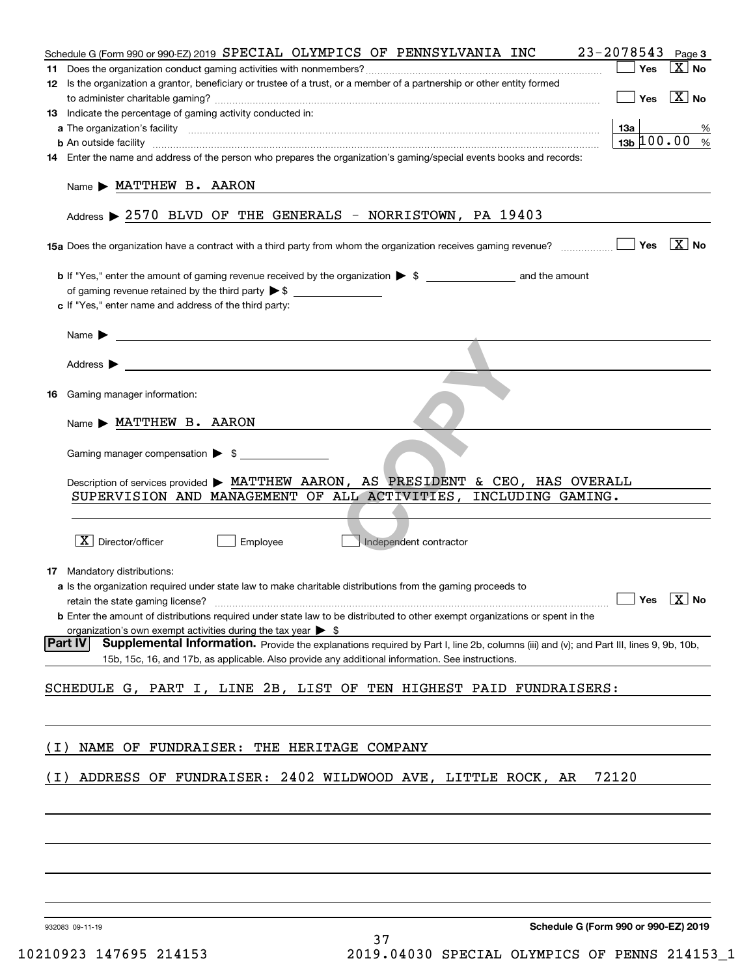| Schedule G (Form 990 or 990-EZ) 2019 SPECIAL OLYMPICS OF PENNSYLVANIA INC                                                                                                                                                                 | 23-2078543                                                                                                                                                                                                                                                                                                                                    | Page 3                |
|-------------------------------------------------------------------------------------------------------------------------------------------------------------------------------------------------------------------------------------------|-----------------------------------------------------------------------------------------------------------------------------------------------------------------------------------------------------------------------------------------------------------------------------------------------------------------------------------------------|-----------------------|
|                                                                                                                                                                                                                                           | Yes                                                                                                                                                                                                                                                                                                                                           | $\boxed{\text{X}}$ No |
| 12 Is the organization a grantor, beneficiary or trustee of a trust, or a member of a partnership or other entity formed                                                                                                                  |                                                                                                                                                                                                                                                                                                                                               | $X$ No                |
| 13 Indicate the percentage of gaming activity conducted in:                                                                                                                                                                               | Yes                                                                                                                                                                                                                                                                                                                                           |                       |
|                                                                                                                                                                                                                                           | 13а                                                                                                                                                                                                                                                                                                                                           | %                     |
| <b>b</b> An outside facility <i>www.communicality.communicality communicality and an outside facility and an outside facility and an outside facility and an outside facility and an outside facility and an outside facility and an </i> | $13b \, 100.00$ %                                                                                                                                                                                                                                                                                                                             |                       |
| 14 Enter the name and address of the person who prepares the organization's gaming/special events books and records:                                                                                                                      |                                                                                                                                                                                                                                                                                                                                               |                       |
| Name MATTHEW B. AARON                                                                                                                                                                                                                     |                                                                                                                                                                                                                                                                                                                                               |                       |
| Address > 2570 BLVD OF THE GENERALS - NORRISTOWN, PA 19403                                                                                                                                                                                |                                                                                                                                                                                                                                                                                                                                               |                       |
|                                                                                                                                                                                                                                           |                                                                                                                                                                                                                                                                                                                                               | $\boxed{\text{X}}$ No |
|                                                                                                                                                                                                                                           |                                                                                                                                                                                                                                                                                                                                               |                       |
|                                                                                                                                                                                                                                           |                                                                                                                                                                                                                                                                                                                                               |                       |
| c If "Yes," enter name and address of the third party:                                                                                                                                                                                    |                                                                                                                                                                                                                                                                                                                                               |                       |
| Name $\blacktriangleright$                                                                                                                                                                                                                |                                                                                                                                                                                                                                                                                                                                               |                       |
|                                                                                                                                                                                                                                           |                                                                                                                                                                                                                                                                                                                                               |                       |
| Address $\blacktriangleright$                                                                                                                                                                                                             |                                                                                                                                                                                                                                                                                                                                               |                       |
|                                                                                                                                                                                                                                           |                                                                                                                                                                                                                                                                                                                                               |                       |
| Gaming manager information:<br>16                                                                                                                                                                                                         |                                                                                                                                                                                                                                                                                                                                               |                       |
| $Name$ $\triangleright$ MATTHEW B. AARON                                                                                                                                                                                                  |                                                                                                                                                                                                                                                                                                                                               |                       |
|                                                                                                                                                                                                                                           |                                                                                                                                                                                                                                                                                                                                               |                       |
| Gaming manager compensation $\triangleright$ \$                                                                                                                                                                                           |                                                                                                                                                                                                                                                                                                                                               |                       |
| Description of services provided > MATTHEW AARON, AS PRESIDENT & CEO, HAS OVERALL                                                                                                                                                         |                                                                                                                                                                                                                                                                                                                                               |                       |
| SUPERVISION AND MANAGEMENT OF ALL ACTIVITIES, INCLUDING GAMING.                                                                                                                                                                           |                                                                                                                                                                                                                                                                                                                                               |                       |
|                                                                                                                                                                                                                                           |                                                                                                                                                                                                                                                                                                                                               |                       |
| $X$ Director/officer<br>Employee<br>Independent contractor                                                                                                                                                                                |                                                                                                                                                                                                                                                                                                                                               |                       |
|                                                                                                                                                                                                                                           |                                                                                                                                                                                                                                                                                                                                               |                       |
| <b>17</b> Mandatory distributions:<br>a Is the organization required under state law to make charitable distributions from the gaming proceeds to                                                                                         |                                                                                                                                                                                                                                                                                                                                               |                       |
|                                                                                                                                                                                                                                           | $\begin{picture}(18,17) \put(0,0){\line(1,0){155}} \put(15,0){\line(1,0){155}} \put(15,0){\line(1,0){155}} \put(15,0){\line(1,0){155}} \put(15,0){\line(1,0){155}} \put(15,0){\line(1,0){155}} \put(15,0){\line(1,0){155}} \put(15,0){\line(1,0){155}} \put(15,0){\line(1,0){155}} \put(15,0){\line(1,0){155}} \put(15,0){\line(1,0){155}} \$ |                       |
| <b>b</b> Enter the amount of distributions required under state law to be distributed to other exempt organizations or spent in the                                                                                                       |                                                                                                                                                                                                                                                                                                                                               |                       |
| organization's own exempt activities during the tax year $\triangleright$ \$                                                                                                                                                              |                                                                                                                                                                                                                                                                                                                                               |                       |
| <b>Part IV</b><br>Supplemental Information. Provide the explanations required by Part I, line 2b, columns (iii) and (v); and Part III, lines 9, 9b, 10b,                                                                                  |                                                                                                                                                                                                                                                                                                                                               |                       |
| 15b, 15c, 16, and 17b, as applicable. Also provide any additional information. See instructions.                                                                                                                                          |                                                                                                                                                                                                                                                                                                                                               |                       |
| SCHEDULE G, PART I, LINE 2B, LIST OF TEN HIGHEST PAID FUNDRAISERS:                                                                                                                                                                        |                                                                                                                                                                                                                                                                                                                                               |                       |
|                                                                                                                                                                                                                                           |                                                                                                                                                                                                                                                                                                                                               |                       |
|                                                                                                                                                                                                                                           |                                                                                                                                                                                                                                                                                                                                               |                       |
| NAME OF FUNDRAISER: THE HERITAGE COMPANY<br>(上)                                                                                                                                                                                           |                                                                                                                                                                                                                                                                                                                                               |                       |
|                                                                                                                                                                                                                                           |                                                                                                                                                                                                                                                                                                                                               |                       |
| ADDRESS OF FUNDRAISER: 2402 WILDWOOD AVE, LITTLE ROCK, AR<br>( I )                                                                                                                                                                        | 72120                                                                                                                                                                                                                                                                                                                                         |                       |
|                                                                                                                                                                                                                                           |                                                                                                                                                                                                                                                                                                                                               |                       |
|                                                                                                                                                                                                                                           |                                                                                                                                                                                                                                                                                                                                               |                       |
|                                                                                                                                                                                                                                           |                                                                                                                                                                                                                                                                                                                                               |                       |
|                                                                                                                                                                                                                                           |                                                                                                                                                                                                                                                                                                                                               |                       |
|                                                                                                                                                                                                                                           |                                                                                                                                                                                                                                                                                                                                               |                       |
|                                                                                                                                                                                                                                           |                                                                                                                                                                                                                                                                                                                                               |                       |
|                                                                                                                                                                                                                                           |                                                                                                                                                                                                                                                                                                                                               |                       |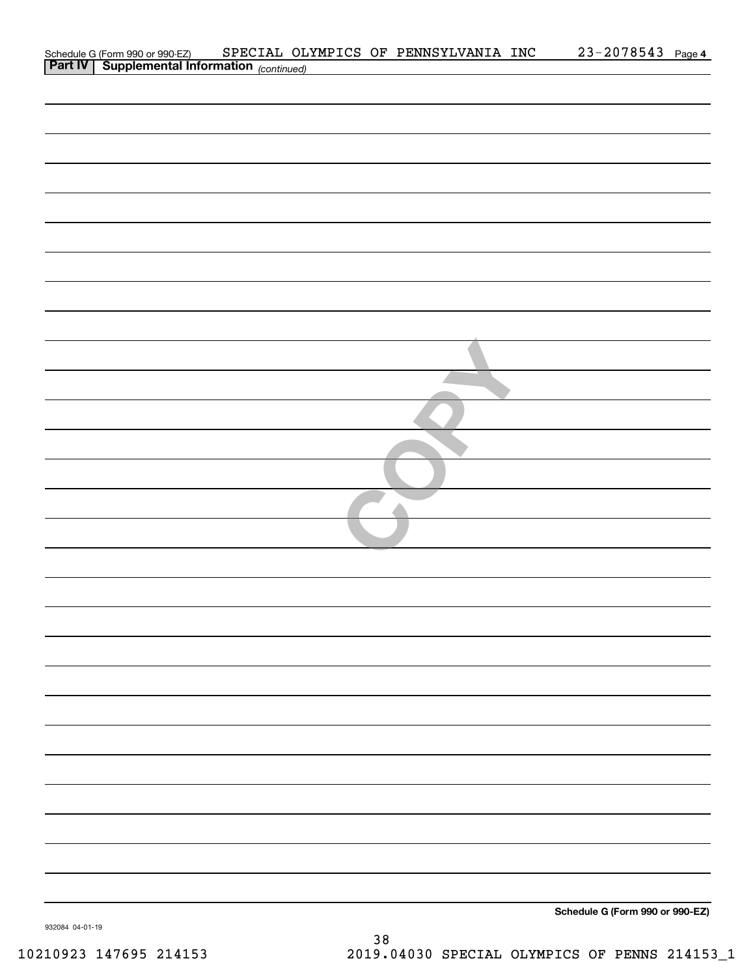| Schedule G (Form 990 or 990-EZ) SPECIAL OLI<br>Part IV   Supplemental Information (continued) |  | SPECIAL OLYMPICS OF PENNSYLVANIA INC | 23-2078543 Page 4               |  |
|-----------------------------------------------------------------------------------------------|--|--------------------------------------|---------------------------------|--|
|                                                                                               |  |                                      |                                 |  |
|                                                                                               |  |                                      |                                 |  |
|                                                                                               |  |                                      |                                 |  |
|                                                                                               |  |                                      |                                 |  |
|                                                                                               |  |                                      |                                 |  |
|                                                                                               |  |                                      |                                 |  |
|                                                                                               |  |                                      |                                 |  |
|                                                                                               |  |                                      |                                 |  |
|                                                                                               |  |                                      |                                 |  |
|                                                                                               |  |                                      |                                 |  |
|                                                                                               |  |                                      |                                 |  |
|                                                                                               |  |                                      |                                 |  |
|                                                                                               |  |                                      |                                 |  |
|                                                                                               |  |                                      |                                 |  |
|                                                                                               |  |                                      |                                 |  |
|                                                                                               |  |                                      |                                 |  |
|                                                                                               |  |                                      |                                 |  |
|                                                                                               |  |                                      |                                 |  |
|                                                                                               |  |                                      |                                 |  |
|                                                                                               |  |                                      |                                 |  |
|                                                                                               |  |                                      |                                 |  |
|                                                                                               |  |                                      |                                 |  |
|                                                                                               |  |                                      |                                 |  |
|                                                                                               |  |                                      |                                 |  |
|                                                                                               |  |                                      |                                 |  |
|                                                                                               |  |                                      |                                 |  |
|                                                                                               |  |                                      |                                 |  |
|                                                                                               |  |                                      |                                 |  |
|                                                                                               |  |                                      |                                 |  |
|                                                                                               |  |                                      |                                 |  |
|                                                                                               |  |                                      |                                 |  |
|                                                                                               |  |                                      |                                 |  |
|                                                                                               |  |                                      |                                 |  |
|                                                                                               |  |                                      |                                 |  |
|                                                                                               |  |                                      |                                 |  |
|                                                                                               |  |                                      |                                 |  |
|                                                                                               |  |                                      |                                 |  |
|                                                                                               |  |                                      | Schedule G (Form 990 or 990-EZ) |  |

932084 04-01-19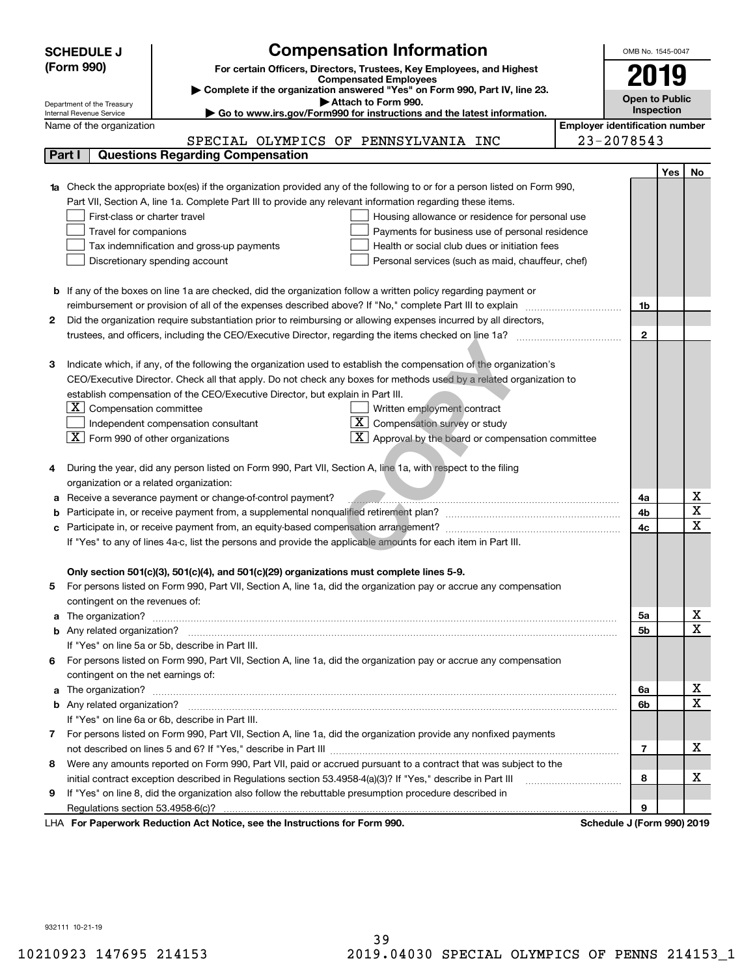|    | <b>SCHEDULE J</b>                                      | <b>Compensation Information</b>                                                                                                                                                                                                    |                                       | OMB No. 1545-0047          |            |                                     |  |
|----|--------------------------------------------------------|------------------------------------------------------------------------------------------------------------------------------------------------------------------------------------------------------------------------------------|---------------------------------------|----------------------------|------------|-------------------------------------|--|
|    | (Form 990)                                             | For certain Officers, Directors, Trustees, Key Employees, and Highest                                                                                                                                                              |                                       |                            | 2019       |                                     |  |
|    |                                                        | <b>Compensated Employees</b>                                                                                                                                                                                                       |                                       |                            |            |                                     |  |
|    |                                                        | Complete if the organization answered "Yes" on Form 990, Part IV, line 23.<br>Attach to Form 990.                                                                                                                                  |                                       | <b>Open to Public</b>      |            |                                     |  |
|    | Department of the Treasury<br>Internal Revenue Service | Go to www.irs.gov/Form990 for instructions and the latest information.                                                                                                                                                             |                                       | Inspection                 |            |                                     |  |
|    | Name of the organization                               |                                                                                                                                                                                                                                    | <b>Employer identification number</b> |                            |            |                                     |  |
|    |                                                        | SPECIAL OLYMPICS OF PENNSYLVANIA INC                                                                                                                                                                                               |                                       | 23-2078543                 |            |                                     |  |
|    | Part I                                                 | <b>Questions Regarding Compensation</b>                                                                                                                                                                                            |                                       |                            |            |                                     |  |
|    |                                                        |                                                                                                                                                                                                                                    |                                       |                            | <b>Yes</b> | No                                  |  |
|    |                                                        | <b>1a</b> Check the appropriate box(es) if the organization provided any of the following to or for a person listed on Form 990,                                                                                                   |                                       |                            |            |                                     |  |
|    |                                                        | Part VII, Section A, line 1a. Complete Part III to provide any relevant information regarding these items.                                                                                                                         |                                       |                            |            |                                     |  |
|    | First-class or charter travel                          | Housing allowance or residence for personal use                                                                                                                                                                                    |                                       |                            |            |                                     |  |
|    | Travel for companions                                  | Payments for business use of personal residence                                                                                                                                                                                    |                                       |                            |            |                                     |  |
|    |                                                        | Tax indemnification and gross-up payments<br>Health or social club dues or initiation fees                                                                                                                                         |                                       |                            |            |                                     |  |
|    |                                                        | Discretionary spending account<br>Personal services (such as maid, chauffeur, chef)                                                                                                                                                |                                       |                            |            |                                     |  |
|    |                                                        |                                                                                                                                                                                                                                    |                                       |                            |            |                                     |  |
|    |                                                        | <b>b</b> If any of the boxes on line 1a are checked, did the organization follow a written policy regarding payment or<br>reimbursement or provision of all of the expenses described above? If "No," complete Part III to explain |                                       | 1b                         |            |                                     |  |
| 2  |                                                        | Did the organization require substantiation prior to reimbursing or allowing expenses incurred by all directors,                                                                                                                   |                                       |                            |            |                                     |  |
|    |                                                        |                                                                                                                                                                                                                                    |                                       | $\mathbf{2}$               |            |                                     |  |
|    |                                                        |                                                                                                                                                                                                                                    |                                       |                            |            |                                     |  |
| з  |                                                        | Indicate which, if any, of the following the organization used to establish the compensation of the organization's                                                                                                                 |                                       |                            |            |                                     |  |
|    |                                                        | CEO/Executive Director. Check all that apply. Do not check any boxes for methods used by a related organization to                                                                                                                 |                                       |                            |            |                                     |  |
|    |                                                        | establish compensation of the CEO/Executive Director, but explain in Part III.                                                                                                                                                     |                                       |                            |            |                                     |  |
|    | $ \mathbf{X} $ Compensation committee                  | Written employment contract                                                                                                                                                                                                        |                                       |                            |            |                                     |  |
|    |                                                        | Compensation survey or study<br>Independent compensation consultant                                                                                                                                                                |                                       |                            |            |                                     |  |
|    | $\boxed{\textbf{X}}$ Form 990 of other organizations   | Approval by the board or compensation committee                                                                                                                                                                                    |                                       |                            |            |                                     |  |
|    |                                                        |                                                                                                                                                                                                                                    |                                       |                            |            |                                     |  |
|    |                                                        | During the year, did any person listed on Form 990, Part VII, Section A, line 1a, with respect to the filing                                                                                                                       |                                       |                            |            |                                     |  |
|    | organization or a related organization:                |                                                                                                                                                                                                                                    |                                       |                            |            |                                     |  |
|    |                                                        | Receive a severance payment or change-of-control payment?                                                                                                                                                                          |                                       | 4a                         |            | x                                   |  |
|    |                                                        |                                                                                                                                                                                                                                    |                                       | 4b                         |            | $\overline{\mathbf{x}}$             |  |
|    |                                                        |                                                                                                                                                                                                                                    |                                       | 4c                         |            | $\overline{\text{x}}$               |  |
|    |                                                        | If "Yes" to any of lines 4a-c, list the persons and provide the applicable amounts for each item in Part III.                                                                                                                      |                                       |                            |            |                                     |  |
|    |                                                        |                                                                                                                                                                                                                                    |                                       |                            |            |                                     |  |
|    |                                                        | Only section 501(c)(3), 501(c)(4), and 501(c)(29) organizations must complete lines 5-9.                                                                                                                                           |                                       |                            |            |                                     |  |
| 5. |                                                        | For persons listed on Form 990, Part VII, Section A, line 1a, did the organization pay or accrue any compensation                                                                                                                  |                                       |                            |            |                                     |  |
|    | contingent on the revenues of:                         |                                                                                                                                                                                                                                    |                                       |                            |            |                                     |  |
|    |                                                        | a The organization? <b>Manual Community Community</b> Community Community Community Community Community Community Community                                                                                                        |                                       | 5a                         |            | <u>x</u><br>$\overline{\mathbf{x}}$ |  |
|    |                                                        |                                                                                                                                                                                                                                    |                                       | 5b                         |            |                                     |  |
|    |                                                        | If "Yes" on line 5a or 5b, describe in Part III.                                                                                                                                                                                   |                                       |                            |            |                                     |  |
| 6. |                                                        | For persons listed on Form 990, Part VII, Section A, line 1a, did the organization pay or accrue any compensation                                                                                                                  |                                       |                            |            |                                     |  |
|    | contingent on the net earnings of:                     |                                                                                                                                                                                                                                    |                                       |                            |            | <u>x</u>                            |  |
|    |                                                        |                                                                                                                                                                                                                                    |                                       | 6a<br>6b                   |            | $\overline{\mathbf{x}}$             |  |
|    |                                                        | If "Yes" on line 6a or 6b, describe in Part III.                                                                                                                                                                                   |                                       |                            |            |                                     |  |
|    |                                                        | 7 For persons listed on Form 990, Part VII, Section A, line 1a, did the organization provide any nonfixed payments                                                                                                                 |                                       |                            |            |                                     |  |
|    |                                                        |                                                                                                                                                                                                                                    |                                       | 7                          |            | х                                   |  |
| 8  |                                                        | Were any amounts reported on Form 990, Part VII, paid or accrued pursuant to a contract that was subject to the                                                                                                                    |                                       |                            |            |                                     |  |
|    |                                                        |                                                                                                                                                                                                                                    |                                       | 8                          |            | х                                   |  |
| 9  |                                                        | If "Yes" on line 8, did the organization also follow the rebuttable presumption procedure described in                                                                                                                             |                                       |                            |            |                                     |  |
|    |                                                        |                                                                                                                                                                                                                                    |                                       | 9                          |            |                                     |  |
|    |                                                        | erwork Reduction Act Notice, see the Instructions for Form 000                                                                                                                                                                     |                                       | Schodule I (Form 000) 2010 |            |                                     |  |

LHA For Paperwork Reduction Act Notice, see the Instructions for Form 990. Schedule J (Form 990) 2019

932111 10-21-19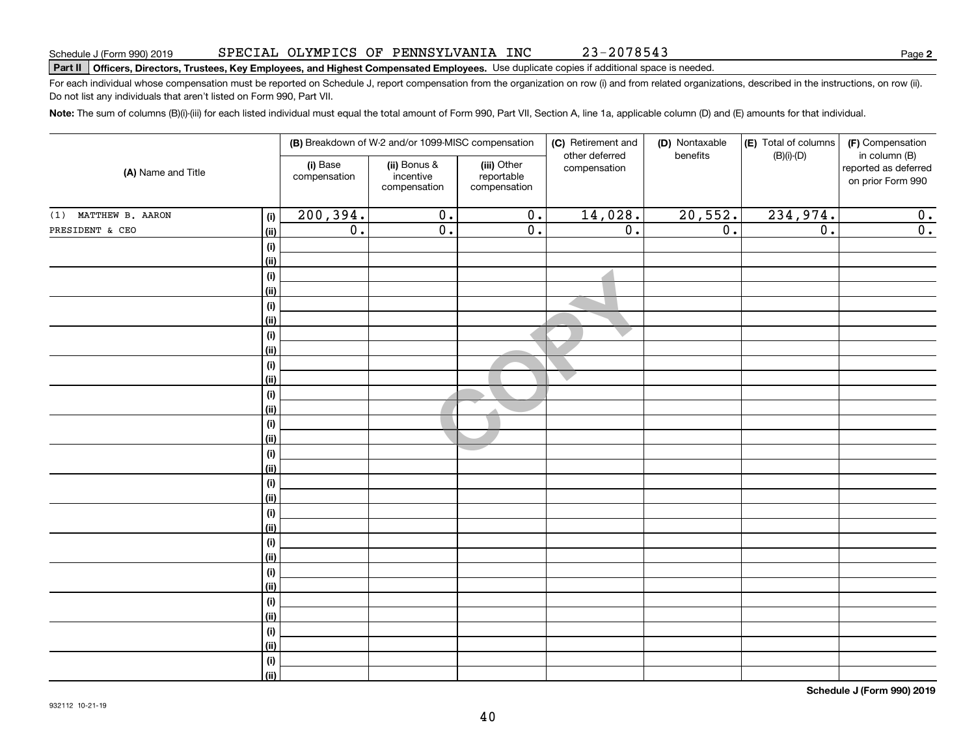**2**

# **Part II Officers, Directors, Trustees, Key Employees, and Highest Compensated Employees.**  Schedule J (Form 990) 2019 Page Use duplicate copies if additional space is needed.

For each individual whose compensation must be reported on Schedule J, report compensation from the organization on row (i) and from related organizations, described in the instructions, on row (ii). Do not list any individuals that aren't listed on Form 990, Part VII.

**Note:**  The sum of columns (B)(i)-(iii) for each listed individual must equal the total amount of Form 990, Part VII, Section A, line 1a, applicable column (D) and (E) amounts for that individual.

|                      |                    |                          | (B) Breakdown of W-2 and/or 1099-MISC compensation |                                           | (C) Retirement and<br>(D) Nontaxable |                  | (E) Total of columns | (F) Compensation                                           |  |
|----------------------|--------------------|--------------------------|----------------------------------------------------|-------------------------------------------|--------------------------------------|------------------|----------------------|------------------------------------------------------------|--|
| (A) Name and Title   |                    | (i) Base<br>compensation | (ii) Bonus &<br>incentive<br>compensation          | (iii) Other<br>reportable<br>compensation | other deferred<br>compensation       | benefits         | $(B)(i)$ - $(D)$     | in column (B)<br>reported as deferred<br>on prior Form 990 |  |
| (1) MATTHEW B. AARON | (i)                | 200, 394.                | $\overline{0}$ .                                   | $\overline{0}$ .                          | 14,028.                              | 20,552.          | 234,974.             | $\overline{0}$ .                                           |  |
| PRESIDENT & CEO      | (ii)               | $\overline{0}$ .         | $\overline{\mathfrak{o}}$ .                        | $\overline{0}$ .                          | $\overline{0}$ .                     | $\overline{0}$ . | $\overline{0}$ .     | $\overline{0}$ .                                           |  |
|                      | $(\sf{i})$         |                          |                                                    |                                           |                                      |                  |                      |                                                            |  |
|                      | (ii)               |                          |                                                    |                                           |                                      |                  |                      |                                                            |  |
|                      | $(\sf{i})$         |                          |                                                    |                                           |                                      |                  |                      |                                                            |  |
|                      | (ii)               |                          |                                                    |                                           |                                      |                  |                      |                                                            |  |
|                      | $(\sf{i})$         |                          |                                                    |                                           |                                      |                  |                      |                                                            |  |
|                      | (ii)               |                          |                                                    |                                           |                                      |                  |                      |                                                            |  |
|                      | $(\sf{i})$<br>(ii) |                          |                                                    |                                           |                                      |                  |                      |                                                            |  |
|                      | $(\sf{i})$         |                          |                                                    |                                           |                                      |                  |                      |                                                            |  |
|                      | (ii)               |                          |                                                    |                                           |                                      |                  |                      |                                                            |  |
|                      | $(\sf{i})$         |                          |                                                    |                                           |                                      |                  |                      |                                                            |  |
|                      | (ii)               |                          |                                                    |                                           |                                      |                  |                      |                                                            |  |
|                      | (i)                |                          |                                                    |                                           |                                      |                  |                      |                                                            |  |
|                      | (ii)               |                          |                                                    |                                           |                                      |                  |                      |                                                            |  |
|                      | (i)                |                          |                                                    |                                           |                                      |                  |                      |                                                            |  |
|                      | (ii)               |                          |                                                    |                                           |                                      |                  |                      |                                                            |  |
|                      | (i)                |                          |                                                    |                                           |                                      |                  |                      |                                                            |  |
|                      | (ii)               |                          |                                                    |                                           |                                      |                  |                      |                                                            |  |
|                      | (i)<br>(ii)        |                          |                                                    |                                           |                                      |                  |                      |                                                            |  |
|                      | (i)                |                          |                                                    |                                           |                                      |                  |                      |                                                            |  |
|                      | (ii)               |                          |                                                    |                                           |                                      |                  |                      |                                                            |  |
|                      | $(\sf{i})$         |                          |                                                    |                                           |                                      |                  |                      |                                                            |  |
|                      | (ii)               |                          |                                                    |                                           |                                      |                  |                      |                                                            |  |
|                      | $(\sf{i})$         |                          |                                                    |                                           |                                      |                  |                      |                                                            |  |
|                      | (ii)               |                          |                                                    |                                           |                                      |                  |                      |                                                            |  |
|                      | (i)                |                          |                                                    |                                           |                                      |                  |                      |                                                            |  |
|                      | (ii)               |                          |                                                    |                                           |                                      |                  |                      |                                                            |  |
|                      | $(\sf{i})$         |                          |                                                    |                                           |                                      |                  |                      |                                                            |  |
|                      | (ii)               |                          |                                                    |                                           |                                      |                  |                      |                                                            |  |

**Schedule J (Form 990) 2019**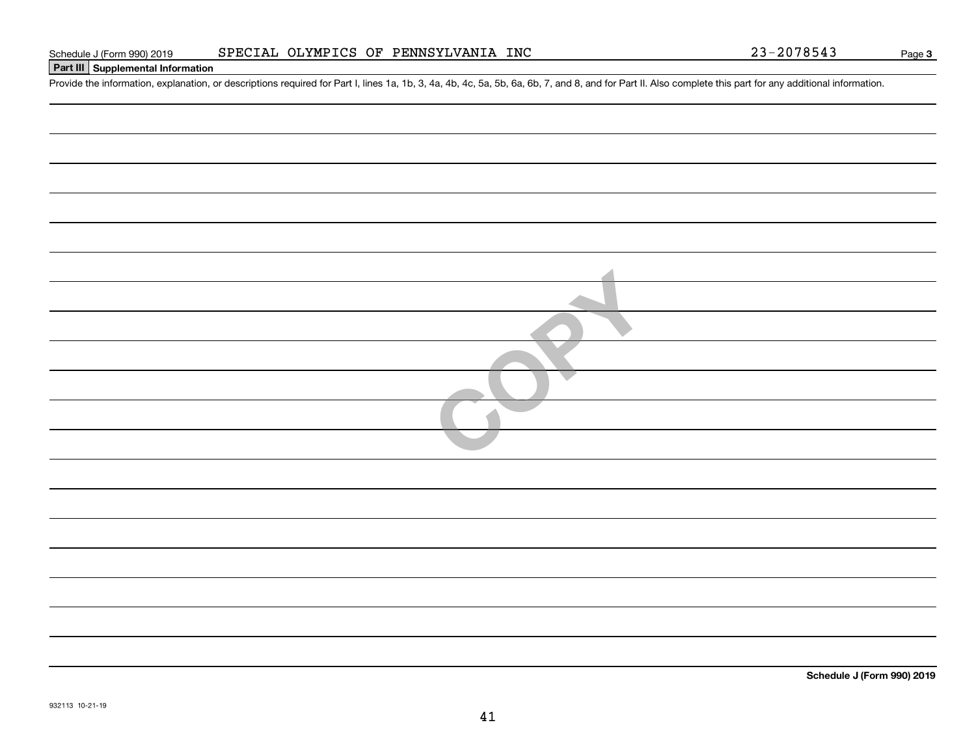| 23-2078543 | Page 3 |
|------------|--------|
|            |        |

## **Part III Supplemental Information**

Schedule J (Form 990) 2019 SPECIAL OLYMPICS OF PENNSYLVANIA INC 23-2078543<br>Part III Supplemental Information<br>Provide the information, explanation, or descriptions required for Part I, lines 1a, 1b, 3, 4a, 4b, 4c, 5a, 5b, 6

41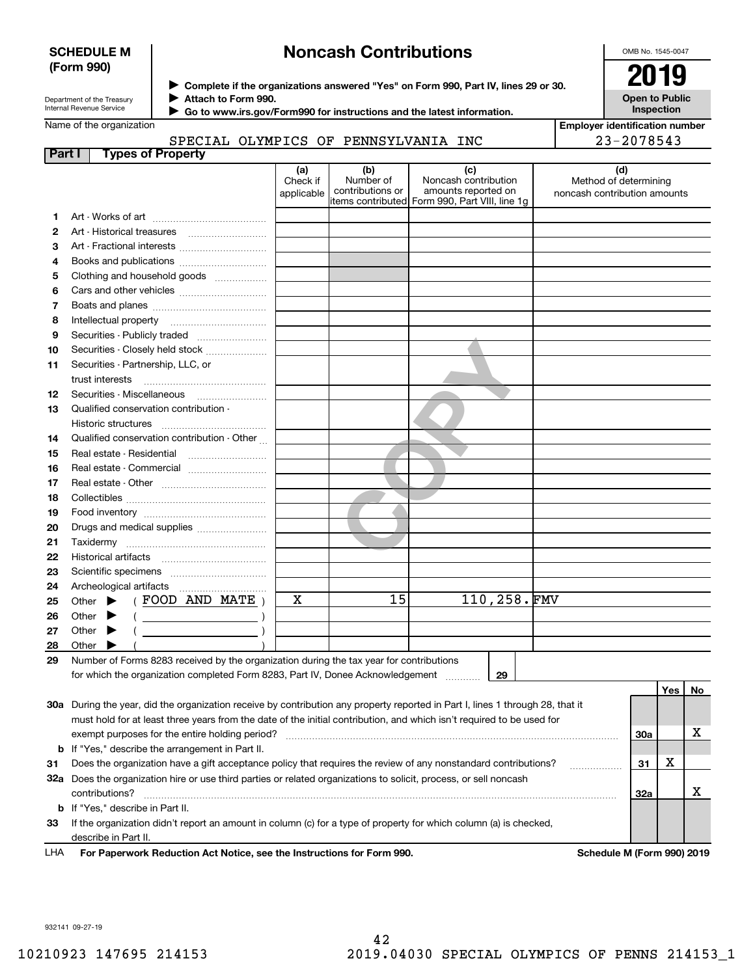## **SCHEDULE M (Form 990)**

# **Noncash Contributions**

OMB No. 1545-0047

**Open to Public Inspection**

| Department of the Treasury |
|----------------------------|
| Internal Revenue Service   |

**Complete if the organizations answered "Yes" on Form 990, Part IV, lines 29 or 30.** <sup>J</sup>**2019**

**Attach to Form 990.** J

 **Go to www.irs.gov/Form990 for instructions and the latest information.** J

Name of the organization

|  | SPECIAL OLYMPICS OF PENNSYLVANIA INC |  |
|--|--------------------------------------|--|

| <b>Employer identification number</b> |
|---------------------------------------|
| $23 - 2078543$                        |

| (d)<br>(a)<br>(b)<br>(c)<br>Number of<br>Noncash contribution<br>Check if<br>Method of determining<br>contributions or<br>amounts reported on<br>applicable<br>noncash contribution amounts<br>items contributed  Form 990, Part VIII, line 1g<br>1.<br>2<br>з<br>4<br>Clothing and household goods<br>5<br>6<br>7<br>Intellectual property<br>8<br>9<br>Securities - Closely held stock<br>10<br>Securities - Partnership, LLC, or<br>11<br>trust interests<br>12<br>Qualified conservation contribution -<br>13<br>Historic structures<br>Qualified conservation contribution - Other<br>14<br>Real estate - Residential<br>15<br>16<br>17<br>18<br>19<br>20<br>Drugs and medical supplies<br>21<br>22<br>23<br>24<br>Archeological artifacts<br>110,258.FMV<br>15<br>х<br>(FOOD AND MATE)<br>Other $\blacktriangleright$<br>25<br>Other $\blacktriangleright$<br>26<br>$\left(\begin{array}{ccc} \begin{array}{ccc} \end{array} & & \end{array}\right)$<br>Other $\blacktriangleright$<br>27<br>the control of the control of the control of the<br>28<br>Other<br>29<br>Number of Forms 8283 received by the organization during the tax year for contributions<br>for which the organization completed Form 8283, Part IV, Donee Acknowledgement<br>29<br>Yes<br>No<br>30a During the year, did the organization receive by contribution any property reported in Part I, lines 1 through 28, that it<br>must hold for at least three years from the date of the initial contribution, and which isn't required to be used for<br>х<br>exempt purposes for the entire holding period?<br><b>30a</b><br><b>b</b> If "Yes," describe the arrangement in Part II.<br>X<br>Does the organization have a gift acceptance policy that requires the review of any nonstandard contributions?<br>31<br>31<br>32a Does the organization hire or use third parties or related organizations to solicit, process, or sell noncash<br>х<br>contributions?<br>32a<br><b>b</b> If "Yes," describe in Part II.<br>If the organization didn't report an amount in column (c) for a type of property for which column (a) is checked,<br>33 | Part I | <b>Types of Property</b> |  |  |  |  |
|---------------------------------------------------------------------------------------------------------------------------------------------------------------------------------------------------------------------------------------------------------------------------------------------------------------------------------------------------------------------------------------------------------------------------------------------------------------------------------------------------------------------------------------------------------------------------------------------------------------------------------------------------------------------------------------------------------------------------------------------------------------------------------------------------------------------------------------------------------------------------------------------------------------------------------------------------------------------------------------------------------------------------------------------------------------------------------------------------------------------------------------------------------------------------------------------------------------------------------------------------------------------------------------------------------------------------------------------------------------------------------------------------------------------------------------------------------------------------------------------------------------------------------------------------------------------------------------------------------------------------------------------------------------------------------------------------------------------------------------------------------------------------------------------------------------------------------------------------------------------------------------------------------------------------------------------------------------------------------------------------------------------------------------------------------------------------------------------------------------------------------|--------|--------------------------|--|--|--|--|
|                                                                                                                                                                                                                                                                                                                                                                                                                                                                                                                                                                                                                                                                                                                                                                                                                                                                                                                                                                                                                                                                                                                                                                                                                                                                                                                                                                                                                                                                                                                                                                                                                                                                                                                                                                                                                                                                                                                                                                                                                                                                                                                                 |        |                          |  |  |  |  |
|                                                                                                                                                                                                                                                                                                                                                                                                                                                                                                                                                                                                                                                                                                                                                                                                                                                                                                                                                                                                                                                                                                                                                                                                                                                                                                                                                                                                                                                                                                                                                                                                                                                                                                                                                                                                                                                                                                                                                                                                                                                                                                                                 |        |                          |  |  |  |  |
|                                                                                                                                                                                                                                                                                                                                                                                                                                                                                                                                                                                                                                                                                                                                                                                                                                                                                                                                                                                                                                                                                                                                                                                                                                                                                                                                                                                                                                                                                                                                                                                                                                                                                                                                                                                                                                                                                                                                                                                                                                                                                                                                 |        |                          |  |  |  |  |
|                                                                                                                                                                                                                                                                                                                                                                                                                                                                                                                                                                                                                                                                                                                                                                                                                                                                                                                                                                                                                                                                                                                                                                                                                                                                                                                                                                                                                                                                                                                                                                                                                                                                                                                                                                                                                                                                                                                                                                                                                                                                                                                                 |        |                          |  |  |  |  |
|                                                                                                                                                                                                                                                                                                                                                                                                                                                                                                                                                                                                                                                                                                                                                                                                                                                                                                                                                                                                                                                                                                                                                                                                                                                                                                                                                                                                                                                                                                                                                                                                                                                                                                                                                                                                                                                                                                                                                                                                                                                                                                                                 |        |                          |  |  |  |  |
|                                                                                                                                                                                                                                                                                                                                                                                                                                                                                                                                                                                                                                                                                                                                                                                                                                                                                                                                                                                                                                                                                                                                                                                                                                                                                                                                                                                                                                                                                                                                                                                                                                                                                                                                                                                                                                                                                                                                                                                                                                                                                                                                 |        |                          |  |  |  |  |
|                                                                                                                                                                                                                                                                                                                                                                                                                                                                                                                                                                                                                                                                                                                                                                                                                                                                                                                                                                                                                                                                                                                                                                                                                                                                                                                                                                                                                                                                                                                                                                                                                                                                                                                                                                                                                                                                                                                                                                                                                                                                                                                                 |        |                          |  |  |  |  |
|                                                                                                                                                                                                                                                                                                                                                                                                                                                                                                                                                                                                                                                                                                                                                                                                                                                                                                                                                                                                                                                                                                                                                                                                                                                                                                                                                                                                                                                                                                                                                                                                                                                                                                                                                                                                                                                                                                                                                                                                                                                                                                                                 |        |                          |  |  |  |  |
|                                                                                                                                                                                                                                                                                                                                                                                                                                                                                                                                                                                                                                                                                                                                                                                                                                                                                                                                                                                                                                                                                                                                                                                                                                                                                                                                                                                                                                                                                                                                                                                                                                                                                                                                                                                                                                                                                                                                                                                                                                                                                                                                 |        |                          |  |  |  |  |
|                                                                                                                                                                                                                                                                                                                                                                                                                                                                                                                                                                                                                                                                                                                                                                                                                                                                                                                                                                                                                                                                                                                                                                                                                                                                                                                                                                                                                                                                                                                                                                                                                                                                                                                                                                                                                                                                                                                                                                                                                                                                                                                                 |        |                          |  |  |  |  |
|                                                                                                                                                                                                                                                                                                                                                                                                                                                                                                                                                                                                                                                                                                                                                                                                                                                                                                                                                                                                                                                                                                                                                                                                                                                                                                                                                                                                                                                                                                                                                                                                                                                                                                                                                                                                                                                                                                                                                                                                                                                                                                                                 |        |                          |  |  |  |  |
|                                                                                                                                                                                                                                                                                                                                                                                                                                                                                                                                                                                                                                                                                                                                                                                                                                                                                                                                                                                                                                                                                                                                                                                                                                                                                                                                                                                                                                                                                                                                                                                                                                                                                                                                                                                                                                                                                                                                                                                                                                                                                                                                 |        |                          |  |  |  |  |
|                                                                                                                                                                                                                                                                                                                                                                                                                                                                                                                                                                                                                                                                                                                                                                                                                                                                                                                                                                                                                                                                                                                                                                                                                                                                                                                                                                                                                                                                                                                                                                                                                                                                                                                                                                                                                                                                                                                                                                                                                                                                                                                                 |        |                          |  |  |  |  |
|                                                                                                                                                                                                                                                                                                                                                                                                                                                                                                                                                                                                                                                                                                                                                                                                                                                                                                                                                                                                                                                                                                                                                                                                                                                                                                                                                                                                                                                                                                                                                                                                                                                                                                                                                                                                                                                                                                                                                                                                                                                                                                                                 |        |                          |  |  |  |  |
|                                                                                                                                                                                                                                                                                                                                                                                                                                                                                                                                                                                                                                                                                                                                                                                                                                                                                                                                                                                                                                                                                                                                                                                                                                                                                                                                                                                                                                                                                                                                                                                                                                                                                                                                                                                                                                                                                                                                                                                                                                                                                                                                 |        |                          |  |  |  |  |
|                                                                                                                                                                                                                                                                                                                                                                                                                                                                                                                                                                                                                                                                                                                                                                                                                                                                                                                                                                                                                                                                                                                                                                                                                                                                                                                                                                                                                                                                                                                                                                                                                                                                                                                                                                                                                                                                                                                                                                                                                                                                                                                                 |        |                          |  |  |  |  |
|                                                                                                                                                                                                                                                                                                                                                                                                                                                                                                                                                                                                                                                                                                                                                                                                                                                                                                                                                                                                                                                                                                                                                                                                                                                                                                                                                                                                                                                                                                                                                                                                                                                                                                                                                                                                                                                                                                                                                                                                                                                                                                                                 |        |                          |  |  |  |  |
|                                                                                                                                                                                                                                                                                                                                                                                                                                                                                                                                                                                                                                                                                                                                                                                                                                                                                                                                                                                                                                                                                                                                                                                                                                                                                                                                                                                                                                                                                                                                                                                                                                                                                                                                                                                                                                                                                                                                                                                                                                                                                                                                 |        |                          |  |  |  |  |
|                                                                                                                                                                                                                                                                                                                                                                                                                                                                                                                                                                                                                                                                                                                                                                                                                                                                                                                                                                                                                                                                                                                                                                                                                                                                                                                                                                                                                                                                                                                                                                                                                                                                                                                                                                                                                                                                                                                                                                                                                                                                                                                                 |        |                          |  |  |  |  |
|                                                                                                                                                                                                                                                                                                                                                                                                                                                                                                                                                                                                                                                                                                                                                                                                                                                                                                                                                                                                                                                                                                                                                                                                                                                                                                                                                                                                                                                                                                                                                                                                                                                                                                                                                                                                                                                                                                                                                                                                                                                                                                                                 |        |                          |  |  |  |  |
|                                                                                                                                                                                                                                                                                                                                                                                                                                                                                                                                                                                                                                                                                                                                                                                                                                                                                                                                                                                                                                                                                                                                                                                                                                                                                                                                                                                                                                                                                                                                                                                                                                                                                                                                                                                                                                                                                                                                                                                                                                                                                                                                 |        |                          |  |  |  |  |
|                                                                                                                                                                                                                                                                                                                                                                                                                                                                                                                                                                                                                                                                                                                                                                                                                                                                                                                                                                                                                                                                                                                                                                                                                                                                                                                                                                                                                                                                                                                                                                                                                                                                                                                                                                                                                                                                                                                                                                                                                                                                                                                                 |        |                          |  |  |  |  |
|                                                                                                                                                                                                                                                                                                                                                                                                                                                                                                                                                                                                                                                                                                                                                                                                                                                                                                                                                                                                                                                                                                                                                                                                                                                                                                                                                                                                                                                                                                                                                                                                                                                                                                                                                                                                                                                                                                                                                                                                                                                                                                                                 |        |                          |  |  |  |  |
|                                                                                                                                                                                                                                                                                                                                                                                                                                                                                                                                                                                                                                                                                                                                                                                                                                                                                                                                                                                                                                                                                                                                                                                                                                                                                                                                                                                                                                                                                                                                                                                                                                                                                                                                                                                                                                                                                                                                                                                                                                                                                                                                 |        |                          |  |  |  |  |
|                                                                                                                                                                                                                                                                                                                                                                                                                                                                                                                                                                                                                                                                                                                                                                                                                                                                                                                                                                                                                                                                                                                                                                                                                                                                                                                                                                                                                                                                                                                                                                                                                                                                                                                                                                                                                                                                                                                                                                                                                                                                                                                                 |        |                          |  |  |  |  |
|                                                                                                                                                                                                                                                                                                                                                                                                                                                                                                                                                                                                                                                                                                                                                                                                                                                                                                                                                                                                                                                                                                                                                                                                                                                                                                                                                                                                                                                                                                                                                                                                                                                                                                                                                                                                                                                                                                                                                                                                                                                                                                                                 |        |                          |  |  |  |  |
|                                                                                                                                                                                                                                                                                                                                                                                                                                                                                                                                                                                                                                                                                                                                                                                                                                                                                                                                                                                                                                                                                                                                                                                                                                                                                                                                                                                                                                                                                                                                                                                                                                                                                                                                                                                                                                                                                                                                                                                                                                                                                                                                 |        |                          |  |  |  |  |
|                                                                                                                                                                                                                                                                                                                                                                                                                                                                                                                                                                                                                                                                                                                                                                                                                                                                                                                                                                                                                                                                                                                                                                                                                                                                                                                                                                                                                                                                                                                                                                                                                                                                                                                                                                                                                                                                                                                                                                                                                                                                                                                                 |        |                          |  |  |  |  |
|                                                                                                                                                                                                                                                                                                                                                                                                                                                                                                                                                                                                                                                                                                                                                                                                                                                                                                                                                                                                                                                                                                                                                                                                                                                                                                                                                                                                                                                                                                                                                                                                                                                                                                                                                                                                                                                                                                                                                                                                                                                                                                                                 |        |                          |  |  |  |  |
|                                                                                                                                                                                                                                                                                                                                                                                                                                                                                                                                                                                                                                                                                                                                                                                                                                                                                                                                                                                                                                                                                                                                                                                                                                                                                                                                                                                                                                                                                                                                                                                                                                                                                                                                                                                                                                                                                                                                                                                                                                                                                                                                 |        |                          |  |  |  |  |
|                                                                                                                                                                                                                                                                                                                                                                                                                                                                                                                                                                                                                                                                                                                                                                                                                                                                                                                                                                                                                                                                                                                                                                                                                                                                                                                                                                                                                                                                                                                                                                                                                                                                                                                                                                                                                                                                                                                                                                                                                                                                                                                                 |        |                          |  |  |  |  |
|                                                                                                                                                                                                                                                                                                                                                                                                                                                                                                                                                                                                                                                                                                                                                                                                                                                                                                                                                                                                                                                                                                                                                                                                                                                                                                                                                                                                                                                                                                                                                                                                                                                                                                                                                                                                                                                                                                                                                                                                                                                                                                                                 |        |                          |  |  |  |  |
|                                                                                                                                                                                                                                                                                                                                                                                                                                                                                                                                                                                                                                                                                                                                                                                                                                                                                                                                                                                                                                                                                                                                                                                                                                                                                                                                                                                                                                                                                                                                                                                                                                                                                                                                                                                                                                                                                                                                                                                                                                                                                                                                 |        |                          |  |  |  |  |
|                                                                                                                                                                                                                                                                                                                                                                                                                                                                                                                                                                                                                                                                                                                                                                                                                                                                                                                                                                                                                                                                                                                                                                                                                                                                                                                                                                                                                                                                                                                                                                                                                                                                                                                                                                                                                                                                                                                                                                                                                                                                                                                                 |        |                          |  |  |  |  |
|                                                                                                                                                                                                                                                                                                                                                                                                                                                                                                                                                                                                                                                                                                                                                                                                                                                                                                                                                                                                                                                                                                                                                                                                                                                                                                                                                                                                                                                                                                                                                                                                                                                                                                                                                                                                                                                                                                                                                                                                                                                                                                                                 |        |                          |  |  |  |  |
|                                                                                                                                                                                                                                                                                                                                                                                                                                                                                                                                                                                                                                                                                                                                                                                                                                                                                                                                                                                                                                                                                                                                                                                                                                                                                                                                                                                                                                                                                                                                                                                                                                                                                                                                                                                                                                                                                                                                                                                                                                                                                                                                 |        |                          |  |  |  |  |
|                                                                                                                                                                                                                                                                                                                                                                                                                                                                                                                                                                                                                                                                                                                                                                                                                                                                                                                                                                                                                                                                                                                                                                                                                                                                                                                                                                                                                                                                                                                                                                                                                                                                                                                                                                                                                                                                                                                                                                                                                                                                                                                                 |        |                          |  |  |  |  |
|                                                                                                                                                                                                                                                                                                                                                                                                                                                                                                                                                                                                                                                                                                                                                                                                                                                                                                                                                                                                                                                                                                                                                                                                                                                                                                                                                                                                                                                                                                                                                                                                                                                                                                                                                                                                                                                                                                                                                                                                                                                                                                                                 |        |                          |  |  |  |  |
|                                                                                                                                                                                                                                                                                                                                                                                                                                                                                                                                                                                                                                                                                                                                                                                                                                                                                                                                                                                                                                                                                                                                                                                                                                                                                                                                                                                                                                                                                                                                                                                                                                                                                                                                                                                                                                                                                                                                                                                                                                                                                                                                 |        |                          |  |  |  |  |
|                                                                                                                                                                                                                                                                                                                                                                                                                                                                                                                                                                                                                                                                                                                                                                                                                                                                                                                                                                                                                                                                                                                                                                                                                                                                                                                                                                                                                                                                                                                                                                                                                                                                                                                                                                                                                                                                                                                                                                                                                                                                                                                                 |        |                          |  |  |  |  |
|                                                                                                                                                                                                                                                                                                                                                                                                                                                                                                                                                                                                                                                                                                                                                                                                                                                                                                                                                                                                                                                                                                                                                                                                                                                                                                                                                                                                                                                                                                                                                                                                                                                                                                                                                                                                                                                                                                                                                                                                                                                                                                                                 |        |                          |  |  |  |  |
|                                                                                                                                                                                                                                                                                                                                                                                                                                                                                                                                                                                                                                                                                                                                                                                                                                                                                                                                                                                                                                                                                                                                                                                                                                                                                                                                                                                                                                                                                                                                                                                                                                                                                                                                                                                                                                                                                                                                                                                                                                                                                                                                 |        |                          |  |  |  |  |
| describe in Part II.                                                                                                                                                                                                                                                                                                                                                                                                                                                                                                                                                                                                                                                                                                                                                                                                                                                                                                                                                                                                                                                                                                                                                                                                                                                                                                                                                                                                                                                                                                                                                                                                                                                                                                                                                                                                                                                                                                                                                                                                                                                                                                            |        |                          |  |  |  |  |

For Paperwork Reduction Act Notice, see the Instructions for Form 990. **Schedule M** (Form 990) 2019 LHA

932141 09-27-19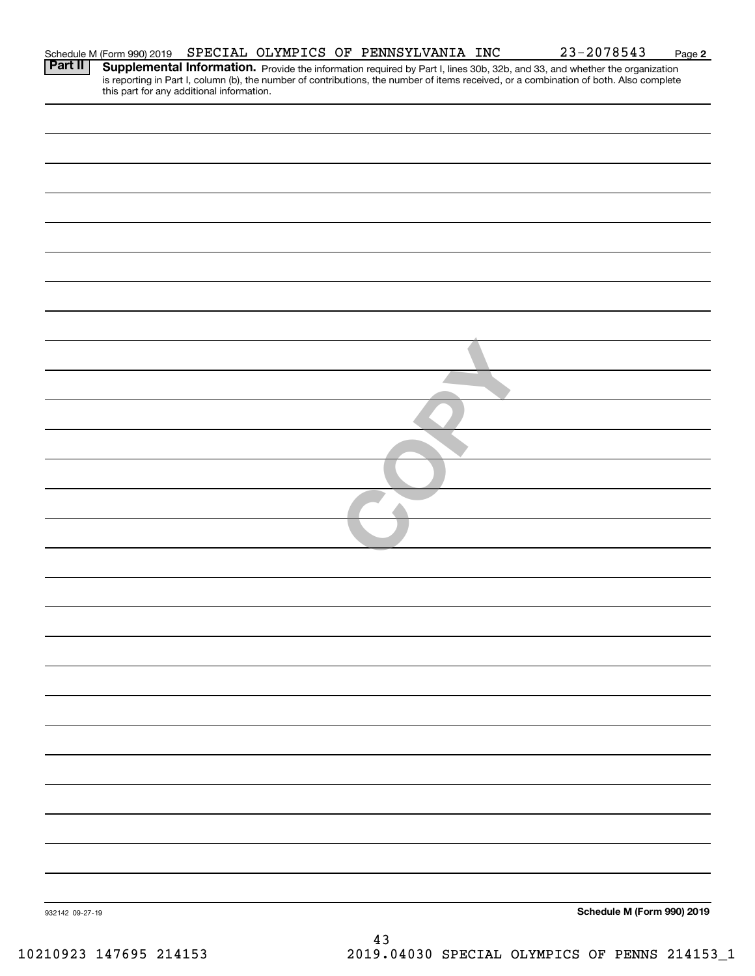|                 |                                                                                                         | SPECIAL OLYMPICS OF PENNSYLVANIA INC |  |    |  | 23-2078543                                                                                                                                                                                                                          | Page 2 |
|-----------------|---------------------------------------------------------------------------------------------------------|--------------------------------------|--|----|--|-------------------------------------------------------------------------------------------------------------------------------------------------------------------------------------------------------------------------------------|--------|
|                 | Schedule M (Form 990) 2019<br><b>Part II</b>   Supplementa<br>this part for any additional information. |                                      |  |    |  | <b>Supplemental Information.</b> Provide the information required by Part I, lines 30b, 32b, and 33, and whether the organization is reporting in Part I, column (b), the number of contributions, the number of items received, or |        |
|                 |                                                                                                         |                                      |  |    |  |                                                                                                                                                                                                                                     |        |
|                 |                                                                                                         |                                      |  |    |  |                                                                                                                                                                                                                                     |        |
|                 |                                                                                                         |                                      |  |    |  |                                                                                                                                                                                                                                     |        |
|                 |                                                                                                         |                                      |  |    |  |                                                                                                                                                                                                                                     |        |
|                 |                                                                                                         |                                      |  |    |  |                                                                                                                                                                                                                                     |        |
|                 |                                                                                                         |                                      |  |    |  |                                                                                                                                                                                                                                     |        |
|                 |                                                                                                         |                                      |  |    |  |                                                                                                                                                                                                                                     |        |
|                 |                                                                                                         |                                      |  |    |  |                                                                                                                                                                                                                                     |        |
|                 |                                                                                                         |                                      |  |    |  |                                                                                                                                                                                                                                     |        |
|                 |                                                                                                         |                                      |  |    |  |                                                                                                                                                                                                                                     |        |
|                 |                                                                                                         |                                      |  |    |  |                                                                                                                                                                                                                                     |        |
|                 |                                                                                                         |                                      |  |    |  |                                                                                                                                                                                                                                     |        |
|                 |                                                                                                         |                                      |  |    |  |                                                                                                                                                                                                                                     |        |
|                 |                                                                                                         |                                      |  |    |  |                                                                                                                                                                                                                                     |        |
|                 |                                                                                                         |                                      |  |    |  |                                                                                                                                                                                                                                     |        |
|                 |                                                                                                         |                                      |  |    |  |                                                                                                                                                                                                                                     |        |
|                 |                                                                                                         |                                      |  |    |  |                                                                                                                                                                                                                                     |        |
|                 |                                                                                                         |                                      |  |    |  |                                                                                                                                                                                                                                     |        |
|                 |                                                                                                         |                                      |  |    |  |                                                                                                                                                                                                                                     |        |
|                 |                                                                                                         |                                      |  |    |  |                                                                                                                                                                                                                                     |        |
|                 |                                                                                                         |                                      |  |    |  |                                                                                                                                                                                                                                     |        |
|                 |                                                                                                         |                                      |  |    |  |                                                                                                                                                                                                                                     |        |
|                 |                                                                                                         |                                      |  |    |  |                                                                                                                                                                                                                                     |        |
|                 |                                                                                                         |                                      |  |    |  |                                                                                                                                                                                                                                     |        |
|                 |                                                                                                         |                                      |  |    |  |                                                                                                                                                                                                                                     |        |
| 932142 09-27-19 |                                                                                                         |                                      |  |    |  | Schedule M (Form 990) 2019                                                                                                                                                                                                          |        |
|                 |                                                                                                         |                                      |  | 43 |  |                                                                                                                                                                                                                                     |        |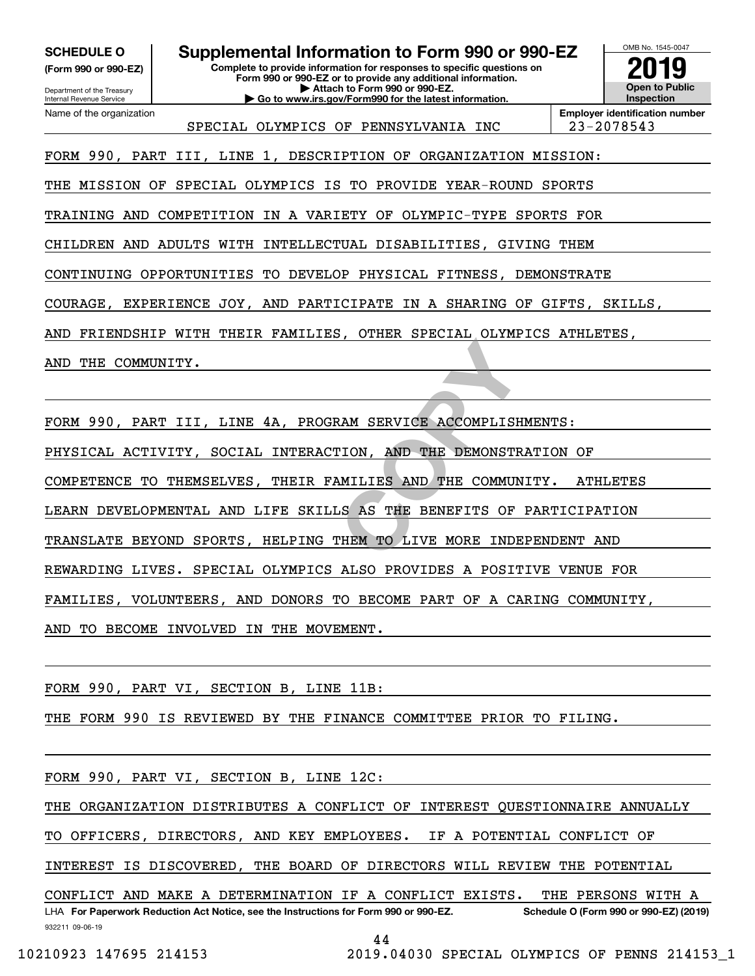**(Form 990 or 990-EZ)**

## **SCHEDULE O Supplemental Information to Form 990 or 990-EZ**

**Complete to provide information for responses to specific questions on Form 990 or 990-EZ or to provide any additional information. | Attach to Form 990 or 990-EZ. | Go to www.irs.gov/Form990 for the latest information.**



Department of the Treasury Internal Revenue Service Name of the organization

SPECIAL OLYMPICS OF PENNSYLVANIA INC | 23-2078543

**Employer identification number**

FORM 990, PART III, LINE 1, DESCRIPTION OF ORGANIZATION MISSION:

THE MISSION OF SPECIAL OLYMPICS IS TO PROVIDE YEAR-ROUND SPORTS

TRAINING AND COMPETITION IN A VARIETY OF OLYMPIC-TYPE SPORTS FOR

CHILDREN AND ADULTS WITH INTELLECTUAL DISABILITIES, GIVING THEM

CONTINUING OPPORTUNITIES TO DEVELOP PHYSICAL FITNESS, DEMONSTRATE

COURAGE, EXPERIENCE JOY, AND PARTICIPATE IN A SHARING OF GIFTS, SKILLS,

AND FRIENDSHIP WITH THEIR FAMILIES, OTHER SPECIAL OLYMPICS ATHLETES,

AND THE COMMUNITY.

FORM 990, PART III, LINE 4A, PROGRAM SERVICE ACCOMPLISHMENTS:

PHYSICAL ACTIVITY, SOCIAL INTERACTION, AND THE DEMONSTRATION OF

**EXAM SERVICE ACCOMPLISH**<br>TION, AND THE DEMONSTR<br>AMILIES AND THE COMMUN<br>LS AS THE BENEFITS OF<br>THEM TO LIVE MORE INDE COMPETENCE TO THEMSELVES, THEIR FAMILIES AND THE COMMUNITY. ATHLETES

LEARN DEVELOPMENTAL AND LIFE SKILLS AS THE BENEFITS OF PARTICIPATION

TRANSLATE BEYOND SPORTS, HELPING THEM TO LIVE MORE INDEPENDENT AND

REWARDING LIVES. SPECIAL OLYMPICS ALSO PROVIDES A POSITIVE VENUE FOR

FAMILIES, VOLUNTEERS, AND DONORS TO BECOME PART OF A CARING COMMUNITY,

AND TO BECOME INVOLVED IN THE MOVEMENT.

FORM 990, PART VI, SECTION B, LINE 11B:

THE FORM 990 IS REVIEWED BY THE FINANCE COMMITTEE PRIOR TO FILING.

FORM 990, PART VI, SECTION B, LINE 12C:

THE ORGANIZATION DISTRIBUTES A CONFLICT OF INTEREST QUESTIONNAIRE ANNUALLY

TO OFFICERS, DIRECTORS, AND KEY EMPLOYEES. IF A POTENTIAL CONFLICT OF

INTEREST IS DISCOVERED, THE BOARD OF DIRECTORS WILL REVIEW THE POTENTIAL

932211 09-06-19 LHA For Paperwork Reduction Act Notice, see the Instructions for Form 990 or 990-EZ. Schedule O (Form 990 or 990-EZ) (2019) CONFLICT AND MAKE A DETERMINATION IF A CONFLICT EXISTS. THE PERSONS WITH A

44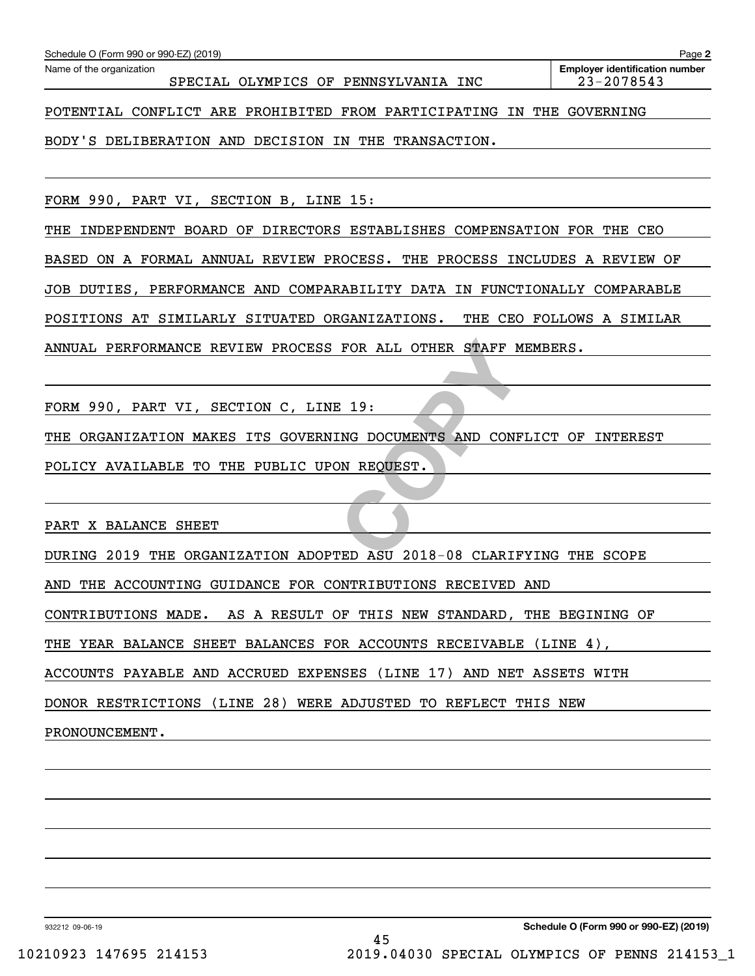| <b>Employer identification number</b><br>Name of the organization     |  |
|-----------------------------------------------------------------------|--|
| 23-2078543<br>SPECIAL OLYMPICS OF PENNSYLVANIA INC                    |  |
|                                                                       |  |
| POTENTIAL CONFLICT ARE PROHIBITED FROM PARTICIPATING IN THE GOVERNING |  |

BODY'S DELIBERATION AND DECISION IN THE TRANSACTION.

FORM 990, PART VI, SECTION B, LINE 15:

FOR ALL OTHER STAFF M<br>E 19:<br>ING DOCUMENTS AND CONF<br>ON REQUEST.<br>TED ASU 2018-08 CLARIF THE INDEPENDENT BOARD OF DIRECTORS ESTABLISHES COMPENSATION FOR THE CEO BASED ON A FORMAL ANNUAL REVIEW PROCESS. THE PROCESS INCLUDES A REVIEW OF JOB DUTIES, PERFORMANCE AND COMPARABILITY DATA IN FUNCTIONALLY COMPARABLE POSITIONS AT SIMILARLY SITUATED ORGANIZATIONS. THE CEO FOLLOWS A SIMILAR ANNUAL PERFORMANCE REVIEW PROCESS FOR ALL OTHER STAFF MEMBERS.

FORM 990, PART VI, SECTION C, LINE 19:

THE ORGANIZATION MAKES ITS GOVERNING DOCUMENTS AND CONFLICT OF INTEREST

POLICY AVAILABLE TO THE PUBLIC UPON REQUEST.

PART X BALANCE SHEET

DURING 2019 THE ORGANIZATION ADOPTED ASU 2018-08 CLARIFYING THE SCOPE

AND THE ACCOUNTING GUIDANCE FOR CONTRIBUTIONS RECEIVED AND

CONTRIBUTIONS MADE. AS A RESULT OF THIS NEW STANDARD, THE BEGINING OF

THE YEAR BALANCE SHEET BALANCES FOR ACCOUNTS RECEIVABLE (LINE 4),

ACCOUNTS PAYABLE AND ACCRUED EXPENSES (LINE 17) AND NET ASSETS WITH

DONOR RESTRICTIONS (LINE 28) WERE ADJUSTED TO REFLECT THIS NEW

PRONOUNCEMENT.

932212 09-06-19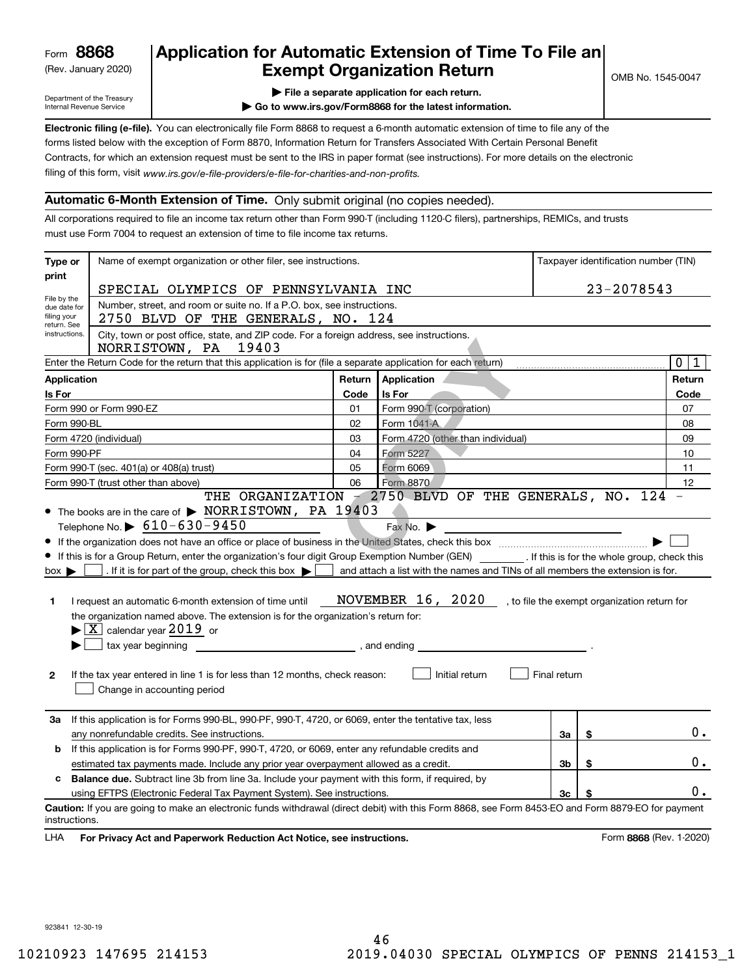(Rev. January 2020)

# **Application for Automatic Extension of Time To File an Exempt Organization Return**

Department of the Treasury Internal Revenue Service

**| File a separate application for each return.**

**| Go to www.irs.gov/Form8868 for the latest information.**

**Electronic filing (e-file).**  You can electronically file Form 8868 to request a 6-month automatic extension of time to file any of the filing of this form, visit www.irs.gov/e-file-providers/e-file-for-charities-and-non-profits. forms listed below with the exception of Form 8870, Information Return for Transfers Associated With Certain Personal Benefit Contracts, for which an extension request must be sent to the IRS in paper format (see instructions). For more details on the electronic

## **Automatic 6-Month Extension of Time.** Only submit original (no copies needed).

All corporations required to file an income tax return other than Form 990-T (including 1120-C filers), partnerships, REMICs, and trusts must use Form 7004 to request an extension of time to file income tax returns.

| Type or                                        | Name of exempt organization or other filer, see instructions.                                                                                                                                                                                                                                                                                                                                                                                                                                                                                                                                                 |        |                                                                                                                                                                              |                |            | Taxpayer identification number (TIN) |
|------------------------------------------------|---------------------------------------------------------------------------------------------------------------------------------------------------------------------------------------------------------------------------------------------------------------------------------------------------------------------------------------------------------------------------------------------------------------------------------------------------------------------------------------------------------------------------------------------------------------------------------------------------------------|--------|------------------------------------------------------------------------------------------------------------------------------------------------------------------------------|----------------|------------|--------------------------------------|
| print                                          | SPECIAL OLYMPICS OF PENNSYLVANIA INC                                                                                                                                                                                                                                                                                                                                                                                                                                                                                                                                                                          |        |                                                                                                                                                                              |                | 23-2078543 |                                      |
| File by the                                    | Number, street, and room or suite no. If a P.O. box, see instructions.                                                                                                                                                                                                                                                                                                                                                                                                                                                                                                                                        |        |                                                                                                                                                                              |                |            |                                      |
| due date for<br>filing your<br>return. See     | 2750 BLVD OF THE GENERALS, NO. 124                                                                                                                                                                                                                                                                                                                                                                                                                                                                                                                                                                            |        |                                                                                                                                                                              |                |            |                                      |
| instructions.                                  | City, town or post office, state, and ZIP code. For a foreign address, see instructions.<br>NORRISTOWN, PA<br>19403                                                                                                                                                                                                                                                                                                                                                                                                                                                                                           |        |                                                                                                                                                                              |                |            |                                      |
|                                                | Enter the Return Code for the return that this application is for (file a separate application for each return)                                                                                                                                                                                                                                                                                                                                                                                                                                                                                               |        |                                                                                                                                                                              |                |            | 0 1                                  |
| Application                                    |                                                                                                                                                                                                                                                                                                                                                                                                                                                                                                                                                                                                               | Return | Application                                                                                                                                                                  |                |            | Return                               |
| Is For                                         |                                                                                                                                                                                                                                                                                                                                                                                                                                                                                                                                                                                                               | Code   | Is For                                                                                                                                                                       |                |            | Code                                 |
|                                                | Form 990 or Form 990-EZ                                                                                                                                                                                                                                                                                                                                                                                                                                                                                                                                                                                       | 01     | Form 990-T (corporation)                                                                                                                                                     |                |            | 07                                   |
| Form 990-BL                                    |                                                                                                                                                                                                                                                                                                                                                                                                                                                                                                                                                                                                               | 02     | Form 1041-A                                                                                                                                                                  |                |            | 08                                   |
|                                                | Form 4720 (individual)                                                                                                                                                                                                                                                                                                                                                                                                                                                                                                                                                                                        | 03     | Form 4720 (other than individual)                                                                                                                                            |                |            | 09                                   |
| Form 990-PF                                    |                                                                                                                                                                                                                                                                                                                                                                                                                                                                                                                                                                                                               | 04     | Form 5227                                                                                                                                                                    |                |            | 10                                   |
|                                                | Form 990-T (sec. 401(a) or 408(a) trust)                                                                                                                                                                                                                                                                                                                                                                                                                                                                                                                                                                      | 05     | Form 6069                                                                                                                                                                    |                |            | 11                                   |
|                                                | Form 990-T (trust other than above)                                                                                                                                                                                                                                                                                                                                                                                                                                                                                                                                                                           | 06     | Form 8870<br>THE ORGANIZATION - 2750 BLVD OF THE GENERALS, NO. 124                                                                                                           |                |            | 12                                   |
| $box \blacktriangleright$<br>1<br>$\mathbf{2}$ | Telephone No. $\triangleright$ 610-630-9450<br>If this is for a Group Return, enter the organization's four digit Group Exemption Number (GEN) _________. If this is for the whole group, check this<br>. If it is for part of the group, check this box $\blacktriangleright$<br>I request an automatic 6-month extension of time until<br>the organization named above. The extension is for the organization's return for:<br>$\blacktriangleright$ $\boxed{\text{X}}$ calendar year 2019 or<br>If the tax year entered in line 1 is for less than 12 months, check reason:<br>Change in accounting period |        | Fax No.<br>and attach a list with the names and TINs of all members the extension is for.<br>NOVEMBER 16, 2020, to file the exempt organization return for<br>Initial return | Final return   |            |                                      |
| За                                             | If this application is for Forms 990-BL, 990-PF, 990-T, 4720, or 6069, enter the tentative tax, less<br>any nonrefundable credits. See instructions.                                                                                                                                                                                                                                                                                                                                                                                                                                                          |        |                                                                                                                                                                              | За             | \$         | 0.                                   |
| b                                              | If this application is for Forms 990-PF, 990-T, 4720, or 6069, enter any refundable credits and                                                                                                                                                                                                                                                                                                                                                                                                                                                                                                               |        |                                                                                                                                                                              |                |            |                                      |
|                                                | estimated tax payments made. Include any prior year overpayment allowed as a credit.                                                                                                                                                                                                                                                                                                                                                                                                                                                                                                                          |        |                                                                                                                                                                              | 3 <sub>b</sub> | \$         | $0$ .                                |
| c                                              | <b>Balance due.</b> Subtract line 3b from line 3a. Include your payment with this form, if required, by                                                                                                                                                                                                                                                                                                                                                                                                                                                                                                       |        |                                                                                                                                                                              |                |            |                                      |
|                                                | using EFTPS (Electronic Federal Tax Payment System). See instructions.                                                                                                                                                                                                                                                                                                                                                                                                                                                                                                                                        |        |                                                                                                                                                                              | 3c             | \$         | 0.                                   |
| instructions.<br>LHA                           | Caution: If you are going to make an electronic funds withdrawal (direct debit) with this Form 8868, see Form 8453-EO and Form 8879-EO for payment<br>For Privacy Act and Paperwork Reduction Act Notice, see instructions.                                                                                                                                                                                                                                                                                                                                                                                   |        |                                                                                                                                                                              |                |            | Form 8868 (Rev. 1-2020)              |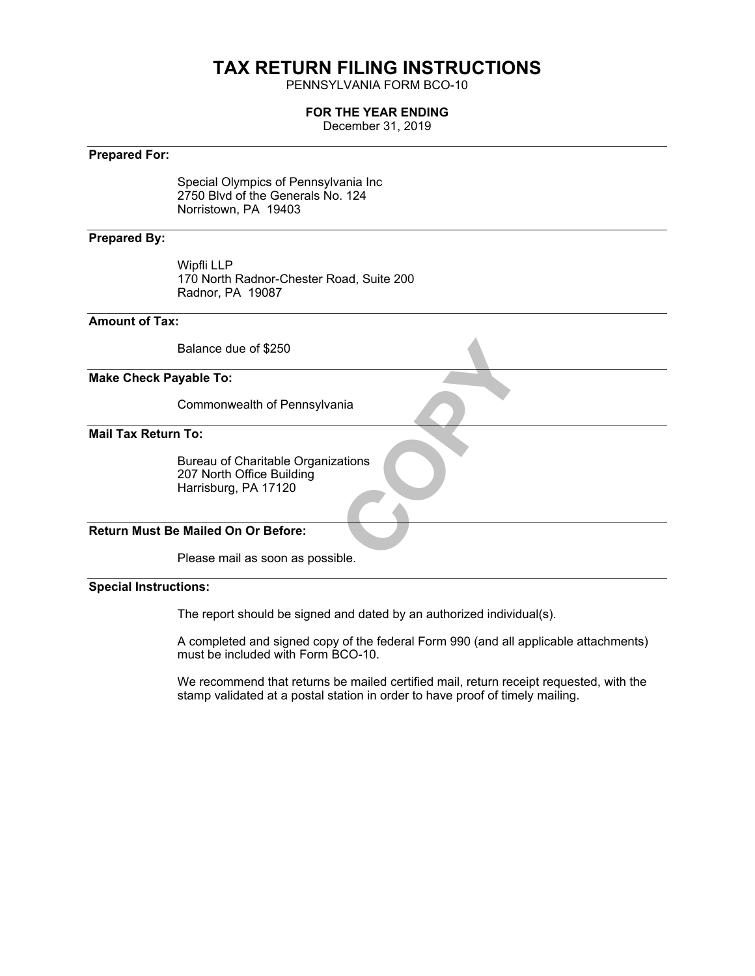# **TAX RETURN FILING INSTRUCTIONS**

PENNSYLVANIA FORM BCO-10

## **FOR THE YEAR ENDING**

December 31, 2019

## **Prepared For:**

Special Olympics of Pennsylvania Inc 2750 Blvd of the Generals No. 124 Norristown, PA 19403

## **Prepared By:**

Wipfli LLP 170 North Radnor-Chester Road, Suite 200 Radnor, PA 19087

## **Amount of Tax:**

Balance due of \$250

## **Make Check Payable To:**

Commonwealth of Pennsylvania

**Mail Tax Return To:**

trations Bureau of Charitable Organizations 207 North Office Building Harrisburg, PA 17120

## **Return Must Be Mailed On Or Before:**

Please mail as soon as possible.

## **Special Instructions:**

The report should be signed and dated by an authorized individual(s).

A completed and signed copy of the federal Form 990 (and all applicable attachments) must be included with Form BCO-10.

We recommend that returns be mailed certified mail, return receipt requested, with the stamp validated at a postal station in order to have proof of timely mailing.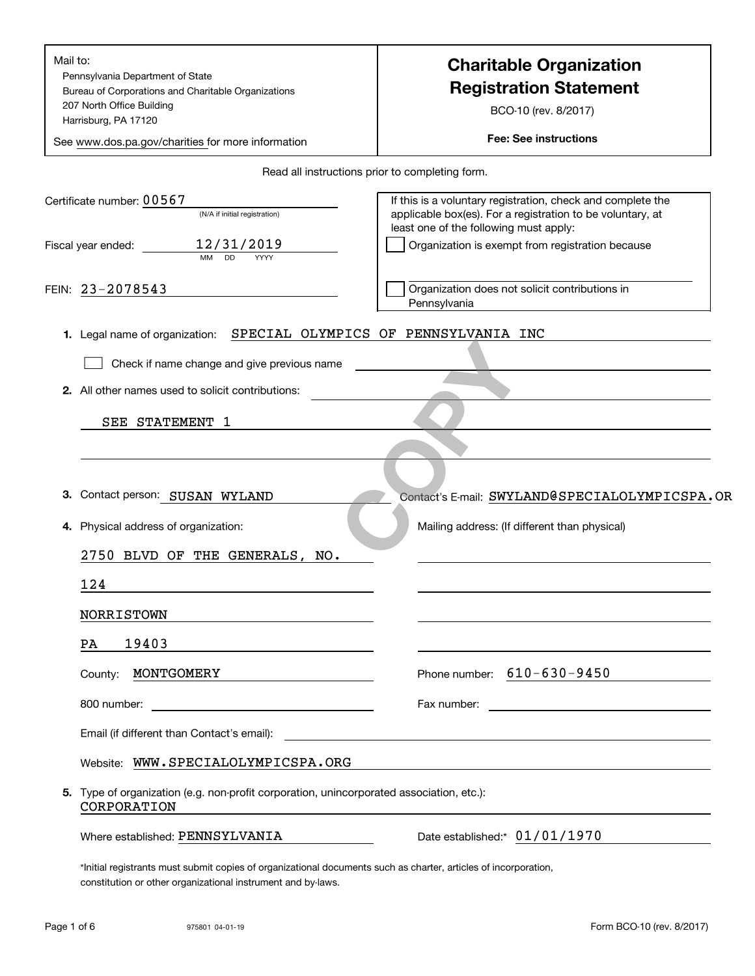| Mail to:<br>Pennsylvania Department of State<br>Bureau of Corporations and Charitable Organizations<br>207 North Office Building<br>Harrisburg, PA 17120<br>See www.dos.pa.gov/charities for more information                                       | <b>Charitable Organization</b><br><b>Registration Statement</b><br>BCO-10 (rev. 8/2017)<br><b>Fee: See instructions</b>                                             |
|-----------------------------------------------------------------------------------------------------------------------------------------------------------------------------------------------------------------------------------------------------|---------------------------------------------------------------------------------------------------------------------------------------------------------------------|
|                                                                                                                                                                                                                                                     | Read all instructions prior to completing form.                                                                                                                     |
| Certificate number: 00567<br>(N/A if initial registration)                                                                                                                                                                                          | If this is a voluntary registration, check and complete the<br>applicable box(es). For a registration to be voluntary, at<br>least one of the following must apply: |
| 12/31/2019<br>Fiscal year ended:                                                                                                                                                                                                                    | Organization is exempt from registration because                                                                                                                    |
| FEIN: 23-2078543                                                                                                                                                                                                                                    | Organization does not solicit contributions in<br>Pennsylvania                                                                                                      |
| 1. Legal name of organization:                                                                                                                                                                                                                      | SPECIAL OLYMPICS OF PENNSYLVANIA INC                                                                                                                                |
| Check if name change and give previous name                                                                                                                                                                                                         |                                                                                                                                                                     |
| 2. All other names used to solicit contributions:                                                                                                                                                                                                   |                                                                                                                                                                     |
| SEE STATEMENT                                                                                                                                                                                                                                       |                                                                                                                                                                     |
| з.<br>Contact person: SUSAN WYLAND<br>Physical address of organization:<br>4.<br>2750 BLVD OF THE GENERALS,<br>NO.                                                                                                                                  | Contact's E-mail: SWYLAND@SPECIALOLYMPICSPA.OR<br>Mailing address: (If different than physical)                                                                     |
| 124                                                                                                                                                                                                                                                 |                                                                                                                                                                     |
| <b>NORRISTOWN</b>                                                                                                                                                                                                                                   |                                                                                                                                                                     |
| 19403<br>PA                                                                                                                                                                                                                                         |                                                                                                                                                                     |
| MONTGOMERY<br>County:                                                                                                                                                                                                                               | Phone number: $610 - 630 - 9450$                                                                                                                                    |
| <u> 1980 - Andrea Aonaich, ann an t-Èireann an t-Èireann an t-Èireann an t-Èireann an t-Èireann an t-Èireann an t-Èireann an t-Èireann an t-Èireann an t-Èireann an t-Èireann an t-Èireann an t-Èireann an t-Èireann an t-Èirean</u><br>800 number: |                                                                                                                                                                     |
| Email (if different than Contact's email):                                                                                                                                                                                                          |                                                                                                                                                                     |
| Website: WWW.SPECIALOLYMPICSPA.ORG                                                                                                                                                                                                                  |                                                                                                                                                                     |
| Type of organization (e.g. non-profit corporation, unincorporated association, etc.):<br>5.<br>CORPORATION                                                                                                                                          |                                                                                                                                                                     |
| Where established: PENNSYLVANIA                                                                                                                                                                                                                     | Date established: 01/01/1970                                                                                                                                        |
| *Initial registrants must submit copies of organizational documents such as charter, articles of incorporation                                                                                                                                      |                                                                                                                                                                     |

\*Initial registrants must submit copies of organizational documents such as charter, articles of incorporation, constitution or other organizational instrument and by-laws.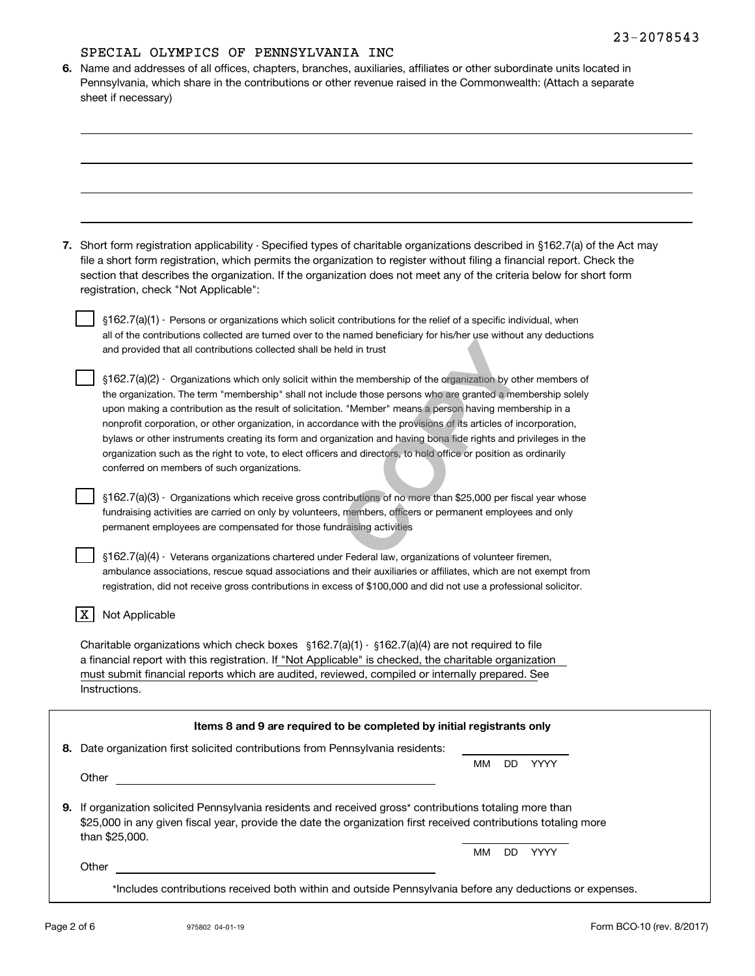| 6. Name and addresses of all offices, chapters, branches, auxiliaries, affiliates or other subordinate units located in |
|-------------------------------------------------------------------------------------------------------------------------|
| Pennsylvania, which share in the contributions or other revenue raised in the Commonwealth: (Attach a separate          |
| sheet if necessary)                                                                                                     |

| 7. Short form registration applicability - Specified types of charitable organizations described in §162.7(a) of the Act may |
|------------------------------------------------------------------------------------------------------------------------------|
| file a short form registration, which permits the organization to register without filing a financial report. Check the      |
| section that describes the organization. If the organization does not meet any of the criteria below for short form          |
| registration, check "Not Applicable":                                                                                        |

 $\S 162.7$ (a)(1) - Persons or organizations which solicit contributions for the relief of a specific individual, when all of the contributions collected are turned over to the named beneficiary for his/her use without any deductions and provided that all contributions collected shall be held in trust

 $\S162.7(a)(2)$  - Organizations which only solicit within the membership of the organization by other members of the organization. The term "membership" shall not include those persons who are granted a membership solely upon making a contribution as the result of solicitation. "Member" means a person having membership in a nonprofit corporation, or other organization, in accordance with the provisions of its articles of incorporation, bylaws or other instruments creating its form and organization and having bona fide rights and privileges in the organization such as the right to vote, to elect officers and directors, to hold office or position as ordinarily conferred on members of such organizations. The membership of the organization by other data was theld in trust<br>theld in trust<br>the membership of the organization by oth<br>clude those persons who are granted a mem<br>n. "Member" means a person having memb<br>ance with the pr

¤ Organizations which receive gross contributions of no more than \$25,000 per fiscal year whose 162.7(a)(3) fundraising activities are carried on only by volunteers, members, officers or permanent employees and only permanent employees are compensated for those fundraising activities

¤ Veterans organizations chartered under Federal law, organizations of volunteer firemen, 162.7(a)(4) ambulance associations, rescue squad associations and their auxiliaries or affiliates, which are not exempt from registration, did not receive gross contributions in excess of \$100,000 and did not use a professional solicitor.

## | X | Not Applicable

Charitable organizations which check boxes  $\,$  §162.7(a)(1)  $\,$  §162.7(a)(4) are not required to file a financial report with this registration. If "Not Applicable" is checked, the charitable organization must submit financial reports which are audited, reviewed, compiled or internally prepared. See Instructions.

| Items 8 and 9 are required to be completed by initial registrants only                                                                                                                                                                           |    |     |             |  |
|--------------------------------------------------------------------------------------------------------------------------------------------------------------------------------------------------------------------------------------------------|----|-----|-------------|--|
| Date organization first solicited contributions from Pennsylvania residents:<br>8.                                                                                                                                                               |    |     |             |  |
|                                                                                                                                                                                                                                                  | MM | DD  | <b>YYYY</b> |  |
| Other                                                                                                                                                                                                                                            |    |     |             |  |
|                                                                                                                                                                                                                                                  |    |     |             |  |
| If organization solicited Pennsylvania residents and received gross* contributions totaling more than<br>9.<br>\$25,000 in any given fiscal year, provide the date the organization first received contributions totaling more<br>than \$25,000. |    |     |             |  |
|                                                                                                                                                                                                                                                  | мм | DD. | YYYY        |  |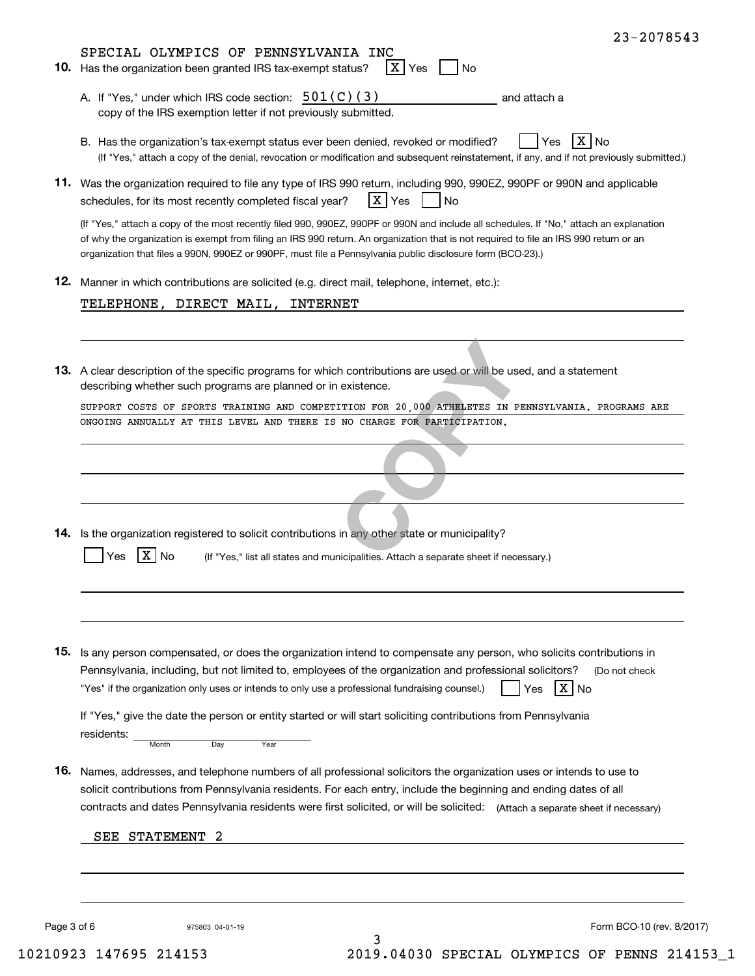| 23-2078543                                                                                                                                                                                                                                                                                                                                                                                     |
|------------------------------------------------------------------------------------------------------------------------------------------------------------------------------------------------------------------------------------------------------------------------------------------------------------------------------------------------------------------------------------------------|
| SPECIAL OLYMPICS OF PENNSYLVANIA INC<br>X Yes<br>10. Has the organization been granted IRS tax-exempt status?<br>No                                                                                                                                                                                                                                                                            |
| A. If "Yes," under which IRS code section: $501(C)(3)$<br>and attach a<br>copy of the IRS exemption letter if not previously submitted.                                                                                                                                                                                                                                                        |
| IXINo<br>B. Has the organization's tax-exempt status ever been denied, revoked or modified?<br>Yes<br>(If "Yes," attach a copy of the denial, revocation or modification and subsequent reinstatement, if any, and if not previously submitted.)                                                                                                                                               |
| 11. Was the organization required to file any type of IRS 990 return, including 990, 990EZ, 990PF or 990N and applicable<br>$X$ Yes<br>schedules, for its most recently completed fiscal year?<br>$\overline{\phantom{a}}$ No                                                                                                                                                                  |
| (If "Yes," attach a copy of the most recently filed 990, 990EZ, 990PF or 990N and include all schedules. If "No," attach an explanation<br>of why the organization is exempt from filing an IRS 990 return. An organization that is not required to file an IRS 990 return or an<br>organization that files a 990N, 990EZ or 990PF, must file a Pennsylvania public disclosure form (BCO-23).) |
| 12. Manner in which contributions are solicited (e.g. direct mail, telephone, internet, etc.):                                                                                                                                                                                                                                                                                                 |
| TELEPHONE, DIRECT MAIL, INTERNET                                                                                                                                                                                                                                                                                                                                                               |
|                                                                                                                                                                                                                                                                                                                                                                                                |
|                                                                                                                                                                                                                                                                                                                                                                                                |
| 13. A clear description of the specific programs for which contributions are used or will be used, and a statement<br>describing whether such programs are planned or in existence.                                                                                                                                                                                                            |
| SUPPORT COSTS OF SPORTS TRAINING AND COMPETITION FOR 20,000 ATHELETES IN PENNSYLVANIA. PROGRAMS ARE<br>ONGOING ANNUALLY AT THIS LEVEL AND THERE IS NO CHARGE FOR PARTICIPATION.                                                                                                                                                                                                                |
|                                                                                                                                                                                                                                                                                                                                                                                                |
|                                                                                                                                                                                                                                                                                                                                                                                                |
|                                                                                                                                                                                                                                                                                                                                                                                                |
|                                                                                                                                                                                                                                                                                                                                                                                                |
|                                                                                                                                                                                                                                                                                                                                                                                                |
| 14. Is the organization registered to solicit contributions in any other state or municipality?                                                                                                                                                                                                                                                                                                |
| (If "Yes," list all states and municipalities. Attach a separate sheet if necessary.)<br>No                                                                                                                                                                                                                                                                                                    |
|                                                                                                                                                                                                                                                                                                                                                                                                |
|                                                                                                                                                                                                                                                                                                                                                                                                |
|                                                                                                                                                                                                                                                                                                                                                                                                |
|                                                                                                                                                                                                                                                                                                                                                                                                |
| 15. Is any person compensated, or does the organization intend to compensate any person, who solicits contributions in                                                                                                                                                                                                                                                                         |
| Pennsylvania, including, but not limited to, employees of the organization and professional solicitors?<br>(Do not check                                                                                                                                                                                                                                                                       |
| $X \mid N$ o<br>"Yes" if the organization only uses or intends to only use a professional fundraising counsel.)<br>Yes                                                                                                                                                                                                                                                                         |
| If "Yes," give the date the person or entity started or will start soliciting contributions from Pennsylvania                                                                                                                                                                                                                                                                                  |
| residents:                                                                                                                                                                                                                                                                                                                                                                                     |
| Month<br>Day<br>Year                                                                                                                                                                                                                                                                                                                                                                           |
| 16. Names, addresses, and telephone numbers of all professional solicitors the organization uses or intends to use to                                                                                                                                                                                                                                                                          |
| solicit contributions from Pennsylvania residents. For each entry, include the beginning and ending dates of all                                                                                                                                                                                                                                                                               |
| contracts and dates Pennsylvania residents were first solicited, or will be solicited: (Attach a separate sheet if necessary)                                                                                                                                                                                                                                                                  |
| SEE STATEMENT 2                                                                                                                                                                                                                                                                                                                                                                                |
|                                                                                                                                                                                                                                                                                                                                                                                                |
|                                                                                                                                                                                                                                                                                                                                                                                                |
|                                                                                                                                                                                                                                                                                                                                                                                                |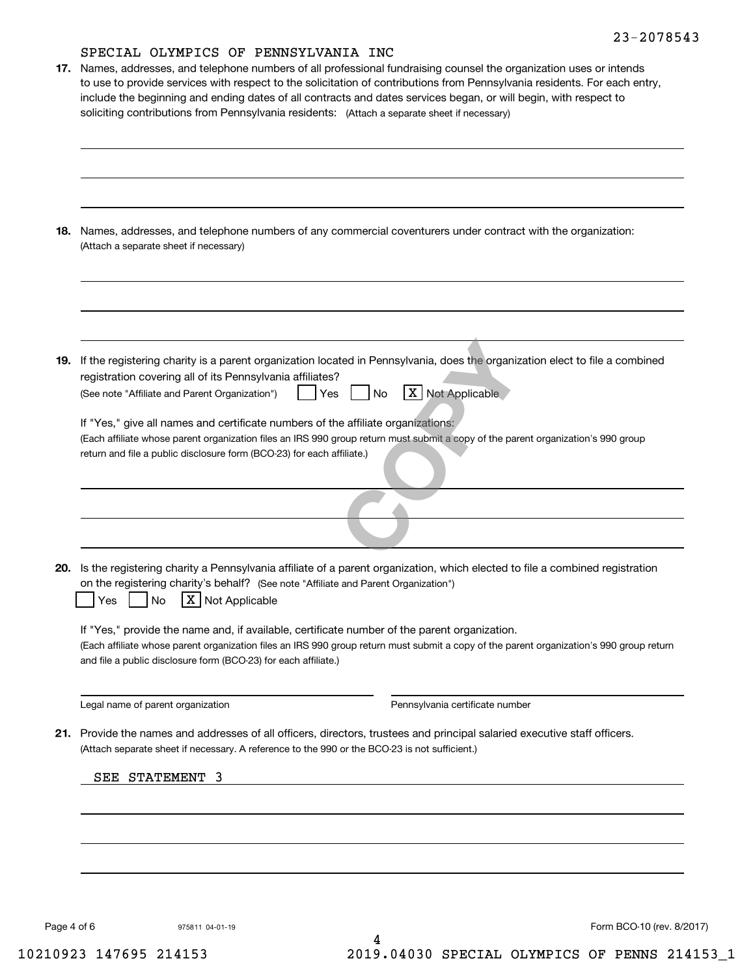|     | 17. Names, addresses, and telephone numbers of all professional fundraising counsel the organization uses or intends<br>to use to provide services with respect to the solicitation of contributions from Pennsylvania residents. For each entry,<br>include the beginning and ending dates of all contracts and dates services began, or will begin, with respect to<br>soliciting contributions from Pennsylvania residents: (Attach a separate sheet if necessary) |
|-----|-----------------------------------------------------------------------------------------------------------------------------------------------------------------------------------------------------------------------------------------------------------------------------------------------------------------------------------------------------------------------------------------------------------------------------------------------------------------------|
| 18. | Names, addresses, and telephone numbers of any commercial coventurers under contract with the organization:<br>(Attach a separate sheet if necessary)                                                                                                                                                                                                                                                                                                                 |
| 19. | If the registering charity is a parent organization located in Pennsylvania, does the organization elect to file a combined<br>registration covering all of its Pennsylvania affiliates?<br>X Not Applicable<br><b>No</b><br>(See note "Affiliate and Parent Organization")<br>Yes                                                                                                                                                                                    |
|     | If "Yes," give all names and certificate numbers of the affiliate organizations:<br>(Each affiliate whose parent organization files an IRS 990 group return must submit a copy of the parent organization's 990 group<br>return and file a public disclosure form (BCO-23) for each affiliate.)                                                                                                                                                                       |
|     | 20. Is the registering charity a Pennsylvania affiliate of a parent organization, which elected to file a combined registration<br>on the registering charity's behalf? (See note "Affiliate and Parent Organization")                                                                                                                                                                                                                                                |
|     | X Not Applicable<br><b>No</b><br>Yes<br>If "Yes," provide the name and, if available, certificate number of the parent organization.<br>(Each affiliate whose parent organization files an IRS 990 group return must submit a copy of the parent organization's 990 group return<br>and file a public disclosure form (BCO-23) for each affiliate.)                                                                                                                   |
|     | Legal name of parent organization<br>Pennsylvania certificate number                                                                                                                                                                                                                                                                                                                                                                                                  |
| 21. | Provide the names and addresses of all officers, directors, trustees and principal salaried executive staff officers.<br>(Attach separate sheet if necessary. A reference to the 990 or the BCO-23 is not sufficient.)                                                                                                                                                                                                                                                |
|     | SEE STATEMENT<br>-3                                                                                                                                                                                                                                                                                                                                                                                                                                                   |
|     |                                                                                                                                                                                                                                                                                                                                                                                                                                                                       |

4

975811 04-01-19 Page 4 of 6 Form BCO-10 (rev. 8/2017)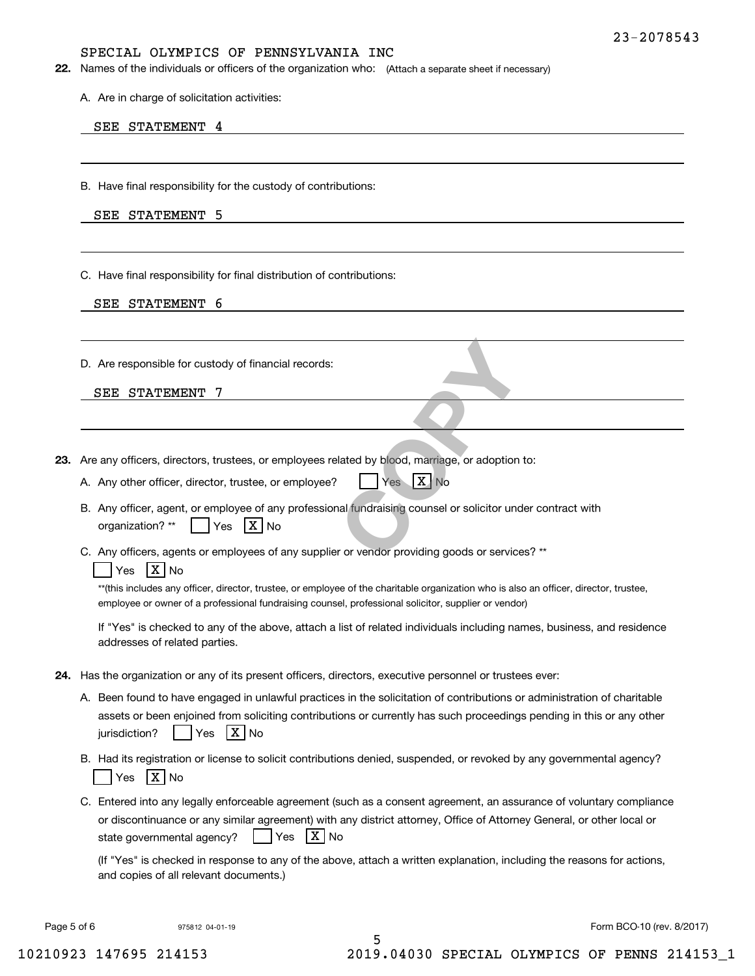**22.** Names of the individuals or officers of the organization who: (Attach a separate sheet if necessary)

A. Are in charge of solicitation activities:

#### SEE STATEMENT 4

B. Have final responsibility for the custody of contributions:

| SEE | <b>STATEMENT</b> | 5 |
|-----|------------------|---|
|-----|------------------|---|

C. Have final responsibility for final distribution of contributions:

|  | SEE STATEMENT | 6 |
|--|---------------|---|
|--|---------------|---|

D. Are responsible for custody of financial records:

| STATEMENT<br>SEE |  |
|------------------|--|
|------------------|--|

- **23.**Are any officers, directors, trustees, or employees related by blood, marriage, or adoption to:
	- A. Any other officer, director, trustee, or employee?  $\blacksquare$  Yes  $\blacksquare$  X No Yes X No
- B. Any officer, agent, or employee of any professional fundraising counsel or solicitor under contract with organization? \*\* es | X | No Plated by blood, marriage, or adoption
	- C. Any officers, agents or employees of any supplier or vendor providing goods or services? \*\*

## Yes |X|No

\*\*(this includes any officer, director, trustee, or employee of the charitable organization who is also an officer, director, trustee, employee or owner of a professional fundraising counsel, professional solicitor, supplier or vendor)

If "Yes" is checked to any of the above, attach a list of related individuals including names, business, and residence addresses of related parties.

- **24.**Has the organization or any of its present officers, directors, executive personnel or trustees ever:
	- A. Been found to have engaged in unlawful practices in the solicitation of contributions or administration of charitable assets or been enjoined from soliciting contributions or currently has such proceedings pending in this or any other jurisdiction?n? | |Yes |X|No
	- B. Had its registration or license to solicit contributions denied, suspended, or revoked by any governmental agency? Yes |X|No
	- C. Entered into any legally enforceable agreement (such as a consent agreement, an assurance of voluntary compliance or discontinuance or any similar agreement) with any district attorney, Office of Attorney General, or other local or state governmental agency?  $Yes$   $X$  No

(If "Yes" is checked in response to any of the above, attach a written explanation, including the reasons for actions, and copies of all relevant documents.)

5

Page 5 of 6 Form BCO-10 (rev. 8/2017)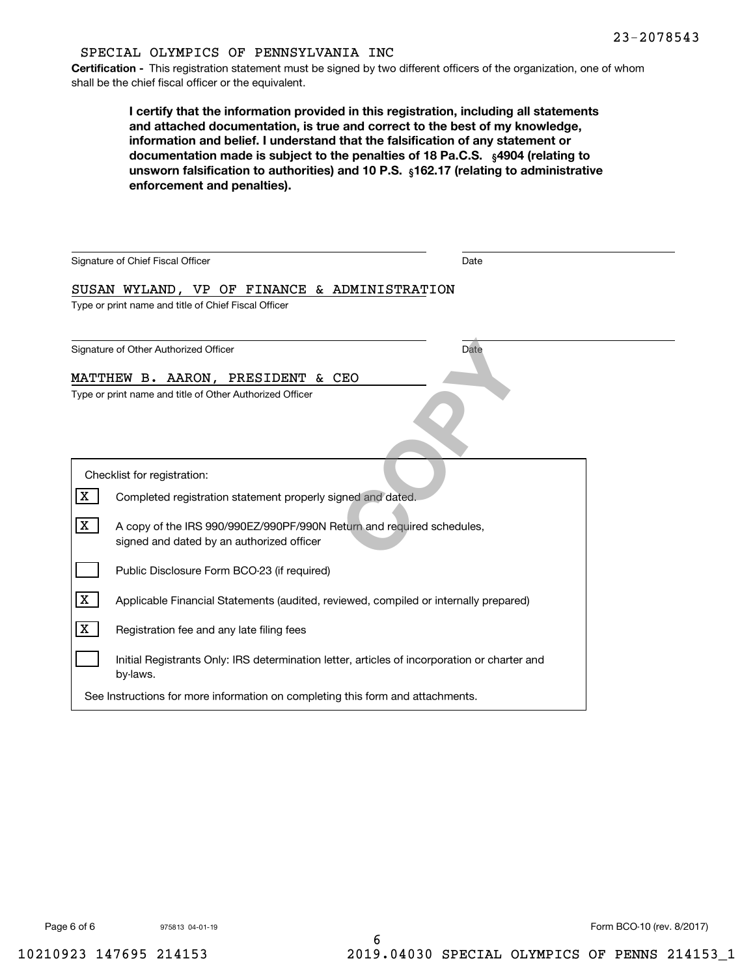**Certification -** This registration statement must be signed by two different officers of the organization, one of whom shall be the chief fiscal officer or the equivalent.

documentation made is subject to the penalties of 18 Pa.C.S.  $\ _{\S}$ 4904 (relating to **<b>unsworn falsification to authorities) and 10 P.S.** <sub>§</sub>162.17 (relating to administrative **I certify that the information provided in this registration, including all statements and attached documentation, is true and correct to the best of my knowledge, information and belief. I understand that the falsification of any statement or enforcement and penalties).**

| Signature of Chief Fiscal Officer                                                                                       | Date        |
|-------------------------------------------------------------------------------------------------------------------------|-------------|
| SUSAN WYLAND, VP OF FINANCE & ADMINISTRATION                                                                            |             |
| Type or print name and title of Chief Fiscal Officer                                                                    |             |
|                                                                                                                         |             |
| Signature of Other Authorized Officer                                                                                   | <b>Date</b> |
| MATTHEW B. AARON, PRESIDENT & CEO                                                                                       |             |
| Type or print name and title of Other Authorized Officer                                                                |             |
|                                                                                                                         |             |
| Checklist for registration:                                                                                             |             |
| X<br>Completed registration statement properly signed and dated.                                                        |             |
| X<br>A copy of the IRS 990/990EZ/990PF/990N Return and required schedules,<br>signed and dated by an authorized officer |             |
| Public Disclosure Form BCO-23 (if required)                                                                             |             |
| X<br>Applicable Financial Statements (audited, reviewed, compiled or internally prepared)                               |             |
| X<br>Registration fee and any late filing fees                                                                          |             |
| Initial Registrants Only: IRS determination letter, articles of incorporation or charter and<br>by-laws.                |             |
| See Instructions for more information on completing this form and attachments.                                          |             |

6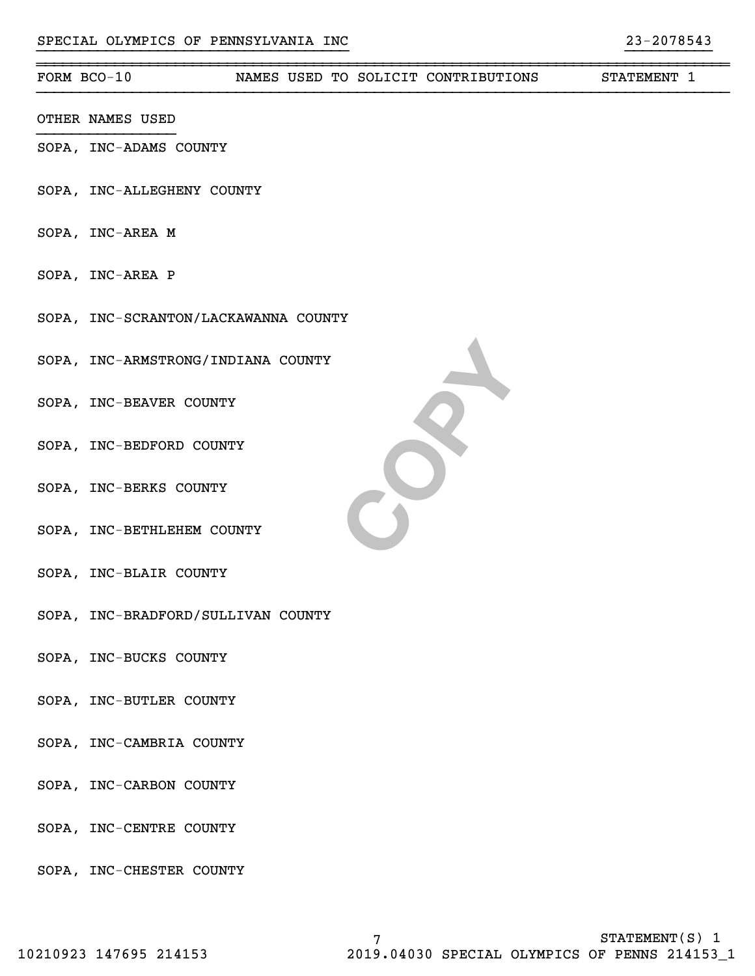## ~~~~~~~~~~~~~~~~~~~~~~~~~~~~~~~~~~~~~~~~~~~~~~~~~~~~~~~~~~~~~~~~~~~~~~~~~~~~~~~~FORM BCO-10 NAMES USED TO SOLICIT CONTRIBUTIONS STATEMENT 1

- OTHER NAMES USED
- SOPA, INC-ADAMS COUNTY
- SOPA, INC-ALLEGHENY COUNTY
- SOPA, INC-AREA M
- SOPA, INC-AREA P
- SOPA, INC-SCRANTON/LACKAWANNA COUNTY
- SOPA, INC-ARMSTRONG/INDIANA COUNTY
- SOPA, INC-BEAVER COUNTY
- SOPA, INC-BEDFORD COUNTY
- SOPA, INC-BERKS COUNTY
- SOPA, INC-BETHLEHEM COUNTY
- SOPA, INC-BLAIR COUNTY
- SOPA, INC-BRADFORD/SULLIVAN COUNTY
- SOPA, INC-BUCKS COUNTY
- SOPA, INC-BUTLER COUNTY
- SOPA, INC-CAMBRIA COUNTY
- SOPA, INC-CARBON COUNTY
- SOPA, INC-CENTRE COUNTY
- SOPA, INC-CHESTER COUNTY

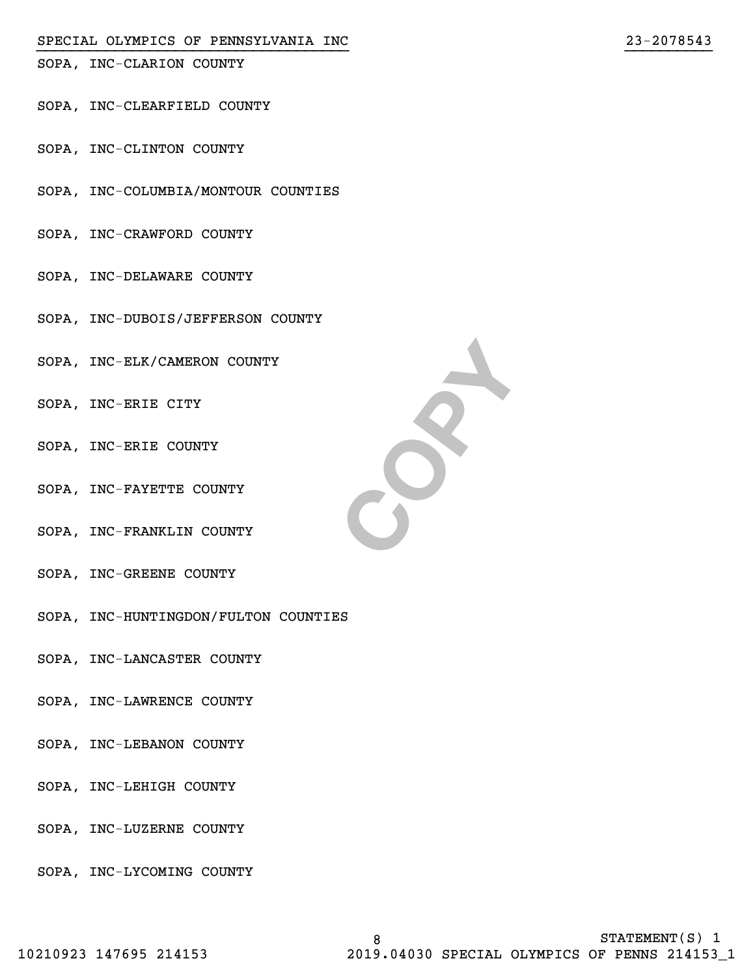SOPA, INC-CLARION COUNTY

- SOPA, INC-CLEARFIELD COUNTY
- SOPA, INC-CLINTON COUNTY
- SOPA, INC-COLUMBIA/MONTOUR COUNTIES
- SOPA, INC-CRAWFORD COUNTY
- SOPA, INC-DELAWARE COUNTY
- SOPA, INC-DUBOIS/JEFFERSON COUNTY
- SOPA, INC-ELK/CAMERON COUNTY
- SOPA, INC-ERIE CITY
- SOPA, INC-ERIE COUNTY
- SOPA, INC-FAYETTE COUNTY
- SOPA, INC-FRANKLIN COUNTY
- SOPA, INC-GREENE COUNTY
- SOPA, INC-HUNTINGDON/FULTON COUNTIES
- SOPA, INC-LANCASTER COUNTY
- SOPA, INC-LAWRENCE COUNTY
- SOPA, INC-LEBANON COUNTY
- SOPA, INC-LEHIGH COUNTY
- SOPA, INC-LUZERNE COUNTY
- SOPA, INC-LYCOMING COUNTY



}}}}}}}}}}}}}}}}}}}}}}}}}}}}}}}}}}}} }}}}}}}}}}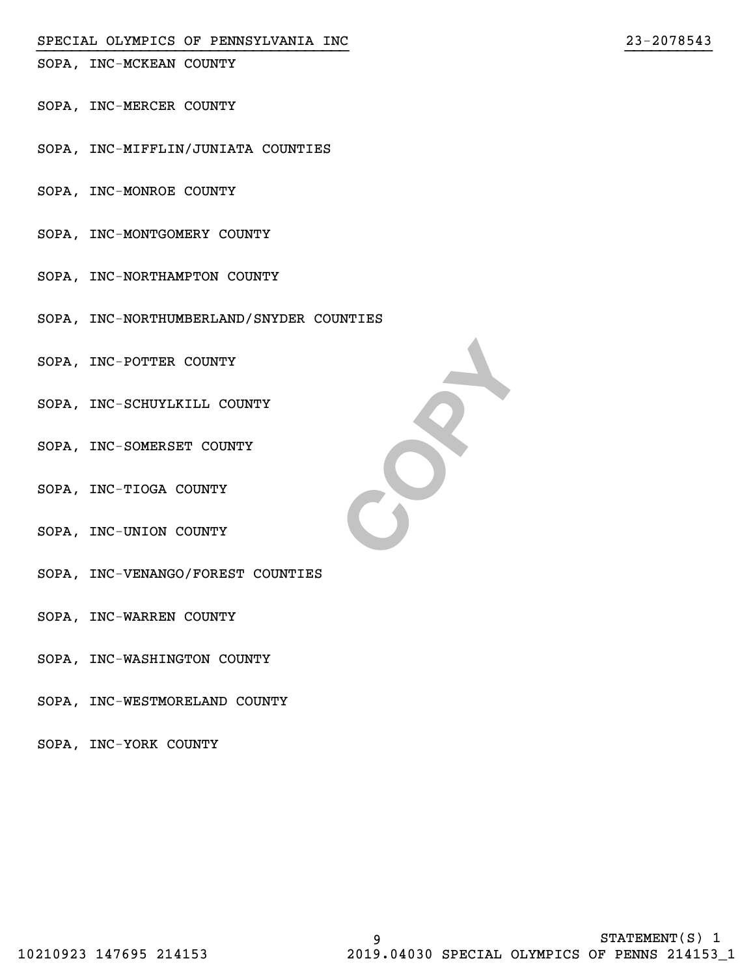SOPA, INC-MCKEAN COUNTY

- SOPA, INC-MERCER COUNTY
- SOPA, INC-MIFFLIN/JUNIATA COUNTIES
- SOPA, INC-MONROE COUNTY
- SOPA, INC-MONTGOMERY COUNTY
- SOPA, INC-NORTHAMPTON COUNTY
- SOPA, INC-NORTHUMBERLAND/SNYDER COUNTIES
- SOPA, INC-POTTER COUNTY
- SOPA, INC-SCHUYLKILL COUNTY
- SOPA, INC-SOMERSET COUNTY
- SOPA, INC-TIOGA COUNTY
- SOPA, INC-UNION COUNTY
- SOPA, INC-VENANGO/FOREST COUNTIES
- SOPA, INC-WARREN COUNTY
- SOPA, INC-WASHINGTON COUNTY
- SOPA, INC-WESTMORELAND COUNTY

SOPA, INC-YORK COUNTY



}}}}}}}}}}}}}}}}}}}}}}}}}}}}}}}}}}}} }}}}}}}}}}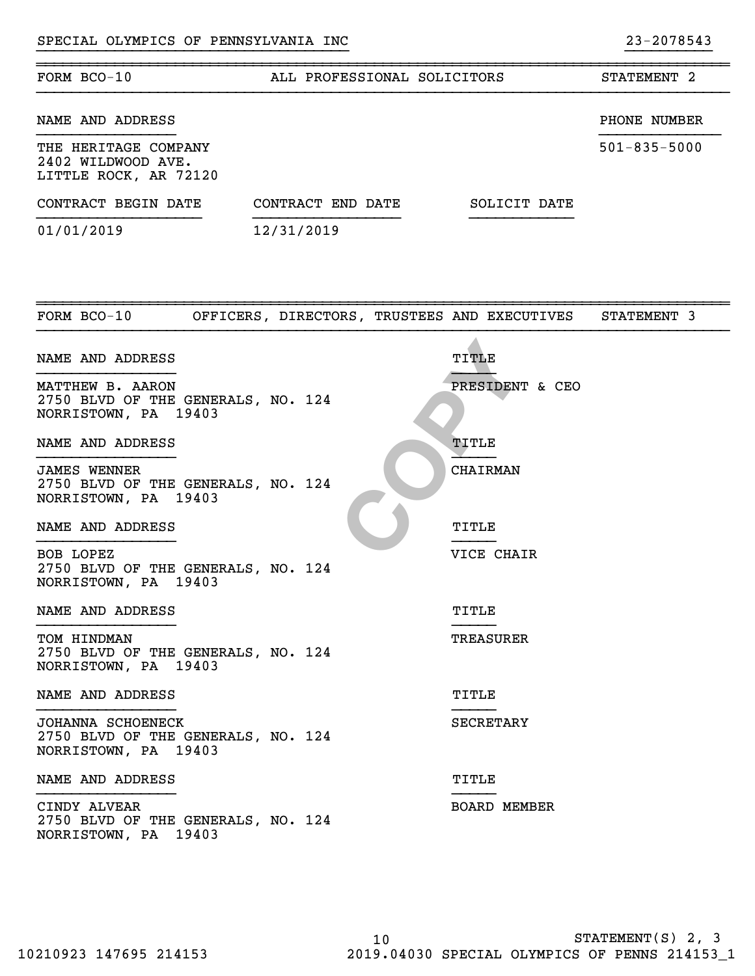| FORM BCO-10                                                                       | ALL PROFESSIONAL SOLICITORS                  |                     | STATEMENT 2        |
|-----------------------------------------------------------------------------------|----------------------------------------------|---------------------|--------------------|
| NAME AND ADDRESS                                                                  |                                              |                     | PHONE NUMBER       |
| THE HERITAGE COMPANY<br>2402 WILDWOOD AVE.<br>LITTLE ROCK, AR 72120               |                                              |                     | $501 - 835 - 5000$ |
| CONTRACT BEGIN DATE                                                               | CONTRACT END DATE                            | SOLICIT DATE        |                    |
| 01/01/2019                                                                        | 12/31/2019                                   |                     |                    |
|                                                                                   |                                              |                     |                    |
| FORM BCO-10                                                                       | OFFICERS, DIRECTORS, TRUSTEES AND EXECUTIVES |                     | STATEMENT 3        |
| NAME AND ADDRESS                                                                  |                                              | TITLE               |                    |
| MATTHEW B. AARON<br>2750 BLVD OF THE GENERALS, NO. 124<br>NORRISTOWN, PA 19403    |                                              | PRESIDENT & CEO     |                    |
| NAME AND ADDRESS                                                                  |                                              | TITLE               |                    |
| <b>JAMES WENNER</b><br>2750 BLVD OF THE GENERALS, NO. 124<br>NORRISTOWN, PA 19403 |                                              | <b>CHAIRMAN</b>     |                    |
| NAME AND ADDRESS                                                                  |                                              | TITLE               |                    |
| BOB LOPEZ<br>2750 BLVD OF THE GENERALS, NO. 124<br>NORRISTOWN, PA 19403           |                                              | VICE CHAIR          |                    |
| NAME AND ADDRESS                                                                  |                                              | TITLE               |                    |
| TOM HINDMAN<br>2750 BLVD OF THE GENERALS, NO. 124<br>NORRISTOWN, PA 19403         |                                              | TREASURER           |                    |
| NAME AND ADDRESS                                                                  |                                              | TITLE               |                    |
| JOHANNA SCHOENECK<br>2750 BLVD OF THE GENERALS, NO. 124<br>NORRISTOWN, PA 19403   |                                              | SECRETARY           |                    |
| NAME AND ADDRESS                                                                  |                                              | TITLE               |                    |
| CINDY ALVEAR<br>2750 BLVD OF THE GENERALS, NO. 124<br>NORRISTOWN, PA 19403        |                                              | <b>BOARD MEMBER</b> |                    |

}}}}}}}}}}}}}}}}}}}}}}}}}}}}}}}}}}}} }}}}}}}}}}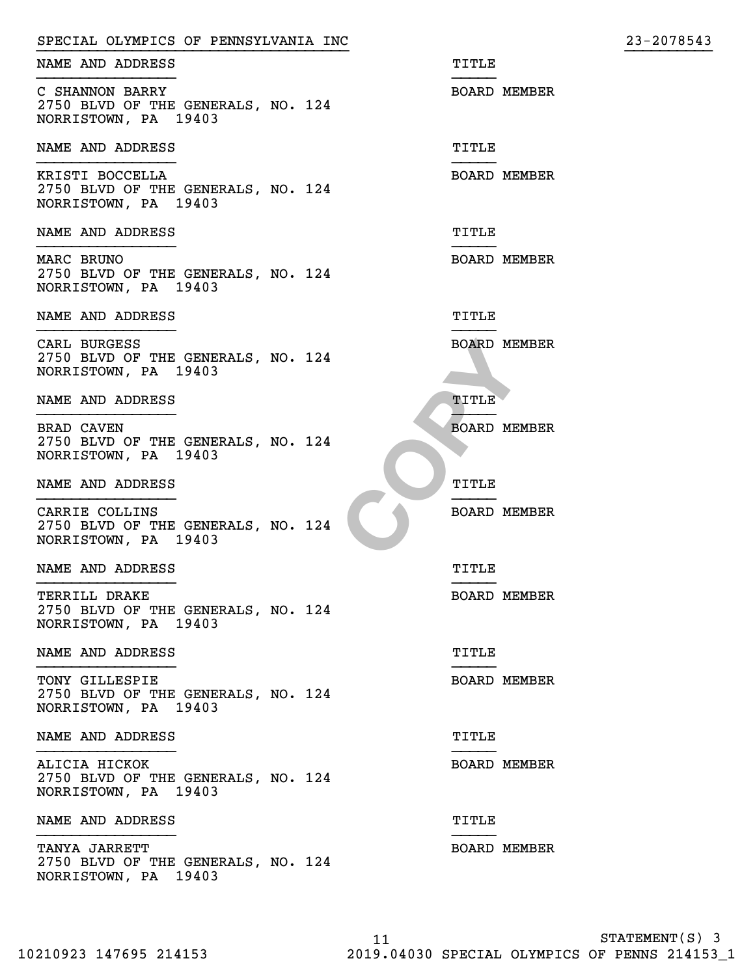| NAME AND ADDRESS<br>TITLE<br>C SHANNON BARRY<br><b>BOARD MEMBER</b><br>2750 BLVD OF THE GENERALS, NO. 124<br>NORRISTOWN, PA 19403<br>NAME AND ADDRESS<br>TITLE<br>KRISTI BOCCELLA<br><b>BOARD MEMBER</b><br>2750 BLVD OF THE GENERALS, NO. 124<br>NORRISTOWN, PA 19403<br>NAME AND ADDRESS<br>TITLE<br>MARC BRUNO<br><b>BOARD MEMBER</b><br>2750 BLVD OF THE GENERALS, NO. 124<br>NORRISTOWN, PA 19403<br>NAME AND ADDRESS<br>TITLE<br>CARL BURGESS<br>BOARD MEMBER<br>2750 BLVD OF THE GENERALS, NO. 124<br>NORRISTOWN, PA 19403<br>NAME AND ADDRESS<br>TITLE<br>BRAD CAVEN<br><b>BOARD MEMBER</b><br>2750 BLVD OF THE GENERALS, NO. 124<br>NORRISTOWN, PA 19403<br>NAME AND ADDRESS<br>TITLE<br>CARRIE COLLINS<br><b>BOARD MEMBER</b><br>2750 BLVD OF THE GENERALS, NO. 124<br>NORRISTOWN, PA 19403<br>NAME AND ADDRESS<br>TITLE<br>TERRILL DRAKE<br><b>BOARD MEMBER</b><br>2750 BLVD OF THE GENERALS, NO. 124<br>NORRISTOWN, PA 19403<br>NAME AND ADDRESS<br>TITLE<br>TONY GILLESPIE<br><b>BOARD MEMBER</b><br>2750 BLVD OF THE GENERALS, NO. 124<br>NORRISTOWN, PA 19403<br>NAME AND ADDRESS<br>TITLE<br>ALICIA HICKOK<br><b>BOARD MEMBER</b><br>2750 BLVD OF THE GENERALS, NO. 124<br>NORRISTOWN, PA 19403<br>NAME AND ADDRESS<br>TITLE<br>TANYA JARRETT<br><b>BOARD MEMBER</b><br>2750 BLVD OF THE GENERALS, NO. 124<br>NORRISTOWN, PA 19403 | SPECIAL OLYMPICS OF PENNSYLVANIA INC | 23-2078543 |
|----------------------------------------------------------------------------------------------------------------------------------------------------------------------------------------------------------------------------------------------------------------------------------------------------------------------------------------------------------------------------------------------------------------------------------------------------------------------------------------------------------------------------------------------------------------------------------------------------------------------------------------------------------------------------------------------------------------------------------------------------------------------------------------------------------------------------------------------------------------------------------------------------------------------------------------------------------------------------------------------------------------------------------------------------------------------------------------------------------------------------------------------------------------------------------------------------------------------------------------------------------------------------------------------------------------------------------------------------|--------------------------------------|------------|
|                                                                                                                                                                                                                                                                                                                                                                                                                                                                                                                                                                                                                                                                                                                                                                                                                                                                                                                                                                                                                                                                                                                                                                                                                                                                                                                                                    |                                      |            |
|                                                                                                                                                                                                                                                                                                                                                                                                                                                                                                                                                                                                                                                                                                                                                                                                                                                                                                                                                                                                                                                                                                                                                                                                                                                                                                                                                    |                                      |            |
|                                                                                                                                                                                                                                                                                                                                                                                                                                                                                                                                                                                                                                                                                                                                                                                                                                                                                                                                                                                                                                                                                                                                                                                                                                                                                                                                                    |                                      |            |
|                                                                                                                                                                                                                                                                                                                                                                                                                                                                                                                                                                                                                                                                                                                                                                                                                                                                                                                                                                                                                                                                                                                                                                                                                                                                                                                                                    |                                      |            |
|                                                                                                                                                                                                                                                                                                                                                                                                                                                                                                                                                                                                                                                                                                                                                                                                                                                                                                                                                                                                                                                                                                                                                                                                                                                                                                                                                    |                                      |            |
|                                                                                                                                                                                                                                                                                                                                                                                                                                                                                                                                                                                                                                                                                                                                                                                                                                                                                                                                                                                                                                                                                                                                                                                                                                                                                                                                                    |                                      |            |
|                                                                                                                                                                                                                                                                                                                                                                                                                                                                                                                                                                                                                                                                                                                                                                                                                                                                                                                                                                                                                                                                                                                                                                                                                                                                                                                                                    |                                      |            |
|                                                                                                                                                                                                                                                                                                                                                                                                                                                                                                                                                                                                                                                                                                                                                                                                                                                                                                                                                                                                                                                                                                                                                                                                                                                                                                                                                    |                                      |            |
|                                                                                                                                                                                                                                                                                                                                                                                                                                                                                                                                                                                                                                                                                                                                                                                                                                                                                                                                                                                                                                                                                                                                                                                                                                                                                                                                                    |                                      |            |
|                                                                                                                                                                                                                                                                                                                                                                                                                                                                                                                                                                                                                                                                                                                                                                                                                                                                                                                                                                                                                                                                                                                                                                                                                                                                                                                                                    |                                      |            |
|                                                                                                                                                                                                                                                                                                                                                                                                                                                                                                                                                                                                                                                                                                                                                                                                                                                                                                                                                                                                                                                                                                                                                                                                                                                                                                                                                    |                                      |            |
|                                                                                                                                                                                                                                                                                                                                                                                                                                                                                                                                                                                                                                                                                                                                                                                                                                                                                                                                                                                                                                                                                                                                                                                                                                                                                                                                                    |                                      |            |
|                                                                                                                                                                                                                                                                                                                                                                                                                                                                                                                                                                                                                                                                                                                                                                                                                                                                                                                                                                                                                                                                                                                                                                                                                                                                                                                                                    |                                      |            |
|                                                                                                                                                                                                                                                                                                                                                                                                                                                                                                                                                                                                                                                                                                                                                                                                                                                                                                                                                                                                                                                                                                                                                                                                                                                                                                                                                    |                                      |            |
|                                                                                                                                                                                                                                                                                                                                                                                                                                                                                                                                                                                                                                                                                                                                                                                                                                                                                                                                                                                                                                                                                                                                                                                                                                                                                                                                                    |                                      |            |
|                                                                                                                                                                                                                                                                                                                                                                                                                                                                                                                                                                                                                                                                                                                                                                                                                                                                                                                                                                                                                                                                                                                                                                                                                                                                                                                                                    |                                      |            |
|                                                                                                                                                                                                                                                                                                                                                                                                                                                                                                                                                                                                                                                                                                                                                                                                                                                                                                                                                                                                                                                                                                                                                                                                                                                                                                                                                    |                                      |            |
|                                                                                                                                                                                                                                                                                                                                                                                                                                                                                                                                                                                                                                                                                                                                                                                                                                                                                                                                                                                                                                                                                                                                                                                                                                                                                                                                                    |                                      |            |
|                                                                                                                                                                                                                                                                                                                                                                                                                                                                                                                                                                                                                                                                                                                                                                                                                                                                                                                                                                                                                                                                                                                                                                                                                                                                                                                                                    |                                      |            |
|                                                                                                                                                                                                                                                                                                                                                                                                                                                                                                                                                                                                                                                                                                                                                                                                                                                                                                                                                                                                                                                                                                                                                                                                                                                                                                                                                    |                                      |            |

 $23 - 2078543$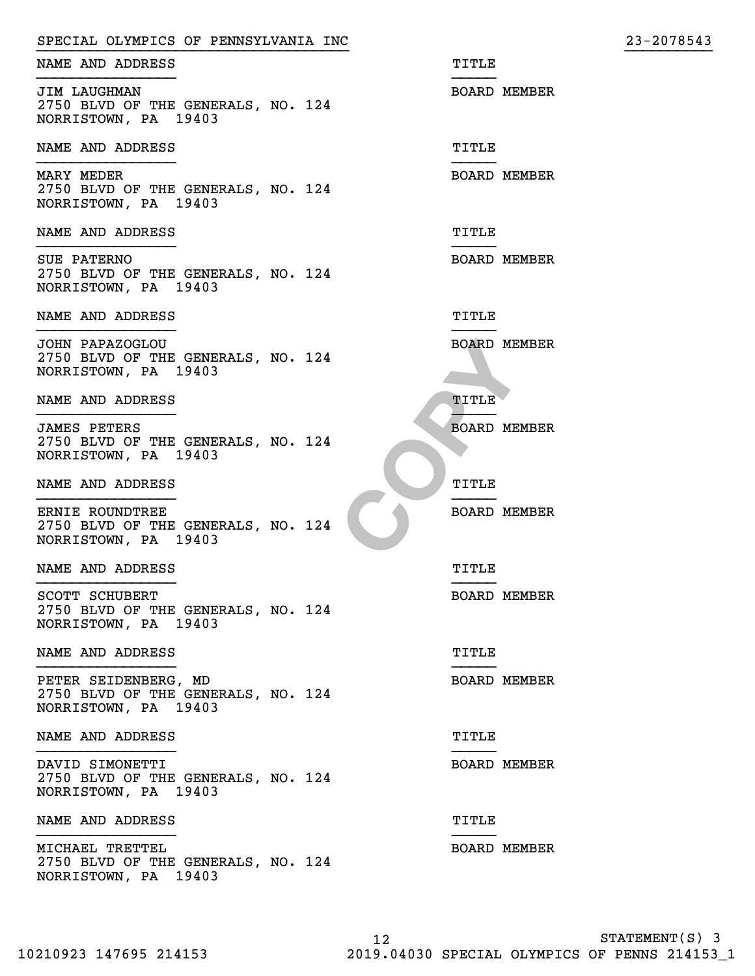| SPECIAL OLYMPICS OF PENNSYLVANIA INC                                                | 23-2078543          |
|-------------------------------------------------------------------------------------|---------------------|
| NAME AND ADDRESS                                                                    | TITLE               |
| <b>JIM LAUGHMAN</b><br>2750 BLVD OF THE GENERALS, NO. 124<br>NORRISTOWN, PA 19403   | <b>BOARD MEMBER</b> |
| NAME AND ADDRESS                                                                    | TITLE               |
| <b>MARY MEDER</b><br>2750 BLVD OF THE GENERALS, NO. 124<br>NORRISTOWN, PA 19403     | <b>BOARD MEMBER</b> |
| NAME AND ADDRESS                                                                    | TITLE               |
| SUE PATERNO<br>2750 BLVD OF THE GENERALS, NO. 124<br>NORRISTOWN, PA 19403           | <b>BOARD MEMBER</b> |
| NAME AND ADDRESS                                                                    | TITLE               |
| JOHN PAPAZOGLOU<br>2750 BLVD OF THE GENERALS, NO. 124<br>NORRISTOWN, PA 19403       | <b>BOARD MEMBER</b> |
| NAME AND ADDRESS                                                                    | TITLE               |
| <b>JAMES PETERS</b><br>2750 BLVD OF THE GENERALS, NO. 124<br>NORRISTOWN, PA 19403   | <b>BOARD MEMBER</b> |
| NAME AND ADDRESS                                                                    | TITLE               |
| ERNIE ROUNDTREE<br>2750 BLVD OF THE GENERALS, NO. 124<br>NORRISTOWN, PA 19403       | <b>BOARD MEMBER</b> |
| NAME AND ADDRESS                                                                    | TITLE               |
| <b>SCOTT SCHUBERT</b><br>2750 BLVD OF THE GENERALS, NO. 124<br>NORRISTOWN, PA 19403 | <b>BOARD MEMBER</b> |
| NAME AND ADDRESS                                                                    | TITLE               |
| PETER SEIDENBERG, MD<br>2750 BLVD OF THE GENERALS, NO. 124<br>NORRISTOWN, PA 19403  | <b>BOARD MEMBER</b> |
| NAME AND ADDRESS                                                                    | TITLE               |
| DAVID SIMONETTI<br>2750 BLVD OF THE GENERALS, NO. 124<br>NORRISTOWN, PA 19403       | <b>BOARD MEMBER</b> |
| NAME AND ADDRESS                                                                    | TITLE               |
| MICHAEL TRETTEL<br>2750 BLVD OF THE GENERALS, NO. 124<br>NORRISTOWN, PA 19403       | <b>BOARD MEMBER</b> |
|                                                                                     |                     |

 $23 - 2078543$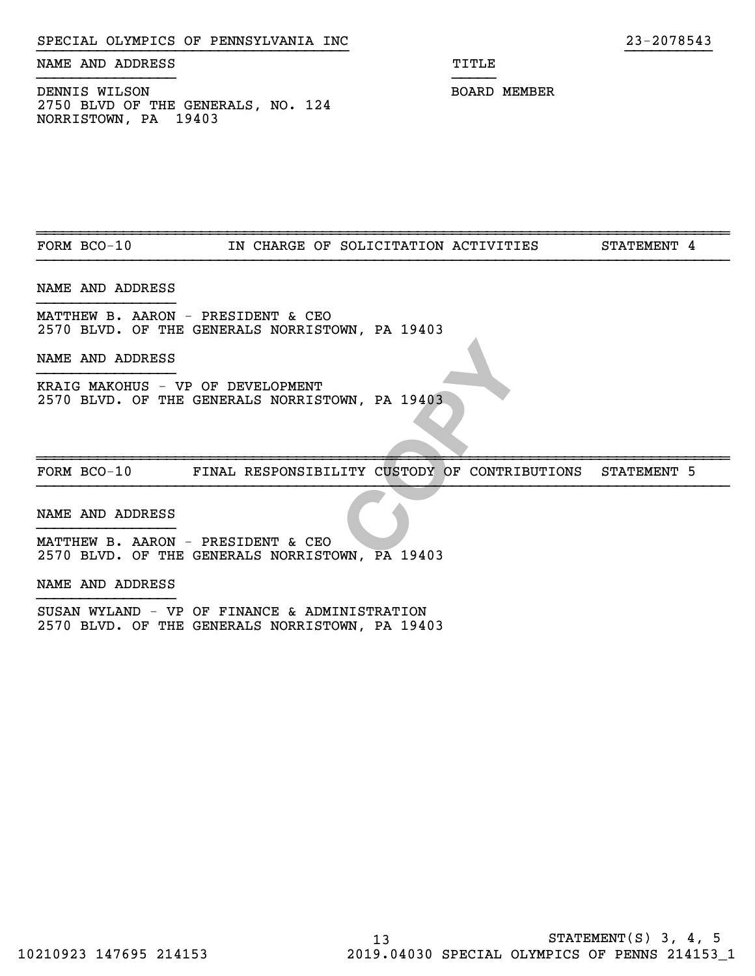NAME AND ADDRESS TITLE

}}}}}}}}}}}}}}}}}}}}}}}}}}}}}}}}}}}} }}}}}}}}}}

DENNIS WILSON BOARD MEMBER

2750 BLVD OF THE GENERALS, NO. 124 NORRISTOWN, PA 19403

~~~~~~~~~~~~~~~~~~~~~~~~~~~~~~~~~~~~~~~~~~~~~~~~~~~~~~~~~~~~~~~~~~~~~~~~~~~~~~~~FORM BCO-10 IN CHARGE OF SOLICITATION ACTIVITIES STATEMENT 4

NAME AND ADDRESS

MATTHEW B. AARON - PRESIDENT & CEO 2570 BLVD. OF THE GENERALS NORRISTOWN, PA 19403

}}}}}}}}}}}}}}}} }}}}}

NAME AND ADDRESS

**CONTRANSISTED ASSESSMENT CONTRANSISTED ASSESSMENT CONTRANSISTED ASSESSMENT OF CONTRANSISTED ASSESSMENT OF A LOST OF CONTRANSISTED ASSESSMENT OF A LOST OF CONTRANSISTED ASSESSMENT OF A LOST OF CONTRANSISTED ASSESSMENT OF A** KRAIG MAKOHUS - VP OF DEVELOPMENT 2570 BLVD. OF THE GENERALS NORRISTOWN, PA 19403

FORM BCO-10 FINAL RESPONSIBILITY CUSTODY OF CONTRIBUTIONS STATEMENT 5

~~~~~~~~~~~~~~~~~~~~~~~~~~~~~~~~~~~~~~~~~~~~~~~~~~~~~~~~~~~~~~~~~~~~~~~~~~~~~~~~

NAME AND ADDRESS

MATTHEW B. AARON - PRESIDENT & CEO 2570 BLVD. OF THE GENERALS NORRISTOWN, PA 19403

NAME AND ADDRESS

SUSAN WYLAND - VP OF FINANCE & ADMINISTRATION 2570 BLVD. OF THE GENERALS NORRISTOWN, PA 19403